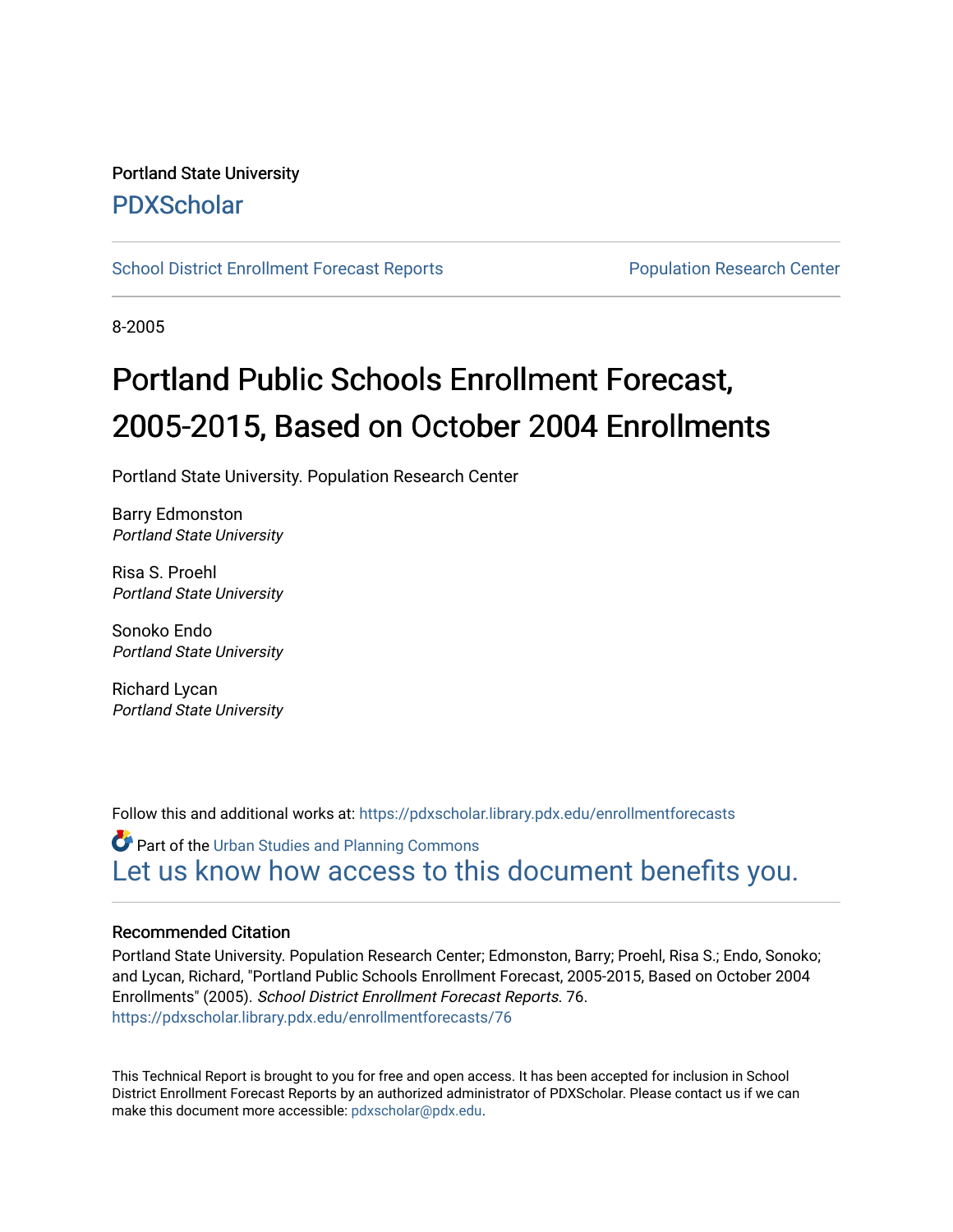# Portland State University [PDXScholar](https://pdxscholar.library.pdx.edu/)

[School District Enrollment Forecast Reports](https://pdxscholar.library.pdx.edu/enrollmentforecasts) **Population Research Center** Population Research Center

8-2005

# Portland Public Schools Enrollment Forecast, 2005-2015, Based on October 2004 Enrollments

Portland State University. Population Research Center

Barry Edmonston Portland State University

Risa S. Proehl Portland State University

Sonoko Endo Portland State University

Richard Lycan Portland State University

Follow this and additional works at: [https://pdxscholar.library.pdx.edu/enrollmentforecasts](https://pdxscholar.library.pdx.edu/enrollmentforecasts?utm_source=pdxscholar.library.pdx.edu%2Fenrollmentforecasts%2F76&utm_medium=PDF&utm_campaign=PDFCoverPages) 

Part of the [Urban Studies and Planning Commons](http://network.bepress.com/hgg/discipline/436?utm_source=pdxscholar.library.pdx.edu%2Fenrollmentforecasts%2F76&utm_medium=PDF&utm_campaign=PDFCoverPages) [Let us know how access to this document benefits you.](http://library.pdx.edu/services/pdxscholar-services/pdxscholar-feedback/?ref=https://pdxscholar.library.pdx.edu/enrollmentforecasts/76) 

#### Recommended Citation

Portland State University. Population Research Center; Edmonston, Barry; Proehl, Risa S.; Endo, Sonoko; and Lycan, Richard, "Portland Public Schools Enrollment Forecast, 2005-2015, Based on October 2004 Enrollments" (2005). School District Enrollment Forecast Reports. 76. [https://pdxscholar.library.pdx.edu/enrollmentforecasts/76](https://pdxscholar.library.pdx.edu/enrollmentforecasts/76?utm_source=pdxscholar.library.pdx.edu%2Fenrollmentforecasts%2F76&utm_medium=PDF&utm_campaign=PDFCoverPages)

This Technical Report is brought to you for free and open access. It has been accepted for inclusion in School District Enrollment Forecast Reports by an authorized administrator of PDXScholar. Please contact us if we can make this document more accessible: [pdxscholar@pdx.edu.](mailto:pdxscholar@pdx.edu)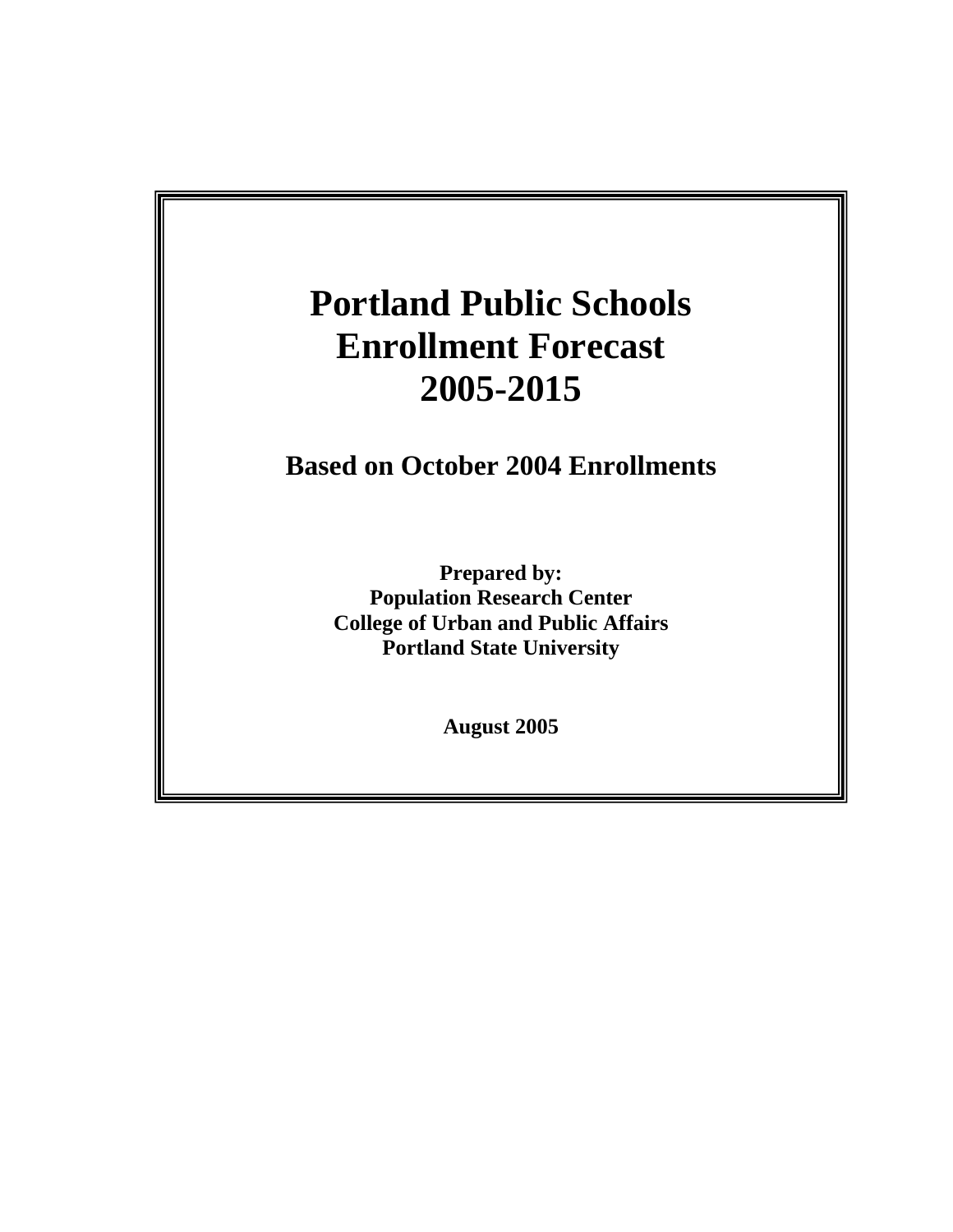# **Portland Public Schools Based on October 2003 Enrollments 2005-2015 Enrollment Forecast**

**Portland Public Schools** 

**Prepared by: Based on October 2004 Enrollments** 

> **Portland State University**  March 2004 **Portland State University Prepared by: Population Research Center College of Urban and Public Affairs**

> > **August 2005**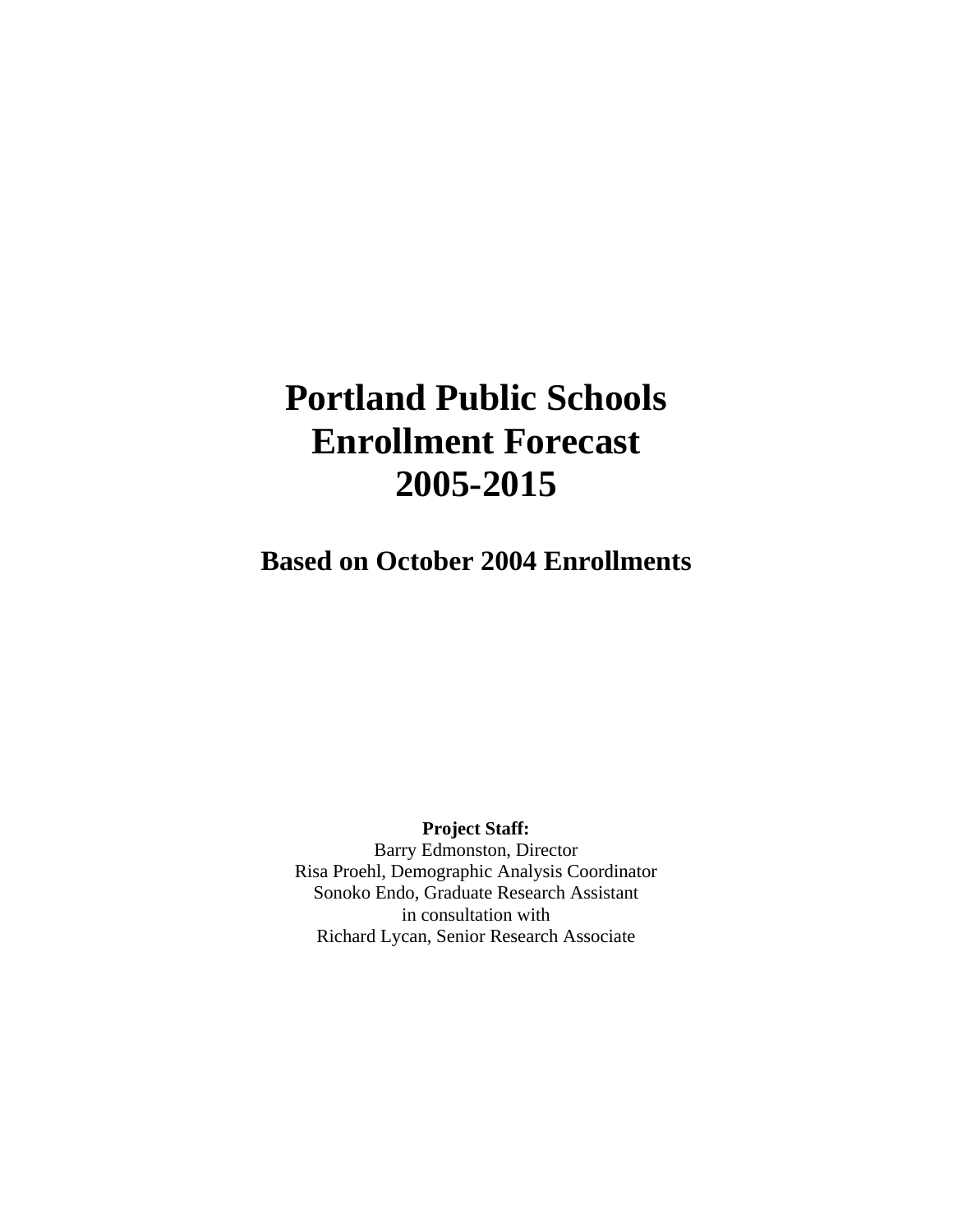# **Portland Public Schools Enrollment Forecast 2005-2015**

**Based on October 2004 Enrollments**

**Project Staff:** 

Barry Edmonston, Director Risa Proehl, Demographic Analysis Coordinator Sonoko Endo, Graduate Research Assistant in consultation with Richard Lycan, Senior Research Associate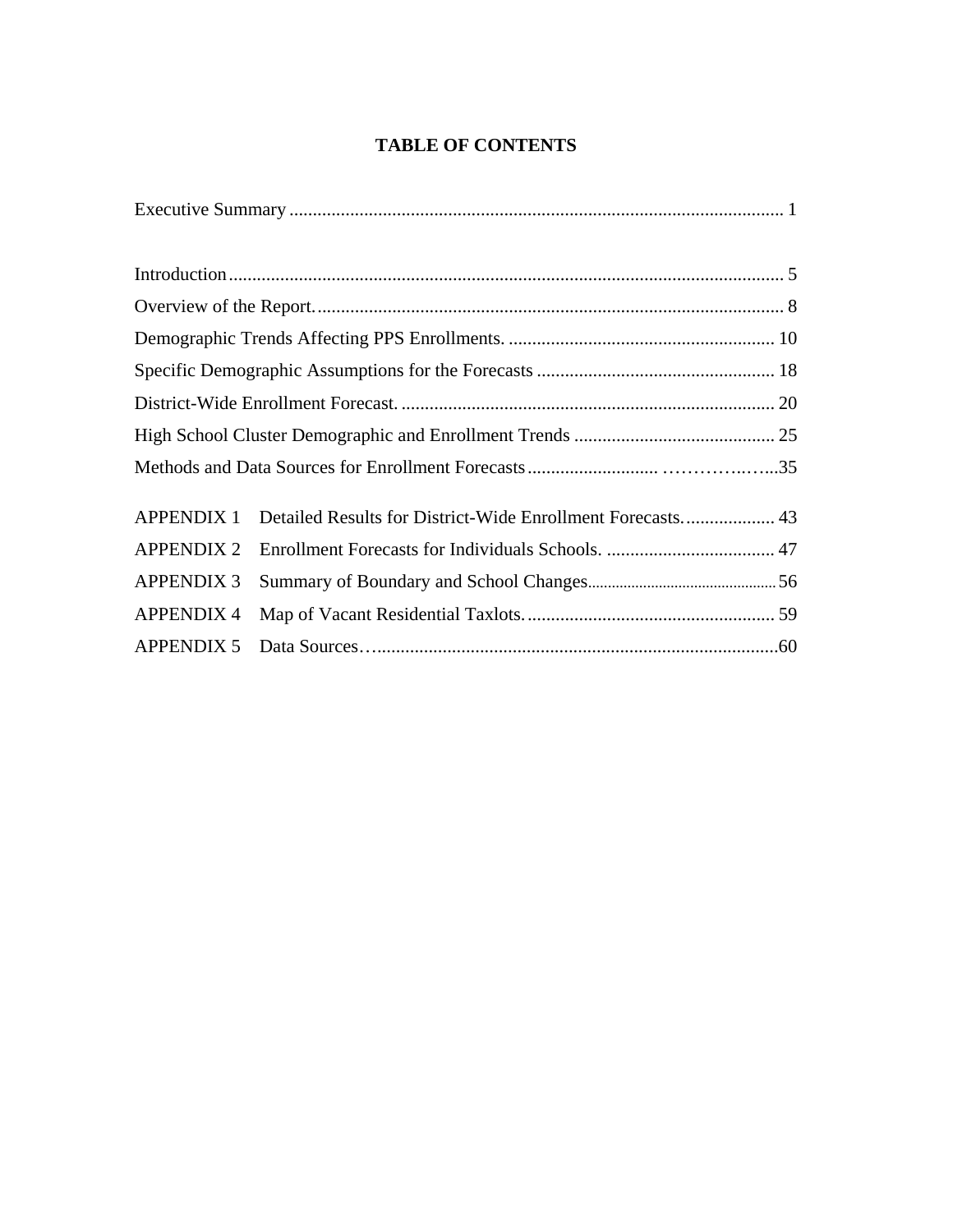# **TABLE OF CONTENTS**

| <b>APPENDIX 1</b> | Detailed Results for District-Wide Enrollment Forecasts 43 |  |
|-------------------|------------------------------------------------------------|--|
| <b>APPENDIX 2</b> |                                                            |  |
| <b>APPENDIX 3</b> |                                                            |  |
| <b>APPENDIX 4</b> |                                                            |  |
| <b>APPENDIX 5</b> |                                                            |  |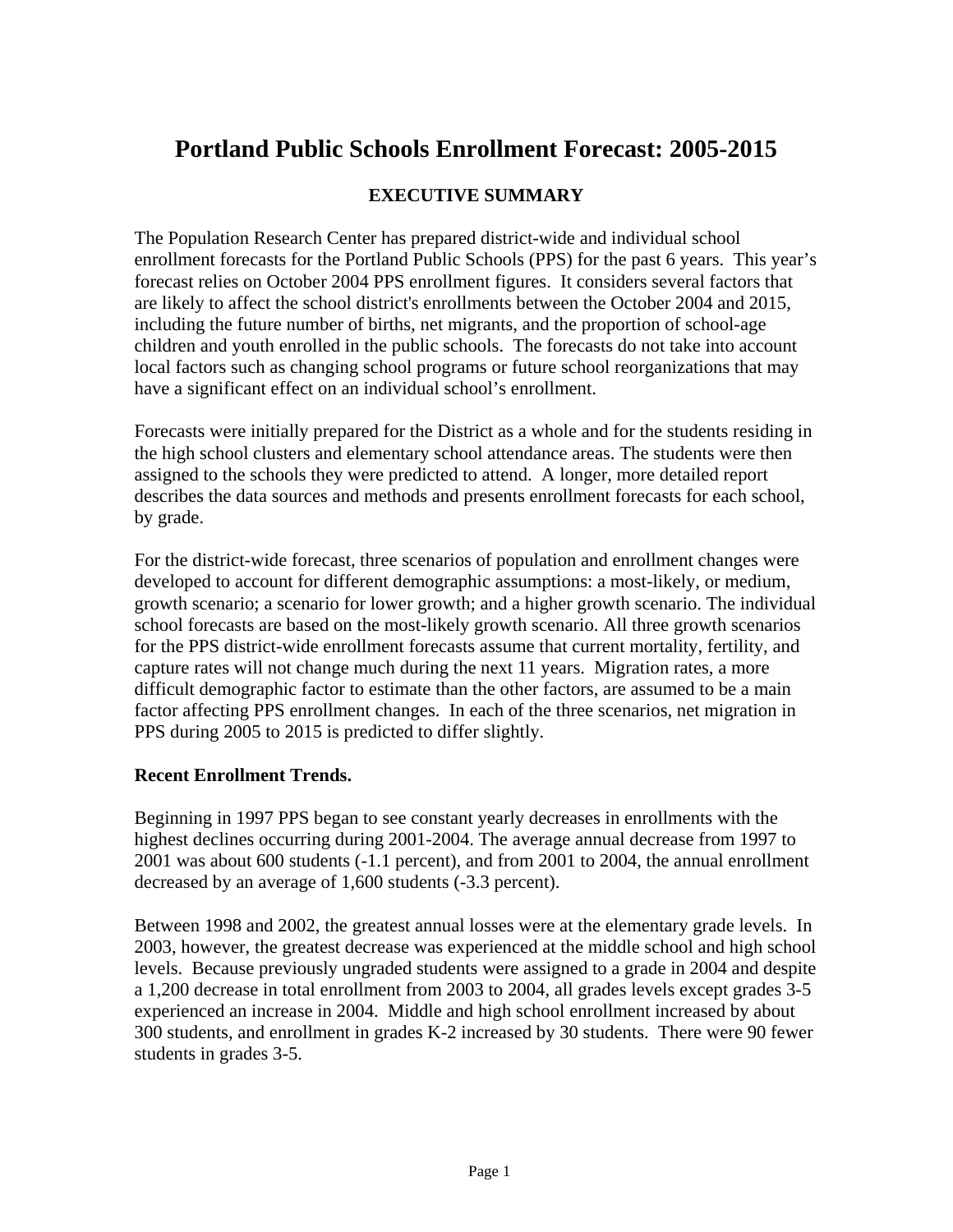# **Portland Public Schools Enrollment Forecast: 2005-2015**

# **EXECUTIVE SUMMARY**

The Population Research Center has prepared district-wide and individual school enrollment forecasts for the Portland Public Schools (PPS) for the past 6 years. This year's forecast relies on October 2004 PPS enrollment figures. It considers several factors that are likely to affect the school district's enrollments between the October 2004 and 2015, including the future number of births, net migrants, and the proportion of school-age children and youth enrolled in the public schools.The forecasts do not take into account local factors such as changing school programs or future school reorganizations that may have a significant effect on an individual school's enrollment.

Forecasts were initially prepared for the District as a whole and for the students residing in the high school clusters and elementary school attendance areas. The students were then assigned to the schools they were predicted to attend. A longer, more detailed report describes the data sources and methods and presents enrollment forecasts for each school, by grade.

For the district-wide forecast, three scenarios of population and enrollment changes were developed to account for different demographic assumptions: a most-likely, or medium, growth scenario; a scenario for lower growth; and a higher growth scenario. The individual school forecasts are based on the most-likely growth scenario. All three growth scenarios for the PPS district-wide enrollment forecasts assume that current mortality, fertility, and capture rates will not change much during the next 11 years. Migration rates, a more difficult demographic factor to estimate than the other factors, are assumed to be a main factor affecting PPS enrollment changes. In each of the three scenarios, net migration in PPS during 2005 to 2015 is predicted to differ slightly.

#### **Recent Enrollment Trends.**

Beginning in 1997 PPS began to see constant yearly decreases in enrollments with the highest declines occurring during 2001-2004. The average annual decrease from 1997 to 2001 was about 600 students (-1.1 percent), and from 2001 to 2004, the annual enrollment decreased by an average of 1,600 students (-3.3 percent).

Between 1998 and 2002, the greatest annual losses were at the elementary grade levels. In 2003, however, the greatest decrease was experienced at the middle school and high school levels. Because previously ungraded students were assigned to a grade in 2004 and despite a 1,200 decrease in total enrollment from 2003 to 2004, all grades levels except grades 3-5 experienced an increase in 2004. Middle and high school enrollment increased by about 300 students, and enrollment in grades K-2 increased by 30 students. There were 90 fewer students in grades 3-5.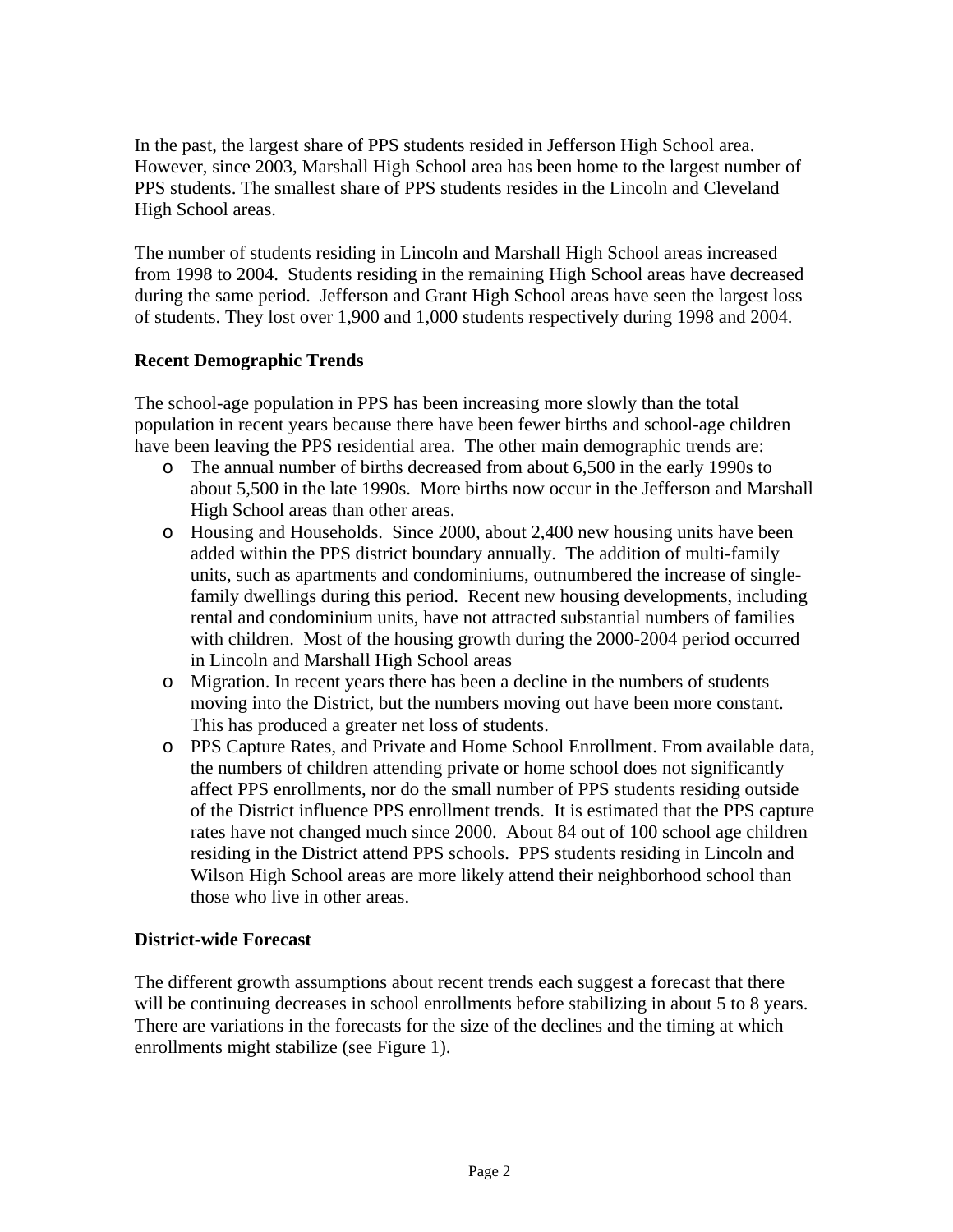In the past, the largest share of PPS students resided in Jefferson High School area. However, since 2003, Marshall High School area has been home to the largest number of PPS students. The smallest share of PPS students resides in the Lincoln and Cleveland High School areas.

The number of students residing in Lincoln and Marshall High School areas increased from 1998 to 2004. Students residing in the remaining High School areas have decreased during the same period. Jefferson and Grant High School areas have seen the largest loss of students. They lost over 1,900 and 1,000 students respectively during 1998 and 2004.

#### **Recent Demographic Trends**

The school-age population in PPS has been increasing more slowly than the total population in recent years because there have been fewer births and school-age children have been leaving the PPS residential area. The other main demographic trends are:

- o The annual number of births decreased from about 6,500 in the early 1990s to about 5,500 in the late 1990s. More births now occur in the Jefferson and Marshall High School areas than other areas.
- o Housing and Households. Since 2000, about 2,400 new housing units have been added within the PPS district boundary annually. The addition of multi-family units, such as apartments and condominiums, outnumbered the increase of singlefamily dwellings during this period. Recent new housing developments, including rental and condominium units, have not attracted substantial numbers of families with children. Most of the housing growth during the 2000-2004 period occurred in Lincoln and Marshall High School areas
- o Migration. In recent years there has been a decline in the numbers of students moving into the District, but the numbers moving out have been more constant. This has produced a greater net loss of students.
- o PPS Capture Rates, and Private and Home School Enrollment. From available data, the numbers of children attending private or home school does not significantly affect PPS enrollments, nor do the small number of PPS students residing outside of the District influence PPS enrollment trends. It is estimated that the PPS capture rates have not changed much since 2000. About 84 out of 100 school age children residing in the District attend PPS schools. PPS students residing in Lincoln and Wilson High School areas are more likely attend their neighborhood school than those who live in other areas.

#### **District-wide Forecast**

The different growth assumptions about recent trends each suggest a forecast that there will be continuing decreases in school enrollments before stabilizing in about 5 to 8 years. There are variations in the forecasts for the size of the declines and the timing at which enrollments might stabilize (see Figure 1).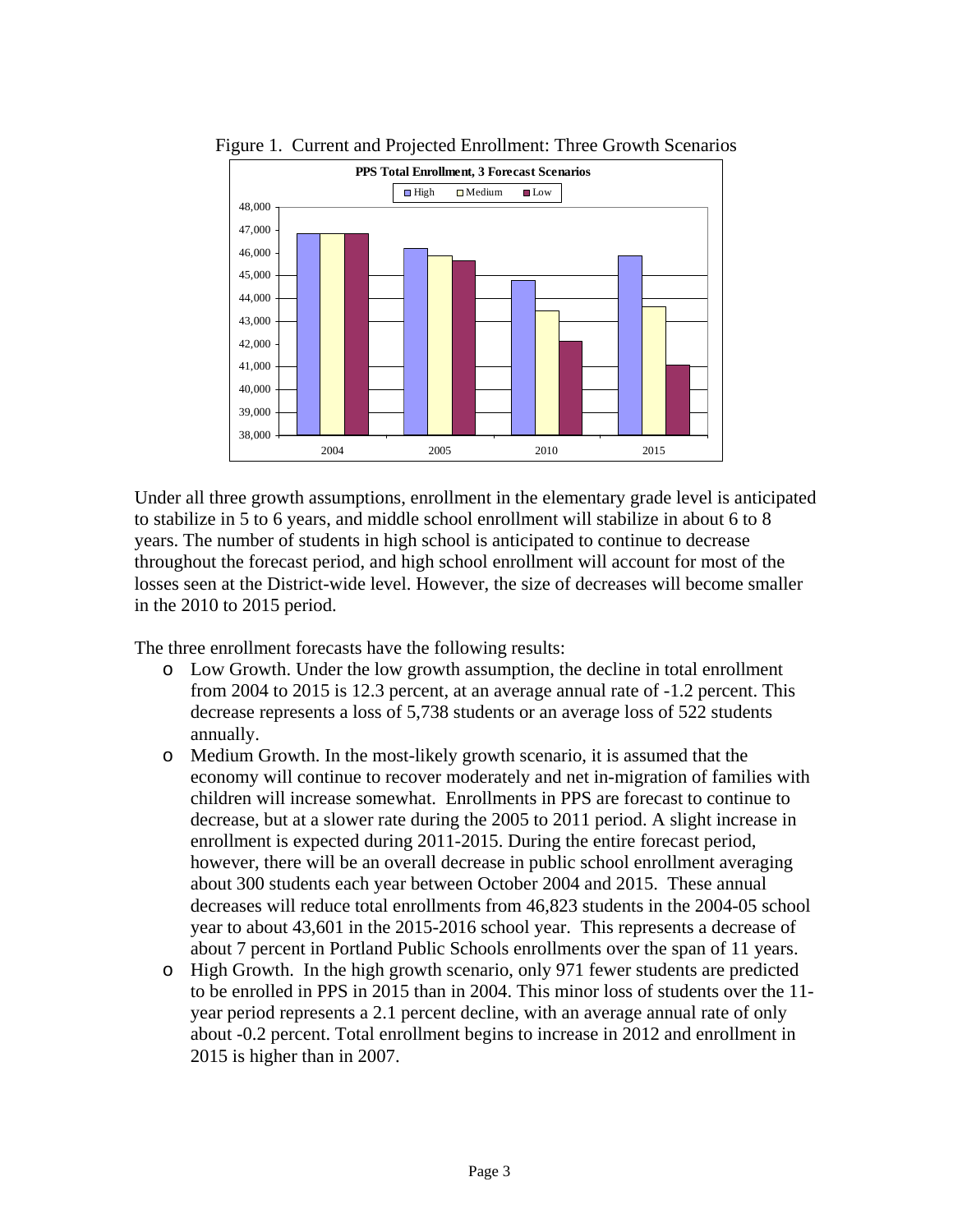

Figure 1. Current and Projected Enrollment: Three Growth Scenarios

Under all three growth assumptions, enrollment in the elementary grade level is anticipated to stabilize in 5 to 6 years, and middle school enrollment will stabilize in about 6 to 8 years. The number of students in high school is anticipated to continue to decrease throughout the forecast period, and high school enrollment will account for most of the losses seen at the District-wide level. However, the size of decreases will become smaller in the 2010 to 2015 period.

The three enrollment forecasts have the following results:

- o Low Growth. Under the low growth assumption, the decline in total enrollment from 2004 to 2015 is 12.3 percent, at an average annual rate of -1.2 percent. This decrease represents a loss of 5,738 students or an average loss of 522 students annually.
- o Medium Growth. In the most-likely growth scenario, it is assumed that the economy will continue to recover moderately and net in-migration of families with children will increase somewhat. Enrollments in PPS are forecast to continue to decrease, but at a slower rate during the 2005 to 2011 period. A slight increase in enrollment is expected during 2011-2015. During the entire forecast period, however, there will be an overall decrease in public school enrollment averaging about 300 students each year between October 2004 and 2015. These annual decreases will reduce total enrollments from 46,823 students in the 2004-05 school year to about 43,601 in the 2015-2016 school year. This represents a decrease of about 7 percent in Portland Public Schools enrollments over the span of 11 years.
- o High Growth.In the high growth scenario, only 971 fewer students are predicted to be enrolled in PPS in 2015 than in 2004. This minor loss of students over the 11 year period represents a 2.1 percent decline, with an average annual rate of only about -0.2 percent. Total enrollment begins to increase in 2012 and enrollment in 2015 is higher than in 2007.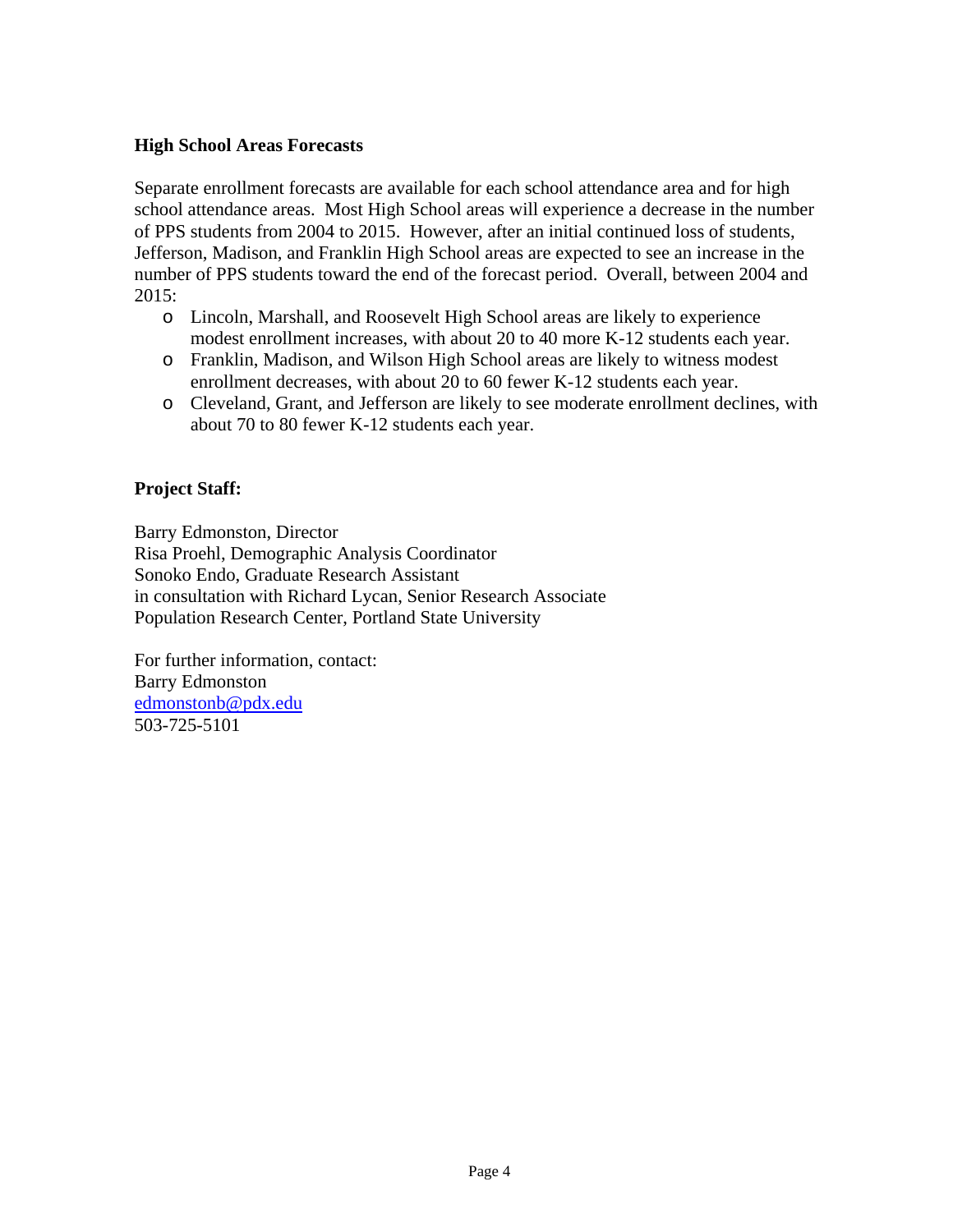#### **High School Areas Forecasts**

Separate enrollment forecasts are available for each school attendance area and for high school attendance areas. Most High School areas will experience a decrease in the number of PPS students from 2004 to 2015. However, after an initial continued loss of students, Jefferson, Madison, and Franklin High School areas are expected to see an increase in the number of PPS students toward the end of the forecast period. Overall, between 2004 and 2015:

- o Lincoln, Marshall, and Roosevelt High School areas are likely to experience modest enrollment increases, with about 20 to 40 more K-12 students each year.
- o Franklin, Madison, and Wilson High School areas are likely to witness modest enrollment decreases, with about 20 to 60 fewer K-12 students each year.
- o Cleveland, Grant, and Jefferson are likely to see moderate enrollment declines, with about 70 to 80 fewer K-12 students each year.

## **Project Staff:**

Barry Edmonston, Director Risa Proehl, Demographic Analysis Coordinator Sonoko Endo, Graduate Research Assistant in consultation with Richard Lycan, Senior Research Associate Population Research Center, Portland State University

For further information, contact: Barry Edmonston edmonstonb@pdx.edu 503-725-5101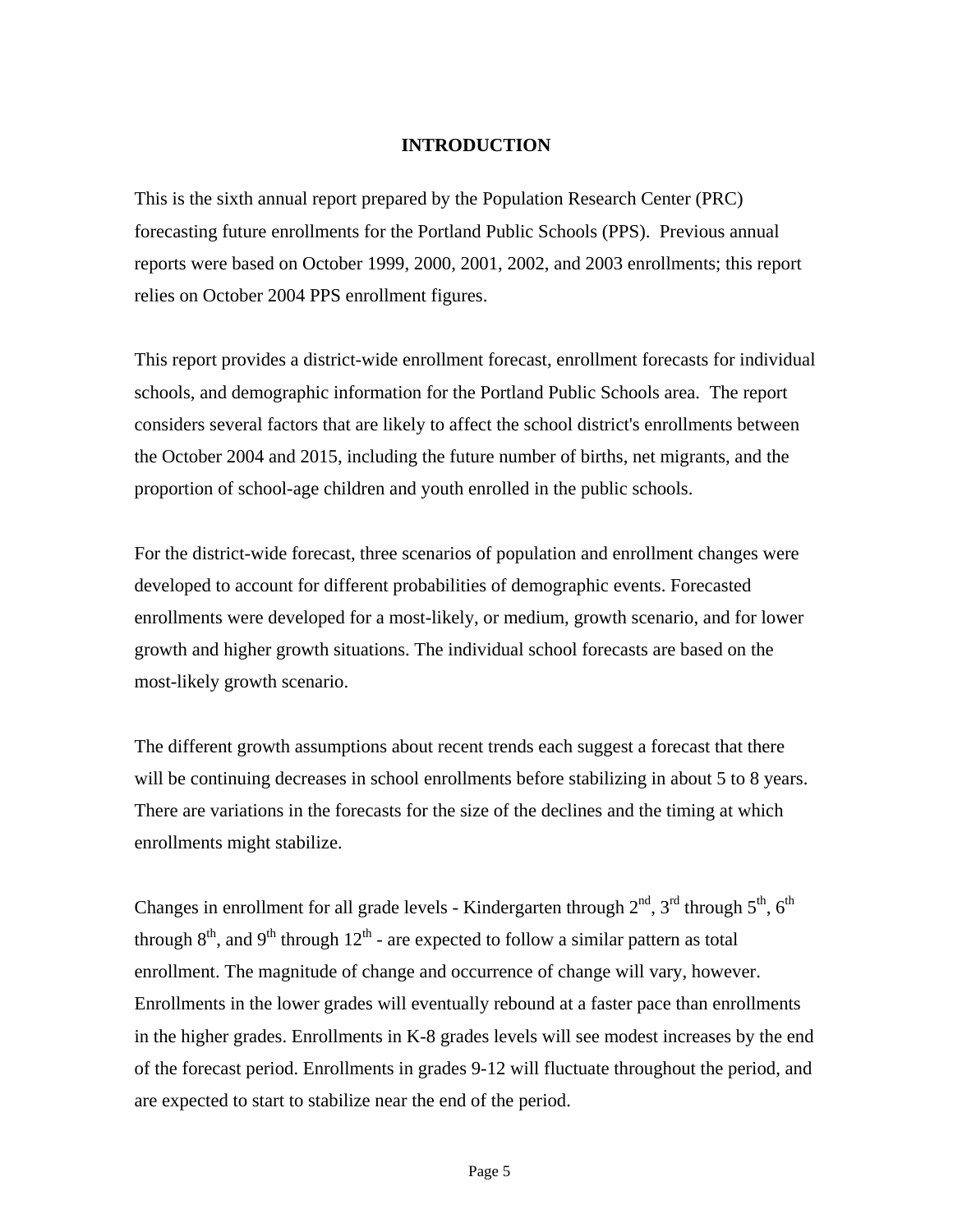#### **INTRODUCTION**

This is the sixth annual report prepared by the Population Research Center (PRC) forecasting future enrollments for the Portland Public Schools (PPS). Previous annual reports were based on October 1999, 2000, 2001, 2002, and 2003 enrollments; this report relies on October 2004 PPS enrollment figures.

This report provides a district-wide enrollment forecast, enrollment forecasts for individual schools, and demographic information for the Portland Public Schools area. The report considers several factors that are likely to affect the school district's enrollments between the October 2004 and 2015, including the future number of births, net migrants, and the proportion of school-age children and youth enrolled in the public schools.

For the district-wide forecast, three scenarios of population and enrollment changes were developed to account for different probabilities of demographic events. Forecasted enrollments were developed for a most-likely, or medium, growth scenario, and for lower growth and higher growth situations. The individual school forecasts are based on the most-likely growth scenario.

The different growth assumptions about recent trends each suggest a forecast that there will be continuing decreases in school enrollments before stabilizing in about 5 to 8 years. There are variations in the forecasts for the size of the declines and the timing at which enrollments might stabilize.

Changes in enrollment for all grade levels - Kindergarten through  $2<sup>nd</sup>$ ,  $3<sup>rd</sup>$  through  $5<sup>th</sup>$ ,  $6<sup>th</sup>$ through  $8<sup>th</sup>$ , and  $9<sup>th</sup>$  through  $12<sup>th</sup>$  - are expected to follow a similar pattern as total enrollment. The magnitude of change and occurrence of change will vary, however. Enrollments in the lower grades will eventually rebound at a faster pace than enrollments in the higher grades. Enrollments in K-8 grades levels will see modest increases by the end of the forecast period. Enrollments in grades 9-12 will fluctuate throughout the period, and are expected to start to stabilize near the end of the period.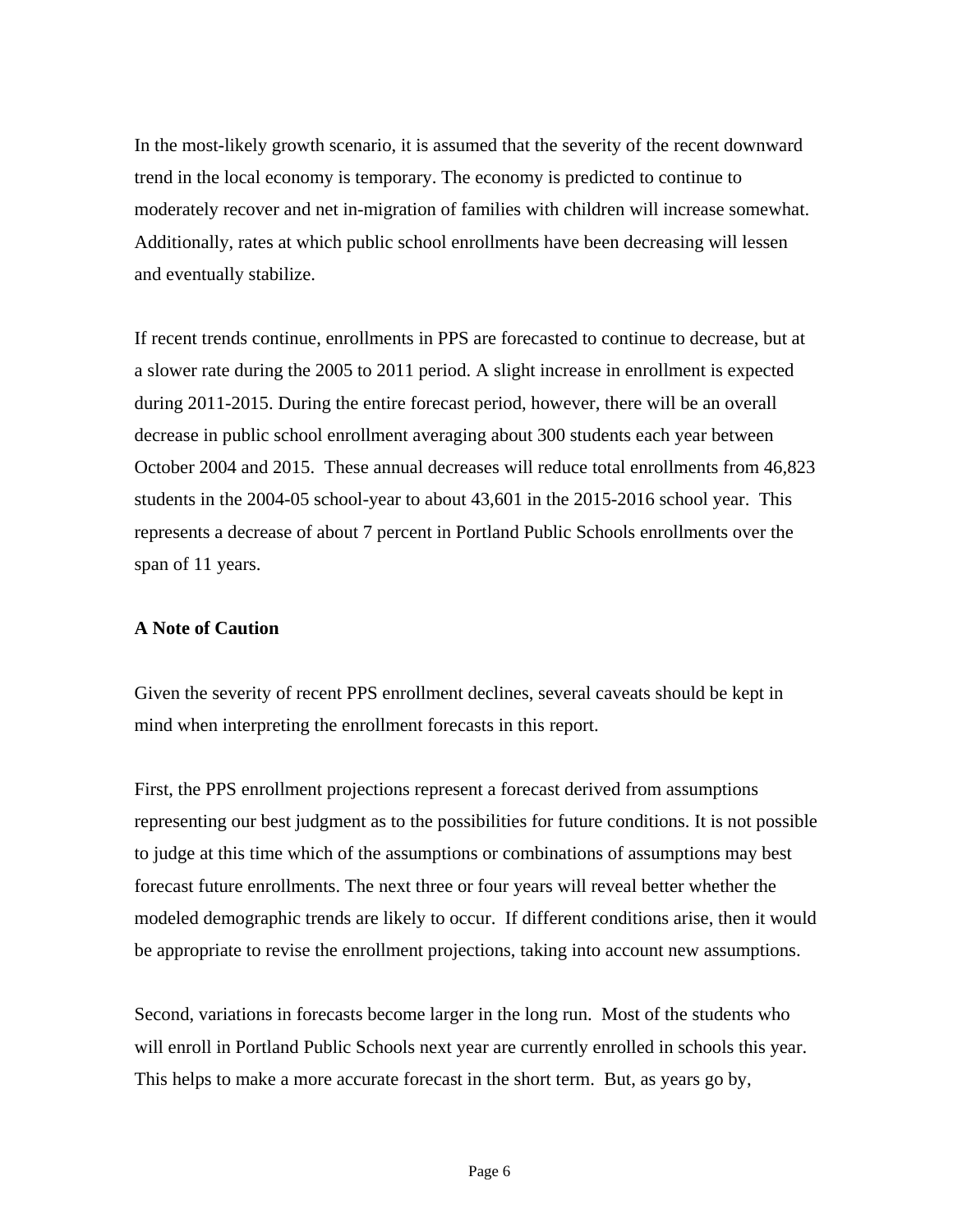In the most-likely growth scenario, it is assumed that the severity of the recent downward trend in the local economy is temporary. The economy is predicted to continue to moderately recover and net in-migration of families with children will increase somewhat. Additionally, rates at which public school enrollments have been decreasing will lessen and eventually stabilize.

If recent trends continue, enrollments in PPS are forecasted to continue to decrease, but at a slower rate during the 2005 to 2011 period. A slight increase in enrollment is expected during 2011-2015. During the entire forecast period, however, there will be an overall decrease in public school enrollment averaging about 300 students each year between October 2004 and 2015. These annual decreases will reduce total enrollments from 46,823 students in the 2004-05 school-year to about 43,601 in the 2015-2016 school year. This represents a decrease of about 7 percent in Portland Public Schools enrollments over the span of 11 years.

#### **A Note of Caution**

Given the severity of recent PPS enrollment declines, several caveats should be kept in mind when interpreting the enrollment forecasts in this report.

First, the PPS enrollment projections represent a forecast derived from assumptions representing our best judgment as to the possibilities for future conditions. It is not possible to judge at this time which of the assumptions or combinations of assumptions may best forecast future enrollments. The next three or four years will reveal better whether the modeled demographic trends are likely to occur. If different conditions arise, then it would be appropriate to revise the enrollment projections, taking into account new assumptions.

Second, variations in forecasts become larger in the long run. Most of the students who will enroll in Portland Public Schools next year are currently enrolled in schools this year. This helps to make a more accurate forecast in the short term. But, as years go by,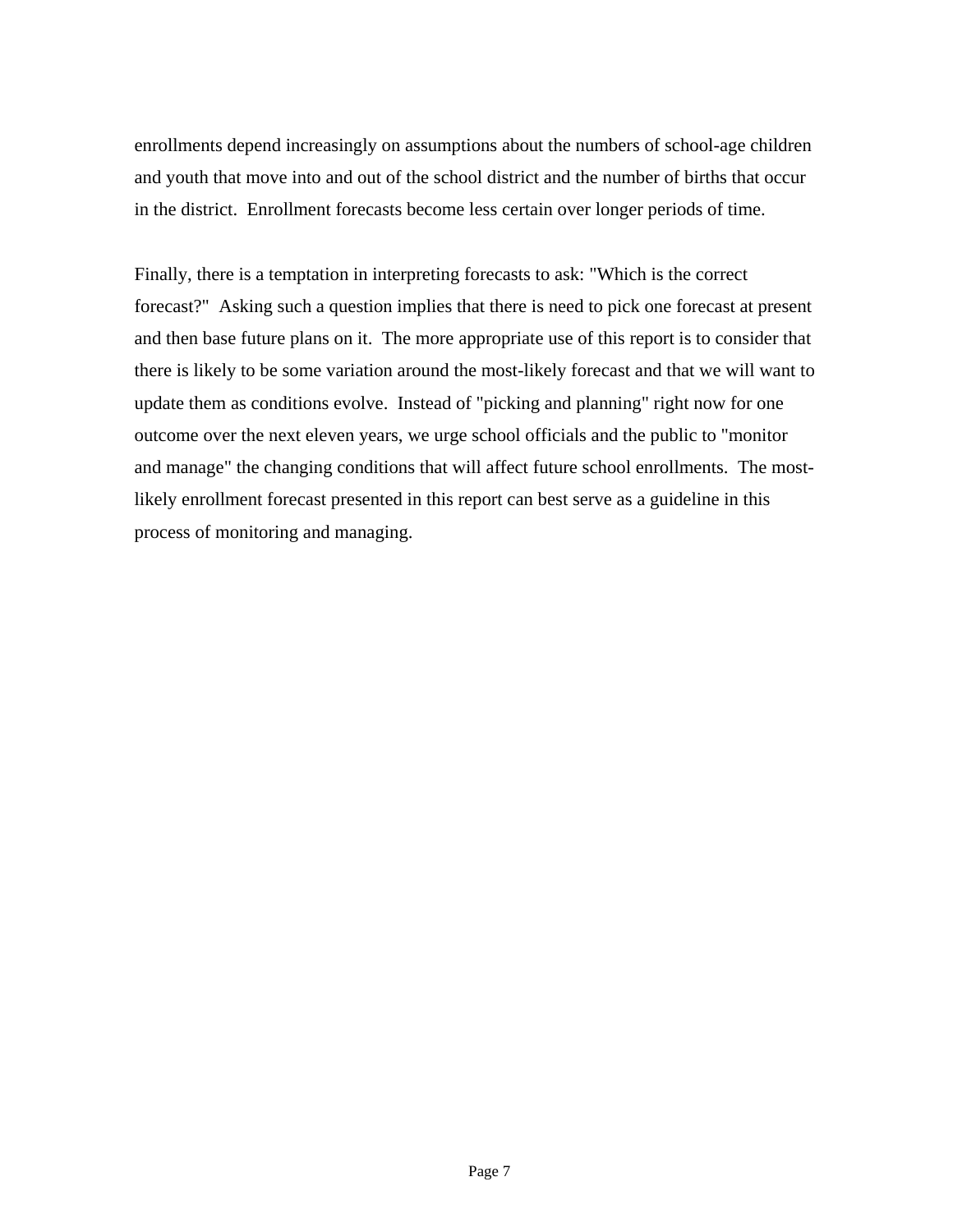enrollments depend increasingly on assumptions about the numbers of school-age children and youth that move into and out of the school district and the number of births that occur in the district. Enrollment forecasts become less certain over longer periods of time.

Finally, there is a temptation in interpreting forecasts to ask: "Which is the correct forecast?" Asking such a question implies that there is need to pick one forecast at present and then base future plans on it. The more appropriate use of this report is to consider that there is likely to be some variation around the most-likely forecast and that we will want to update them as conditions evolve. Instead of "picking and planning" right now for one outcome over the next eleven years, we urge school officials and the public to "monitor and manage" the changing conditions that will affect future school enrollments. The mostlikely enrollment forecast presented in this report can best serve as a guideline in this process of monitoring and managing.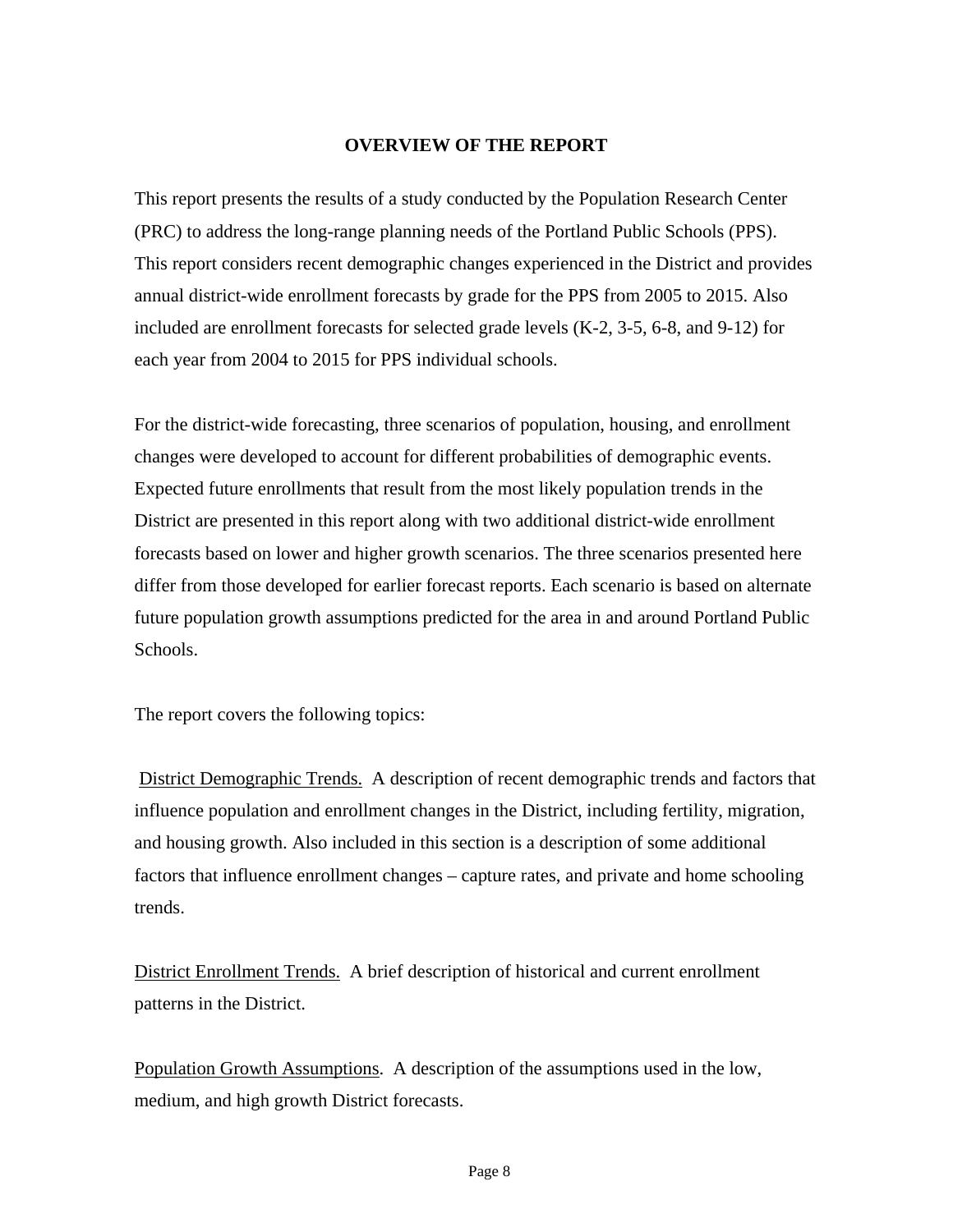#### **OVERVIEW OF THE REPORT**

This report presents the results of a study conducted by the Population Research Center (PRC) to address the long-range planning needs of the Portland Public Schools (PPS). This report considers recent demographic changes experienced in the District and provides annual district-wide enrollment forecasts by grade for the PPS from 2005 to 2015. Also included are enrollment forecasts for selected grade levels (K-2, 3-5, 6-8, and 9-12) for each year from 2004 to 2015 for PPS individual schools.

For the district-wide forecasting, three scenarios of population, housing, and enrollment changes were developed to account for different probabilities of demographic events. Expected future enrollments that result from the most likely population trends in the District are presented in this report along with two additional district-wide enrollment forecasts based on lower and higher growth scenarios. The three scenarios presented here differ from those developed for earlier forecast reports. Each scenario is based on alternate future population growth assumptions predicted for the area in and around Portland Public Schools.

The report covers the following topics:

 District Demographic Trends. A description of recent demographic trends and factors that influence population and enrollment changes in the District, including fertility, migration, and housing growth. Also included in this section is a description of some additional factors that influence enrollment changes – capture rates, and private and home schooling trends.

District Enrollment Trends. A brief description of historical and current enrollment patterns in the District.

Population Growth Assumptions. A description of the assumptions used in the low, medium, and high growth District forecasts.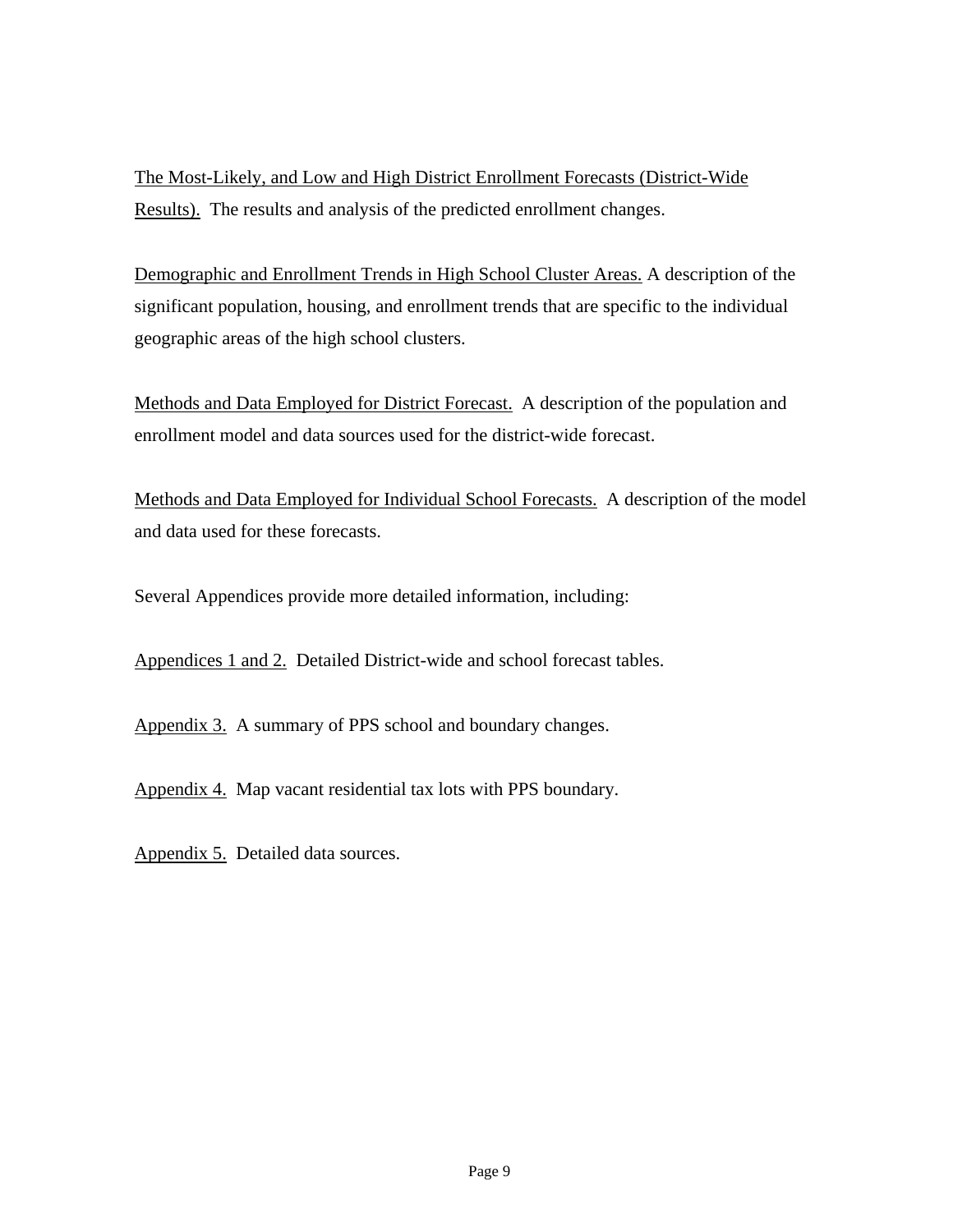The Most-Likely, and Low and High District Enrollment Forecasts (District-Wide Results). The results and analysis of the predicted enrollment changes.

Demographic and Enrollment Trends in High School Cluster Areas. A description of the significant population, housing, and enrollment trends that are specific to the individual geographic areas of the high school clusters.

Methods and Data Employed for District Forecast. A description of the population and enrollment model and data sources used for the district-wide forecast.

Methods and Data Employed for Individual School Forecasts. A description of the model and data used for these forecasts.

Several Appendices provide more detailed information, including:

Appendices 1 and 2. Detailed District-wide and school forecast tables.

Appendix 3. A summary of PPS school and boundary changes.

Appendix 4. Map vacant residential tax lots with PPS boundary.

Appendix 5. Detailed data sources.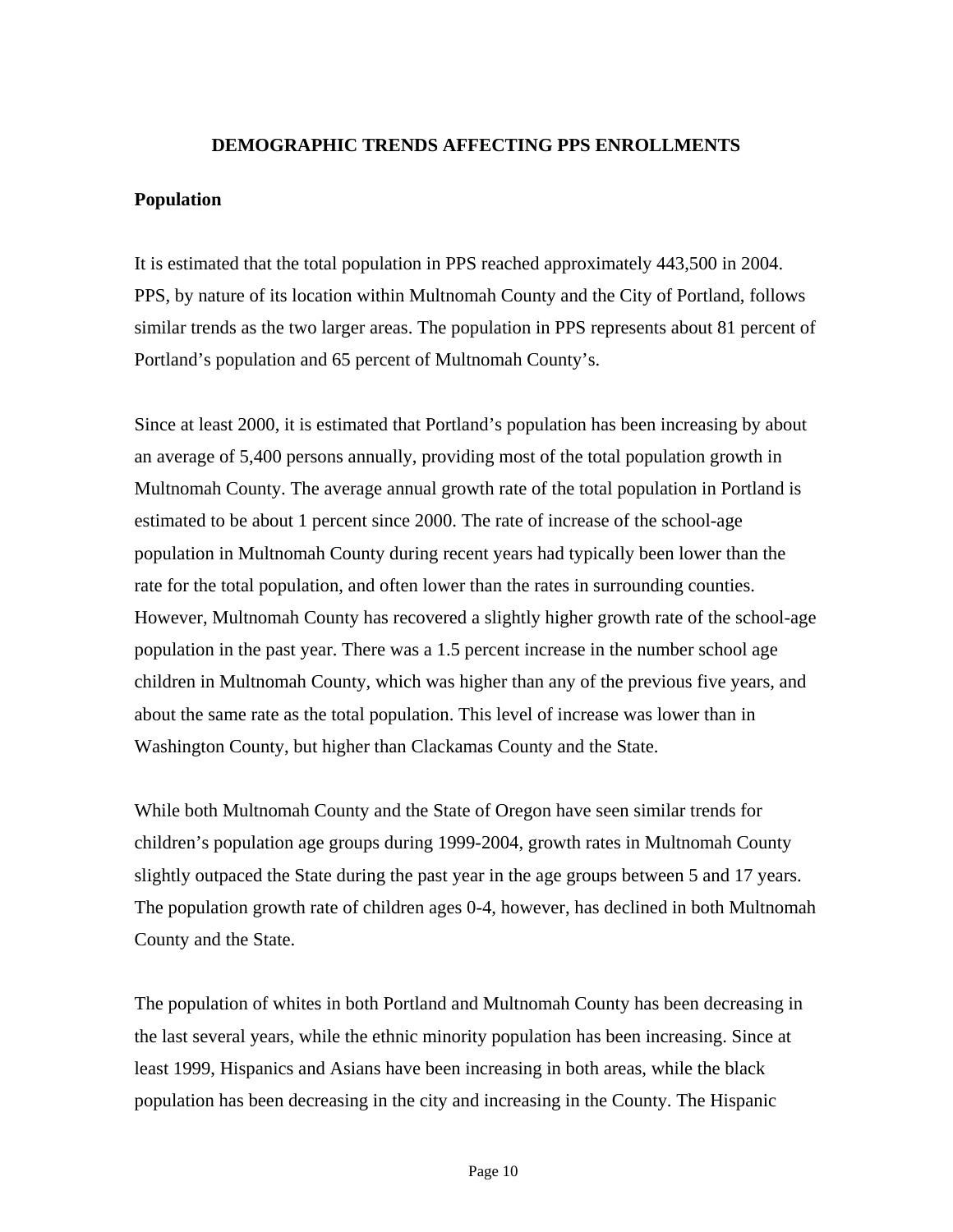#### **DEMOGRAPHIC TRENDS AFFECTING PPS ENROLLMENTS**

#### **Population**

It is estimated that the total population in PPS reached approximately 443,500 in 2004. PPS, by nature of its location within Multnomah County and the City of Portland, follows similar trends as the two larger areas. The population in PPS represents about 81 percent of Portland's population and 65 percent of Multnomah County's.

Since at least 2000, it is estimated that Portland's population has been increasing by about an average of 5,400 persons annually, providing most of the total population growth in Multnomah County. The average annual growth rate of the total population in Portland is estimated to be about 1 percent since 2000. The rate of increase of the school-age population in Multnomah County during recent years had typically been lower than the rate for the total population, and often lower than the rates in surrounding counties. However, Multnomah County has recovered a slightly higher growth rate of the school-age population in the past year. There was a 1.5 percent increase in the number school age children in Multnomah County, which was higher than any of the previous five years, and about the same rate as the total population. This level of increase was lower than in Washington County, but higher than Clackamas County and the State.

While both Multnomah County and the State of Oregon have seen similar trends for children's population age groups during 1999-2004, growth rates in Multnomah County slightly outpaced the State during the past year in the age groups between 5 and 17 years. The population growth rate of children ages 0-4, however, has declined in both Multnomah County and the State.

The population of whites in both Portland and Multnomah County has been decreasing in the last several years, while the ethnic minority population has been increasing. Since at least 1999, Hispanics and Asians have been increasing in both areas, while the black population has been decreasing in the city and increasing in the County. The Hispanic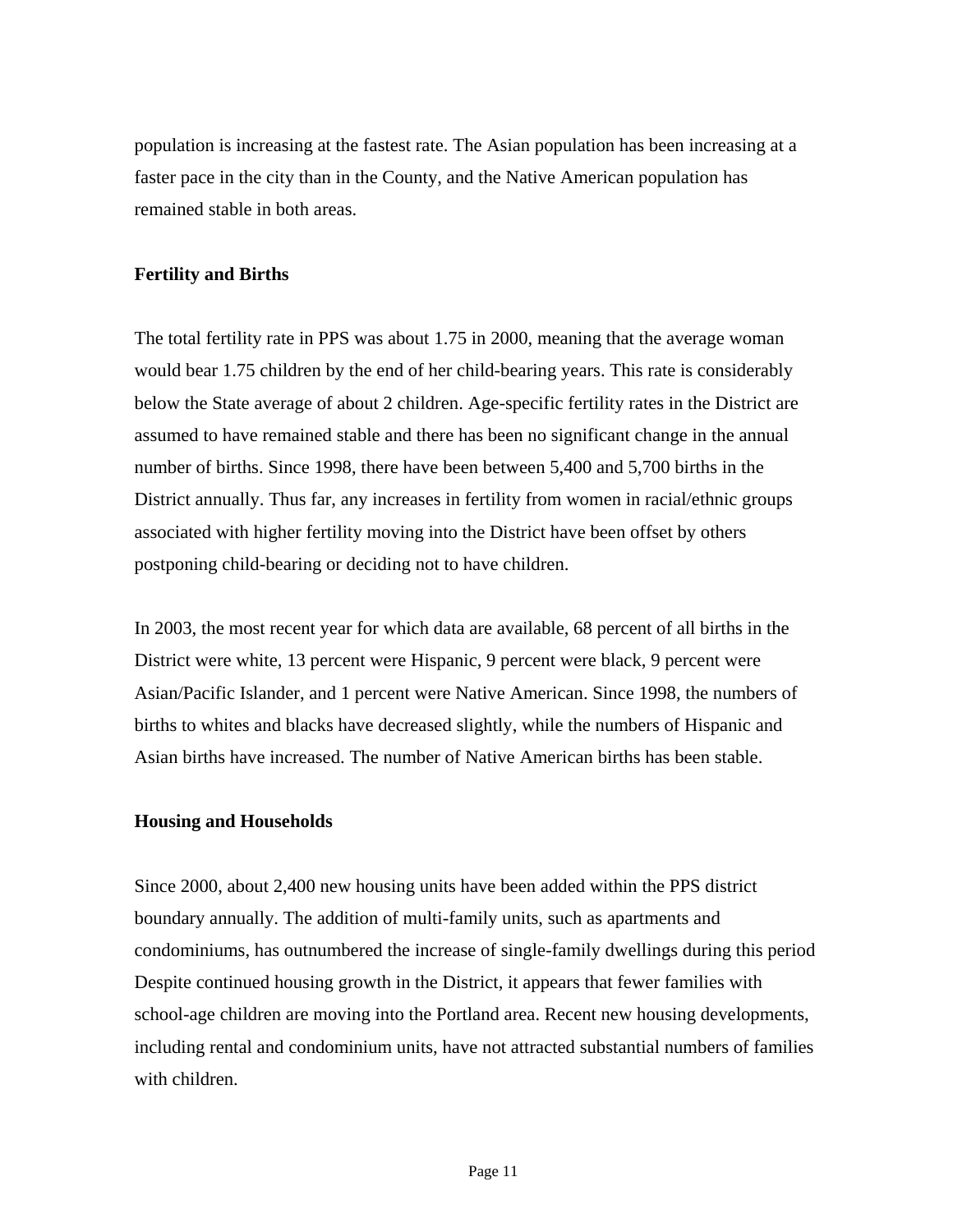population is increasing at the fastest rate. The Asian population has been increasing at a faster pace in the city than in the County, and the Native American population has remained stable in both areas.

#### **Fertility and Births**

The total fertility rate in PPS was about 1.75 in 2000, meaning that the average woman would bear 1.75 children by the end of her child-bearing years. This rate is considerably below the State average of about 2 children. Age-specific fertility rates in the District are assumed to have remained stable and there has been no significant change in the annual number of births. Since 1998, there have been between 5,400 and 5,700 births in the District annually. Thus far, any increases in fertility from women in racial/ethnic groups associated with higher fertility moving into the District have been offset by others postponing child-bearing or deciding not to have children.

In 2003, the most recent year for which data are available, 68 percent of all births in the District were white, 13 percent were Hispanic, 9 percent were black, 9 percent were Asian/Pacific Islander, and 1 percent were Native American. Since 1998, the numbers of births to whites and blacks have decreased slightly, while the numbers of Hispanic and Asian births have increased. The number of Native American births has been stable.

#### **Housing and Households**

Since 2000, about 2,400 new housing units have been added within the PPS district boundary annually. The addition of multi-family units, such as apartments and condominiums, has outnumbered the increase of single-family dwellings during this period Despite continued housing growth in the District, it appears that fewer families with school-age children are moving into the Portland area. Recent new housing developments, including rental and condominium units, have not attracted substantial numbers of families with children.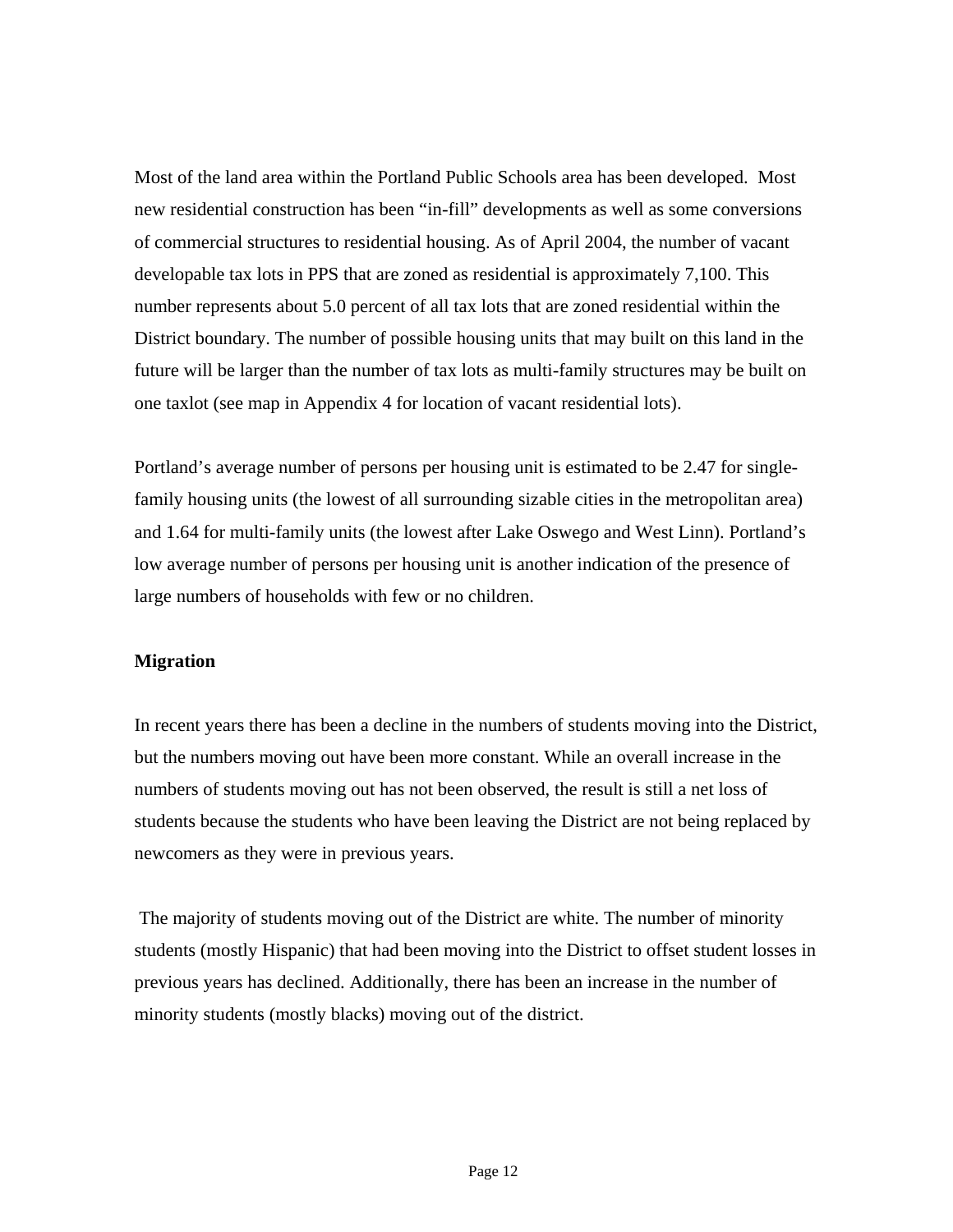Most of the land area within the Portland Public Schools area has been developed. Most new residential construction has been "in-fill" developments as well as some conversions of commercial structures to residential housing. As of April 2004, the number of vacant developable tax lots in PPS that are zoned as residential is approximately 7,100. This number represents about 5.0 percent of all tax lots that are zoned residential within the District boundary. The number of possible housing units that may built on this land in the future will be larger than the number of tax lots as multi-family structures may be built on one taxlot (see map in Appendix 4 for location of vacant residential lots).

Portland's average number of persons per housing unit is estimated to be 2.47 for singlefamily housing units (the lowest of all surrounding sizable cities in the metropolitan area) and 1.64 for multi-family units (the lowest after Lake Oswego and West Linn). Portland's low average number of persons per housing unit is another indication of the presence of large numbers of households with few or no children.

#### **Migration**

In recent years there has been a decline in the numbers of students moving into the District, but the numbers moving out have been more constant. While an overall increase in the numbers of students moving out has not been observed, the result is still a net loss of students because the students who have been leaving the District are not being replaced by newcomers as they were in previous years.

 The majority of students moving out of the District are white. The number of minority students (mostly Hispanic) that had been moving into the District to offset student losses in previous years has declined. Additionally, there has been an increase in the number of minority students (mostly blacks) moving out of the district.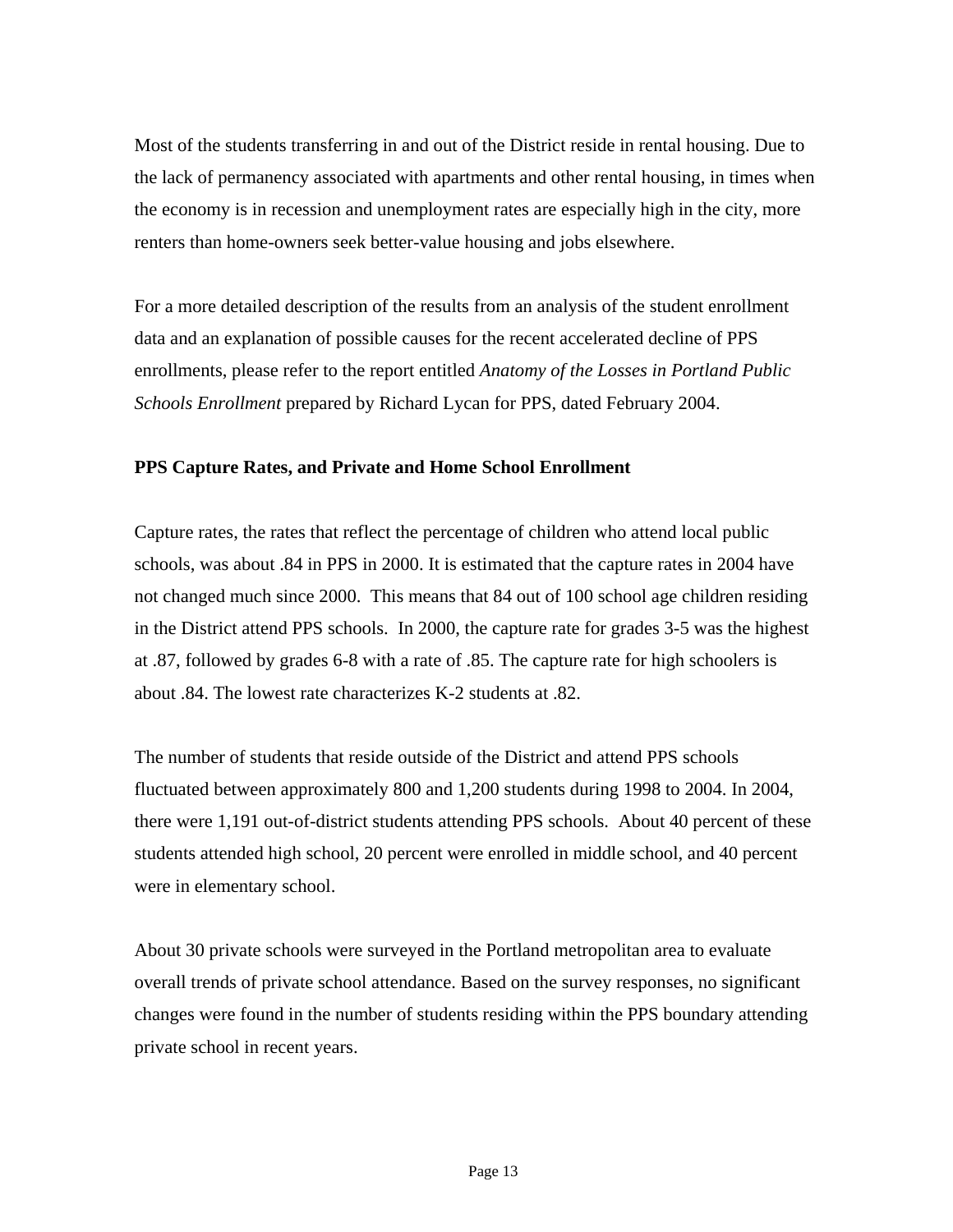Most of the students transferring in and out of the District reside in rental housing. Due to the lack of permanency associated with apartments and other rental housing, in times when the economy is in recession and unemployment rates are especially high in the city, more renters than home-owners seek better-value housing and jobs elsewhere.

For a more detailed description of the results from an analysis of the student enrollment data and an explanation of possible causes for the recent accelerated decline of PPS enrollments, please refer to the report entitled *Anatomy of the Losses in Portland Public Schools Enrollment* prepared by Richard Lycan for PPS, dated February 2004.

#### **PPS Capture Rates, and Private and Home School Enrollment**

Capture rates, the rates that reflect the percentage of children who attend local public schools, was about .84 in PPS in 2000. It is estimated that the capture rates in 2004 have not changed much since 2000. This means that 84 out of 100 school age children residing in the District attend PPS schools. In 2000, the capture rate for grades 3-5 was the highest at .87, followed by grades 6-8 with a rate of .85. The capture rate for high schoolers is about .84. The lowest rate characterizes K-2 students at .82.

The number of students that reside outside of the District and attend PPS schools fluctuated between approximately 800 and 1,200 students during 1998 to 2004. In 2004, there were 1,191 out-of-district students attending PPS schools. About 40 percent of these students attended high school, 20 percent were enrolled in middle school, and 40 percent were in elementary school.

About 30 private schools were surveyed in the Portland metropolitan area to evaluate overall trends of private school attendance. Based on the survey responses, no significant changes were found in the number of students residing within the PPS boundary attending private school in recent years.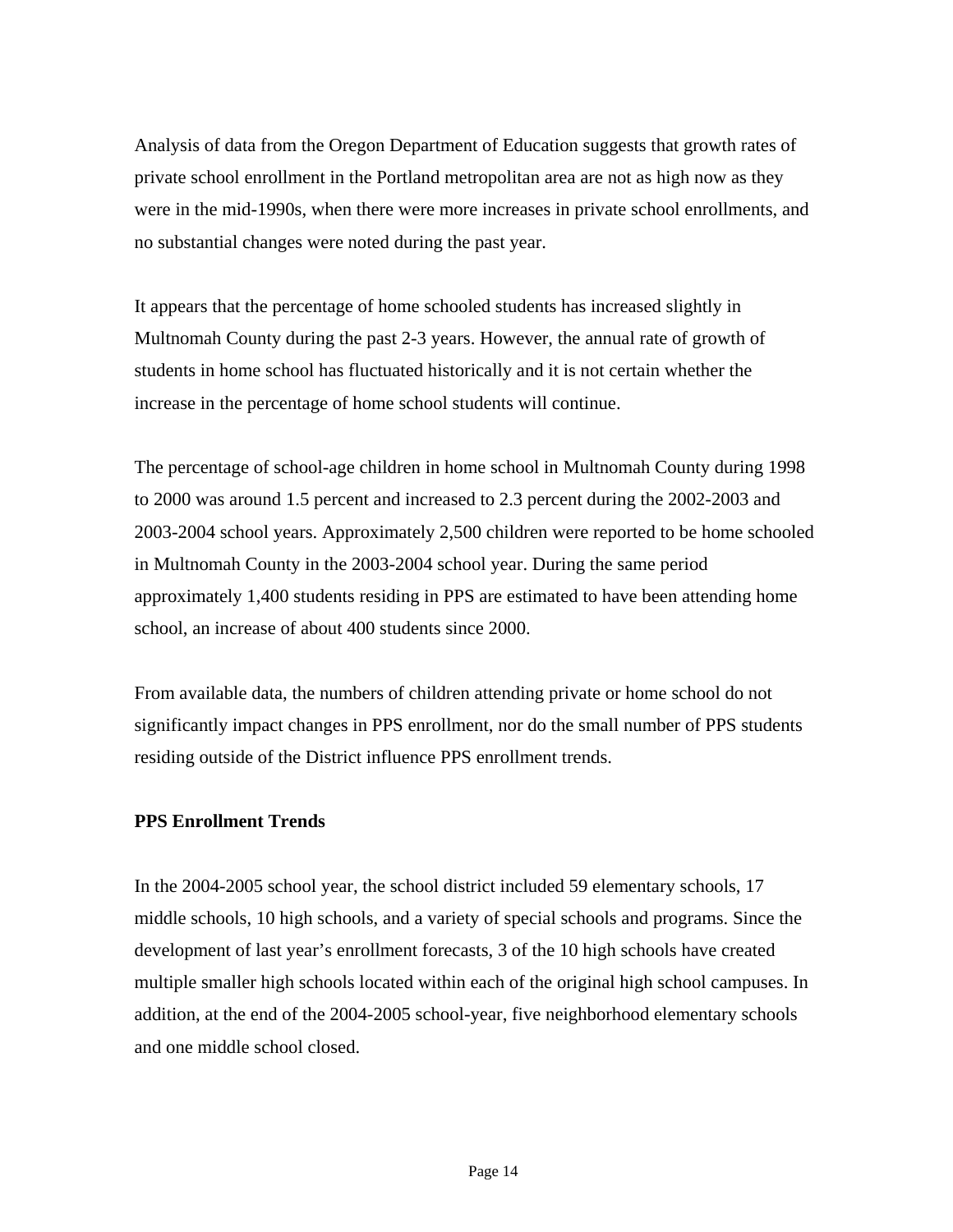Analysis of data from the Oregon Department of Education suggests that growth rates of private school enrollment in the Portland metropolitan area are not as high now as they were in the mid-1990s, when there were more increases in private school enrollments, and no substantial changes were noted during the past year.

It appears that the percentage of home schooled students has increased slightly in Multnomah County during the past 2-3 years. However, the annual rate of growth of students in home school has fluctuated historically and it is not certain whether the increase in the percentage of home school students will continue.

The percentage of school-age children in home school in Multnomah County during 1998 to 2000 was around 1.5 percent and increased to 2.3 percent during the 2002-2003 and 2003-2004 school years. Approximately 2,500 children were reported to be home schooled in Multnomah County in the 2003-2004 school year. During the same period approximately 1,400 students residing in PPS are estimated to have been attending home school, an increase of about 400 students since 2000.

From available data, the numbers of children attending private or home school do not significantly impact changes in PPS enrollment, nor do the small number of PPS students residing outside of the District influence PPS enrollment trends.

#### **PPS Enrollment Trends**

In the 2004-2005 school year, the school district included 59 elementary schools, 17 middle schools, 10 high schools, and a variety of special schools and programs. Since the development of last year's enrollment forecasts, 3 of the 10 high schools have created multiple smaller high schools located within each of the original high school campuses. In addition, at the end of the 2004-2005 school-year, five neighborhood elementary schools and one middle school closed.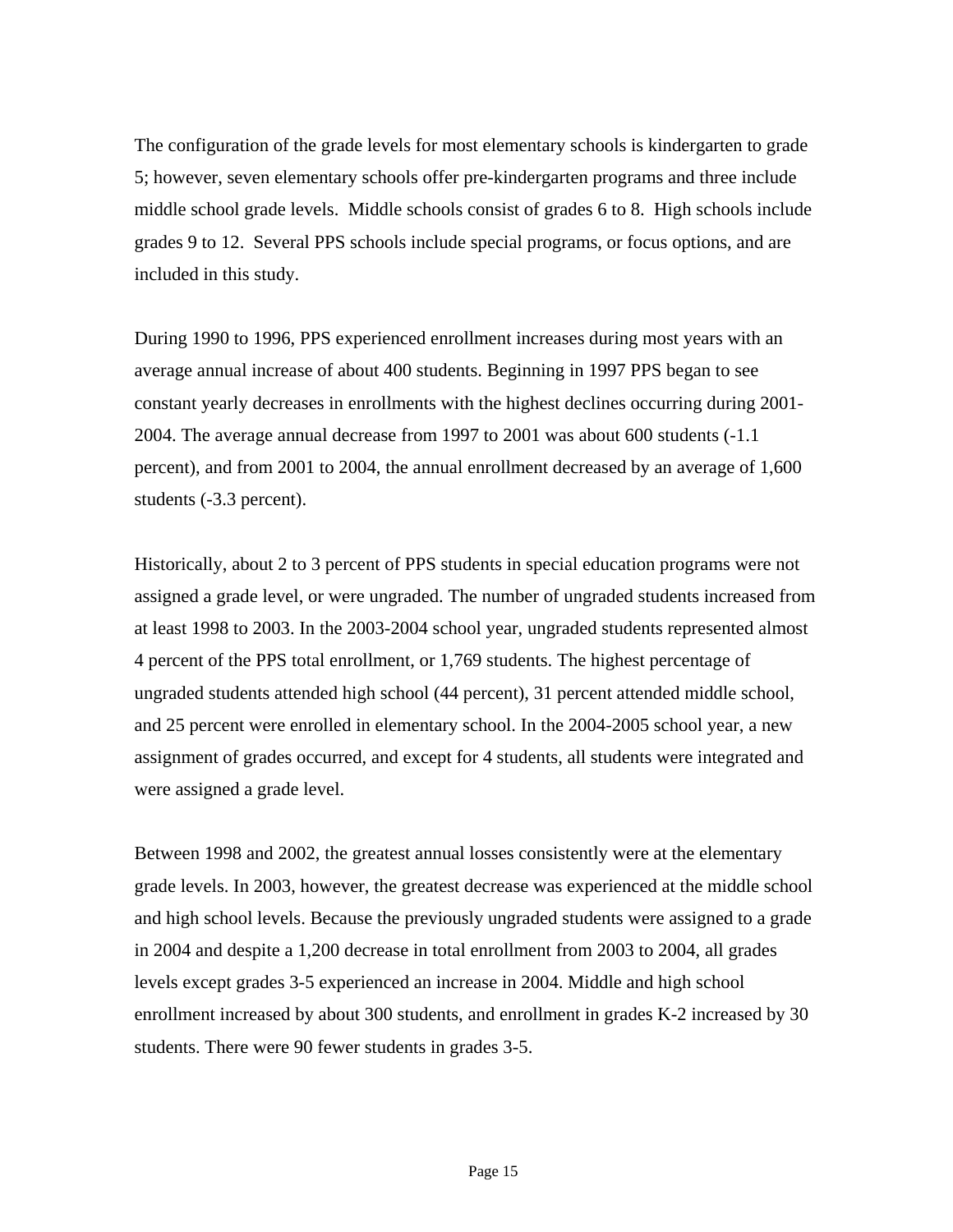The configuration of the grade levels for most elementary schools is kindergarten to grade 5; however, seven elementary schools offer pre-kindergarten programs and three include middle school grade levels. Middle schools consist of grades 6 to 8. High schools include grades 9 to 12. Several PPS schools include special programs, or focus options, and are included in this study.

During 1990 to 1996, PPS experienced enrollment increases during most years with an average annual increase of about 400 students. Beginning in 1997 PPS began to see constant yearly decreases in enrollments with the highest declines occurring during 2001- 2004. The average annual decrease from 1997 to 2001 was about 600 students (-1.1 percent), and from 2001 to 2004, the annual enrollment decreased by an average of 1,600 students (-3.3 percent).

Historically, about 2 to 3 percent of PPS students in special education programs were not assigned a grade level, or were ungraded. The number of ungraded students increased from at least 1998 to 2003. In the 2003-2004 school year, ungraded students represented almost 4 percent of the PPS total enrollment, or 1,769 students. The highest percentage of ungraded students attended high school (44 percent), 31 percent attended middle school, and 25 percent were enrolled in elementary school. In the 2004-2005 school year, a new assignment of grades occurred, and except for 4 students, all students were integrated and were assigned a grade level.

Between 1998 and 2002, the greatest annual losses consistently were at the elementary grade levels. In 2003, however, the greatest decrease was experienced at the middle school and high school levels. Because the previously ungraded students were assigned to a grade in 2004 and despite a 1,200 decrease in total enrollment from 2003 to 2004, all grades levels except grades 3-5 experienced an increase in 2004. Middle and high school enrollment increased by about 300 students, and enrollment in grades K-2 increased by 30 students. There were 90 fewer students in grades 3-5.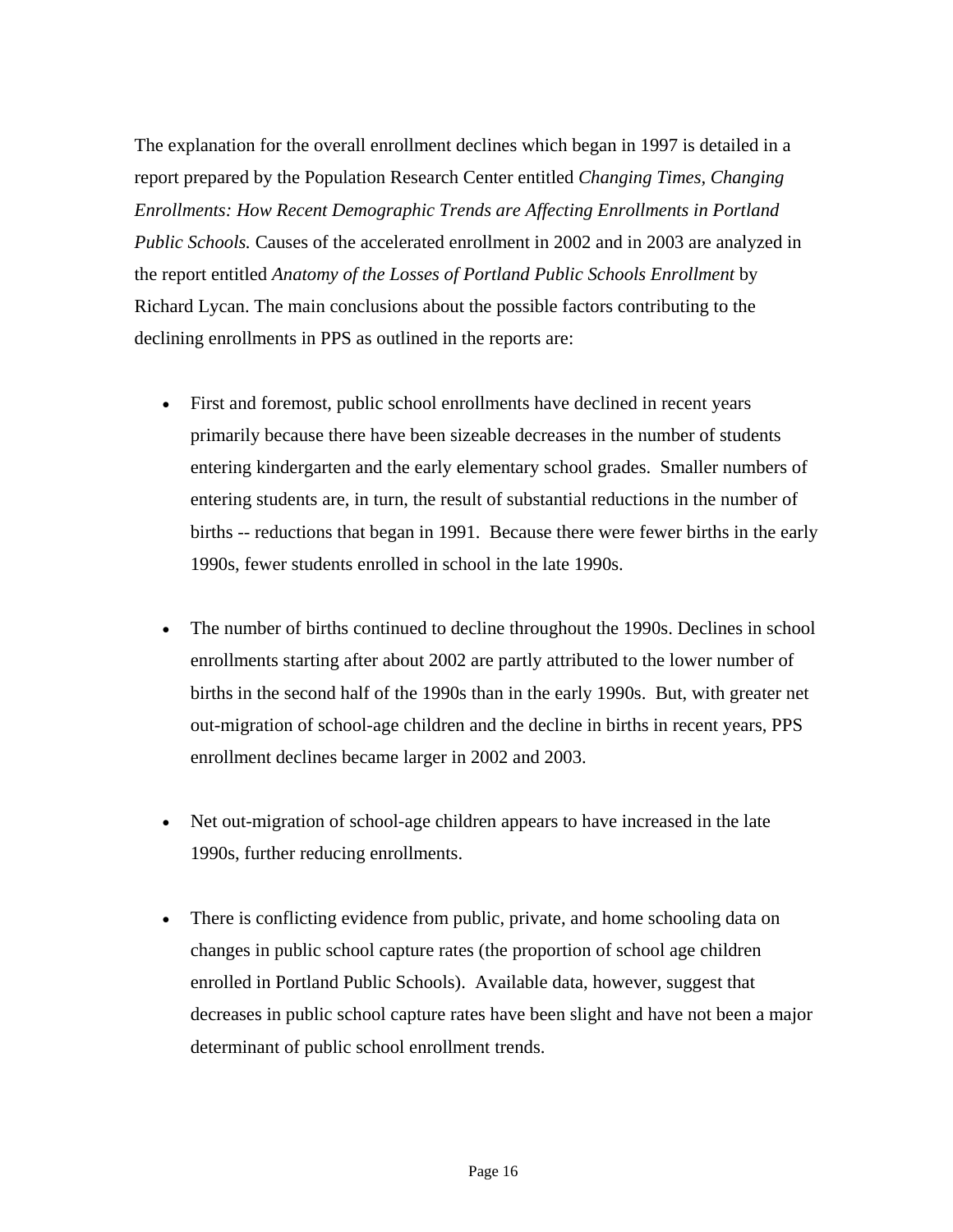The explanation for the overall enrollment declines which began in 1997 is detailed in a report prepared by the Population Research Center entitled *Changing Times, Changing Enrollments: How Recent Demographic Trends are Affecting Enrollments in Portland Public Schools.* Causes of the accelerated enrollment in 2002 and in 2003 are analyzed in the report entitled *Anatomy of the Losses of Portland Public Schools Enrollment* by Richard Lycan. The main conclusions about the possible factors contributing to the declining enrollments in PPS as outlined in the reports are:

- First and foremost, public school enrollments have declined in recent years primarily because there have been sizeable decreases in the number of students entering kindergarten and the early elementary school grades. Smaller numbers of entering students are, in turn, the result of substantial reductions in the number of births -- reductions that began in 1991. Because there were fewer births in the early 1990s, fewer students enrolled in school in the late 1990s.
- The number of births continued to decline throughout the 1990s. Declines in school enrollments starting after about 2002 are partly attributed to the lower number of births in the second half of the 1990s than in the early 1990s. But, with greater net out-migration of school-age children and the decline in births in recent years, PPS enrollment declines became larger in 2002 and 2003.
- Net out-migration of school-age children appears to have increased in the late 1990s, further reducing enrollments.
- There is conflicting evidence from public, private, and home schooling data on changes in public school capture rates (the proportion of school age children enrolled in Portland Public Schools). Available data, however, suggest that decreases in public school capture rates have been slight and have not been a major determinant of public school enrollment trends.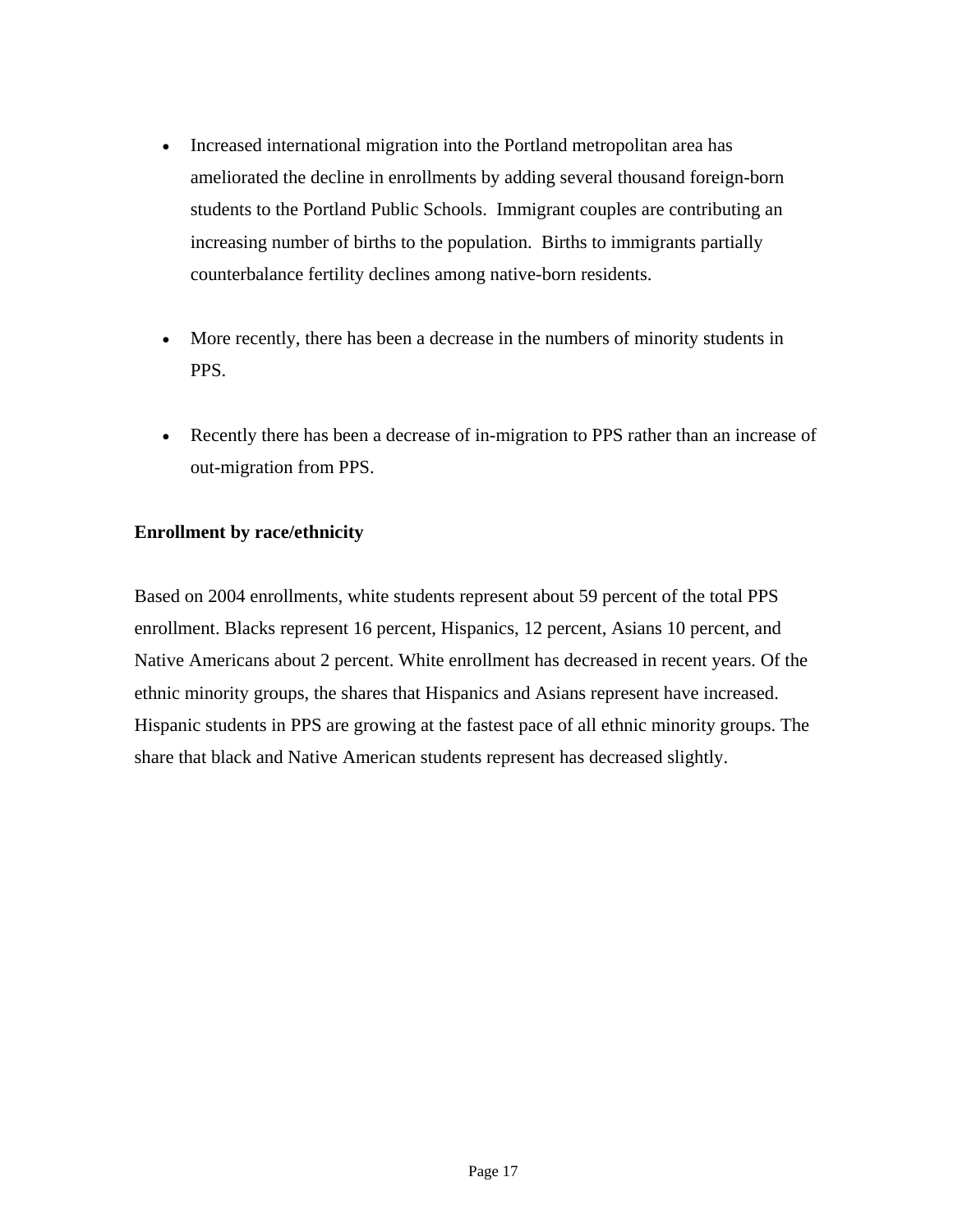- Increased international migration into the Portland metropolitan area has ameliorated the decline in enrollments by adding several thousand foreign-born students to the Portland Public Schools. Immigrant couples are contributing an increasing number of births to the population. Births to immigrants partially counterbalance fertility declines among native-born residents.
- More recently, there has been a decrease in the numbers of minority students in PPS.
- Recently there has been a decrease of in-migration to PPS rather than an increase of out-migration from PPS.

#### **Enrollment by race/ethnicity**

Based on 2004 enrollments, white students represent about 59 percent of the total PPS enrollment. Blacks represent 16 percent, Hispanics, 12 percent, Asians 10 percent, and Native Americans about 2 percent. White enrollment has decreased in recent years. Of the ethnic minority groups, the shares that Hispanics and Asians represent have increased. Hispanic students in PPS are growing at the fastest pace of all ethnic minority groups. The share that black and Native American students represent has decreased slightly.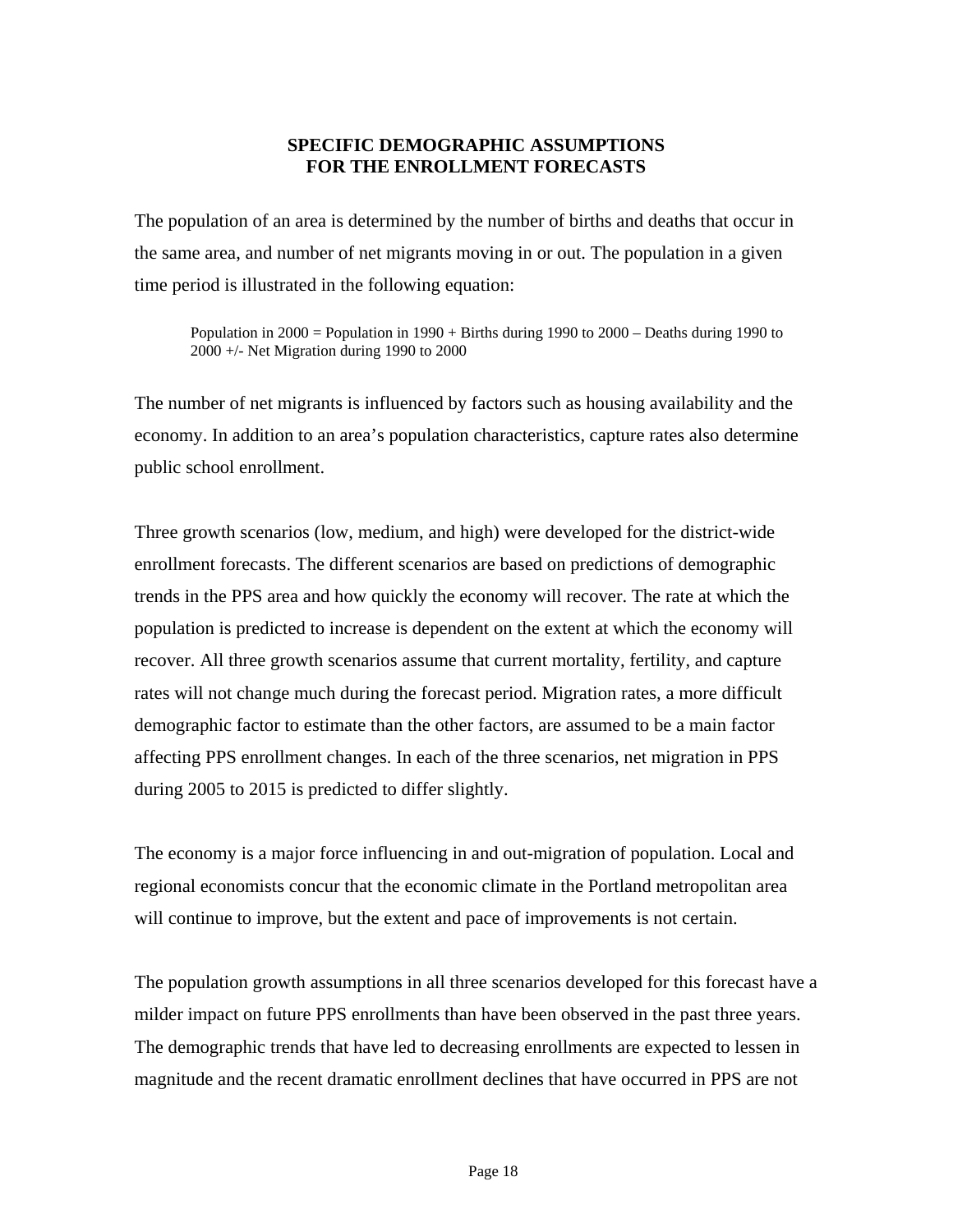#### **SPECIFIC DEMOGRAPHIC ASSUMPTIONS FOR THE ENROLLMENT FORECASTS**

The population of an area is determined by the number of births and deaths that occur in the same area, and number of net migrants moving in or out. The population in a given time period is illustrated in the following equation:

Population in 2000 = Population in 1990 + Births during 1990 to 2000 – Deaths during 1990 to 2000 +/- Net Migration during 1990 to 2000

The number of net migrants is influenced by factors such as housing availability and the economy. In addition to an area's population characteristics, capture rates also determine public school enrollment.

Three growth scenarios (low, medium, and high) were developed for the district-wide enrollment forecasts. The different scenarios are based on predictions of demographic trends in the PPS area and how quickly the economy will recover. The rate at which the population is predicted to increase is dependent on the extent at which the economy will recover. All three growth scenarios assume that current mortality, fertility, and capture rates will not change much during the forecast period. Migration rates, a more difficult demographic factor to estimate than the other factors, are assumed to be a main factor affecting PPS enrollment changes. In each of the three scenarios, net migration in PPS during 2005 to 2015 is predicted to differ slightly.

The economy is a major force influencing in and out-migration of population. Local and regional economists concur that the economic climate in the Portland metropolitan area will continue to improve, but the extent and pace of improvements is not certain.

The population growth assumptions in all three scenarios developed for this forecast have a milder impact on future PPS enrollments than have been observed in the past three years. The demographic trends that have led to decreasing enrollments are expected to lessen in magnitude and the recent dramatic enrollment declines that have occurred in PPS are not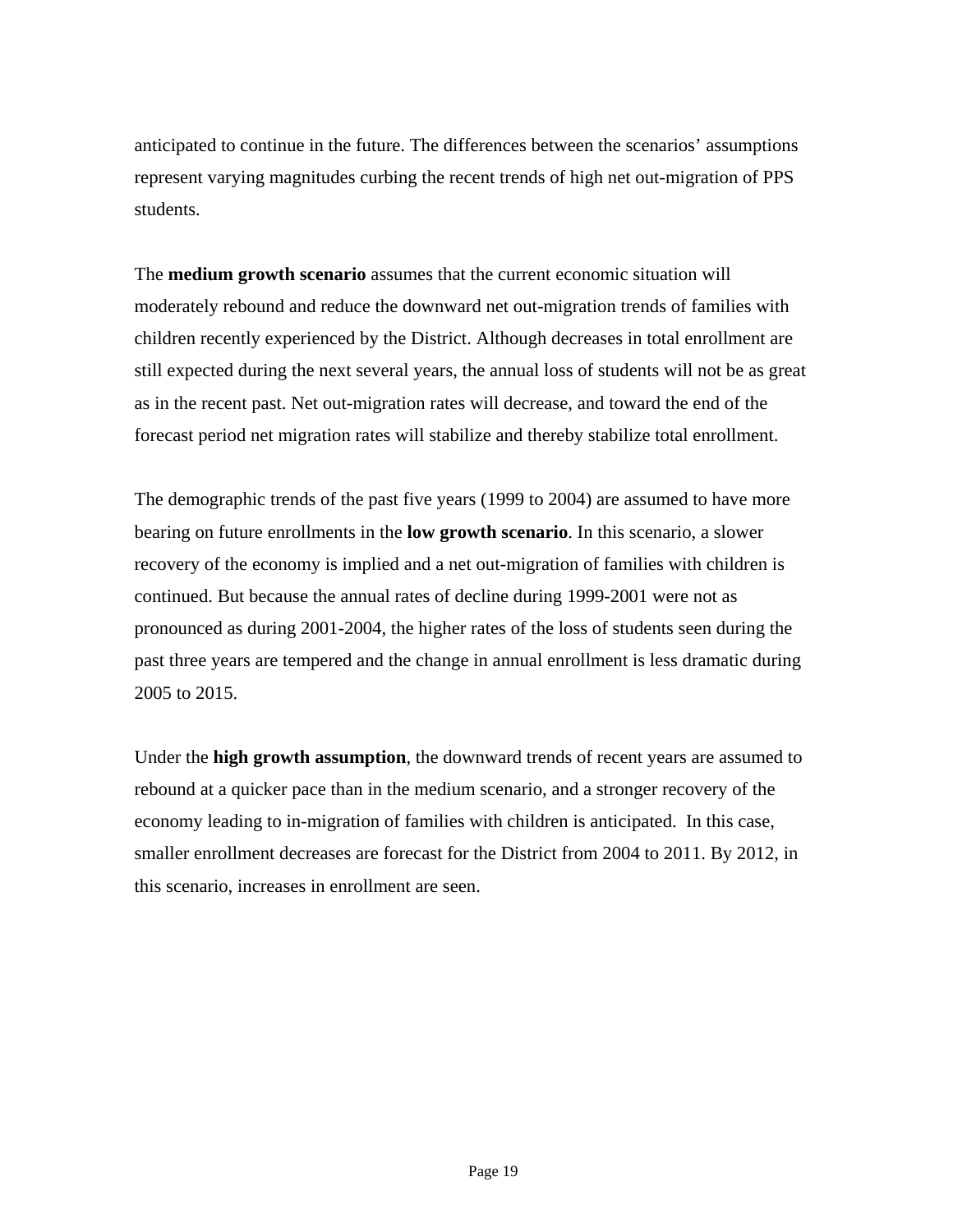anticipated to continue in the future. The differences between the scenarios' assumptions represent varying magnitudes curbing the recent trends of high net out-migration of PPS students.

The **medium growth scenario** assumes that the current economic situation will moderately rebound and reduce the downward net out-migration trends of families with children recently experienced by the District. Although decreases in total enrollment are still expected during the next several years, the annual loss of students will not be as great as in the recent past. Net out-migration rates will decrease, and toward the end of the forecast period net migration rates will stabilize and thereby stabilize total enrollment.

The demographic trends of the past five years (1999 to 2004) are assumed to have more bearing on future enrollments in the **low growth scenario**. In this scenario, a slower recovery of the economy is implied and a net out-migration of families with children is continued. But because the annual rates of decline during 1999-2001 were not as pronounced as during 2001-2004, the higher rates of the loss of students seen during the past three years are tempered and the change in annual enrollment is less dramatic during 2005 to 2015.

Under the **high growth assumption**, the downward trends of recent years are assumed to rebound at a quicker pace than in the medium scenario, and a stronger recovery of the economy leading to in-migration of families with children is anticipated. In this case, smaller enrollment decreases are forecast for the District from 2004 to 2011. By 2012, in this scenario, increases in enrollment are seen.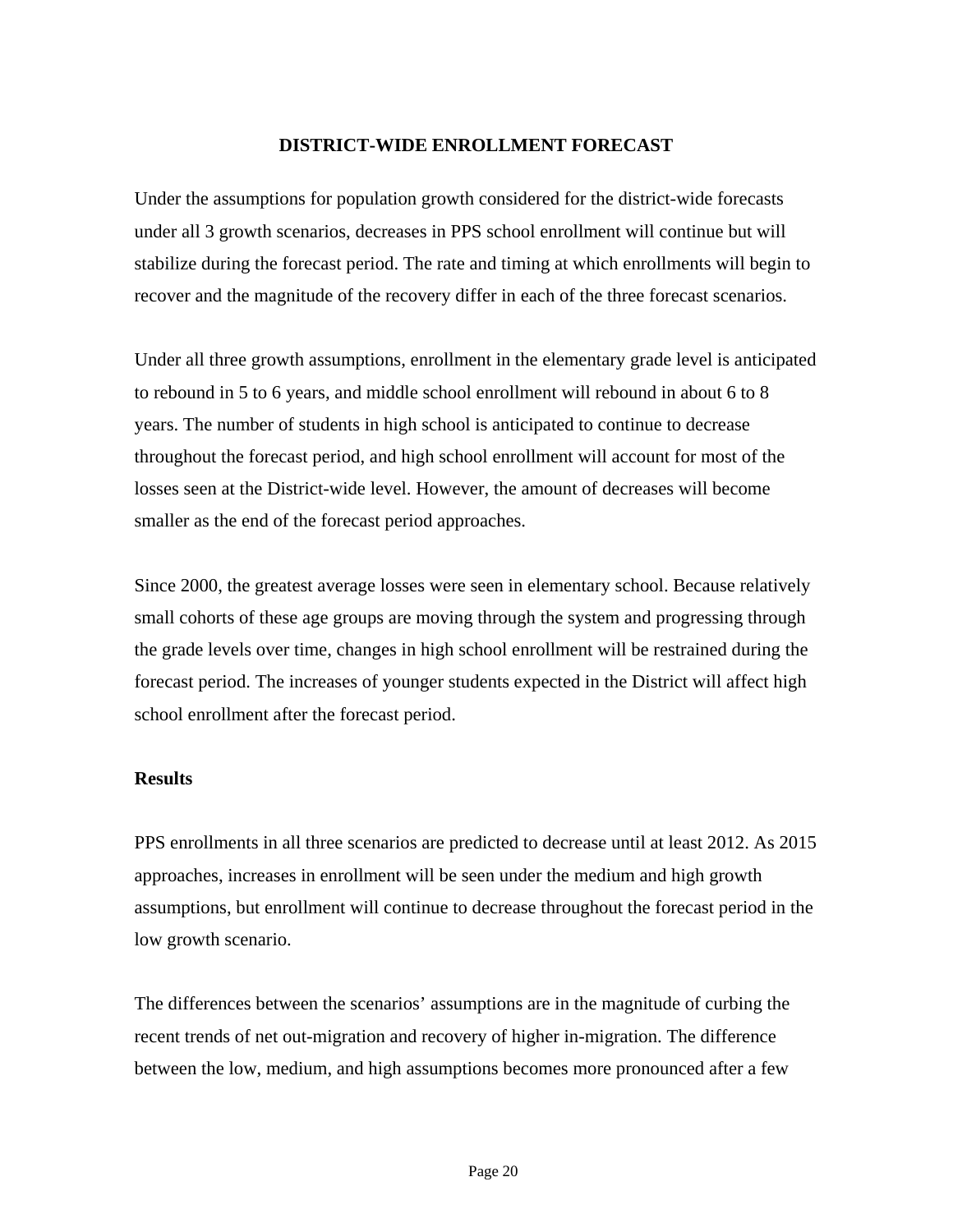#### **DISTRICT-WIDE ENROLLMENT FORECAST**

Under the assumptions for population growth considered for the district-wide forecasts under all 3 growth scenarios, decreases in PPS school enrollment will continue but will stabilize during the forecast period. The rate and timing at which enrollments will begin to recover and the magnitude of the recovery differ in each of the three forecast scenarios.

Under all three growth assumptions, enrollment in the elementary grade level is anticipated to rebound in 5 to 6 years, and middle school enrollment will rebound in about 6 to 8 years. The number of students in high school is anticipated to continue to decrease throughout the forecast period, and high school enrollment will account for most of the losses seen at the District-wide level. However, the amount of decreases will become smaller as the end of the forecast period approaches.

Since 2000, the greatest average losses were seen in elementary school. Because relatively small cohorts of these age groups are moving through the system and progressing through the grade levels over time, changes in high school enrollment will be restrained during the forecast period. The increases of younger students expected in the District will affect high school enrollment after the forecast period.

#### **Results**

PPS enrollments in all three scenarios are predicted to decrease until at least 2012. As 2015 approaches, increases in enrollment will be seen under the medium and high growth assumptions, but enrollment will continue to decrease throughout the forecast period in the low growth scenario.

The differences between the scenarios' assumptions are in the magnitude of curbing the recent trends of net out-migration and recovery of higher in-migration. The difference between the low, medium, and high assumptions becomes more pronounced after a few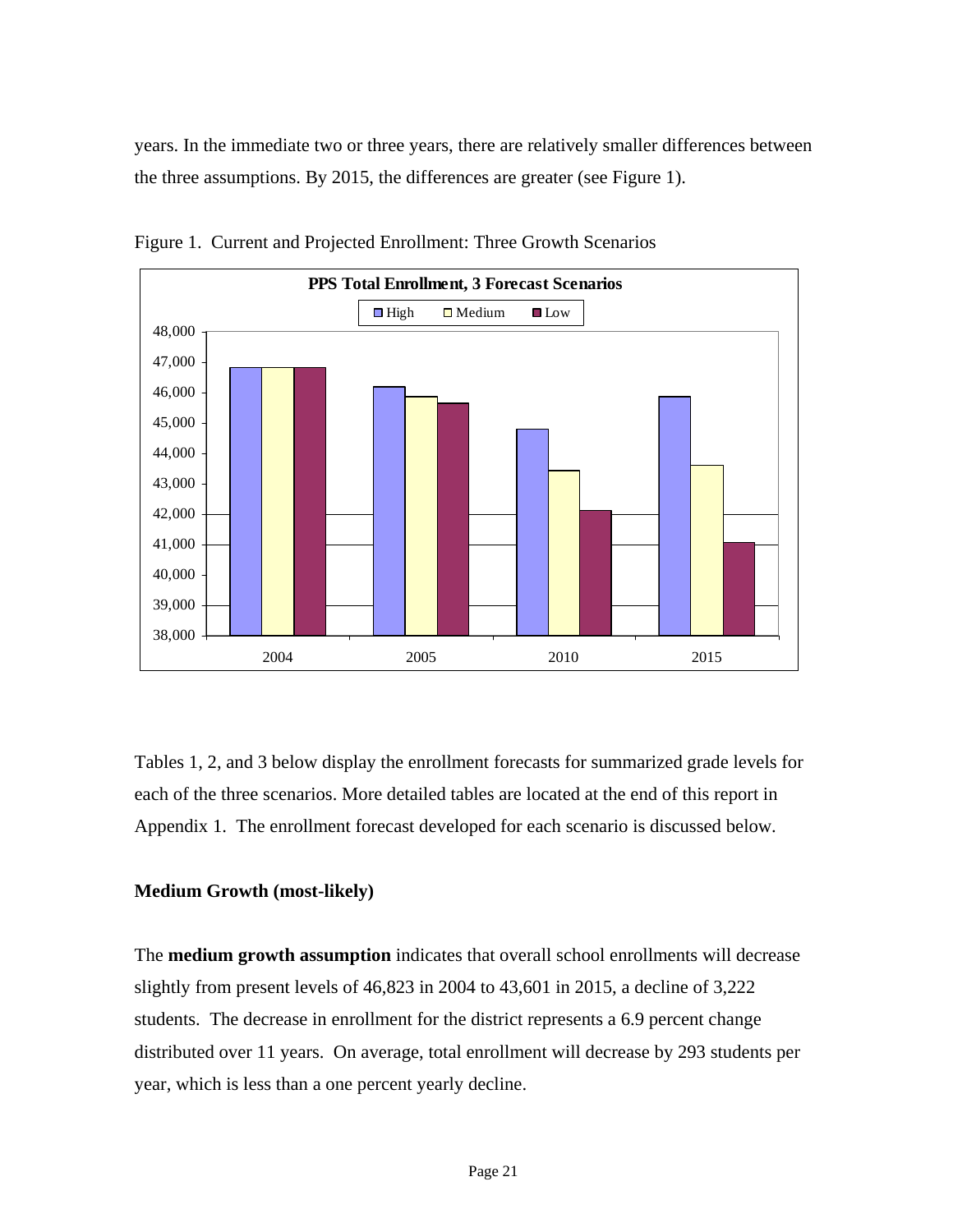years. In the immediate two or three years, there are relatively smaller differences between the three assumptions. By 2015, the differences are greater (see Figure 1).



Figure 1. Current and Projected Enrollment: Three Growth Scenarios

Tables 1, 2, and 3 below display the enrollment forecasts for summarized grade levels for each of the three scenarios. More detailed tables are located at the end of this report in Appendix 1. The enrollment forecast developed for each scenario is discussed below.

#### **Medium Growth (most-likely)**

The **medium growth assumption** indicates that overall school enrollments will decrease slightly from present levels of 46,823 in 2004 to 43,601 in 2015, a decline of 3,222 students. The decrease in enrollment for the district represents a 6.9 percent change distributed over 11 years. On average, total enrollment will decrease by 293 students per year, which is less than a one percent yearly decline.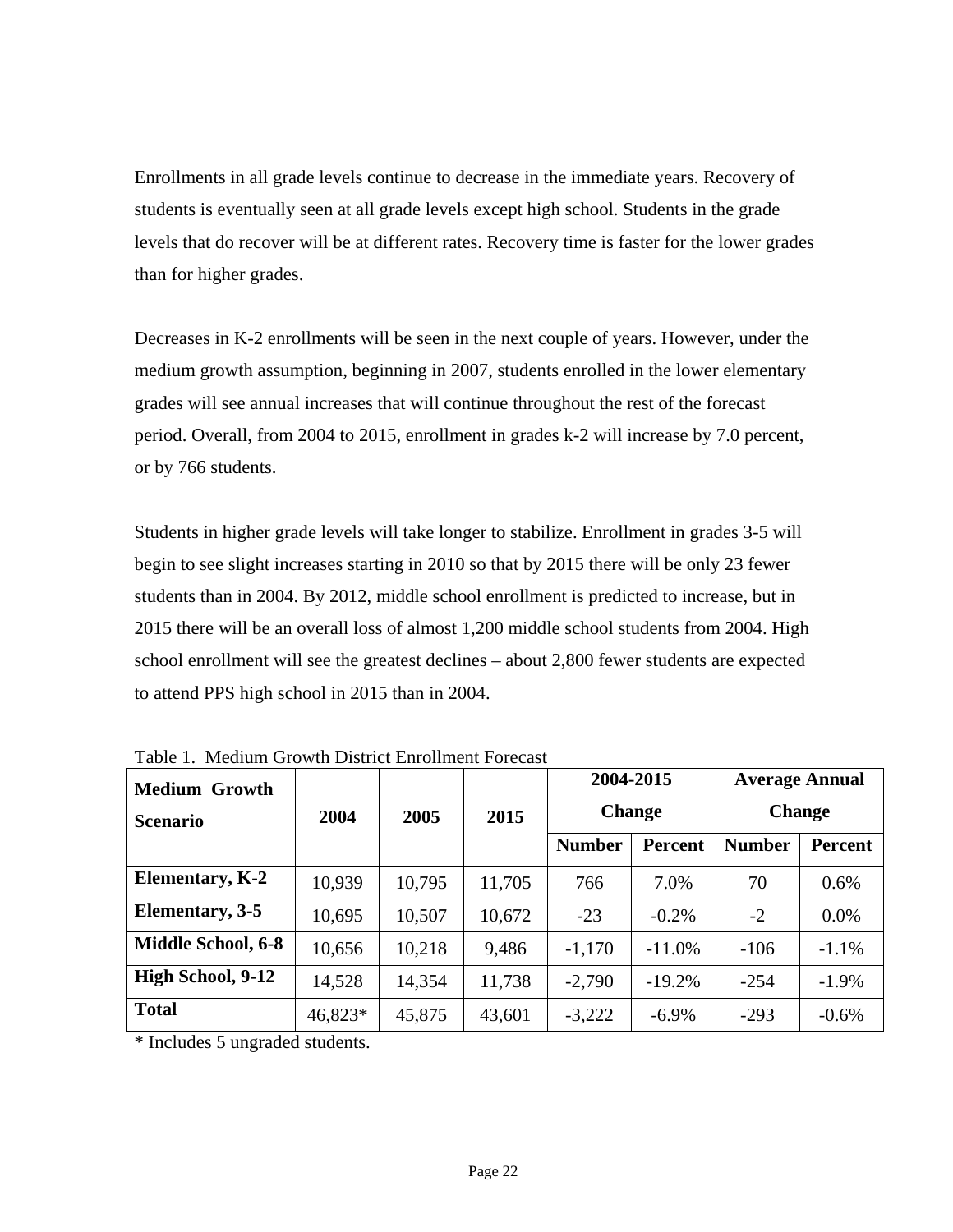Enrollments in all grade levels continue to decrease in the immediate years. Recovery of students is eventually seen at all grade levels except high school. Students in the grade levels that do recover will be at different rates. Recovery time is faster for the lower grades than for higher grades.

Decreases in K-2 enrollments will be seen in the next couple of years. However, under the medium growth assumption, beginning in 2007, students enrolled in the lower elementary grades will see annual increases that will continue throughout the rest of the forecast period. Overall, from 2004 to 2015, enrollment in grades k-2 will increase by 7.0 percent, or by 766 students.

Students in higher grade levels will take longer to stabilize. Enrollment in grades 3-5 will begin to see slight increases starting in 2010 so that by 2015 there will be only 23 fewer students than in 2004. By 2012, middle school enrollment is predicted to increase, but in 2015 there will be an overall loss of almost 1,200 middle school students from 2004. High school enrollment will see the greatest declines – about 2,800 fewer students are expected to attend PPS high school in 2015 than in 2004.

| <b>Medium Growth</b><br><b>Scenario</b> | 2004    | 2005   | 2015   | 2004-2015<br><b>Change</b> |                | <b>Average Annual</b> | <b>Change</b>  |
|-----------------------------------------|---------|--------|--------|----------------------------|----------------|-----------------------|----------------|
|                                         |         |        |        | <b>Number</b>              | <b>Percent</b> | <b>Number</b>         | <b>Percent</b> |
| <b>Elementary, K-2</b>                  | 10,939  | 10,795 | 11,705 | 766                        | 7.0%           | 70                    | 0.6%           |
| Elementary, 3-5                         | 10,695  | 10,507 | 10,672 | $-23$                      | $-0.2\%$       | $-2$                  | 0.0%           |
| <b>Middle School, 6-8</b>               | 10,656  | 10,218 | 9,486  | $-1,170$                   | $-11.0%$       | $-106$                | $-1.1%$        |
| High School, 9-12                       | 14,528  | 14,354 | 11,738 | $-2,790$                   | $-19.2%$       | $-254$                | $-1.9\%$       |
| <b>Total</b>                            | 46,823* | 45,875 | 43,601 | $-3,222$                   | $-6.9\%$       | $-293$                | $-0.6%$        |

Table 1. Medium Growth District Enrollment Forecast

\* Includes 5 ungraded students.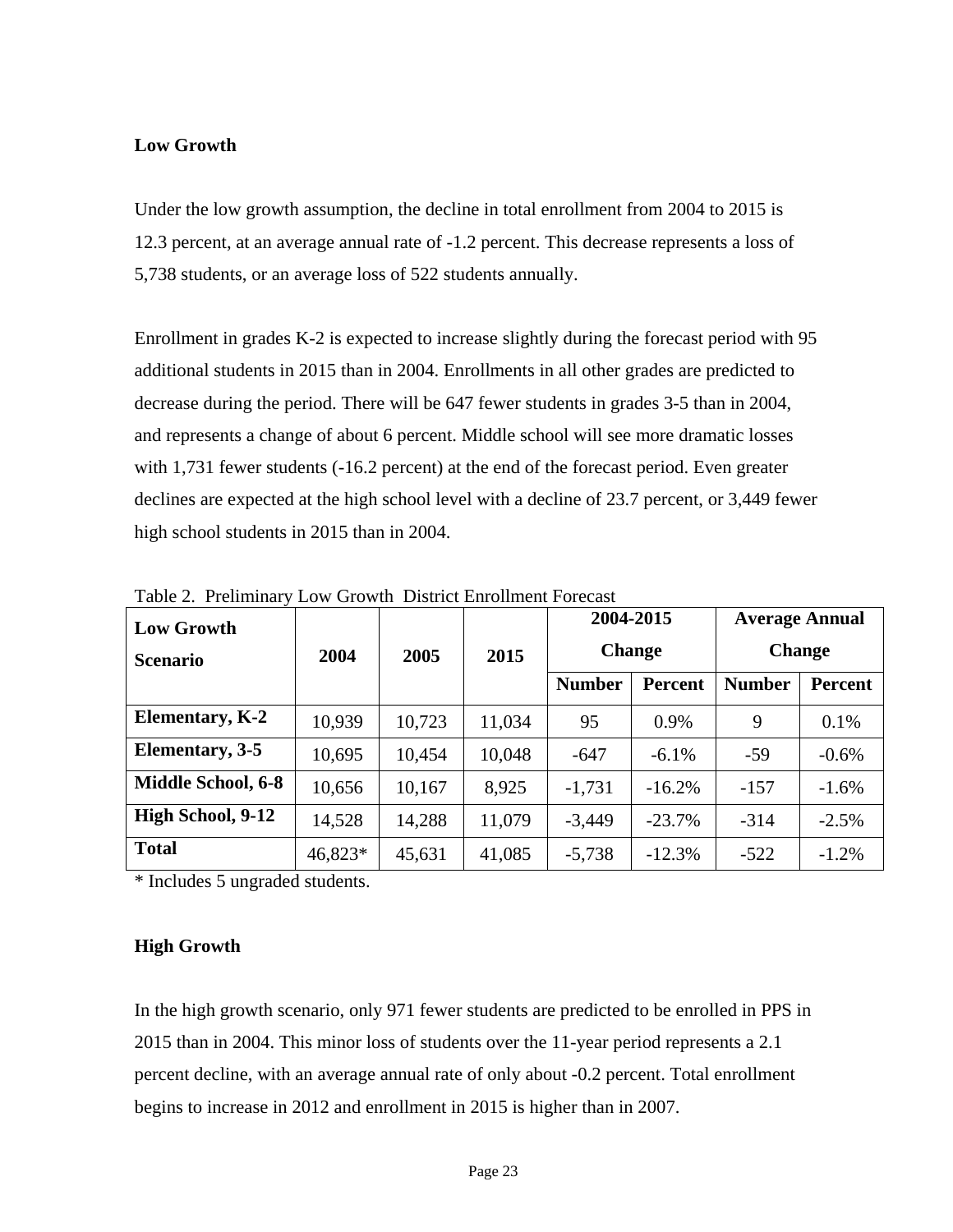#### **Low Growth**

Under the low growth assumption, the decline in total enrollment from 2004 to 2015 is 12.3 percent, at an average annual rate of -1.2 percent. This decrease represents a loss of 5,738 students, or an average loss of 522 students annually.

Enrollment in grades K-2 is expected to increase slightly during the forecast period with 95 additional students in 2015 than in 2004. Enrollments in all other grades are predicted to decrease during the period. There will be 647 fewer students in grades 3-5 than in 2004, and represents a change of about 6 percent. Middle school will see more dramatic losses with 1,731 fewer students (-16.2 percent) at the end of the forecast period. Even greater declines are expected at the high school level with a decline of 23.7 percent, or 3,449 fewer high school students in 2015 than in 2004.

| <b>Low Growth</b><br><b>Scenario</b> | 2004    | 2005   | 2015   | 2004-2015<br><b>Change</b> |                |               | <b>Average Annual</b><br><b>Change</b> |
|--------------------------------------|---------|--------|--------|----------------------------|----------------|---------------|----------------------------------------|
|                                      |         |        |        | <b>Number</b>              | <b>Percent</b> | <b>Number</b> | Percent                                |
| <b>Elementary, K-2</b>               | 10,939  | 10,723 | 11,034 | 95                         | 0.9%           | 9             | 0.1%                                   |
| Elementary, 3-5                      | 10,695  | 10,454 | 10,048 | $-647$                     | $-6.1\%$       | $-59$         | $-0.6%$                                |
| <b>Middle School, 6-8</b>            | 10,656  | 10,167 | 8,925  | $-1,731$                   | $-16.2%$       | $-157$        | $-1.6%$                                |
| High School, 9-12                    | 14,528  | 14,288 | 11,079 | $-3,449$                   | $-23.7%$       | $-314$        | $-2.5%$                                |
| <b>Total</b>                         | 46,823* | 45,631 | 41,085 | $-5,738$                   | $-12.3%$       | $-522$        | $-1.2%$                                |

Table 2. Preliminary Low Growth District Enrollment Forecast

\* Includes 5 ungraded students.

#### **High Growth**

In the high growth scenario, only 971 fewer students are predicted to be enrolled in PPS in 2015 than in 2004. This minor loss of students over the 11-year period represents a 2.1 percent decline, with an average annual rate of only about -0.2 percent. Total enrollment begins to increase in 2012 and enrollment in 2015 is higher than in 2007.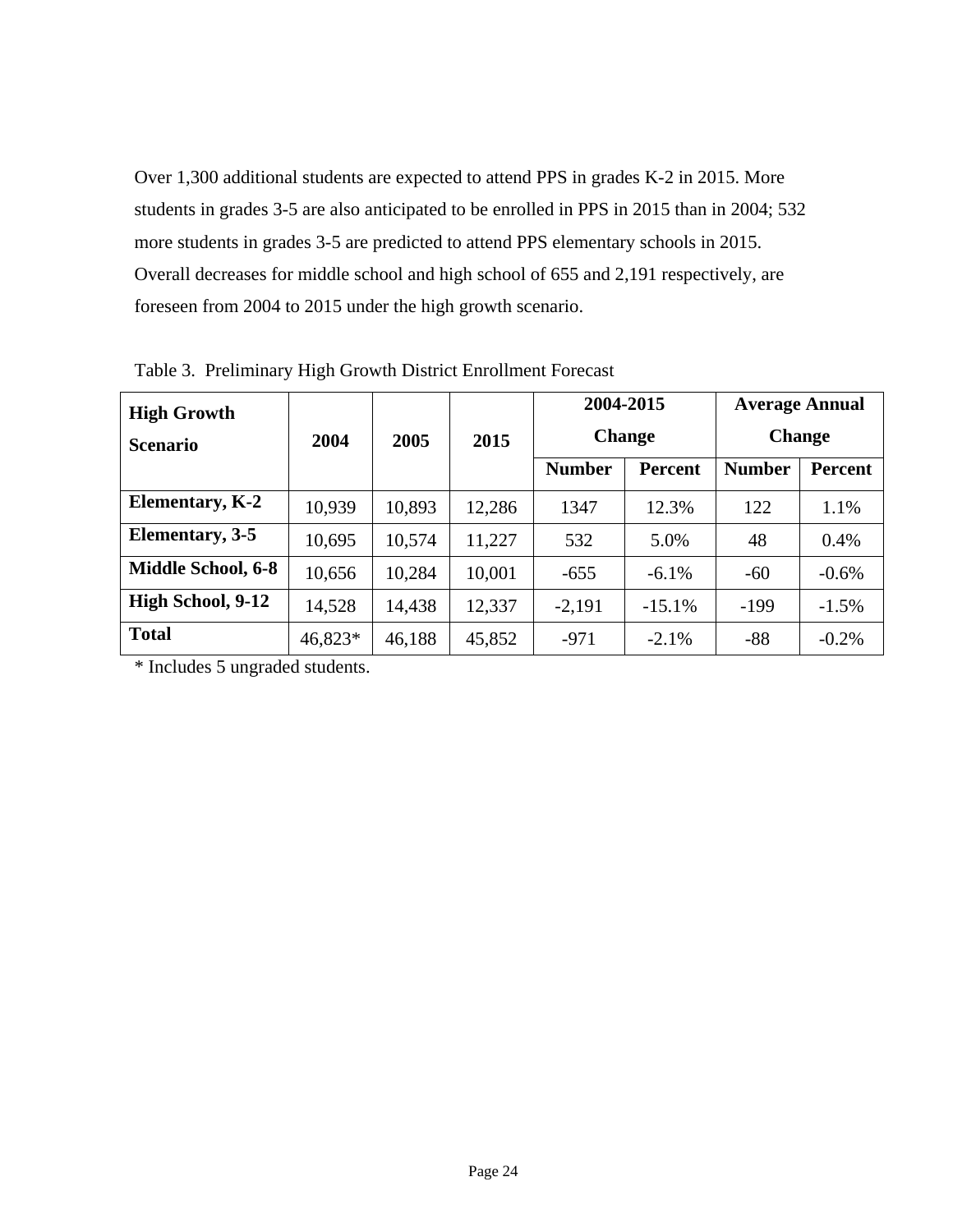Over 1,300 additional students are expected to attend PPS in grades K-2 in 2015. More students in grades 3-5 are also anticipated to be enrolled in PPS in 2015 than in 2004; 532 more students in grades 3-5 are predicted to attend PPS elementary schools in 2015. Overall decreases for middle school and high school of 655 and 2,191 respectively, are foreseen from 2004 to 2015 under the high growth scenario.

| <b>High Growth</b><br><b>Scenario</b> | 2004    | 2005   | 2015   |               | 2004-2015<br><b>Change</b> |               | <b>Average Annual</b><br><b>Change</b> |
|---------------------------------------|---------|--------|--------|---------------|----------------------------|---------------|----------------------------------------|
|                                       |         |        |        | <b>Number</b> | <b>Percent</b>             | <b>Number</b> | <b>Percent</b>                         |
| <b>Elementary, K-2</b>                | 10,939  | 10,893 | 12,286 | 1347          | 12.3%                      | 122           | 1.1%                                   |
| Elementary, 3-5                       | 10,695  | 10,574 | 11,227 | 532           | 5.0%                       | 48            | 0.4%                                   |
| <b>Middle School, 6-8</b>             | 10,656  | 10,284 | 10,001 | $-655$        | $-6.1\%$                   | $-60$         | $-0.6%$                                |
| High School, 9-12                     | 14,528  | 14,438 | 12,337 | $-2,191$      | $-15.1%$                   | $-199$        | $-1.5\%$                               |
| <b>Total</b>                          | 46,823* | 46,188 | 45,852 | $-971$        | $-2.1%$                    | $-88$         | $-0.2\%$                               |

Table 3. Preliminary High Growth District Enrollment Forecast

\* Includes 5 ungraded students.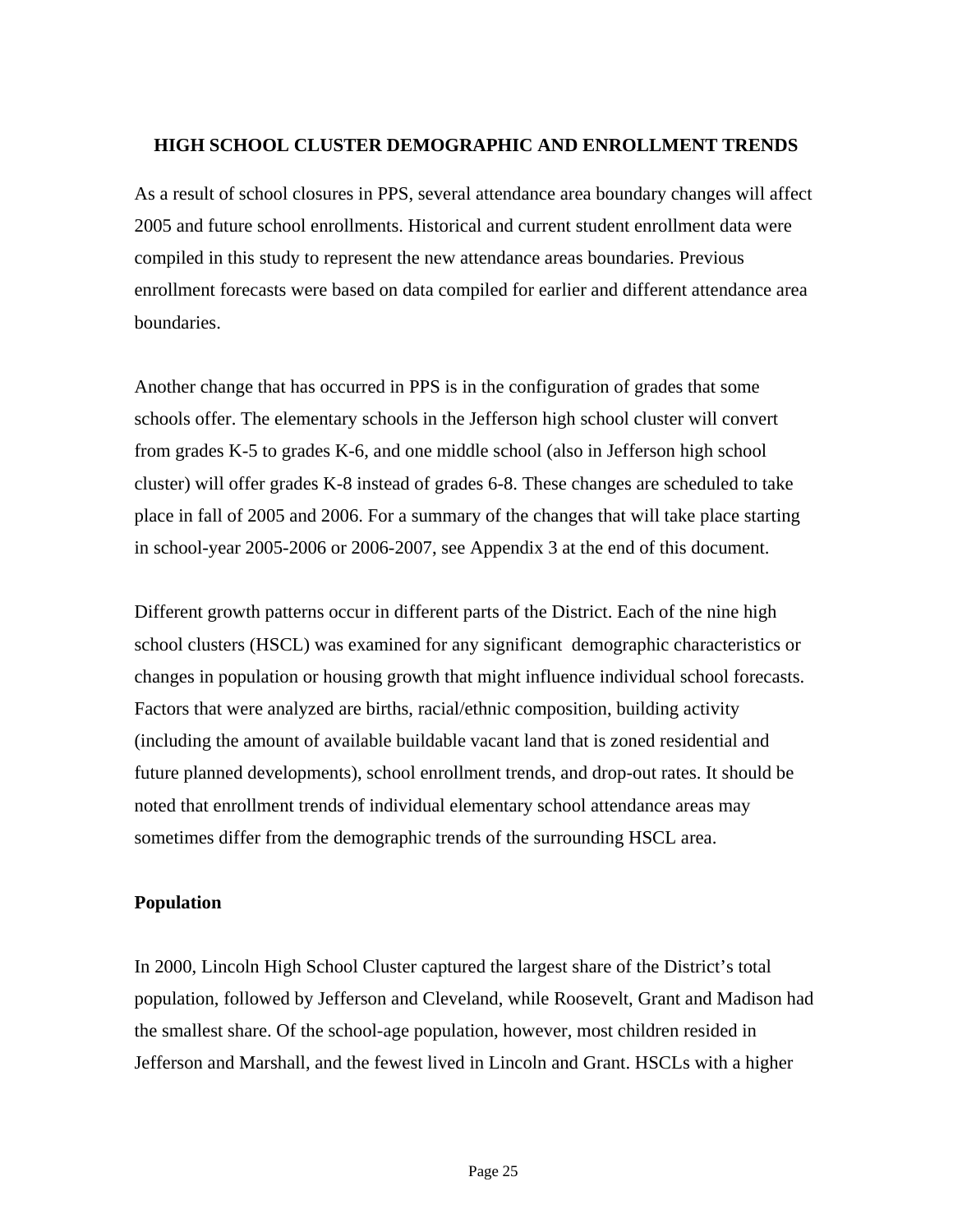#### **HIGH SCHOOL CLUSTER DEMOGRAPHIC AND ENROLLMENT TRENDS**

As a result of school closures in PPS, several attendance area boundary changes will affect 2005 and future school enrollments. Historical and current student enrollment data were compiled in this study to represent the new attendance areas boundaries. Previous enrollment forecasts were based on data compiled for earlier and different attendance area boundaries.

Another change that has occurred in PPS is in the configuration of grades that some schools offer. The elementary schools in the Jefferson high school cluster will convert from grades K-5 to grades K-6, and one middle school (also in Jefferson high school cluster) will offer grades K-8 instead of grades 6-8. These changes are scheduled to take place in fall of 2005 and 2006. For a summary of the changes that will take place starting in school-year 2005-2006 or 2006-2007, see Appendix 3 at the end of this document.

Different growth patterns occur in different parts of the District. Each of the nine high school clusters (HSCL) was examined for any significant demographic characteristics or changes in population or housing growth that might influence individual school forecasts. Factors that were analyzed are births, racial/ethnic composition, building activity (including the amount of available buildable vacant land that is zoned residential and future planned developments), school enrollment trends, and drop-out rates. It should be noted that enrollment trends of individual elementary school attendance areas may sometimes differ from the demographic trends of the surrounding HSCL area.

#### **Population**

In 2000, Lincoln High School Cluster captured the largest share of the District's total population, followed by Jefferson and Cleveland, while Roosevelt, Grant and Madison had the smallest share. Of the school-age population, however, most children resided in Jefferson and Marshall, and the fewest lived in Lincoln and Grant. HSCLs with a higher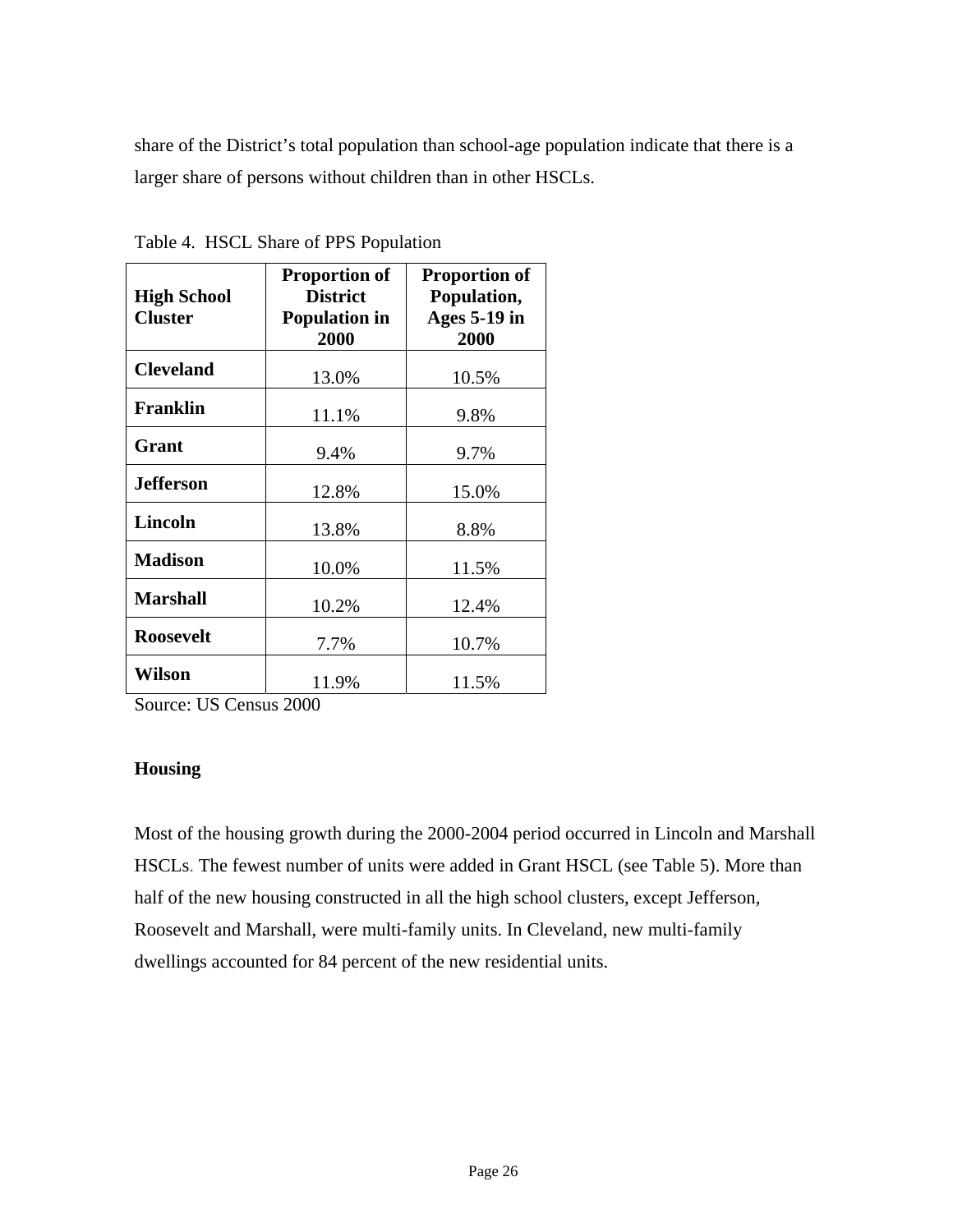share of the District's total population than school-age population indicate that there is a larger share of persons without children than in other HSCLs.

|                    | <b>Proportion of</b> | <b>Proportion of</b> |
|--------------------|----------------------|----------------------|
| <b>High School</b> | <b>District</b>      | Population,          |
| <b>Cluster</b>     | <b>Population in</b> | <b>Ages 5-19 in</b>  |
|                    | 2000                 | 2000                 |
| <b>Cleveland</b>   |                      |                      |
|                    | 13.0%                | 10.5%                |
| <b>Franklin</b>    |                      |                      |
|                    | 11.1%                | 9.8%                 |
| Grant              |                      |                      |
|                    | 9.4%                 | 9.7%                 |
| <b>Jefferson</b>   |                      |                      |
|                    | 12.8%                | 15.0%                |
| <b>Lincoln</b>     |                      |                      |
|                    | 13.8%                | 8.8%                 |
| <b>Madison</b>     |                      |                      |
|                    | 10.0%                | 11.5%                |
| <b>Marshall</b>    |                      |                      |
|                    | 10.2%                | 12.4%                |
| <b>Roosevelt</b>   |                      |                      |
|                    | 7.7%                 | 10.7%                |
| Wilson             |                      |                      |
|                    | 11.9%                | 11.5%                |

Table 4. HSCL Share of PPS Population

Source: US Census 2000

#### **Housing**

Most of the housing growth during the 2000-2004 period occurred in Lincoln and Marshall HSCLs. The fewest number of units were added in Grant HSCL (see Table 5). More than half of the new housing constructed in all the high school clusters, except Jefferson, Roosevelt and Marshall, were multi-family units. In Cleveland, new multi-family dwellings accounted for 84 percent of the new residential units.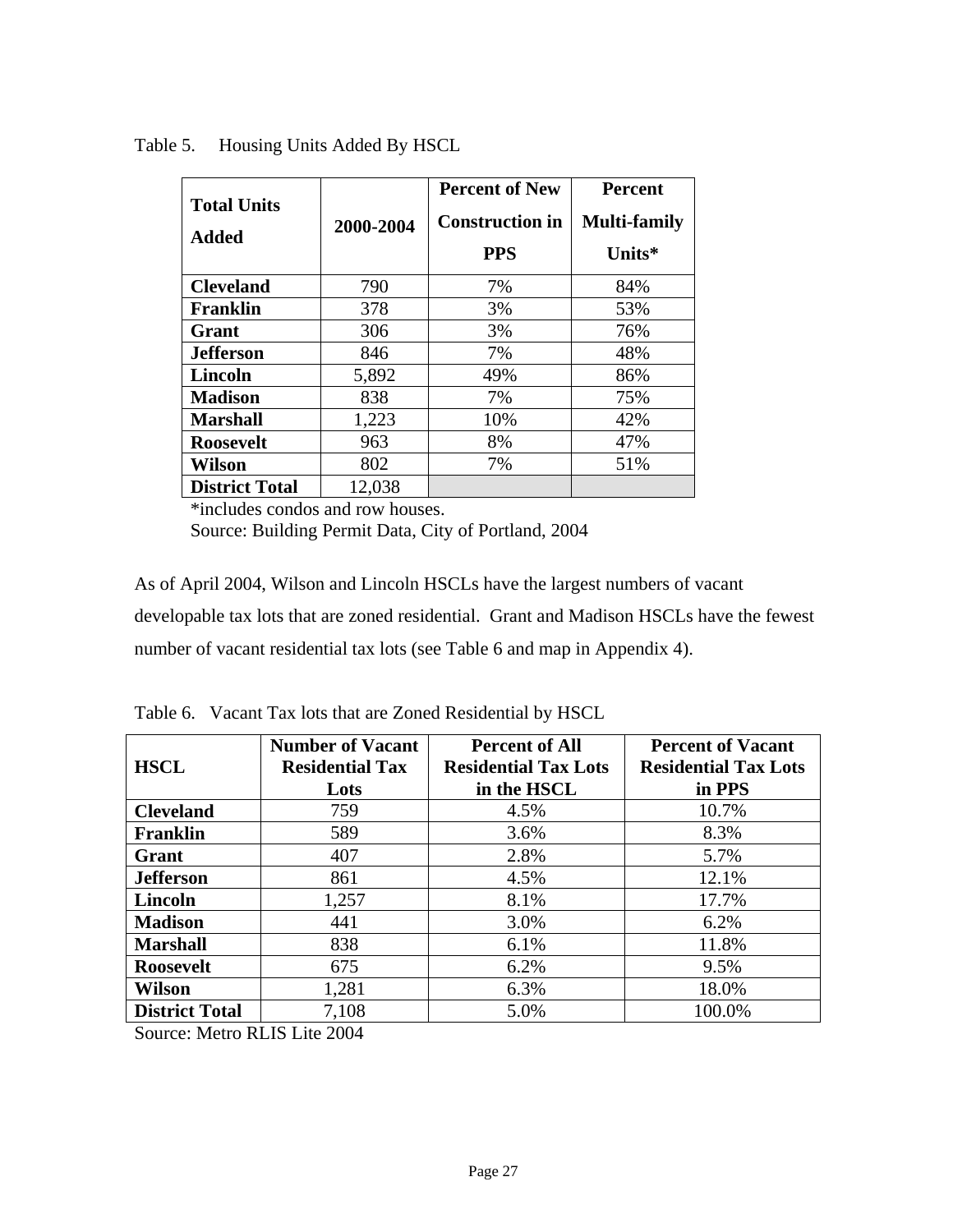| <b>Total Units</b><br><b>Added</b> | 2000-2004 | <b>Percent of New</b><br><b>Construction in</b><br><b>PPS</b> | <b>Percent</b><br><b>Multi-family</b><br>Units* |
|------------------------------------|-----------|---------------------------------------------------------------|-------------------------------------------------|
| <b>Cleveland</b>                   | 790       | 7%                                                            | 84%                                             |
| <b>Franklin</b>                    | 378       | 3%                                                            | 53%                                             |
| Grant                              | 306       | 3%                                                            | 76%                                             |
| <b>Jefferson</b>                   | 846       | 7%                                                            | 48%                                             |
| <b>Lincoln</b>                     | 5,892     | 49%                                                           | 86%                                             |
| <b>Madison</b>                     | 838       | 7%                                                            | 75%                                             |
| <b>Marshall</b>                    | 1,223     | 10%                                                           | 42%                                             |
| <b>Roosevelt</b>                   | 963       | 8%                                                            | 47%                                             |
| Wilson                             | 802       | 7%                                                            | 51%                                             |
| <b>District Total</b>              | 12,038    |                                                               |                                                 |

Table 5. Housing Units Added By HSCL

\*includes condos and row houses.

Source: Building Permit Data, City of Portland, 2004

As of April 2004, Wilson and Lincoln HSCLs have the largest numbers of vacant developable tax lots that are zoned residential. Grant and Madison HSCLs have the fewest number of vacant residential tax lots (see Table 6 and map in Appendix 4).

| <b>HSCL</b>                                                                                      | <b>Number of Vacant</b><br><b>Residential Tax</b><br>Lots | <b>Percent of All</b><br><b>Residential Tax Lots</b><br>in the HSCL | <b>Percent of Vacant</b><br><b>Residential Tax Lots</b><br>in PPS |
|--------------------------------------------------------------------------------------------------|-----------------------------------------------------------|---------------------------------------------------------------------|-------------------------------------------------------------------|
| <b>Cleveland</b>                                                                                 | 759                                                       | 4.5%                                                                | 10.7%                                                             |
| <b>Franklin</b>                                                                                  | 589                                                       | 3.6%                                                                | 8.3%                                                              |
| Grant                                                                                            | 407                                                       | 2.8%                                                                | 5.7%                                                              |
| <b>Jefferson</b>                                                                                 | 861                                                       | 4.5%                                                                | 12.1%                                                             |
| Lincoln                                                                                          | 1,257                                                     | 8.1%                                                                | 17.7%                                                             |
| <b>Madison</b>                                                                                   | 441                                                       | 3.0%                                                                | 6.2%                                                              |
| <b>Marshall</b>                                                                                  | 838                                                       | 6.1%                                                                | 11.8%                                                             |
| <b>Roosevelt</b>                                                                                 | 675                                                       | 6.2%                                                                | 9.5%                                                              |
| <b>Wilson</b>                                                                                    | 1,281                                                     | 6.3%                                                                | 18.0%                                                             |
| <b>District Total</b><br>$\alpha$ $\mathbf{M}$ , $\mathbf{D}$ $\mathbf{M}$ $\mathbf{M}$ $\alpha$ | 7,108                                                     | 5.0%                                                                | 100.0%                                                            |

Table 6. Vacant Tax lots that are Zoned Residential by HSCL

Source: Metro RLIS Lite 2004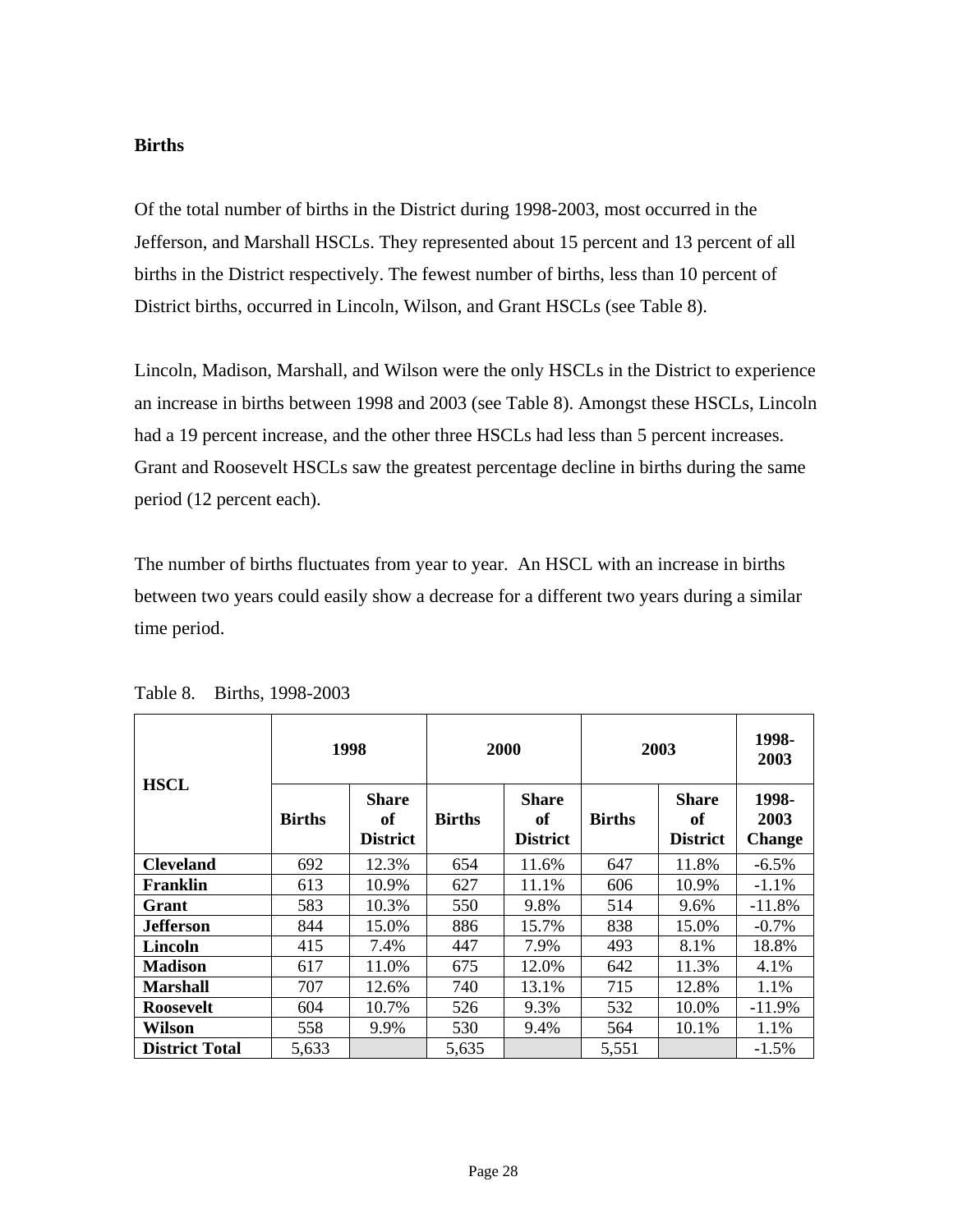#### **Births**

Of the total number of births in the District during 1998-2003, most occurred in the Jefferson, and Marshall HSCLs. They represented about 15 percent and 13 percent of all births in the District respectively. The fewest number of births, less than 10 percent of District births, occurred in Lincoln, Wilson, and Grant HSCLs (see Table 8).

Lincoln, Madison, Marshall, and Wilson were the only HSCLs in the District to experience an increase in births between 1998 and 2003 (see Table 8). Amongst these HSCLs, Lincoln had a 19 percent increase, and the other three HSCLs had less than 5 percent increases. Grant and Roosevelt HSCLs saw the greatest percentage decline in births during the same period (12 percent each).

The number of births fluctuates from year to year. An HSCL with an increase in births between two years could easily show a decrease for a different two years during a similar time period.

|                       |               | 1998                                  |               | 2000                           | 2003          | 1998-<br>2003                         |                                |
|-----------------------|---------------|---------------------------------------|---------------|--------------------------------|---------------|---------------------------------------|--------------------------------|
| <b>HSCL</b>           | <b>Births</b> | <b>Share</b><br>of<br><b>District</b> | <b>Births</b> | Share<br>of<br><b>District</b> | <b>Births</b> | <b>Share</b><br>of<br><b>District</b> | 1998-<br>2003<br><b>Change</b> |
| <b>Cleveland</b>      | 692           | 12.3%                                 | 654           | 11.6%                          | 647           | 11.8%                                 | $-6.5\%$                       |
| Franklin              | 613           | 10.9%                                 | 627           | 11.1%                          | 606           | 10.9%                                 | $-1.1%$                        |
| Grant                 | 583           | 10.3%                                 | 550           | 9.8%                           | 514           | 9.6%                                  | $-11.8%$                       |
| Jefferson.            | 844           | 15.0%                                 | 886           | 15.7%                          | 838           | 15.0%                                 | $-0.7\%$                       |
| <b>Lincoln</b>        | 415           | 7.4%                                  | 447           | 7.9%                           | 493           | 8.1%                                  | 18.8%                          |
| <b>Madison</b>        | 617           | 11.0%                                 | 675           | 12.0%                          | 642           | 11.3%                                 | 4.1%                           |
| Marshall              | 707           | 12.6%                                 | 740           | 13.1%                          | 715           | 12.8%                                 | 1.1%                           |
| <b>Roosevelt</b>      | 604           | 10.7%                                 | 526           | 9.3%                           | 532           | 10.0%                                 | $-11.9%$                       |
| Wilson                | 558           | 9.9%                                  | 530           | 9.4%                           | 564           | 10.1%                                 | 1.1%                           |
| <b>District Total</b> | 5,633         |                                       | 5,635         |                                | 5,551         |                                       | $-1.5\%$                       |

Table 8. Births, 1998-2003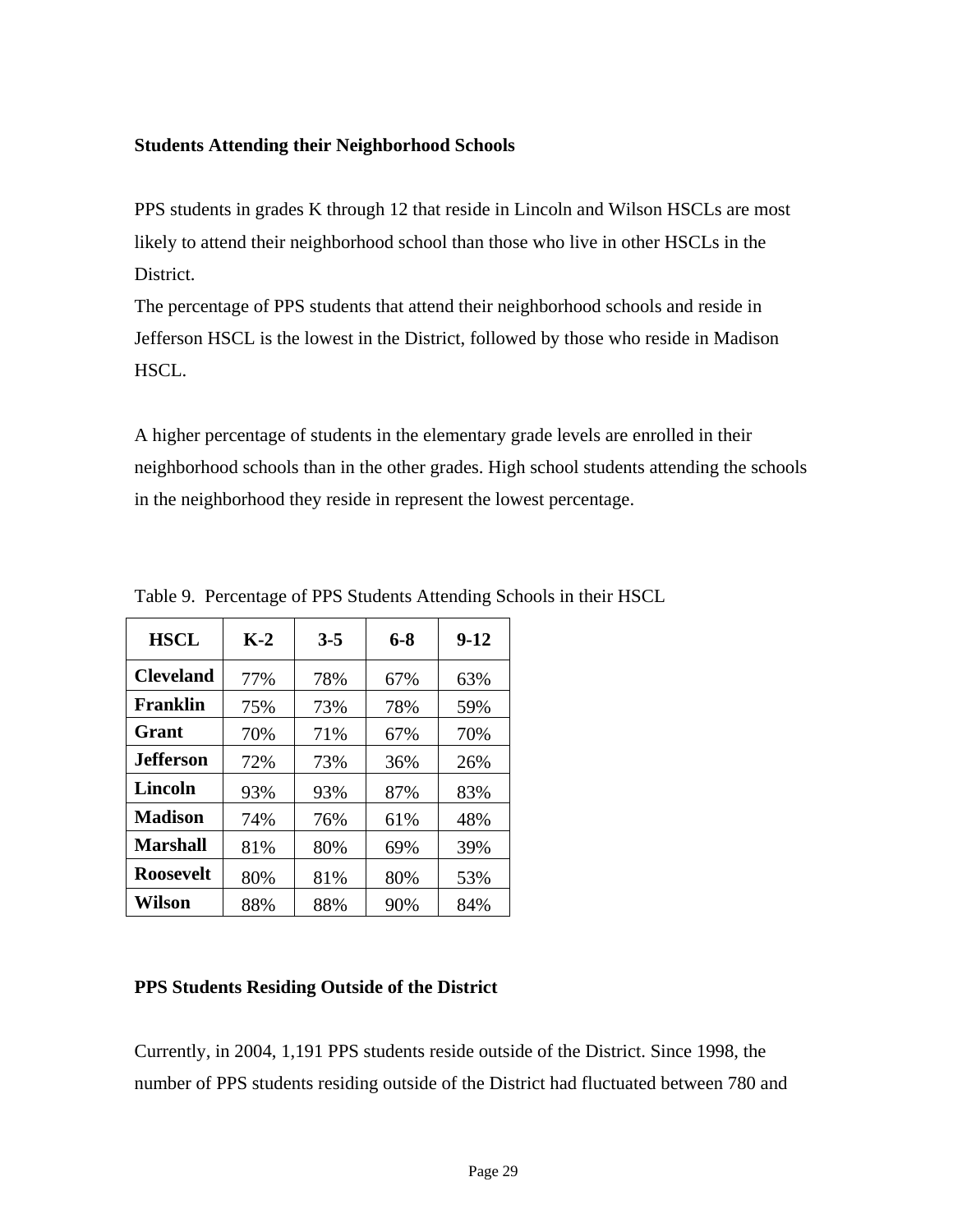#### **Students Attending their Neighborhood Schools**

PPS students in grades K through 12 that reside in Lincoln and Wilson HSCLs are most likely to attend their neighborhood school than those who live in other HSCLs in the District.

The percentage of PPS students that attend their neighborhood schools and reside in Jefferson HSCL is the lowest in the District, followed by those who reside in Madison HSCL.

A higher percentage of students in the elementary grade levels are enrolled in their neighborhood schools than in the other grades. High school students attending the schools in the neighborhood they reside in represent the lowest percentage.

| <b>HSCL</b>      | $K-2$ | $3 - 5$ | 6-8 | $9-12$ |
|------------------|-------|---------|-----|--------|
| <b>Cleveland</b> | 77%   | 78%     | 67% | 63%    |
| <b>Franklin</b>  | 75%   | 73%     | 78% | 59%    |
| Grant            | 70%   | 71%     | 67% | 70%    |
| <b>Jefferson</b> | 72%   | 73%     | 36% | 26%    |
| Lincoln          | 93%   | 93%     | 87% | 83%    |
| <b>Madison</b>   | 74%   | 76%     | 61% | 48%    |
| <b>Marshall</b>  | 81%   | 80%     | 69% | 39%    |
| <b>Roosevelt</b> | 80%   | 81%     | 80% | 53%    |
| Wilson           | 88%   | 88%     | 90% | 84%    |

Table 9. Percentage of PPS Students Attending Schools in their HSCL

#### **PPS Students Residing Outside of the District**

Currently, in 2004, 1,191 PPS students reside outside of the District. Since 1998, the number of PPS students residing outside of the District had fluctuated between 780 and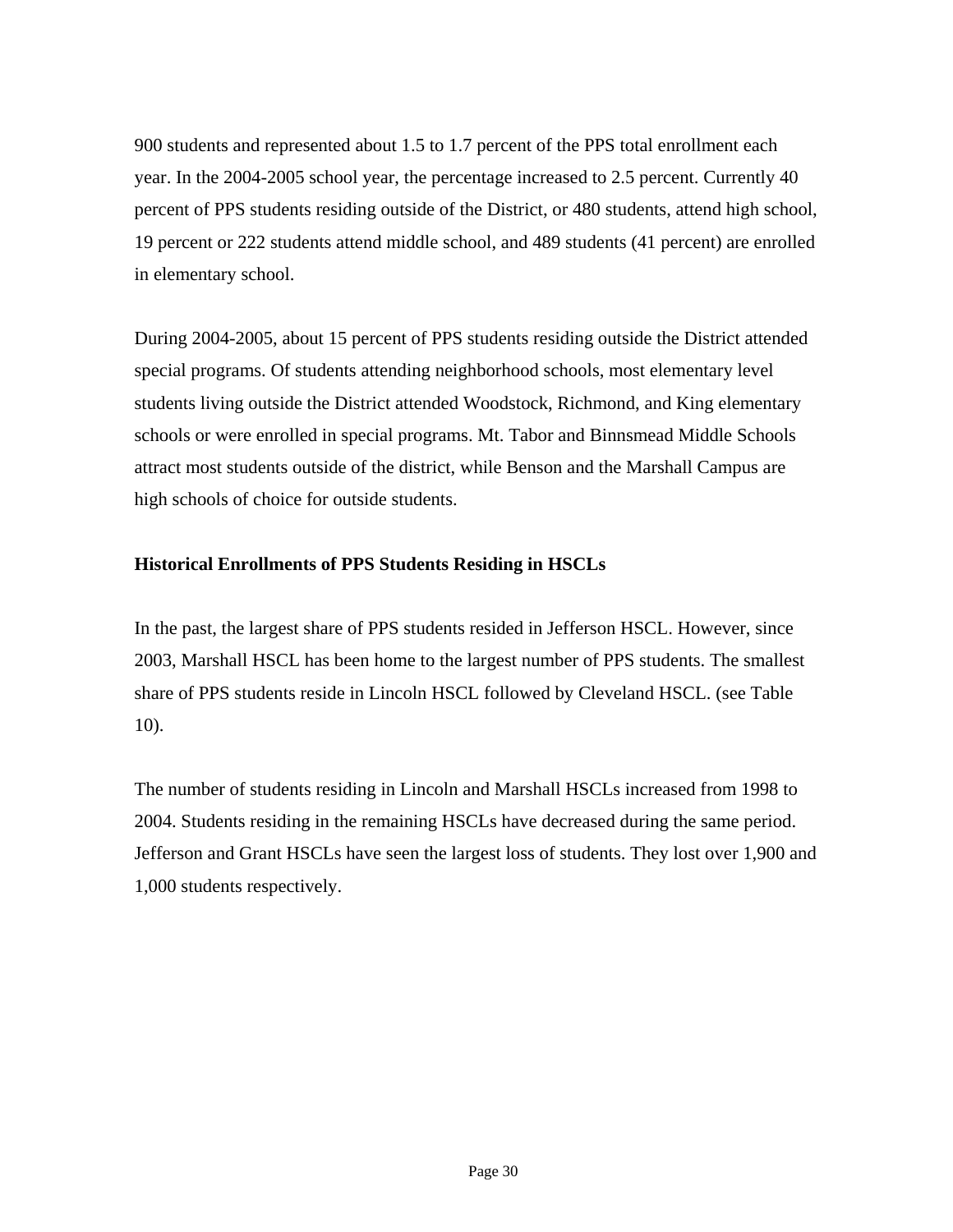900 students and represented about 1.5 to 1.7 percent of the PPS total enrollment each year. In the 2004-2005 school year, the percentage increased to 2.5 percent. Currently 40 percent of PPS students residing outside of the District, or 480 students, attend high school, 19 percent or 222 students attend middle school, and 489 students (41 percent) are enrolled in elementary school.

During 2004-2005, about 15 percent of PPS students residing outside the District attended special programs. Of students attending neighborhood schools, most elementary level students living outside the District attended Woodstock, Richmond, and King elementary schools or were enrolled in special programs. Mt. Tabor and Binnsmead Middle Schools attract most students outside of the district, while Benson and the Marshall Campus are high schools of choice for outside students.

#### **Historical Enrollments of PPS Students Residing in HSCLs**

In the past, the largest share of PPS students resided in Jefferson HSCL. However, since 2003, Marshall HSCL has been home to the largest number of PPS students. The smallest share of PPS students reside in Lincoln HSCL followed by Cleveland HSCL. (see Table 10).

The number of students residing in Lincoln and Marshall HSCLs increased from 1998 to 2004. Students residing in the remaining HSCLs have decreased during the same period. Jefferson and Grant HSCLs have seen the largest loss of students. They lost over 1,900 and 1,000 students respectively.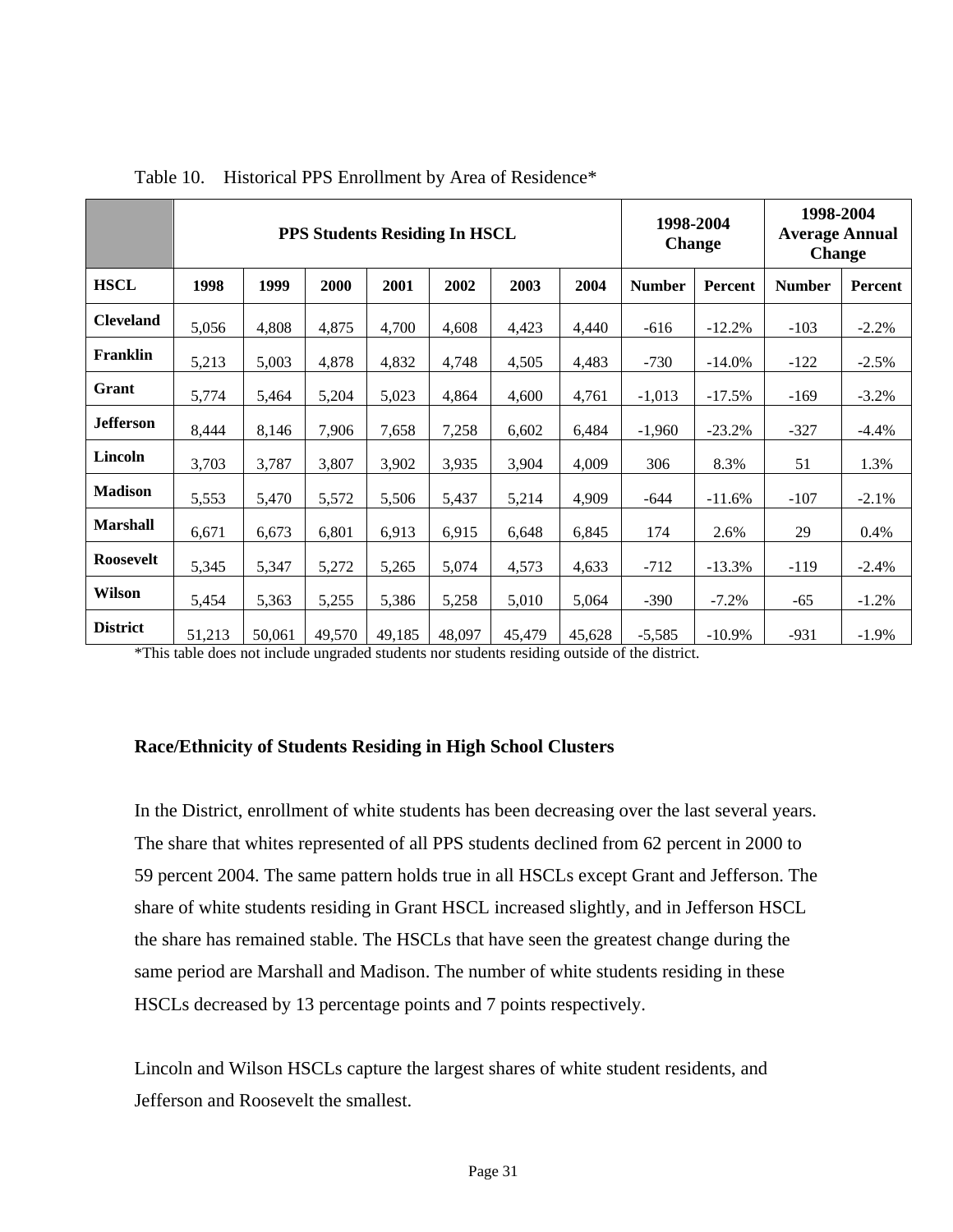|                  | <b>PPS Students Residing In HSCL</b> |        |        |        |        |        |        | 1998-2004<br><b>Change</b> |           | 1998-2004<br><b>Average Annual</b><br><b>Change</b> |         |
|------------------|--------------------------------------|--------|--------|--------|--------|--------|--------|----------------------------|-----------|-----------------------------------------------------|---------|
| <b>HSCL</b>      | 1998                                 | 1999   | 2000   | 2001   | 2002   | 2003   | 2004   | <b>Number</b>              | Percent   | <b>Number</b>                                       | Percent |
| <b>Cleveland</b> | 5,056                                | 4,808  | 4,875  | 4,700  | 4,608  | 4,423  | 4,440  | $-616$                     | $-12.2%$  | $-103$                                              | $-2.2%$ |
| Franklin         | 5,213                                | 5,003  | 4,878  | 4,832  | 4,748  | 4,505  | 4,483  | $-730$                     | $-14.0%$  | $-122$                                              | $-2.5%$ |
| Grant            | 5,774                                | 5,464  | 5,204  | 5,023  | 4,864  | 4,600  | 4,761  | $-1,013$                   | $-17.5%$  | $-169$                                              | $-3.2%$ |
| <b>Jefferson</b> | 8,444                                | 8,146  | 7,906  | 7,658  | 7,258  | 6,602  | 6,484  | $-1,960$                   | $-23.2%$  | $-327$                                              | $-4.4%$ |
| Lincoln          | 3,703                                | 3,787  | 3,807  | 3,902  | 3,935  | 3,904  | 4,009  | 306                        | 8.3%      | 51                                                  | 1.3%    |
| <b>Madison</b>   | 5,553                                | 5,470  | 5,572  | 5,506  | 5,437  | 5,214  | 4,909  | $-644$                     | $-11.6%$  | $-107$                                              | $-2.1%$ |
| <b>Marshall</b>  | 6,671                                | 6,673  | 6,801  | 6,913  | 6,915  | 6,648  | 6,845  | 174                        | 2.6%      | 29                                                  | 0.4%    |
| <b>Roosevelt</b> | 5,345                                | 5,347  | 5,272  | 5,265  | 5,074  | 4,573  | 4,633  | $-712$                     | $-13.3%$  | $-119$                                              | $-2.4%$ |
| <b>Wilson</b>    | 5,454                                | 5,363  | 5,255  | 5,386  | 5,258  | 5,010  | 5,064  | $-390$                     | $-7.2%$   | $-65$                                               | $-1.2%$ |
| <b>District</b>  | 51,213                               | 50,061 | 49,570 | 49,185 | 48,097 | 45,479 | 45,628 | $-5,585$                   | $-10.9\%$ | $-931$                                              | $-1.9%$ |

Table 10. Historical PPS Enrollment by Area of Residence\*

\*This table does not include ungraded students nor students residing outside of the district.

#### **Race/Ethnicity of Students Residing in High School Clusters**

In the District, enrollment of white students has been decreasing over the last several years. The share that whites represented of all PPS students declined from 62 percent in 2000 to 59 percent 2004. The same pattern holds true in all HSCLs except Grant and Jefferson. The share of white students residing in Grant HSCL increased slightly, and in Jefferson HSCL the share has remained stable. The HSCLs that have seen the greatest change during the same period are Marshall and Madison. The number of white students residing in these HSCLs decreased by 13 percentage points and 7 points respectively.

Lincoln and Wilson HSCLs capture the largest shares of white student residents, and Jefferson and Roosevelt the smallest.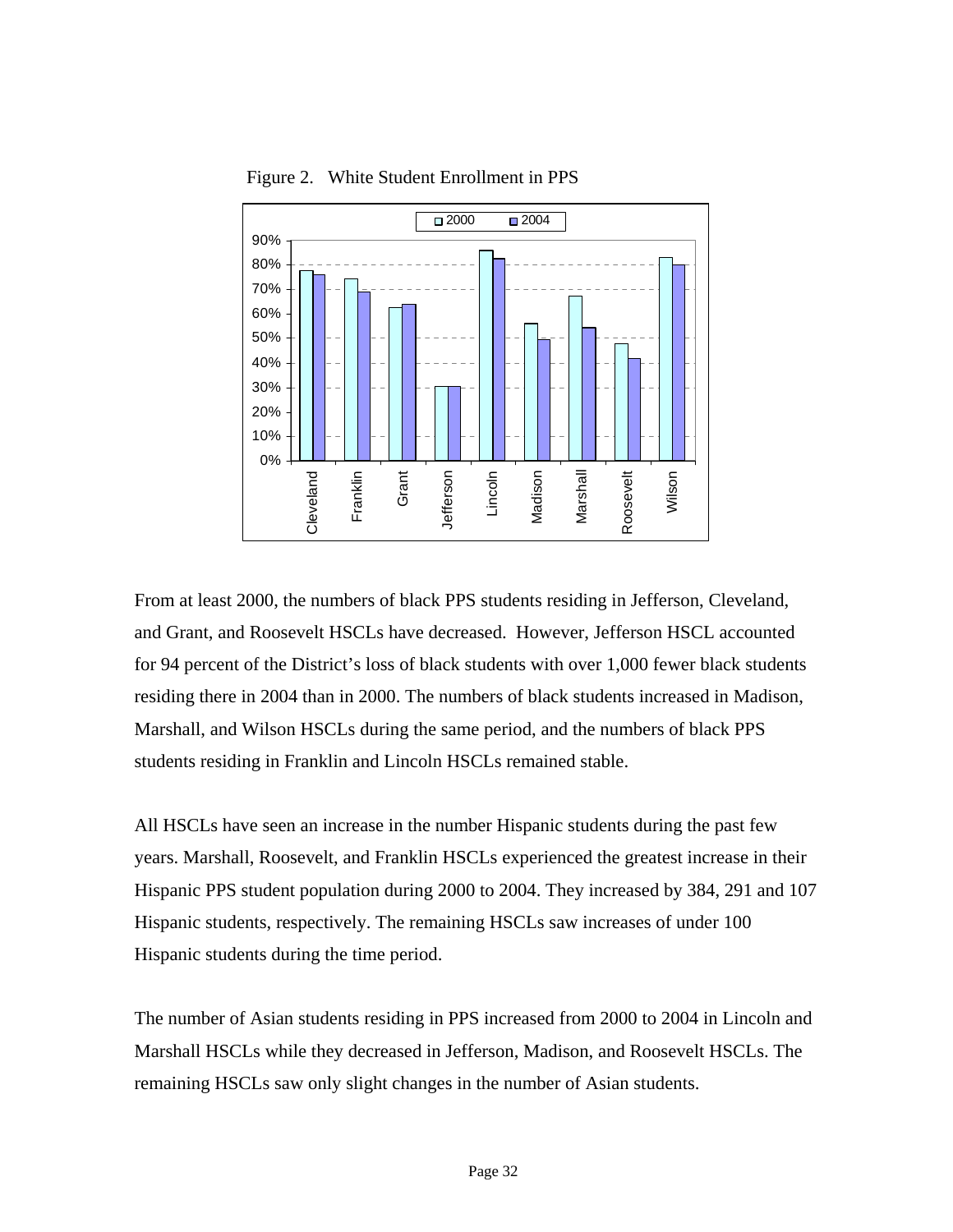

Figure 2. White Student Enrollment in PPS

From at least 2000, the numbers of black PPS students residing in Jefferson, Cleveland, and Grant, and Roosevelt HSCLs have decreased. However, Jefferson HSCL accounted for 94 percent of the District's loss of black students with over 1,000 fewer black students residing there in 2004 than in 2000. The numbers of black students increased in Madison, Marshall, and Wilson HSCLs during the same period, and the numbers of black PPS students residing in Franklin and Lincoln HSCLs remained stable.

All HSCLs have seen an increase in the number Hispanic students during the past few years. Marshall, Roosevelt, and Franklin HSCLs experienced the greatest increase in their Hispanic PPS student population during 2000 to 2004. They increased by 384, 291 and 107 Hispanic students, respectively. The remaining HSCLs saw increases of under 100 Hispanic students during the time period.

The number of Asian students residing in PPS increased from 2000 to 2004 in Lincoln and Marshall HSCLs while they decreased in Jefferson, Madison, and Roosevelt HSCLs. The remaining HSCLs saw only slight changes in the number of Asian students.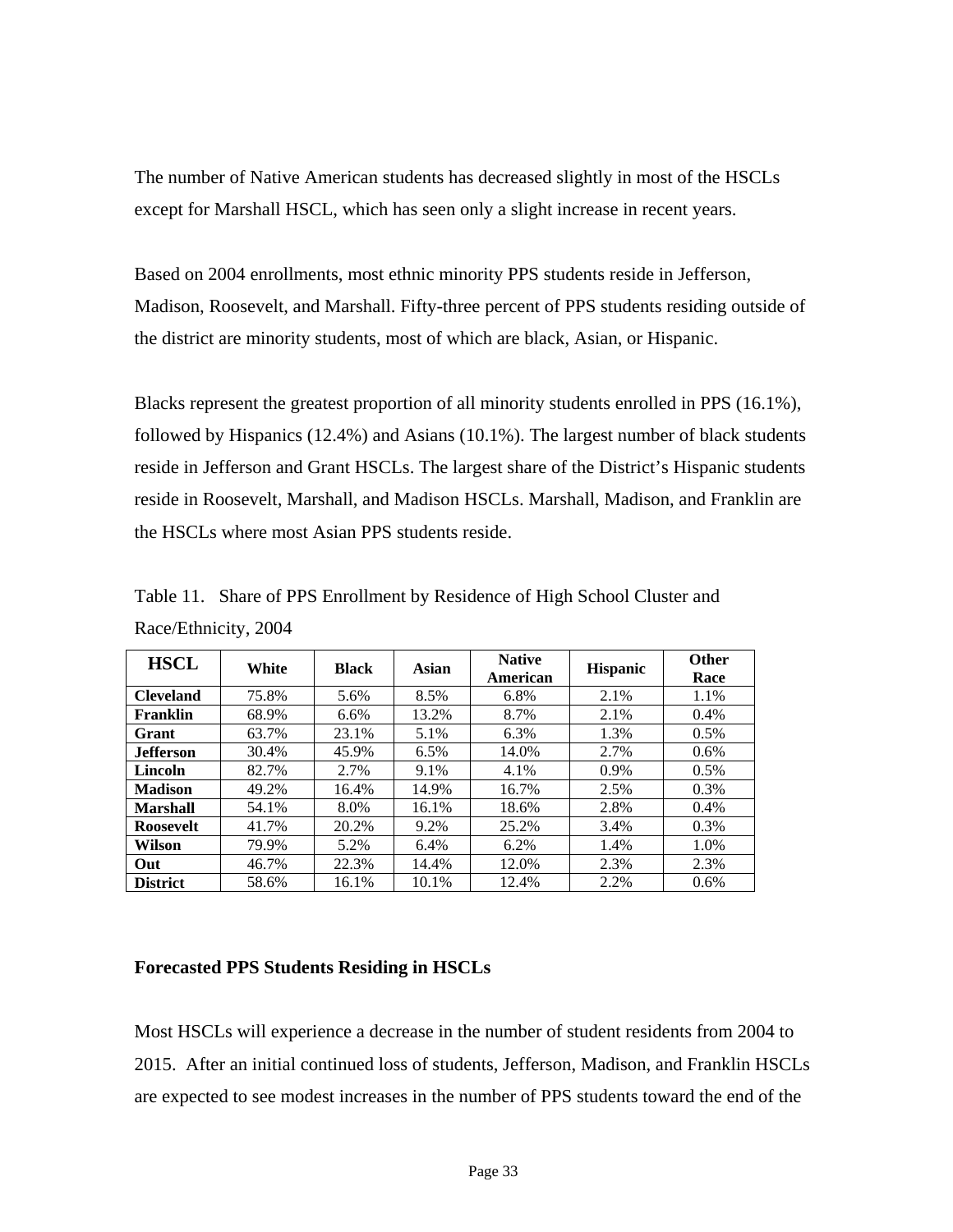The number of Native American students has decreased slightly in most of the HSCLs except for Marshall HSCL, which has seen only a slight increase in recent years.

Based on 2004 enrollments, most ethnic minority PPS students reside in Jefferson, Madison, Roosevelt, and Marshall. Fifty-three percent of PPS students residing outside of the district are minority students, most of which are black, Asian, or Hispanic.

Blacks represent the greatest proportion of all minority students enrolled in PPS (16.1%), followed by Hispanics (12.4%) and Asians (10.1%). The largest number of black students reside in Jefferson and Grant HSCLs. The largest share of the District's Hispanic students reside in Roosevelt, Marshall, and Madison HSCLs. Marshall, Madison, and Franklin are the HSCLs where most Asian PPS students reside.

| <b>HSCL</b>      | White | <b>Black</b> | Asian | <b>Native</b><br>American | <b>Hispanic</b> | <b>Other</b><br>Race |
|------------------|-------|--------------|-------|---------------------------|-----------------|----------------------|
| <b>Cleveland</b> | 75.8% | 5.6%         | 8.5%  | 6.8%                      | 2.1%            | 1.1%                 |
| Franklin         | 68.9% | 6.6%         | 13.2% | 8.7%                      | 2.1%            | 0.4%                 |
| Grant            | 63.7% | 23.1%        | 5.1%  | 6.3%                      | 1.3%            | 0.5%                 |
| <b>Jefferson</b> | 30.4% | 45.9%        | 6.5%  | 14.0%                     | 2.7%            | $0.6\%$              |
| Lincoln          | 82.7% | 2.7%         | 9.1%  | 4.1%                      | 0.9%            | $0.5\%$              |
| <b>Madison</b>   | 49.2% | 16.4%        | 14.9% | 16.7%                     | 2.5%            | 0.3%                 |
| <b>Marshall</b>  | 54.1% | 8.0%         | 16.1% | 18.6%                     | 2.8%            | 0.4%                 |
| <b>Roosevelt</b> | 41.7% | 20.2%        | 9.2%  | 25.2%                     | 3.4%            | 0.3%                 |
| Wilson           | 79.9% | 5.2%         | 6.4%  | 6.2%                      | 1.4%            | 1.0%                 |
| Out              | 46.7% | 22.3%        | 14.4% | 12.0%                     | 2.3%            | 2.3%                 |
| <b>District</b>  | 58.6% | 16.1%        | 10.1% | 12.4%                     | 2.2%            | $0.6\%$              |

Table 11. Share of PPS Enrollment by Residence of High School Cluster and Race/Ethnicity, 2004

#### **Forecasted PPS Students Residing in HSCLs**

Most HSCLs will experience a decrease in the number of student residents from 2004 to 2015. After an initial continued loss of students, Jefferson, Madison, and Franklin HSCLs are expected to see modest increases in the number of PPS students toward the end of the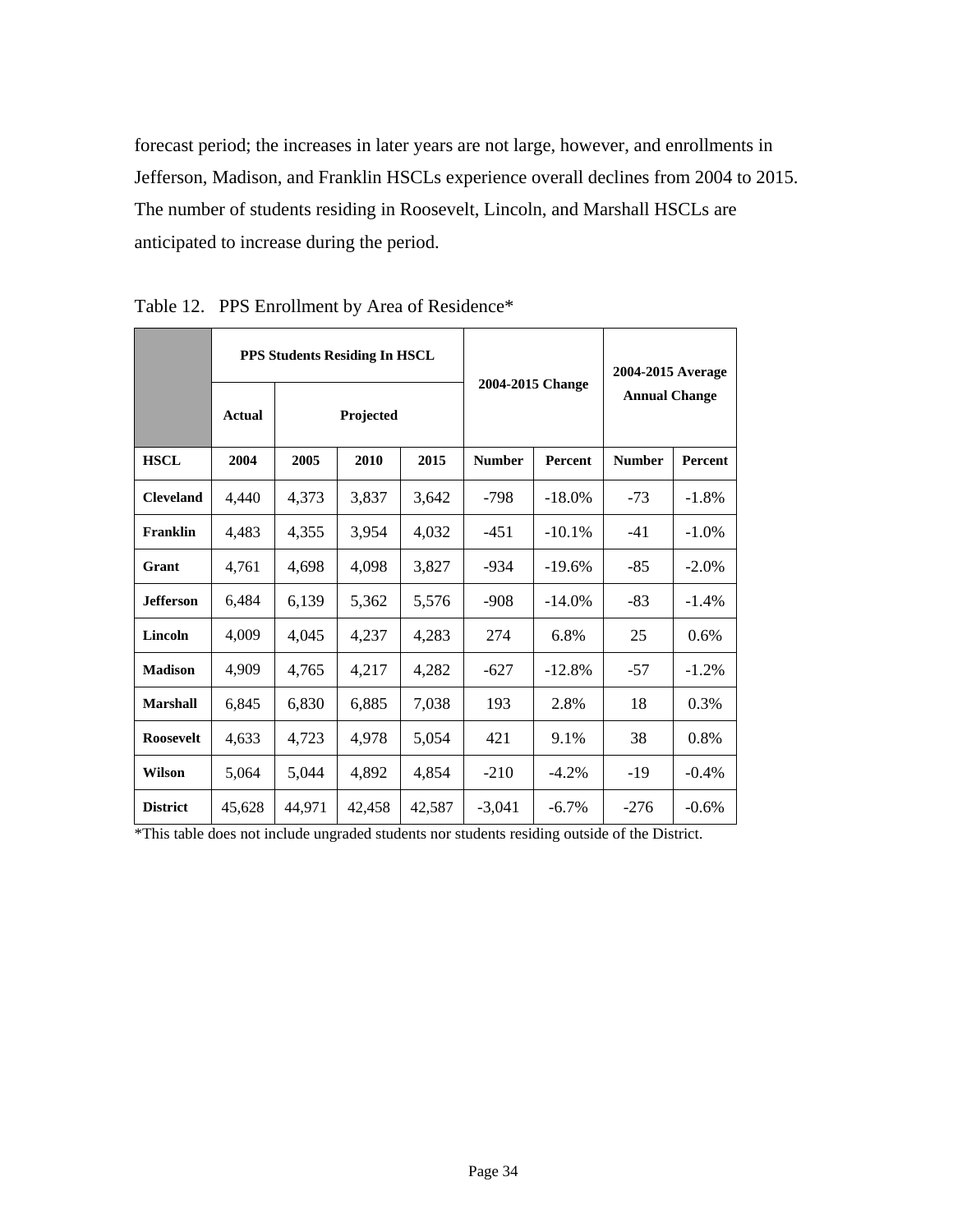forecast period; the increases in later years are not large, however, and enrollments in Jefferson, Madison, and Franklin HSCLs experience overall declines from 2004 to 2015. The number of students residing in Roosevelt, Lincoln, and Marshall HSCLs are anticipated to increase during the period.

|                  | PPS Students Residing In HSCL |        |           |        |               |                  | 2004-2015 Average    |                |  |
|------------------|-------------------------------|--------|-----------|--------|---------------|------------------|----------------------|----------------|--|
|                  | <b>Actual</b>                 |        | Projected |        |               | 2004-2015 Change | <b>Annual Change</b> |                |  |
| <b>HSCL</b>      | 2004                          | 2005   | 2010      | 2015   | <b>Number</b> | <b>Percent</b>   | <b>Number</b>        | <b>Percent</b> |  |
| <b>Cleveland</b> | 4,440                         | 4,373  | 3,837     | 3,642  | $-798$        | $-18.0%$         | $-73$                | $-1.8%$        |  |
| Franklin         | 4,483                         | 4,355  | 3,954     | 4,032  | $-451$        | $-10.1%$         | $-41$                | $-1.0\%$       |  |
| Grant            | 4,761                         | 4,698  | 4,098     | 3,827  | $-934$        | $-19.6%$         | $-85$                | $-2.0\%$       |  |
| <b>Jefferson</b> | 6,484                         | 6,139  | 5,362     | 5,576  | $-908$        | $-14.0\%$        | $-83$                | $-1.4%$        |  |
| Lincoln          | 4,009                         | 4,045  | 4,237     | 4,283  | 274           | 6.8%             | 25                   | 0.6%           |  |
| <b>Madison</b>   | 4,909                         | 4,765  | 4,217     | 4,282  | $-627$        | $-12.8%$         | $-57$                | $-1.2\%$       |  |
| <b>Marshall</b>  | 6,845                         | 6,830  | 6,885     | 7,038  | 193           | 2.8%             | 18                   | 0.3%           |  |
| <b>Roosevelt</b> | 4,633                         | 4,723  | 4,978     | 5,054  | 421           | 9.1%             | 38                   | 0.8%           |  |
| <b>Wilson</b>    | 5,064                         | 5,044  | 4,892     | 4,854  | $-210$        | $-4.2\%$         | $-19$                | $-0.4%$        |  |
| <b>District</b>  | 45,628                        | 44,971 | 42,458    | 42,587 | $-3,041$      | $-6.7\%$         | $-276$               | $-0.6%$        |  |

Table 12. PPS Enrollment by Area of Residence\*

\*This table does not include ungraded students nor students residing outside of the District.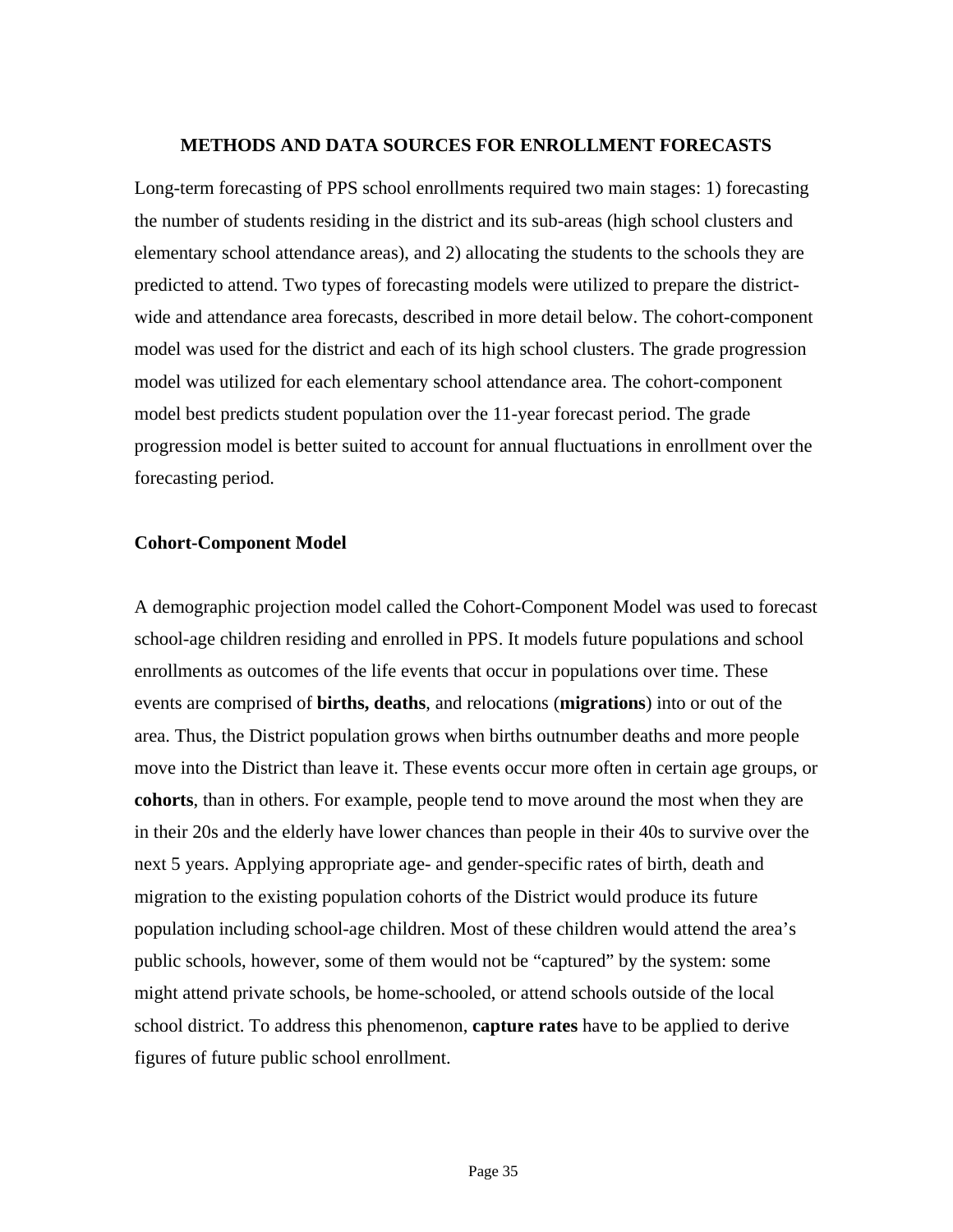#### **METHODS AND DATA SOURCES FOR ENROLLMENT FORECASTS**

Long-term forecasting of PPS school enrollments required two main stages: 1) forecasting the number of students residing in the district and its sub-areas (high school clusters and elementary school attendance areas), and 2) allocating the students to the schools they are predicted to attend. Two types of forecasting models were utilized to prepare the districtwide and attendance area forecasts, described in more detail below. The cohort-component model was used for the district and each of its high school clusters. The grade progression model was utilized for each elementary school attendance area. The cohort-component model best predicts student population over the 11-year forecast period. The grade progression model is better suited to account for annual fluctuations in enrollment over the forecasting period.

#### **Cohort-Component Model**

A demographic projection model called the Cohort-Component Model was used to forecast school-age children residing and enrolled in PPS. It models future populations and school enrollments as outcomes of the life events that occur in populations over time. These events are comprised of **births, deaths**, and relocations (**migrations**) into or out of the area. Thus, the District population grows when births outnumber deaths and more people move into the District than leave it. These events occur more often in certain age groups, or **cohorts**, than in others. For example, people tend to move around the most when they are in their 20s and the elderly have lower chances than people in their 40s to survive over the next 5 years. Applying appropriate age- and gender-specific rates of birth, death and migration to the existing population cohorts of the District would produce its future population including school-age children. Most of these children would attend the area's public schools, however, some of them would not be "captured" by the system: some might attend private schools, be home-schooled, or attend schools outside of the local school district. To address this phenomenon, **capture rates** have to be applied to derive figures of future public school enrollment.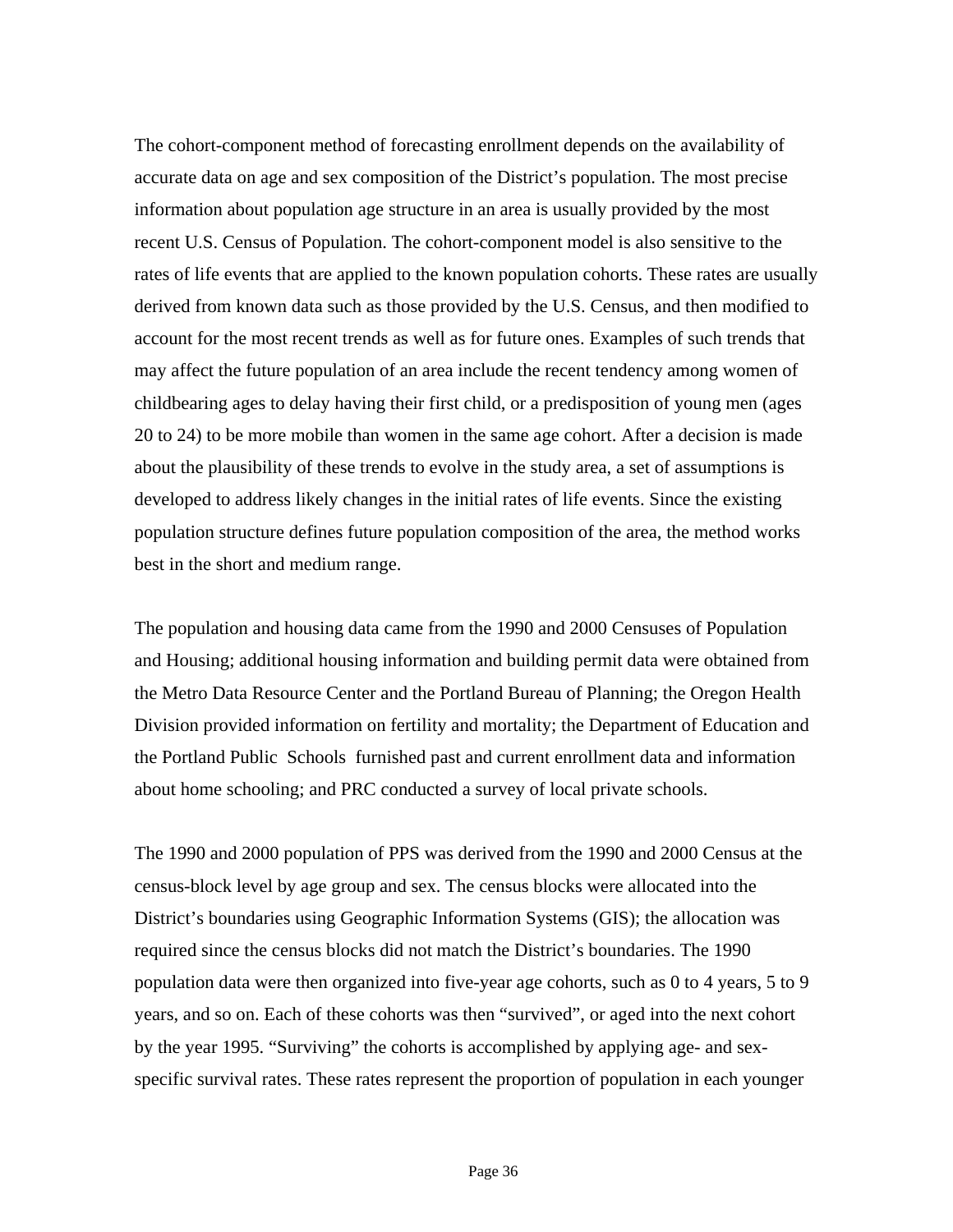The cohort-component method of forecasting enrollment depends on the availability of accurate data on age and sex composition of the District's population. The most precise information about population age structure in an area is usually provided by the most recent U.S. Census of Population. The cohort-component model is also sensitive to the rates of life events that are applied to the known population cohorts. These rates are usually derived from known data such as those provided by the U.S. Census, and then modified to account for the most recent trends as well as for future ones. Examples of such trends that may affect the future population of an area include the recent tendency among women of childbearing ages to delay having their first child, or a predisposition of young men (ages 20 to 24) to be more mobile than women in the same age cohort. After a decision is made about the plausibility of these trends to evolve in the study area, a set of assumptions is developed to address likely changes in the initial rates of life events. Since the existing population structure defines future population composition of the area, the method works best in the short and medium range.

The population and housing data came from the 1990 and 2000 Censuses of Population and Housing; additional housing information and building permit data were obtained from the Metro Data Resource Center and the Portland Bureau of Planning; the Oregon Health Division provided information on fertility and mortality; the Department of Education and the Portland Public Schools furnished past and current enrollment data and information about home schooling; and PRC conducted a survey of local private schools.

The 1990 and 2000 population of PPS was derived from the 1990 and 2000 Census at the census-block level by age group and sex. The census blocks were allocated into the District's boundaries using Geographic Information Systems (GIS); the allocation was required since the census blocks did not match the District's boundaries. The 1990 population data were then organized into five-year age cohorts, such as 0 to 4 years, 5 to 9 years, and so on. Each of these cohorts was then "survived", or aged into the next cohort by the year 1995. "Surviving" the cohorts is accomplished by applying age- and sexspecific survival rates. These rates represent the proportion of population in each younger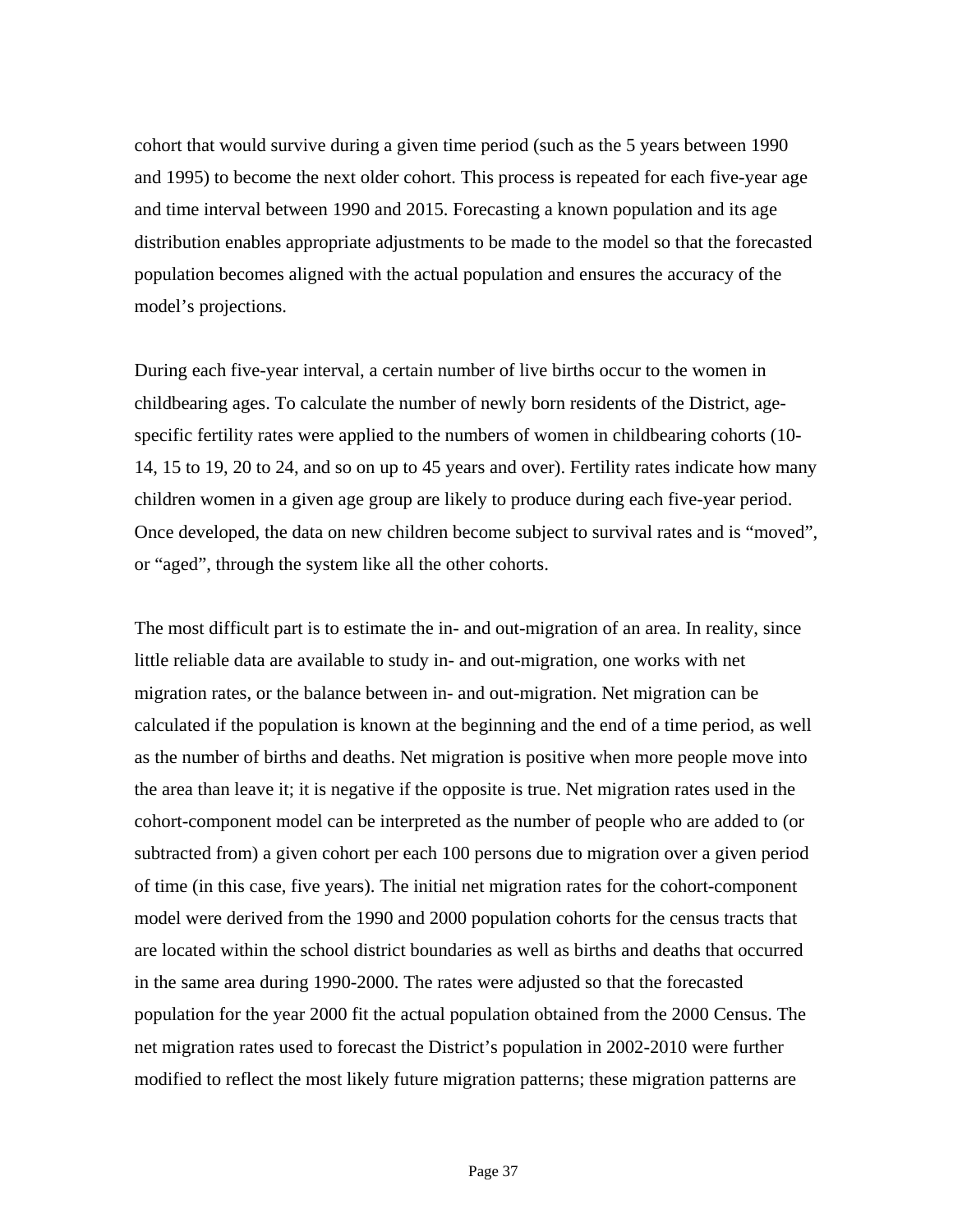cohort that would survive during a given time period (such as the 5 years between 1990 and 1995) to become the next older cohort. This process is repeated for each five-year age and time interval between 1990 and 2015. Forecasting a known population and its age distribution enables appropriate adjustments to be made to the model so that the forecasted population becomes aligned with the actual population and ensures the accuracy of the model's projections.

During each five-year interval, a certain number of live births occur to the women in childbearing ages. To calculate the number of newly born residents of the District, agespecific fertility rates were applied to the numbers of women in childbearing cohorts (10- 14, 15 to 19, 20 to 24, and so on up to 45 years and over). Fertility rates indicate how many children women in a given age group are likely to produce during each five-year period. Once developed, the data on new children become subject to survival rates and is "moved", or "aged", through the system like all the other cohorts.

The most difficult part is to estimate the in- and out-migration of an area. In reality, since little reliable data are available to study in- and out-migration, one works with net migration rates, or the balance between in- and out-migration. Net migration can be calculated if the population is known at the beginning and the end of a time period, as well as the number of births and deaths. Net migration is positive when more people move into the area than leave it; it is negative if the opposite is true. Net migration rates used in the cohort-component model can be interpreted as the number of people who are added to (or subtracted from) a given cohort per each 100 persons due to migration over a given period of time (in this case, five years). The initial net migration rates for the cohort-component model were derived from the 1990 and 2000 population cohorts for the census tracts that are located within the school district boundaries as well as births and deaths that occurred in the same area during 1990-2000. The rates were adjusted so that the forecasted population for the year 2000 fit the actual population obtained from the 2000 Census. The net migration rates used to forecast the District's population in 2002-2010 were further modified to reflect the most likely future migration patterns; these migration patterns are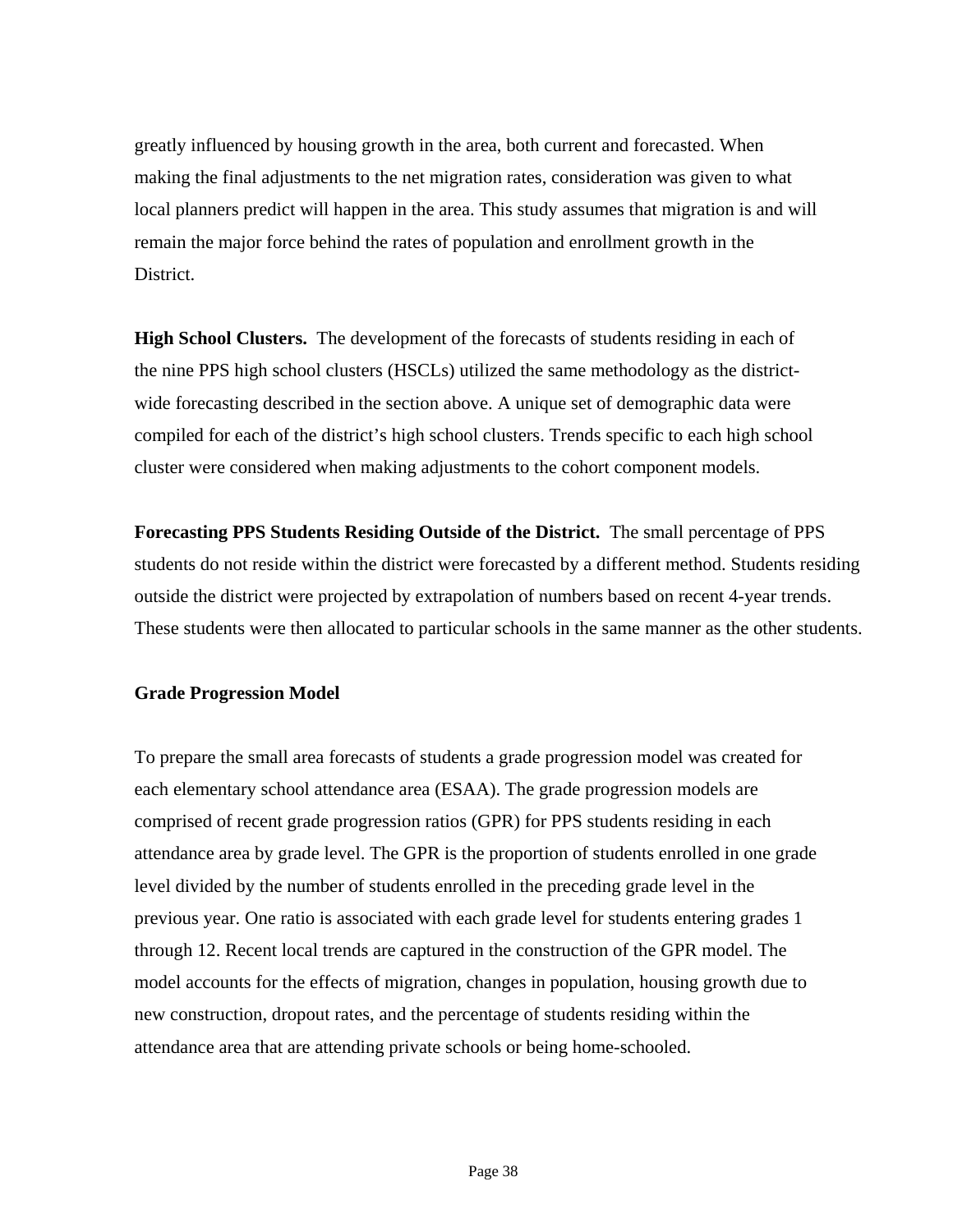greatly influenced by housing growth in the area, both current and forecasted. When making the final adjustments to the net migration rates, consideration was given to what local planners predict will happen in the area. This study assumes that migration is and will remain the major force behind the rates of population and enrollment growth in the District.

**High School Clusters.** The development of the forecasts of students residing in each of the nine PPS high school clusters (HSCLs) utilized the same methodology as the districtwide forecasting described in the section above. A unique set of demographic data were compiled for each of the district's high school clusters. Trends specific to each high school cluster were considered when making adjustments to the cohort component models.

**Forecasting PPS Students Residing Outside of the District.** The small percentage of PPS students do not reside within the district were forecasted by a different method. Students residing outside the district were projected by extrapolation of numbers based on recent 4-year trends. These students were then allocated to particular schools in the same manner as the other students.

#### **Grade Progression Model**

To prepare the small area forecasts of students a grade progression model was created for each elementary school attendance area (ESAA). The grade progression models are comprised of recent grade progression ratios (GPR) for PPS students residing in each attendance area by grade level. The GPR is the proportion of students enrolled in one grade level divided by the number of students enrolled in the preceding grade level in the previous year. One ratio is associated with each grade level for students entering grades 1 through 12. Recent local trends are captured in the construction of the GPR model. The model accounts for the effects of migration, changes in population, housing growth due to new construction, dropout rates, and the percentage of students residing within the attendance area that are attending private schools or being home-schooled.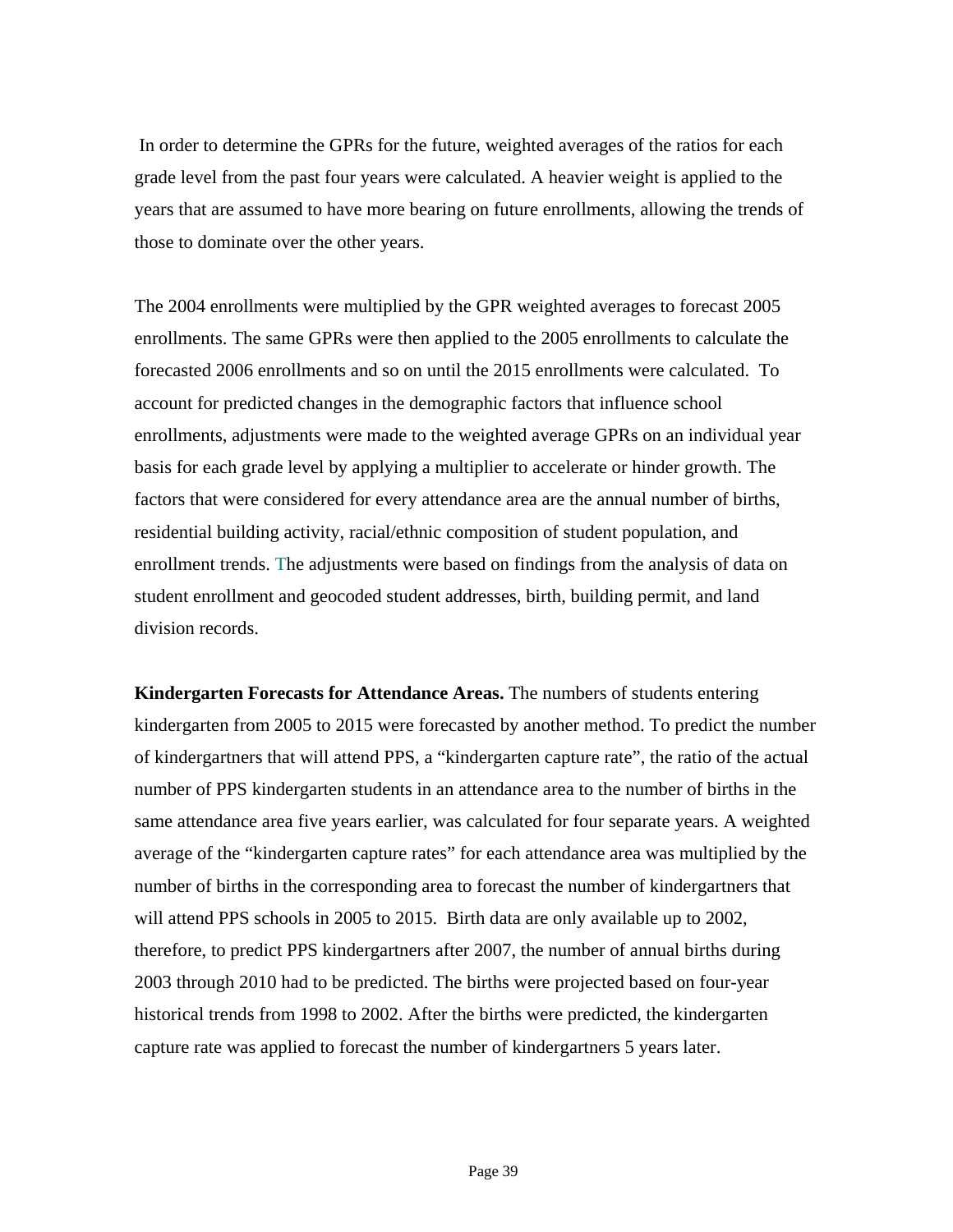In order to determine the GPRs for the future, weighted averages of the ratios for each grade level from the past four years were calculated. A heavier weight is applied to the years that are assumed to have more bearing on future enrollments, allowing the trends of those to dominate over the other years.

The 2004 enrollments were multiplied by the GPR weighted averages to forecast 2005 enrollments. The same GPRs were then applied to the 2005 enrollments to calculate the forecasted 2006 enrollments and so on until the 2015 enrollments were calculated. To account for predicted changes in the demographic factors that influence school enrollments, adjustments were made to the weighted average GPRs on an individual year basis for each grade level by applying a multiplier to accelerate or hinder growth. The factors that were considered for every attendance area are the annual number of births, residential building activity, racial/ethnic composition of student population, and enrollment trends. The adjustments were based on findings from the analysis of data on student enrollment and geocoded student addresses, birth, building permit, and land division records.

**Kindergarten Forecasts for Attendance Areas.** The numbers of students entering kindergarten from 2005 to 2015 were forecasted by another method. To predict the number of kindergartners that will attend PPS, a "kindergarten capture rate", the ratio of the actual number of PPS kindergarten students in an attendance area to the number of births in the same attendance area five years earlier, was calculated for four separate years. A weighted average of the "kindergarten capture rates" for each attendance area was multiplied by the number of births in the corresponding area to forecast the number of kindergartners that will attend PPS schools in 2005 to 2015. Birth data are only available up to 2002, therefore, to predict PPS kindergartners after 2007, the number of annual births during 2003 through 2010 had to be predicted. The births were projected based on four-year historical trends from 1998 to 2002. After the births were predicted, the kindergarten capture rate was applied to forecast the number of kindergartners 5 years later.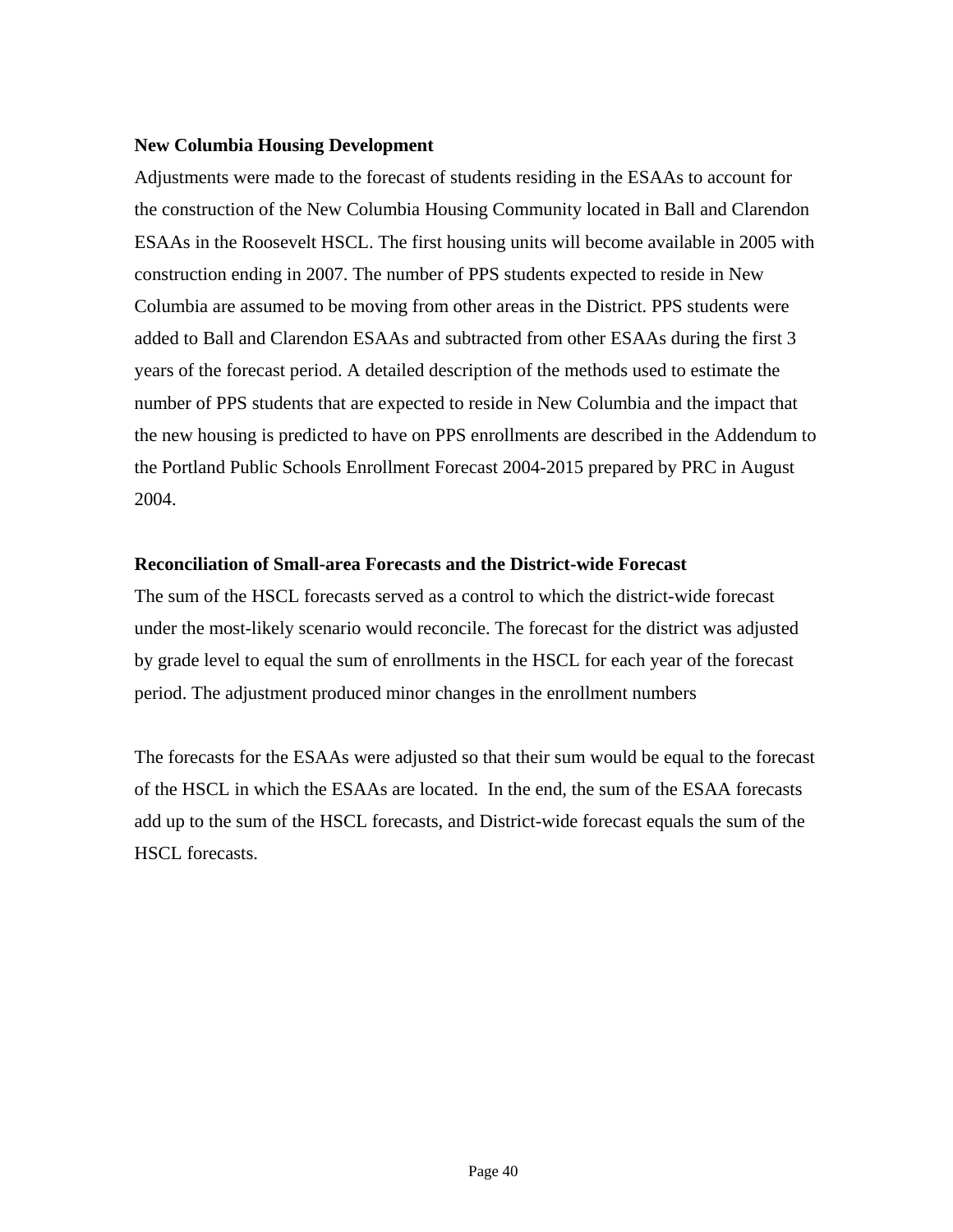#### **New Columbia Housing Development**

Adjustments were made to the forecast of students residing in the ESAAs to account for the construction of the New Columbia Housing Community located in Ball and Clarendon ESAAs in the Roosevelt HSCL. The first housing units will become available in 2005 with construction ending in 2007. The number of PPS students expected to reside in New Columbia are assumed to be moving from other areas in the District. PPS students were added to Ball and Clarendon ESAAs and subtracted from other ESAAs during the first 3 years of the forecast period. A detailed description of the methods used to estimate the number of PPS students that are expected to reside in New Columbia and the impact that the new housing is predicted to have on PPS enrollments are described in the Addendum to the Portland Public Schools Enrollment Forecast 2004-2015 prepared by PRC in August 2004.

#### **Reconciliation of Small-area Forecasts and the District-wide Forecast**

The sum of the HSCL forecasts served as a control to which the district-wide forecast under the most-likely scenario would reconcile. The forecast for the district was adjusted by grade level to equal the sum of enrollments in the HSCL for each year of the forecast period. The adjustment produced minor changes in the enrollment numbers

The forecasts for the ESAAs were adjusted so that their sum would be equal to the forecast of the HSCL in which the ESAAs are located. In the end, the sum of the ESAA forecasts add up to the sum of the HSCL forecasts, and District-wide forecast equals the sum of the HSCL forecasts.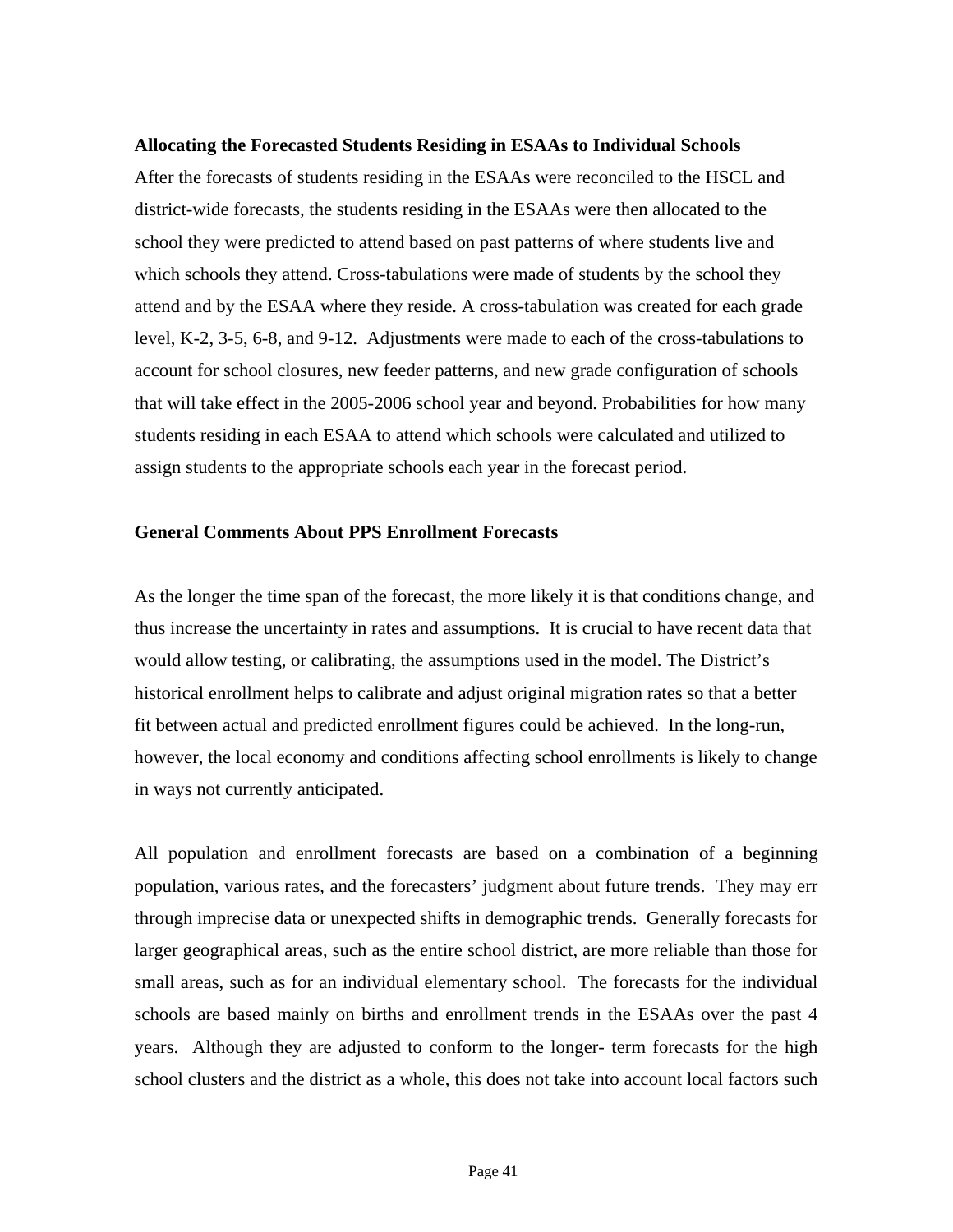#### **Allocating the Forecasted Students Residing in ESAAs to Individual Schools**

After the forecasts of students residing in the ESAAs were reconciled to the HSCL and district-wide forecasts, the students residing in the ESAAs were then allocated to the school they were predicted to attend based on past patterns of where students live and which schools they attend. Cross-tabulations were made of students by the school they attend and by the ESAA where they reside. A cross-tabulation was created for each grade level, K-2, 3-5, 6-8, and 9-12. Adjustments were made to each of the cross-tabulations to account for school closures, new feeder patterns, and new grade configuration of schools that will take effect in the 2005-2006 school year and beyond. Probabilities for how many students residing in each ESAA to attend which schools were calculated and utilized to assign students to the appropriate schools each year in the forecast period.

#### **General Comments About PPS Enrollment Forecasts**

As the longer the time span of the forecast, the more likely it is that conditions change, and thus increase the uncertainty in rates and assumptions. It is crucial to have recent data that would allow testing, or calibrating, the assumptions used in the model. The District's historical enrollment helps to calibrate and adjust original migration rates so that a better fit between actual and predicted enrollment figures could be achieved. In the long-run, however, the local economy and conditions affecting school enrollments is likely to change in ways not currently anticipated.

All population and enrollment forecasts are based on a combination of a beginning population, various rates, and the forecasters' judgment about future trends. They may err through imprecise data or unexpected shifts in demographic trends. Generally forecasts for larger geographical areas, such as the entire school district, are more reliable than those for small areas, such as for an individual elementary school. The forecasts for the individual schools are based mainly on births and enrollment trends in the ESAAs over the past 4 years. Although they are adjusted to conform to the longer- term forecasts for the high school clusters and the district as a whole, this does not take into account local factors such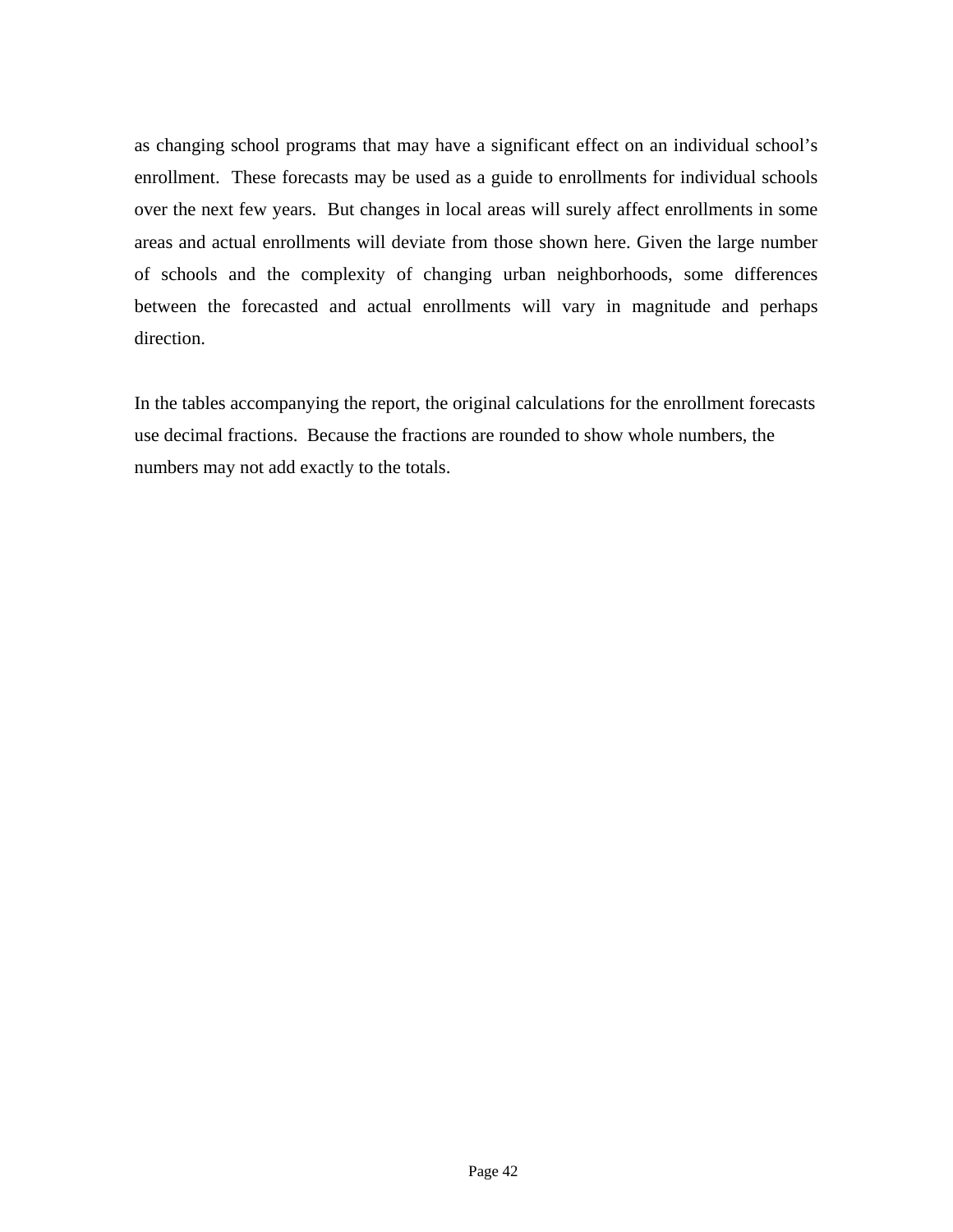as changing school programs that may have a significant effect on an individual school's enrollment. These forecasts may be used as a guide to enrollments for individual schools over the next few years. But changes in local areas will surely affect enrollments in some areas and actual enrollments will deviate from those shown here. Given the large number of schools and the complexity of changing urban neighborhoods, some differences between the forecasted and actual enrollments will vary in magnitude and perhaps direction.

In the tables accompanying the report, the original calculations for the enrollment forecasts use decimal fractions. Because the fractions are rounded to show whole numbers, the numbers may not add exactly to the totals.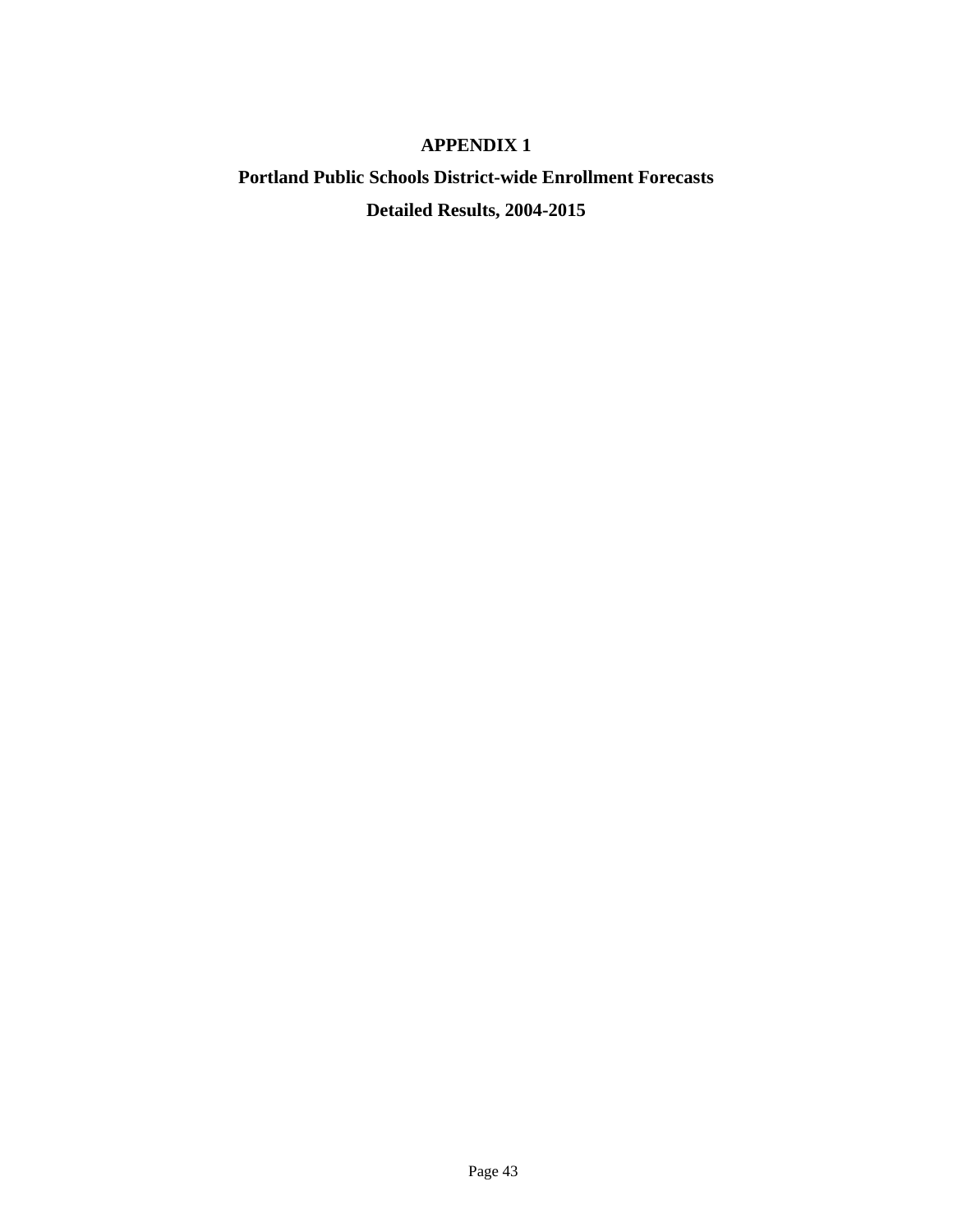# **APPENDIX 1**

# **Portland Public Schools District-wide Enrollment Forecasts Detailed Results, 2004-2015**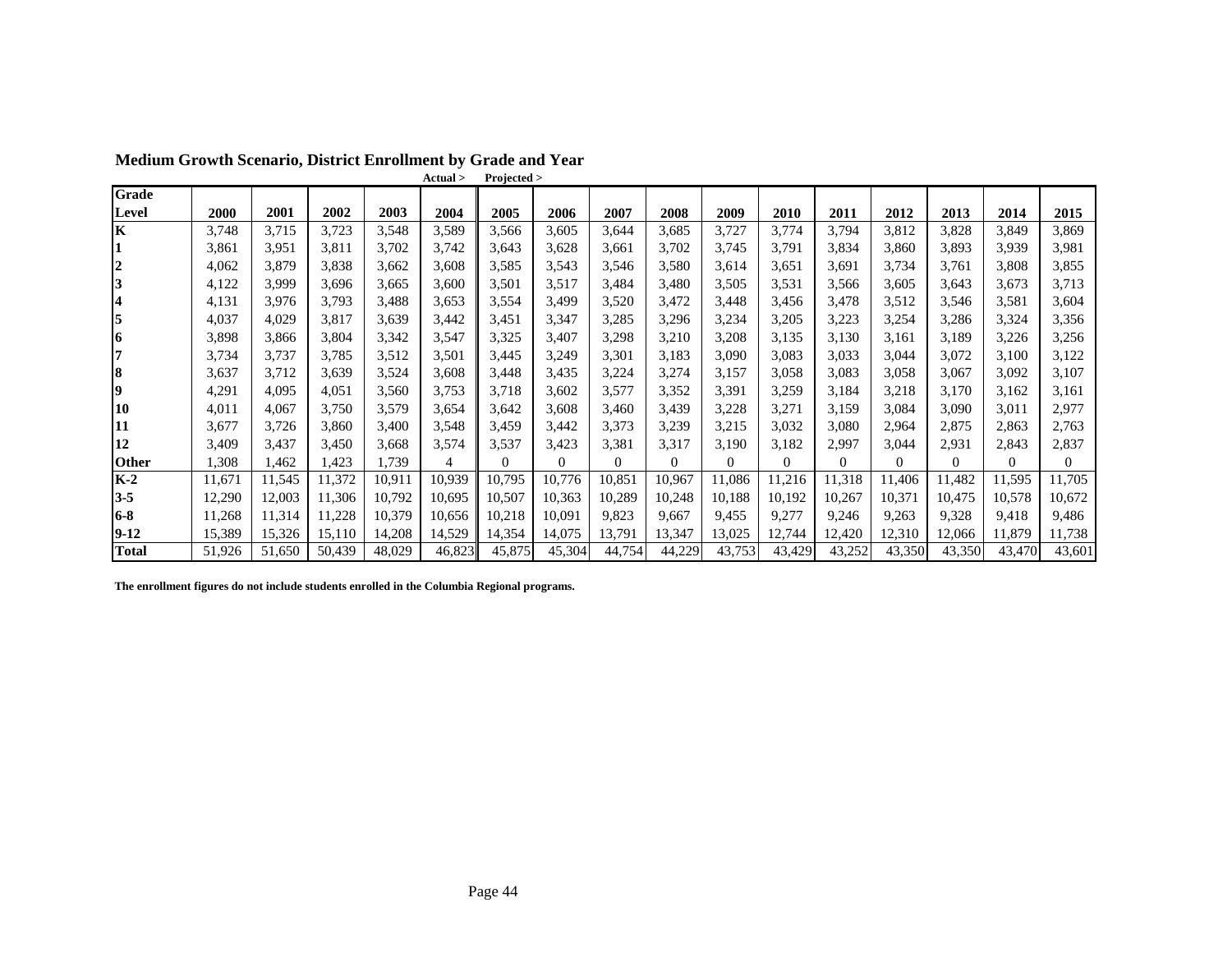|                |        |        |        |        | Actual > | Projected > |          |              |          |          |          |          |          |          |          |          |
|----------------|--------|--------|--------|--------|----------|-------------|----------|--------------|----------|----------|----------|----------|----------|----------|----------|----------|
| Grade          |        |        |        |        |          |             |          |              |          |          |          |          |          |          |          |          |
| Level          | 2000   | 2001   | 2002   | 2003   | 2004     | 2005        | 2006     | 2007         | 2008     | 2009     | 2010     | 2011     | 2012     | 2013     | 2014     | 2015     |
| K              | 3,748  | 3,715  | 3,723  | 3,548  | 3,589    | 3,566       | 3,605    | 3,644        | 3,685    | 3,727    | 3,774    | 3,794    | 3,812    | 3,828    | 3,849    | 3,869    |
|                | 3,861  | 3,951  | 3,811  | 3,702  | 3,742    | 3,643       | 3,628    | 3,661        | 3,702    | 3,745    | 3,791    | 3,834    | 3,860    | 3,893    | 3,939    | 3,981    |
| $\overline{2}$ | 4,062  | 3,879  | 3,838  | 3,662  | 3,608    | 3,585       | 3,543    | 3,546        | 3,580    | 3,614    | 3,651    | 3,691    | 3,734    | 3,761    | 3,808    | 3,855    |
| 3              | 4,122  | 3,999  | 3,696  | 3,665  | 3,600    | 3,501       | 3,517    | 3,484        | 3,480    | 3,505    | 3,531    | 3,566    | 3,605    | 3,643    | 3,673    | 3,713    |
| 4              | 4,131  | 3,976  | 3,793  | 3,488  | 3,653    | 3,554       | 3,499    | 3,520        | 3,472    | 3,448    | 3,456    | 3,478    | 3,512    | 3,546    | 3,581    | 3,604    |
| 5              | 4,037  | 4,029  | 3,817  | 3,639  | 3,442    | 3,451       | 3,347    | 3,285        | 3,296    | 3,234    | 3,205    | 3,223    | 3,254    | 3,286    | 3,324    | 3,356    |
| 16             | 3,898  | 3,866  | 3,804  | 3,342  | 3,547    | 3,325       | 3,407    | 3,298        | 3,210    | 3,208    | 3,135    | 3,130    | 3,161    | 3,189    | 3,226    | 3,256    |
| 7              | 3,734  | 3,737  | 3,785  | 3,512  | 3,501    | 3,445       | 3,249    | 3,301        | 3,183    | 3,090    | 3,083    | 3,033    | 3,044    | 3,072    | 3,100    | 3,122    |
| 8              | 3,637  | 3,712  | 3,639  | 3,524  | 3,608    | 3,448       | 3,435    | 3,224        | 3,274    | 3,157    | 3,058    | 3,083    | 3,058    | 3,067    | 3,092    | 3,107    |
| 19             | 4,291  | 4,095  | 4,051  | 3,560  | 3,753    | 3,718       | 3,602    | 3,577        | 3,352    | 3,391    | 3,259    | 3,184    | 3,218    | 3,170    | 3,162    | 3,161    |
| 10             | 4,011  | 4,067  | 3,750  | 3,579  | 3,654    | 3,642       | 3,608    | 3,460        | 3,439    | 3,228    | 3,271    | 3,159    | 3,084    | 3,090    | 3,011    | 2,977    |
| 11             | 3,677  | 3,726  | 3,860  | 3,400  | 3,548    | 3,459       | 3,442    | 3,373        | 3,239    | 3,215    | 3,032    | 3,080    | 2,964    | 2,875    | 2,863    | 2,763    |
| 12             | 3,409  | 3,437  | 3,450  | 3.668  | 3,574    | 3,537       | 3,423    | 3,381        | 3,317    | 3,190    | 3,182    | 2,997    | 3,044    | 2,931    | 2,843    | 2,837    |
| <b>Other</b>   | .308   | 1,462  | .423   | 1,739  | 4        | $\Omega$    | $\theta$ | $\mathbf{0}$ | $\Omega$ | $\Omega$ | $\Omega$ | $\Omega$ | $\Omega$ | $\Omega$ | $\Omega$ | $\Omega$ |
| $K-2$          | 11,671 | 11,545 | 11,372 | 10,911 | 10,939   | 10,795      | 10,776   | 10,851       | 10,967   | 11,086   | 11,216   | 11,318   | 1,406    | 11,482   | 11,595   | 11,705   |
| $3 - 5$        | 12,290 | 12,003 | 11,306 | 10,792 | 10,695   | 10,507      | 10,363   | 10,289       | 10,248   | 10,188   | 10,192   | 10,267   | 10,371   | 10,475   | 10,578   | 10,672   |
| $6 - 8$        | 11,268 | 11,314 | 11,228 | 10,379 | 10,656   | 10,218      | 10,091   | 9,823        | 9,667    | 9,455    | 9,277    | 9,246    | 9,263    | 9,328    | 9,418    | 9,486    |
| $9-12$         | 15,389 | 15,326 | 15,110 | 14,208 | 14,529   | 14,354      | 14,075   | 13,791       | 13,347   | 13,025   | 12,744   | 12,420   | 12,310   | 12,066   | 11,879   | 11,738   |
| <b>Total</b>   | 51,926 | 51,650 | 50,439 | 48,029 | 46,823   | 45,875      | 45,304   | 44,754       | 44,229   | 43,753   | 43,429   | 43,252   | 43,350   | 43,350   | 43,470   | 43,601   |

**The enrollment figures do not include students enrolled in the Columbia Regional programs.**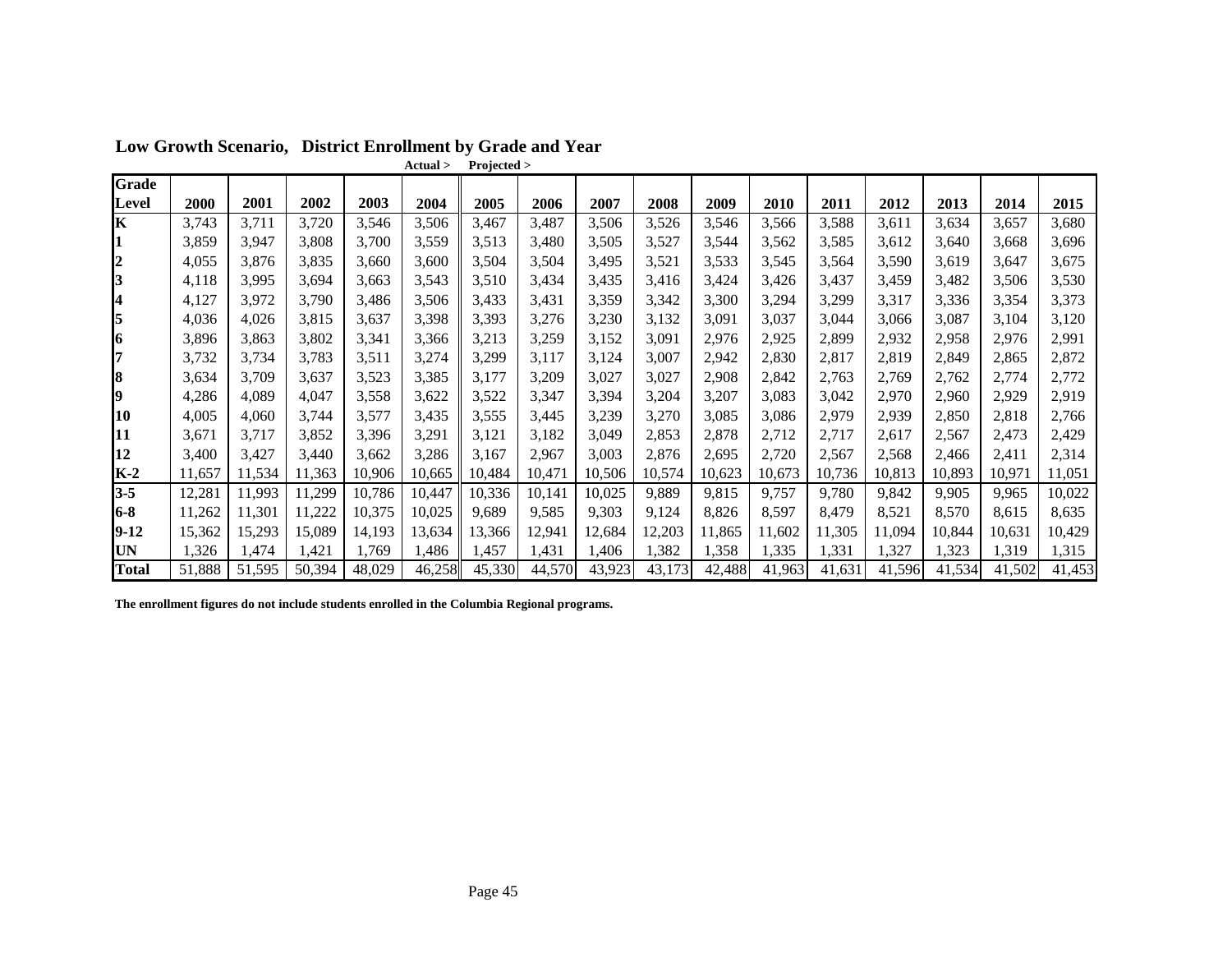|                  |        |        |        |        | Actual > | Projected > |        |        |        |        |        |        |        |        |        |        |
|------------------|--------|--------|--------|--------|----------|-------------|--------|--------|--------|--------|--------|--------|--------|--------|--------|--------|
| Grade            |        |        |        |        |          |             |        |        |        |        |        |        |        |        |        |        |
| Level            | 2000   | 2001   | 2002   | 2003   | 2004     | 2005        | 2006   | 2007   | 2008   | 2009   | 2010   | 2011   | 2012   | 2013   | 2014   | 2015   |
| K                | 3,743  | 3,711  | 3,720  | 3,546  | 3,506    | 3,467       | 3,487  | 3,506  | 3,526  | 3,546  | 3,566  | 3,588  | 3,611  | 3,634  | 3,657  | 3,680  |
|                  | 3,859  | 3,947  | 3,808  | 3,700  | 3,559    | 3,513       | 3,480  | 3,505  | 3,527  | 3,544  | 3,562  | 3,585  | 3,612  | 3,640  | 3,668  | 3,696  |
| $\boldsymbol{2}$ | 4,055  | 3,876  | 3,835  | 3,660  | 3,600    | 3,504       | 3,504  | 3,495  | 3,521  | 3,533  | 3,545  | 3,564  | 3,590  | 3,619  | 3,647  | 3,675  |
| 3                | 4,118  | 3,995  | 3.694  | 3,663  | 3,543    | 3,510       | 3,434  | 3,435  | 3,416  | 3,424  | 3,426  | 3,437  | 3,459  | 3,482  | 3,506  | 3,530  |
| 4                | 4,127  | 3,972  | 3,790  | 3,486  | 3,506    | 3,433       | 3,431  | 3,359  | 3,342  | 3,300  | 3,294  | 3,299  | 3,317  | 3,336  | 3,354  | 3,373  |
| 5                | 4,036  | 4,026  | 3.815  | 3,637  | 3,398    | 3,393       | 3,276  | 3,230  | 3,132  | 3,091  | 3,037  | 3,044  | 3,066  | 3,087  | 3,104  | 3,120  |
| 6                | 3,896  | 3,863  | 3,802  | 3,341  | 3,366    | 3,213       | 3,259  | 3,152  | 3,091  | 2,976  | 2,925  | 2,899  | 2,932  | 2,958  | 2,976  | 2,991  |
| 17               | 3,732  | 3,734  | 3,783  | 3,511  | 3,274    | 3,299       | 3,117  | 3,124  | 3,007  | 2,942  | 2,830  | 2,817  | 2,819  | 2,849  | 2,865  | 2,872  |
| 8                | 3,634  | 3,709  | 3,637  | 3,523  | 3,385    | 3,177       | 3,209  | 3,027  | 3,027  | 2,908  | 2,842  | 2,763  | 2,769  | 2,762  | 2,774  | 2,772  |
| 9                | 4,286  | 4,089  | 4,047  | 3,558  | 3,622    | 3,522       | 3,347  | 3,394  | 3,204  | 3,207  | 3,083  | 3,042  | 2,970  | 2,960  | 2,929  | 2,919  |
| 10               | 4,005  | 4,060  | 3,744  | 3,577  | 3,435    | 3,555       | 3,445  | 3,239  | 3,270  | 3,085  | 3,086  | 2,979  | 2,939  | 2,850  | 2,818  | 2,766  |
| 11               | 3,671  | 3,717  | 3,852  | 3,396  | 3,291    | 3,121       | 3,182  | 3,049  | 2,853  | 2,878  | 2,712  | 2,717  | 2,617  | 2,567  | 2,473  | 2,429  |
| 12               | 3,400  | 3,427  | 3,440  | 3,662  | 3,286    | 3,167       | 2,967  | 3,003  | 2,876  | 2,695  | 2,720  | 2,567  | 2,568  | 2,466  | 2,411  | 2,314  |
| $K-2$            | 11,657 | 11,534 | 11,363 | 10,906 | 10,665   | 10,484      | 10,471 | 10,506 | 10,574 | 10,623 | 10,673 | 10,736 | 10,813 | 10,893 | 10,971 | 11,051 |
| $3 - 5$          | 12,281 | 11,993 | 11,299 | 10,786 | 10,447   | 10,336      | 10,141 | 10,025 | 9,889  | 9,815  | 9,757  | 9,780  | 9,842  | 9,905  | 9,965  | 10,022 |
| $6-8$            | 11,262 | 11,301 | 11,222 | 10,375 | 10,025   | 9,689       | 9,585  | 9,303  | 9,124  | 8,826  | 8,597  | 8,479  | 8,521  | 8,570  | 8,615  | 8,635  |
| $9 - 12$         | 15,362 | 15,293 | 15,089 | 14,193 | 13,634   | 13,366      | 12,941 | 12,684 | 12,203 | 11,865 | 11,602 | 11,305 | 11,094 | 10,844 | 10,631 | 10,429 |
| <b>UN</b>        | 1,326  | ,474   | 1,421  | 1,769  | 1,486    | l.457       | 1,431  | 1,406  | 1,382  | 1,358  | 1,335  | 1,331  | 1,327  | 1,323  | 1,319  | 1,315  |
| <b>Total</b>     | 51,888 | 51,595 | 50,394 | 48,029 | 46,258   | 45,330      | 44,570 | 43,923 | 43,173 | 42,488 | 41,963 | 41,631 | 41,596 | 41,534 | 41,502 | 41,453 |

**Low Growth Scenario, District Enrollment by Grade and Year**

**The enrollment figures do not include students enrolled in the Columbia Regional programs.**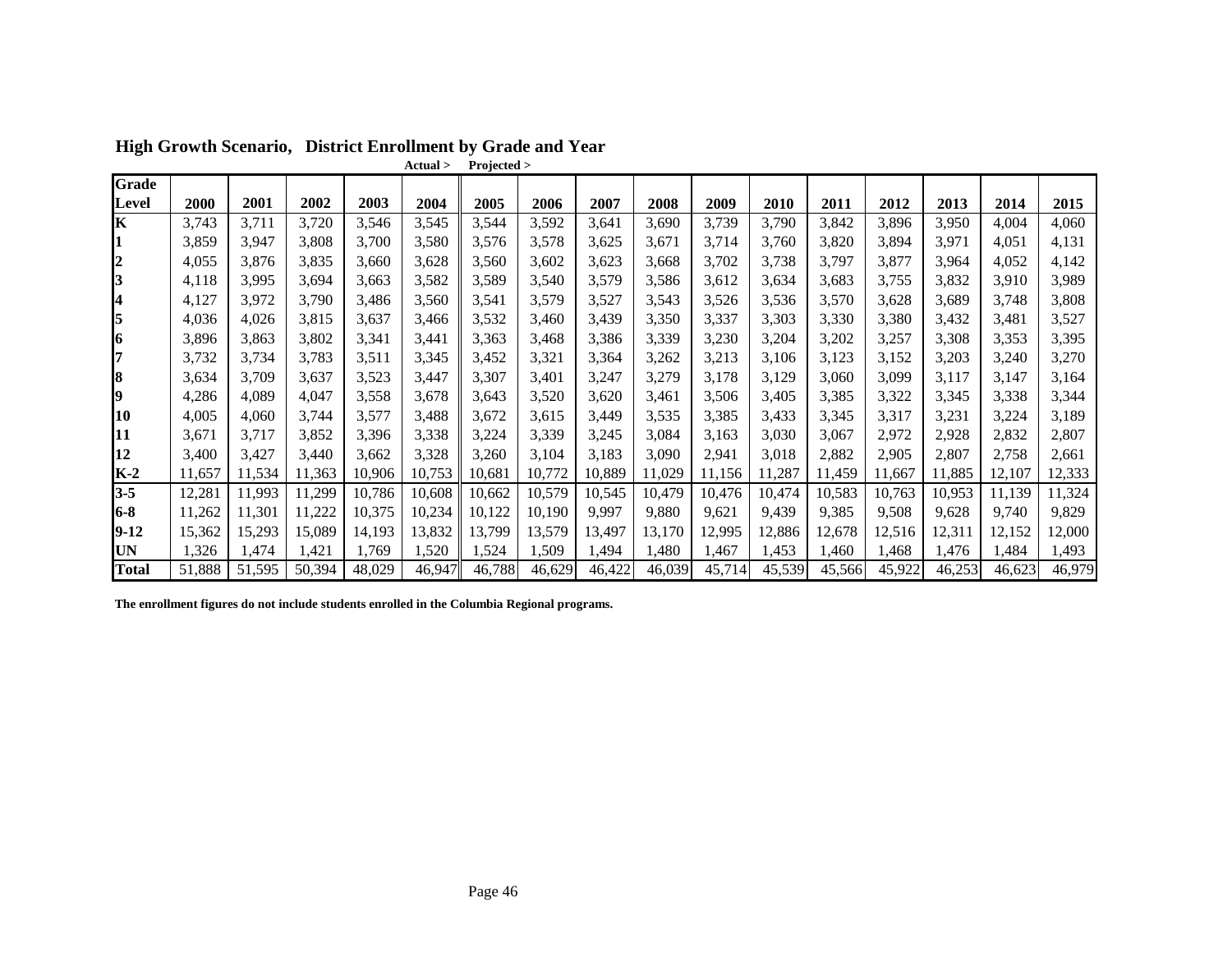|                |        |        |        |        | Actual > | Projected > |        |        |        |        |        |        |        |        |        |        |
|----------------|--------|--------|--------|--------|----------|-------------|--------|--------|--------|--------|--------|--------|--------|--------|--------|--------|
| <b>Grade</b>   |        |        |        |        |          |             |        |        |        |        |        |        |        |        |        |        |
| Level          | 2000   | 2001   | 2002   | 2003   | 2004     | 2005        | 2006   | 2007   | 2008   | 2009   | 2010   | 2011   | 2012   | 2013   | 2014   | 2015   |
| Κ              | 3,743  | 3,711  | 3,720  | 3,546  | 3,545    | 3,544       | 3,592  | 3,641  | 3,690  | 3,739  | 3,790  | 3,842  | 3,896  | 3,950  | 4,004  | 4,060  |
|                | 3,859  | 3,947  | 3.808  | 3,700  | 3,580    | 3,576       | 3,578  | 3,625  | 3,671  | 3,714  | 3,760  | 3,820  | 3,894  | 3,971  | 4,051  | 4,131  |
| $\overline{2}$ | 4,055  | 3.876  | 3,835  | 3,660  | 3,628    | 3,560       | 3,602  | 3,623  | 3,668  | 3,702  | 3,738  | 3,797  | 3,877  | 3,964  | 4,052  | 4,142  |
| 3              | 4,118  | 3,995  | 3.694  | 3,663  | 3,582    | 3,589       | 3,540  | 3,579  | 3,586  | 3,612  | 3,634  | 3,683  | 3,755  | 3,832  | 3,910  | 3,989  |
| 4              | 4,127  | 3,972  | 3,790  | 3,486  | 3,560    | 3,541       | 3,579  | 3,527  | 3,543  | 3,526  | 3,536  | 3,570  | 3,628  | 3,689  | 3,748  | 3,808  |
| 5              | 4,036  | 4,026  | 3,815  | 3,637  | 3,466    | 3,532       | 3,460  | 3,439  | 3,350  | 3,337  | 3,303  | 3,330  | 3,380  | 3,432  | 3,481  | 3,527  |
| 6              | 3,896  | 3,863  | 3,802  | 3,341  | 3,441    | 3,363       | 3,468  | 3,386  | 3,339  | 3,230  | 3,204  | 3,202  | 3,257  | 3,308  | 3,353  | 3,395  |
| 17             | 3,732  | 3,734  | 3,783  | 3,511  | 3,345    | 3,452       | 3,321  | 3,364  | 3,262  | 3,213  | 3,106  | 3,123  | 3,152  | 3,203  | 3,240  | 3,270  |
| 8              | 3,634  | 3,709  | 3,637  | 3,523  | 3,447    | 3,307       | 3,401  | 3,247  | 3,279  | 3,178  | 3,129  | 3,060  | 3,099  | 3,117  | 3,147  | 3,164  |
| 9              | 4,286  | 4,089  | 4,047  | 3,558  | 3,678    | 3,643       | 3,520  | 3,620  | 3.461  | 3,506  | 3,405  | 3,385  | 3,322  | 3,345  | 3,338  | 3,344  |
| 10             | 4,005  | 4,060  | 3,744  | 3,577  | 3,488    | 3,672       | 3,615  | 3,449  | 3,535  | 3,385  | 3,433  | 3,345  | 3,317  | 3,231  | 3,224  | 3,189  |
| 11             | 3,671  | 3,717  | 3,852  | 3,396  | 3,338    | 3,224       | 3,339  | 3,245  | 3,084  | 3,163  | 3,030  | 3,067  | 2,972  | 2,928  | 2,832  | 2,807  |
| 12             | 3,400  | 3,427  | 3,440  | 3,662  | 3,328    | 3,260       | 3,104  | 3,183  | 3,090  | 2,941  | 3,018  | 2,882  | 2,905  | 2,807  | 2,758  | 2,661  |
| $K-2$          | 11,657 | 11,534 | 11,363 | 10,906 | 10,753   | 10,681      | 10,772 | 10,889 | 11,029 | 11,156 | 11,287 | 11,459 | 11,667 | 11,885 | 12,107 | 12,333 |
| $3 - 5$        | 12,281 | 11,993 | 11,299 | 10,786 | 10,608   | 10,662      | 10,579 | 10,545 | 10,479 | 10,476 | 10,474 | 10,583 | 10,763 | 10,953 | 11,139 | 11,324 |
| $6 - 8$        | 11,262 | 11,301 | 11,222 | 10,375 | 10,234   | 10,122      | 10,190 | 9.997  | 9,880  | 9,621  | 9,439  | 9,385  | 9,508  | 9,628  | 9.740  | 9,829  |
| $9-12$         | 15,362 | 15,293 | 15,089 | 14,193 | 13,832   | 13,799      | 13,579 | 13,497 | 13,170 | 12,995 | 12,886 | 12,678 | 12,516 | 12,311 | 12,152 | 12,000 |
| UN             | 1,326  | .474   | ,421   | 1.769  | 1,520    | 1,524       | 1,509  | ,494   | 1,480  | 1,467  | 453. ا | 1,460  | 1,468  | 1,476  | 1,484  | ,493   |
| <b>Total</b>   | 51,888 | 51,595 | 50,394 | 48,029 | 46,947   | 46,788      | 46,629 | 46,422 | 46,039 | 45,714 | 45,539 | 45,566 | 45,922 | 46,253 | 46,623 | 46,979 |

**High Growth Scenario, District Enrollment by Grade and Year**

**The enrollment figures do not include students enrolled in the Columbia Regional programs.**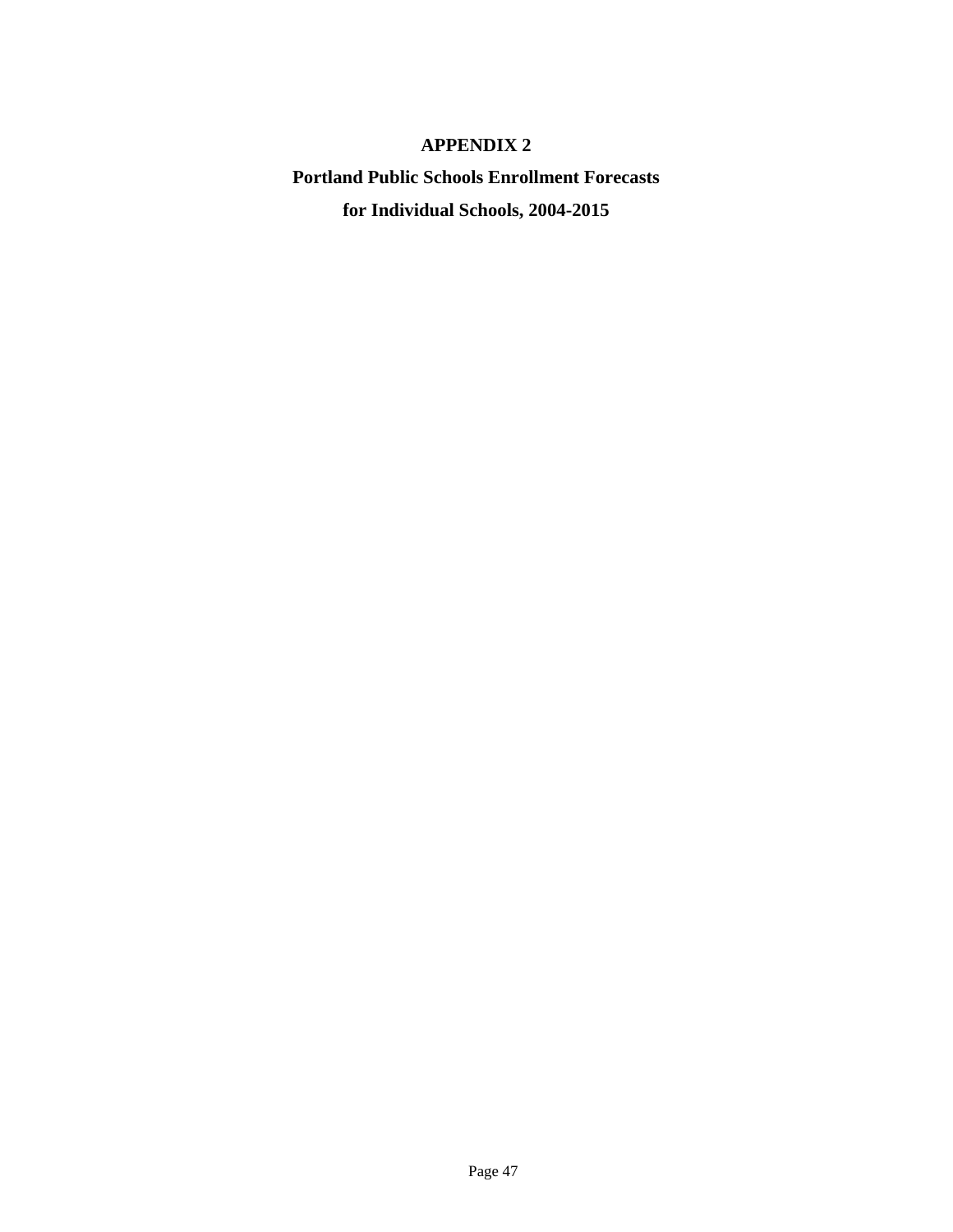# **APPENDIX 2**

**Portland Public Schools Enrollment Forecasts for Individual Schools, 2004-2015**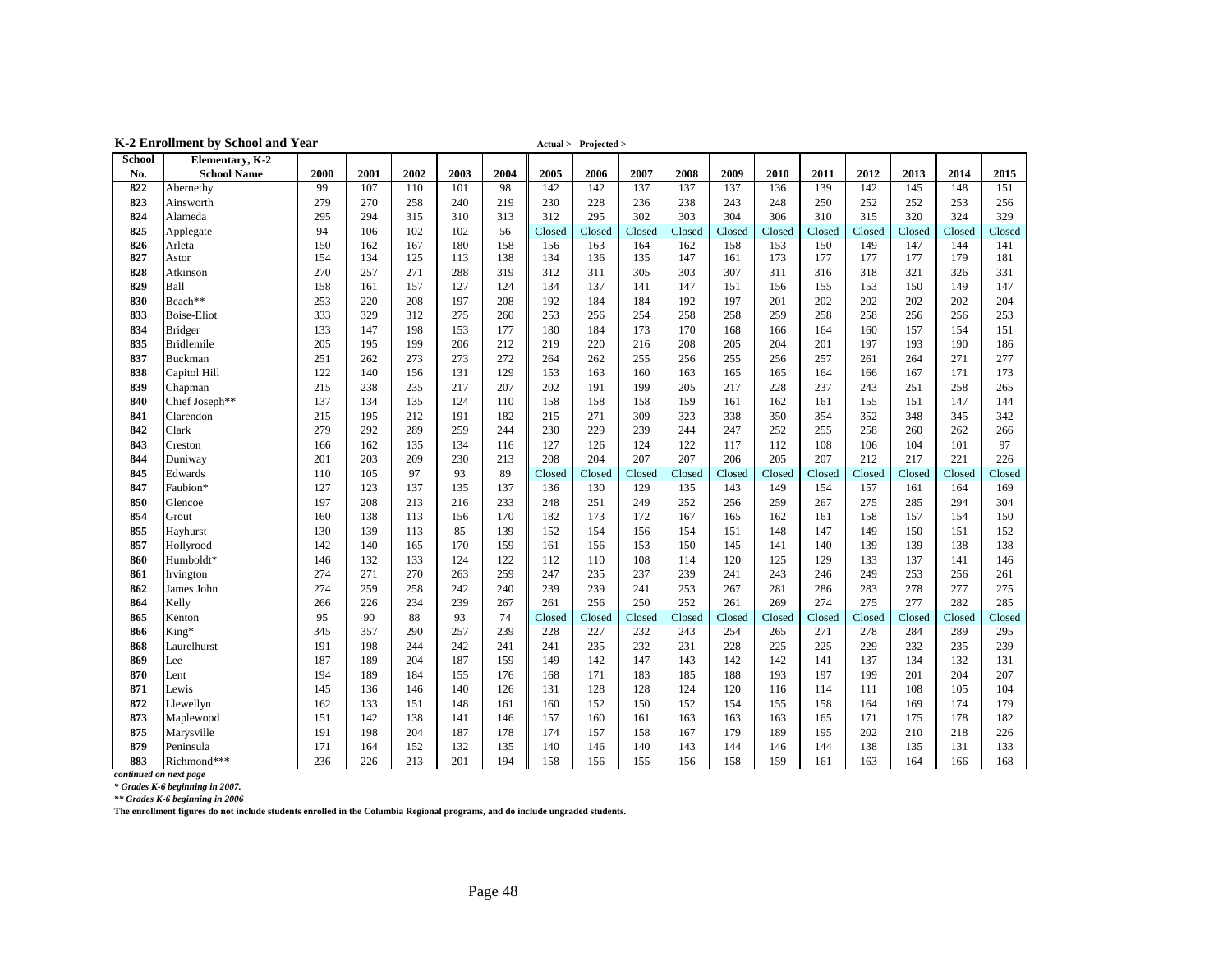|                        | K-2 Emonment by School and Teal |      |      |      |      |      |        | $\text{Actual} > \text{Frojectea} >$ |        |        |        |        |        |        |        |        |        |
|------------------------|---------------------------------|------|------|------|------|------|--------|--------------------------------------|--------|--------|--------|--------|--------|--------|--------|--------|--------|
| <b>School</b>          | Elementary, K-2                 |      |      |      |      |      |        |                                      |        |        |        |        |        |        |        |        |        |
| No.                    | <b>School Name</b>              | 2000 | 2001 | 2002 | 2003 | 2004 | 2005   | 2006                                 | 2007   | 2008   | 2009   | 2010   | 2011   | 2012   | 2013   | 2014   | 2015   |
| 822                    | Abernethy                       | 99   | 107  | 110  | 101  | 98   | 142    | 142                                  | 137    | 137    | 137    | 136    | 139    | 142    | 145    | 148    | 151    |
| 823                    | Ainsworth                       | 279  | 270  | 258  | 240  | 219  | 230    | 228                                  | 236    | 238    | 243    | 248    | 250    | 252    | 252    | 253    | 256    |
| 824                    | Alameda                         | 295  | 294  | 315  | 310  | 313  | 312    | 295                                  | 302    | 303    | 304    | 306    | 310    | 315    | 320    | 324    | 329    |
| 825                    | Applegate                       | 94   | 106  | 102  | 102  | 56   | Closed | Closed                               | Closed | Closed | Closed | Closed | Closed | Closed | Closed | Closed | Closed |
| 826                    | Arleta                          | 150  | 162  | 167  | 180  | 158  | 156    | 163                                  | 164    | 162    | 158    | 153    | 150    | 149    | 147    | 144    | 141    |
| 827                    | Astor                           | 154  | 134  | 125  | 113  | 138  | 134    | 136                                  | 135    | 147    | 161    | 173    | 177    | 177    | 177    | 179    | 181    |
| 828                    | Atkinson                        | 270  | 257  | 271  | 288  | 319  | 312    | 311                                  | 305    | 303    | 307    | 311    | 316    | 318    | 321    | 326    | 331    |
| 829                    | Ball                            | 158  | 161  | 157  | 127  | 124  | 134    | 137                                  | 141    | 147    | 151    | 156    | 155    | 153    | 150    | 149    | 147    |
| 830                    | Beach**                         | 253  | 220  | 208  | 197  | 208  | 192    | 184                                  | 184    | 192    | 197    | 201    | 202    | 202    | 202    | 202    | 204    |
| 833                    | <b>Boise-Eliot</b>              | 333  | 329  | 312  | 275  | 260  | 253    | 256                                  | 254    | 258    | 258    | 259    | 258    | 258    | 256    | 256    | 253    |
| 834                    | <b>Bridger</b>                  | 133  | 147  | 198  | 153  | 177  | 180    | 184                                  | 173    | 170    | 168    | 166    | 164    | 160    | 157    | 154    | 151    |
| 835                    | <b>Bridlemile</b>               | 205  | 195  | 199  | 206  | 212  | 219    | 220                                  | 216    | 208    | 205    | 204    | 201    | 197    | 193    | 190    | 186    |
| 837                    | Buckman                         | 251  | 262  | 273  | 273  | 272  | 264    | 262                                  | 255    | 256    | 255    | 256    | 257    | 261    | 264    | 271    | 277    |
| 838                    | Capitol Hill                    | 122  | 140  | 156  | 131  | 129  | 153    | 163                                  | 160    | 163    | 165    | 165    | 164    | 166    | 167    | 171    | 173    |
| 839                    | Chapman                         | 215  | 238  | 235  | 217  | 207  | 202    | 191                                  | 199    | 205    | 217    | 228    | 237    | 243    | 251    | 258    | 265    |
| 840                    | Chief Joseph**                  | 137  | 134  | 135  | 124  | 110  | 158    | 158                                  | 158    | 159    | 161    | 162    | 161    | 155    | 151    | 147    | 144    |
| 841                    | Clarendon                       | 215  | 195  | 212  | 191  | 182  | 215    | 271                                  | 309    | 323    | 338    | 350    | 354    | 352    | 348    | 345    | 342    |
| 842                    | Clark                           | 279  | 292  | 289  | 259  | 244  | 230    | 229                                  | 239    | 244    | 247    | 252    | 255    | 258    | 260    | 262    | 266    |
| 843                    | Creston                         | 166  | 162  | 135  | 134  | 116  | 127    | 126                                  | 124    | 122    | 117    | 112    | 108    | 106    | 104    | 101    | 97     |
| 844                    | Duniway                         | 201  | 203  | 209  | 230  | 213  | 208    | 204                                  | 207    | 207    | 206    | 205    | 207    | 212    | 217    | 221    | 226    |
| 845                    | Edwards                         | 110  | 105  | 97   | 93   | 89   | Closed | Closed                               | Closed | Closed | Closed | Closed | Closed | Closed | Closed | Closed | Closed |
| 847                    | Faubion*                        | 127  | 123  | 137  | 135  | 137  | 136    | 130                                  | 129    | 135    | 143    | 149    | 154    | 157    | 161    | 164    | 169    |
| 850                    | Glencoe                         | 197  | 208  | 213  | 216  | 233  | 248    | 251                                  | 249    | 252    | 256    | 259    | 267    | 275    | 285    | 294    | 304    |
| 854                    | Grout                           | 160  | 138  | 113  | 156  | 170  | 182    | 173                                  | 172    | 167    | 165    | 162    | 161    | 158    | 157    | 154    | 150    |
| 855                    | Hayhurst                        | 130  | 139  | 113  | 85   | 139  | 152    | 154                                  | 156    | 154    | 151    | 148    | 147    | 149    | 150    | 151    | 152    |
| 857                    | Hollyrood                       | 142  | 140  | 165  | 170  | 159  | 161    | 156                                  | 153    | 150    | 145    | 141    | 140    | 139    | 139    | 138    | 138    |
| 860                    | Humboldt*                       | 146  | 132  | 133  | 124  | 122  | 112    | 110                                  | 108    | 114    | 120    | 125    | 129    | 133    | 137    | 141    | 146    |
| 861                    | Irvington                       | 274  | 271  | 270  | 263  | 259  | 247    | 235                                  | 237    | 239    | 241    | 243    | 246    | 249    | 253    | 256    | 261    |
| 862                    | James John                      | 274  | 259  | 258  | 242  | 240  | 239    | 239                                  | 241    | 253    | 267    | 281    | 286    | 283    | 278    | 277    | 275    |
| 864                    | Kelly                           | 266  | 226  | 234  | 239  | 267  | 261    | 256                                  | 250    | 252    | 261    | 269    | 274    | 275    | 277    | 282    | 285    |
| 865                    | Kenton                          | 95   | 90   | 88   | 93   | 74   | Closed | Closed                               | Closed | Closed | Closed | Closed | Closed | Closed | Closed | Closed | Closed |
| 866                    | King*                           | 345  | 357  | 290  | 257  | 239  | 228    | 227                                  | 232    | 243    | 254    | 265    | 271    | 278    | 284    | 289    | 295    |
| 868                    | Laurelhurst                     | 191  | 198  | 244  | 242  | 241  | 241    | 235                                  | 232    | 231    | 228    | 225    | 225    | 229    | 232    | 235    | 239    |
| 869                    | Lee                             | 187  | 189  | 204  | 187  | 159  | 149    | 142                                  | 147    | 143    | 142    | 142    | 141    | 137    | 134    | 132    | 131    |
| 870                    | Lent                            | 194  | 189  | 184  | 155  | 176  | 168    | 171                                  | 183    | 185    | 188    | 193    | 197    | 199    | 201    | 204    | 207    |
| 871                    | Lewis                           | 145  | 136  | 146  | 140  | 126  | 131    | 128                                  | 128    | 124    | 120    | 116    | 114    | 111    | 108    | 105    | 104    |
| 872                    | Llewellyn                       | 162  | 133  | 151  | 148  | 161  | 160    | 152                                  | 150    | 152    | 154    | 155    | 158    | 164    | 169    | 174    | 179    |
| 873                    | Maplewood                       | 151  | 142  | 138  | 141  | 146  | 157    | 160                                  | 161    | 163    | 163    | 163    | 165    | 171    | 175    | 178    | 182    |
| 875                    | Marysville                      | 191  | 198  | 204  | 187  | 178  | 174    | 157                                  | 158    | 167    | 179    | 189    | 195    | 202    | 210    | 218    | 226    |
| 879                    | Peninsula                       | 171  | 164  | 152  | 132  | 135  | 140    | 146                                  | 140    | 143    | 144    | 146    | 144    | 138    | 135    | 131    | 133    |
| 883                    | Richmond***                     | 236  | 226  | 213  | 201  | 194  | 158    | 156                                  | 155    | 156    | 158    | 159    | 161    | 163    | 164    | 166    | 168    |
| continued on next page |                                 |      |      |      |      |      |        |                                      |        |        |        |        |        |        |        |        |        |

**K-2 Enrollment by School and Year Actual > Projected > Actual > Projected >** 

*\* Grades K-6 beginning in 2007.*

*\*\* Grades K-6 beginning in 2006*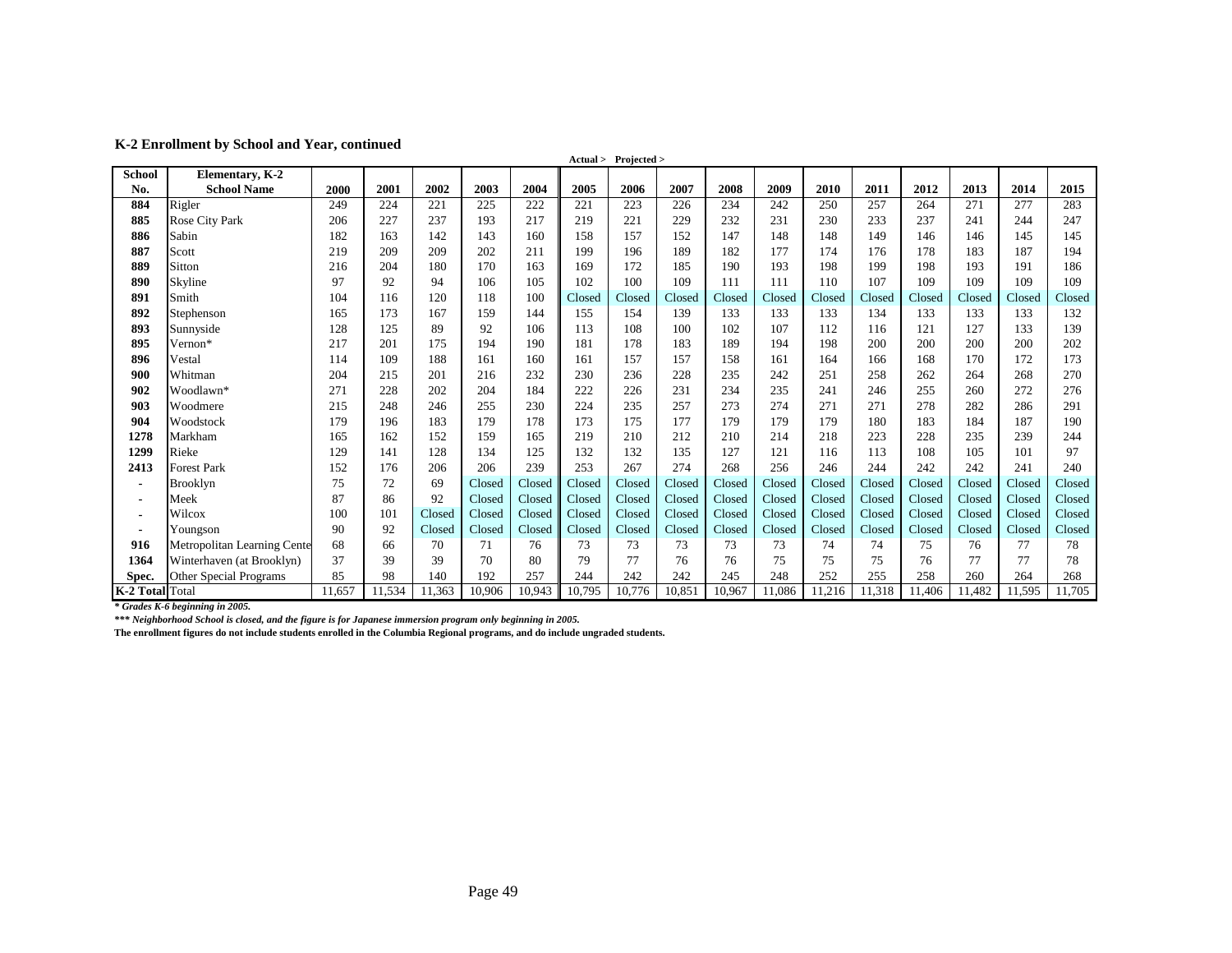**K-2 Enrollment by School and Year, continued**

|                 |                             |        |        |        |        |        |        | Actual > Projected > |        |        |        |        |        |        |        |        |        |
|-----------------|-----------------------------|--------|--------|--------|--------|--------|--------|----------------------|--------|--------|--------|--------|--------|--------|--------|--------|--------|
| <b>School</b>   | Elementary, K-2             |        |        |        |        |        |        |                      |        |        |        |        |        |        |        |        |        |
| No.             | <b>School Name</b>          | 2000   | 2001   | 2002   | 2003   | 2004   | 2005   | 2006                 | 2007   | 2008   | 2009   | 2010   | 2011   | 2012   | 2013   | 2014   | 2015   |
| 884             | Rigler                      | 249    | 224    | 221    | 225    | 222    | 221    | 223                  | 226    | 234    | 242    | 250    | 257    | 264    | 271    | 277    | 283    |
| 885             | Rose City Park              | 206    | 227    | 237    | 193    | 217    | 219    | 221                  | 229    | 232    | 231    | 230    | 233    | 237    | 241    | 244    | 247    |
| 886             | Sabin                       | 182    | 163    | 142    | 143    | 160    | 158    | 157                  | 152    | 147    | 148    | 148    | 149    | 146    | 146    | 145    | 145    |
| 887             | Scott                       | 219    | 209    | 209    | 202    | 211    | 199    | 196                  | 189    | 182    | 177    | 174    | 176    | 178    | 183    | 187    | 194    |
| 889             | Sitton                      | 216    | 204    | 180    | 170    | 163    | 169    | 172                  | 185    | 190    | 193    | 198    | 199    | 198    | 193    | 191    | 186    |
| 890             | Skyline                     | 97     | 92     | 94     | 106    | 105    | 102    | 100                  | 109    | 111    | 111    | 110    | 107    | 109    | 109    | 109    | 109    |
| 891             | Smith                       | 104    | 116    | 120    | 118    | 100    | Closed | Closed               | Closed | Closed | Closed | Closed | Closed | Closed | Closed | Closed | Closed |
| 892             | Stephenson                  | 165    | 173    | 167    | 159    | 144    | 155    | 154                  | 139    | 133    | 133    | 133    | 134    | 133    | 133    | 133    | 132    |
| 893             | Sunnyside                   | 128    | 125    | 89     | 92     | 106    | 113    | 108                  | 100    | 102    | 107    | 112    | 116    | 121    | 127    | 133    | 139    |
| 895             | Vernon*                     | 217    | 201    | 175    | 194    | 190    | 181    | 178                  | 183    | 189    | 194    | 198    | 200    | 200    | 200    | 200    | 202    |
| 896             | Vestal                      | 114    | 109    | 188    | 161    | 160    | 161    | 157                  | 157    | 158    | 161    | 164    | 166    | 168    | 170    | 172    | 173    |
| 900             | Whitman                     | 204    | 215    | 201    | 216    | 232    | 230    | 236                  | 228    | 235    | 242    | 251    | 258    | 262    | 264    | 268    | 270    |
| 902             | Woodlawn*                   | 271    | 228    | 202    | 204    | 184    | 222    | 226                  | 231    | 234    | 235    | 241    | 246    | 255    | 260    | 272    | 276    |
| 903             | Woodmere                    | 215    | 248    | 246    | 255    | 230    | 224    | 235                  | 257    | 273    | 274    | 271    | 271    | 278    | 282    | 286    | 291    |
| 904             | Woodstock                   | 179    | 196    | 183    | 179    | 178    | 173    | 175                  | 177    | 179    | 179    | 179    | 180    | 183    | 184    | 187    | 190    |
| 1278            | Markham                     | 165    | 162    | 152    | 159    | 165    | 219    | 210                  | 212    | 210    | 214    | 218    | 223    | 228    | 235    | 239    | 244    |
| 1299            | Rieke                       | 129    | 141    | 128    | 134    | 125    | 132    | 132                  | 135    | 127    | 121    | 116    | 113    | 108    | 105    | 101    | 97     |
| 2413            | <b>Forest Park</b>          | 152    | 176    | 206    | 206    | 239    | 253    | 267                  | 274    | 268    | 256    | 246    | 244    | 242    | 242    | 241    | 240    |
| $\blacksquare$  | <b>Brooklyn</b>             | 75     | 72     | 69     | Closed | Closed | Closed | Closed               | Closed | Closed | Closed | Closed | Closed | Closed | Closed | Closed | Closed |
| $\blacksquare$  | Meek                        | 87     | 86     | 92     | Closed | Closed | Closed | Closed               | Closed | Closed | Closed | Closed | Closed | Closed | Closed | Closed | Closed |
| ٠               | Wilcox                      | 100    | 101    | Closed | Closed | Closed | Closed | Closed               | Closed | Closed | Closed | Closed | Closed | Closed | Closed | Closed | Closed |
| $\blacksquare$  | Youngson                    | 90     | 92     | Closed | Closed | Closed | Closed | Closed               | Closed | Closed | Closed | Closed | Closed | Closed | Closed | Closed | Closed |
| 916             | Metropolitan Learning Cente | 68     | 66     | 70     | 71     | 76     | 73     | 73                   | 73     | 73     | 73     | 74     | 74     | 75     | 76     | 77     | 78     |
| 1364            | Winterhaven (at Brooklyn)   | 37     | 39     | 39     | 70     | 80     | 79     | 77                   | 76     | 76     | 75     | 75     | 75     | 76     | 77     | 77     | 78     |
| Spec.           | Other Special Programs      | 85     | 98     | 140    | 192    | 257    | 244    | 242                  | 242    | 245    | 248    | 252    | 255    | 258    | 260    | 264    | 268    |
| K-2 Total Total |                             | 11,657 | 11,534 | 11,363 | 10,906 | 10,943 | 10,795 | 10,776               | 10,851 | 10,967 | 11,086 | 11,216 | 11,318 | 11,406 | 11,482 | 11,595 | 11,705 |

*\* Grades K-6 beginning in 2005.*

*\*\*\* Neighborhood School is closed, and the figure is for Japanese immersion program only beginning in 2005.*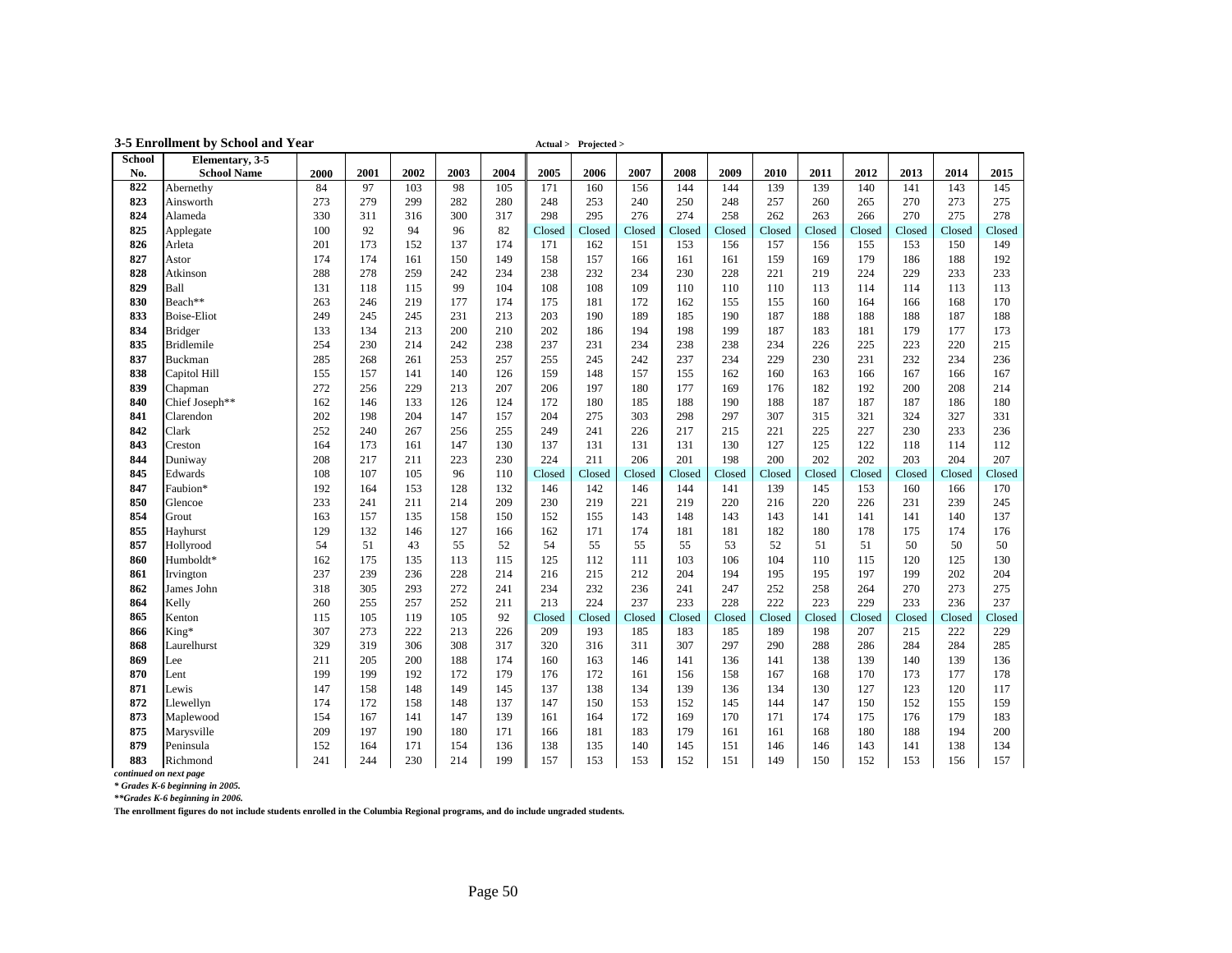|               | 3-5 Enrollment by School and Year |            |            |            |            |            |               | Actual > Projected > |               |               |               |               |               |               |               |               |               |
|---------------|-----------------------------------|------------|------------|------------|------------|------------|---------------|----------------------|---------------|---------------|---------------|---------------|---------------|---------------|---------------|---------------|---------------|
| <b>School</b> | Elementary, 3-5                   |            |            |            |            |            |               |                      |               |               |               |               |               |               |               |               |               |
| No.           | <b>School Name</b>                | 2000       | 2001       | 2002       | 2003       | 2004       | 2005          | 2006                 | 2007          | 2008          | 2009          | 2010          | 2011          | 2012          | 2013          | 2014          | 2015          |
| 822           | Abernethy                         | 84         | 97         | 103        | 98         | 105        | 171           | 160                  | 156           | 144           | 144           | 139           | 139           | 140           | 141           | 143           | 145           |
| 823           | Ainsworth                         | 273        | 279        | 299        | 282        | 280        | 248           | 253                  | 240           | 250           | 248           | 257           | 260           | 265           | 270           | 273           | 275           |
| 824           | Alameda                           | 330        | 311        | 316        | 300        | 317        | 298           | 295                  | 276           | 274           | 258           | 262           | 263           | 266           | 270           | 275           | 278           |
| 825           | Applegate                         | 100        | 92         | 94         | 96         | 82         | Closed        | Closed               | Closed        | Closed        | Closed        | Closed        | Closed        | Closed        | Closed        | Closed        | Closed        |
| 826           | Arleta                            | 201        | 173        | 152        | 137        | 174        | 171           | 162                  | 151           | 153           | 156           | 157           | 156           | 155           | 153           | 150           | 149           |
| 827           | Astor                             | 174        | 174        | 161        | 150        | 149        | 158           | 157                  | 166           | 161           | 161           | 159           | 169           | 179           | 186           | 188           | 192           |
| 828           | Atkinson                          | 288        | 278        | 259        | 242        | 234        | 238           | 232                  | 234           | 230           | 228           | 221           | 219           | 224           | 229           | 233           | 233           |
| 829           | Ball                              | 131        | 118        | 115        | 99         | 104        | 108           | 108                  | 109           | 110           | 110           | 110           | 113           | 114           | 114           | 113           | 113           |
| 830           | Beach**                           | 263        | 246        | 219        | 177        | 174        | 175           | 181                  | 172           | 162           | 155           | 155           | 160           | 164           | 166           | 168           | 170           |
| 833           | <b>Boise-Eliot</b>                | 249        | 245        | 245        | 231        | 213        | 203           | 190                  | 189           | 185           | 190           | 187           | 188           | 188           | 188           | 187           | 188           |
| 834           | <b>Bridger</b>                    | 133        | 134        | 213        | 200        | 210        | 202           | 186                  | 194           | 198           | 199           | 187           | 183           | 181           | 179           | 177           | 173           |
| 835           | <b>Bridlemile</b>                 | 254        | 230        | 214        | 242        | 238        | 237           | 231                  | 234           | 238           | 238           | 234           | 226           | 225           | 223           | 220           | 215           |
| 837           | Buckman                           | 285        | 268        | 261        | 253        | 257        | 255           | 245                  | 242           | 237           | 234           | 229           | 230           | 231           | 232           | 234           | 236           |
| 838           | Capitol Hill                      | 155        | 157        | 141        | 140        | 126        | 159           | 148                  | 157           | 155           | 162           | 160           | 163           | 166           | 167           | 166           | 167           |
| 839           | Chapman                           | 272        | 256        | 229        | 213        | 207        | 206           | 197                  | 180           | 177           | 169           | 176           | 182           | 192           | 200           | 208           | 214           |
| 840           | Chief Joseph**                    | 162        | 146        | 133        | 126        | 124        | 172           | 180                  | 185           | 188           | 190           | 188           | 187           | 187           | 187           | 186           | 180           |
| 841<br>842    | Clarendon                         | 202<br>252 | 198        | 204        | 147<br>256 | 157<br>255 | 204           | 275                  | 303           | 298           | 297           | 307<br>221    | 315<br>225    | 321<br>227    | 324           | 327<br>233    | 331           |
|               | Clark                             |            | 240        | 267        |            |            | 249           | 241                  | 226           | 217           | 215           |               |               |               | 230           |               | 236           |
| 843<br>844    | Creston<br>Duniway                | 164<br>208 | 173        | 161<br>211 | 147<br>223 | 130<br>230 | 137           | 131<br>211           | 131<br>206    | 131           | 130<br>198    | 127<br>200    | 125<br>202    | 122<br>202    | 118<br>203    | 114<br>204    | 112<br>207    |
| 845           |                                   | 108        | 217        |            | 96         |            | 224           |                      |               | 201           |               |               |               |               |               |               |               |
| 847           | Edwards<br>Faubion*               | 192        | 107<br>164 | 105<br>153 | 128        | 110<br>132 | Closed<br>146 | Closed<br>142        | Closed<br>146 | Closed<br>144 | Closed<br>141 | Closed<br>139 | Closed<br>145 | Closed<br>153 | Closed<br>160 | Closed<br>166 | Closed<br>170 |
| 850           | Glencoe                           | 233        | 241        | 211        | 214        | 209        | 230           | 219                  | 221           | 219           | 220           | 216           | 220           | 226           | 231           | 239           | 245           |
| 854           | Grout                             | 163        | 157        | 135        | 158        | 150        | 152           | 155                  | 143           | 148           | 143           | 143           | 141           | 141           | 141           | 140           | 137           |
| 855           | Hayhurst                          | 129        | 132        | 146        | 127        | 166        | 162           | 171                  | 174           | 181           | 181           | 182           | 180           | 178           | 175           | 174           | 176           |
| 857           | Hollyrood                         | 54         | 51         | 43         | 55         | 52         | 54            | 55                   | 55            | 55            | 53            | 52            | 51            | 51            | 50            | 50            | 50            |
| 860           | Humboldt*                         | 162        | 175        | 135        | 113        | 115        | 125           | 112                  | 111           | 103           | 106           | 104           | 110           | 115           | 120           | 125           | 130           |
| 861           | Irvington                         | 237        | 239        | 236        | 228        | 214        | 216           | 215                  | 212           | 204           | 194           | 195           | 195           | 197           | 199           | 202           | 204           |
| 862           | James John                        | 318        | 305        | 293        | 272        | 241        | 234           | 232                  | 236           | 241           | 247           | 252           | 258           | 264           | 270           | 273           | 275           |
| 864           | Kelly                             | 260        | 255        | 257        | 252        | 211        | 213           | 224                  | 237           | 233           | 228           | 222           | 223           | 229           | 233           | 236           | 237           |
| 865           | Kenton                            | 115        | 105        | 119        | 105        | 92         | Closed        | Closed               | Closed        | Closed        | Closed        | Closed        | Closed        | Closed        | Closed        | Closed        | Closed        |
| 866           | King*                             | 307        | 273        | 222        | 213        | 226        | 209           | 193                  | 185           | 183           | 185           | 189           | 198           | 207           | 215           | 222           | 229           |
| 868           | Laurelhurst                       | 329        | 319        | 306        | 308        | 317        | 320           | 316                  | 311           | 307           | 297           | 290           | 288           | 286           | 284           | 284           | 285           |
| 869           | Lee                               | 211        | 205        | 200        | 188        | 174        | 160           | 163                  | 146           | 141           | 136           | 141           | 138           | 139           | 140           | 139           | 136           |
| 870           | Lent                              | 199        | 199        | 192        | 172        | 179        | 176           | 172                  | 161           | 156           | 158           | 167           | 168           | 170           | 173           | 177           | 178           |
| 871           | Lewis                             | 147        | 158        | 148        | 149        | 145        | 137           | 138                  | 134           | 139           | 136           | 134           | 130           | 127           | 123           | 120           | 117           |
| 872           | Llewellyn                         | 174        | 172        | 158        | 148        | 137        | 147           | 150                  | 153           | 152           | 145           | 144           | 147           | 150           | 152           | 155           | 159           |
| 873           | Maplewood                         | 154        | 167        | 141        | 147        | 139        | 161           | 164                  | 172           | 169           | 170           | 171           | 174           | 175           | 176           | 179           | 183           |
| 875           | Marysville                        | 209        | 197        | 190        | 180        | 171        | 166           | 181                  | 183           | 179           | 161           | 161           | 168           | 180           | 188           | 194           | 200           |
| 879           | Peninsula                         | 152        | 164        | 171        | 154        | 136        | 138           | 135                  | 140           | 145           | 151           | 146           | 146           | 143           | 141           | 138           | 134           |
| 883           | Richmond                          | 241        | 244        | 230        | 214        | 199        | 157           | 153                  | 153           | 152           | 151           | 149           | 150           | 152           | 153           | 156           | 157           |

*continued on next page \* Grades K-6 beginning in 2005.*

*\*\*Grades K-6 beginning in 2006.*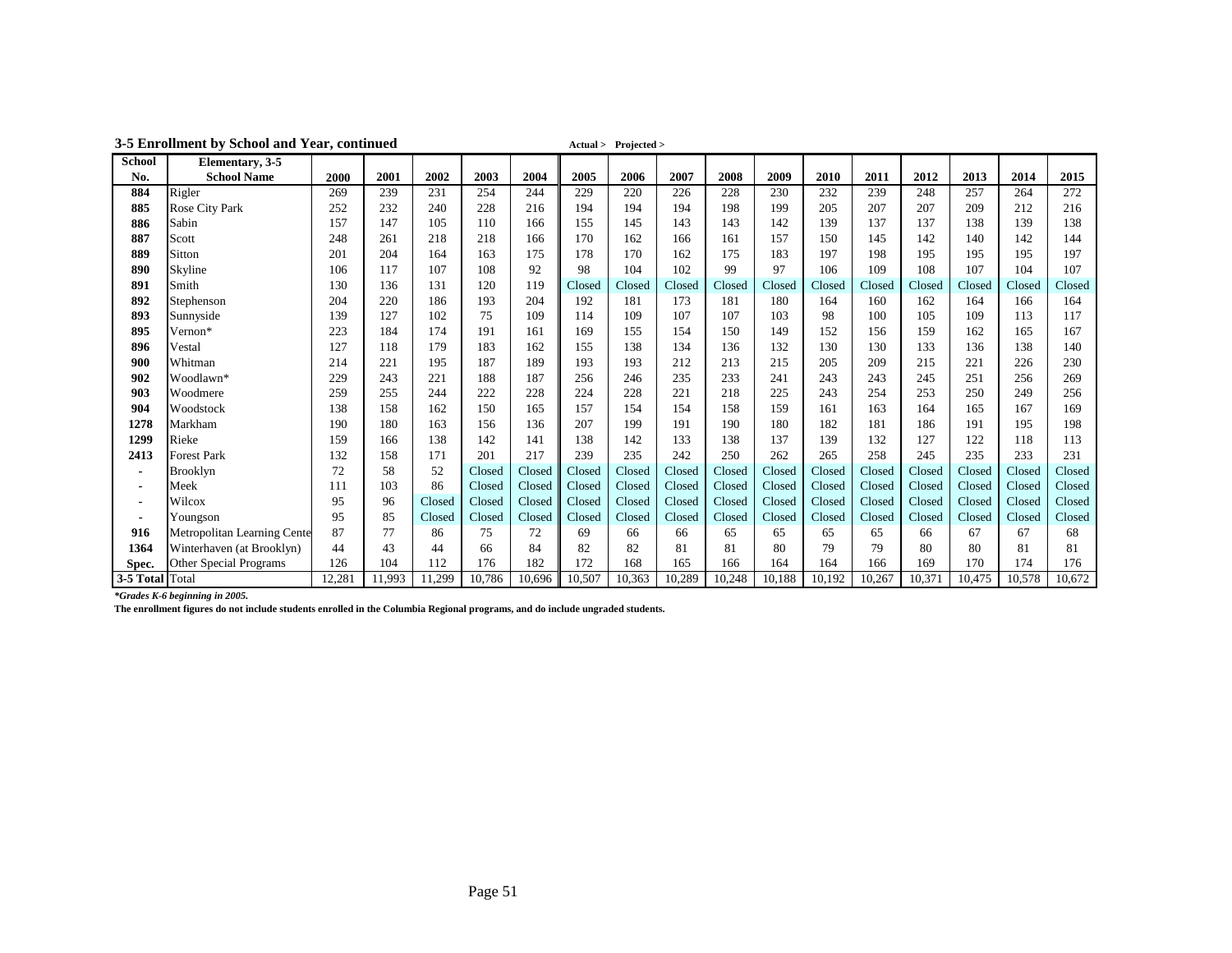|                 | 3-5 Enforment by School and Year, continued |        |        |        |        |        |        | $Actual >$ $Projected >$ |        |        |        |        |        |        |        |        |        |
|-----------------|---------------------------------------------|--------|--------|--------|--------|--------|--------|--------------------------|--------|--------|--------|--------|--------|--------|--------|--------|--------|
| <b>School</b>   | Elementary, 3-5                             |        |        |        |        |        |        |                          |        |        |        |        |        |        |        |        |        |
| No.             | <b>School Name</b>                          | 2000   | 2001   | 2002   | 2003   | 2004   | 2005   | 2006                     | 2007   | 2008   | 2009   | 2010   | 2011   | 2012   | 2013   | 2014   | 2015   |
| 884             | Rigler                                      | 269    | 239    | 231    | 254    | 244    | 229    | 220                      | 226    | 228    | 230    | 232    | 239    | 248    | 257    | 264    | 272    |
| 885             | Rose City Park                              | 252    | 232    | 240    | 228    | 216    | 194    | 194                      | 194    | 198    | 199    | 205    | 207    | 207    | 209    | 212    | 216    |
| 886             | Sabin                                       | 157    | 147    | 105    | 110    | 166    | 155    | 145                      | 143    | 143    | 142    | 139    | 137    | 137    | 138    | 139    | 138    |
| 887             | Scott                                       | 248    | 261    | 218    | 218    | 166    | 170    | 162                      | 166    | 161    | 157    | 150    | 145    | 142    | 140    | 142    | 144    |
| 889             | Sitton                                      | 201    | 204    | 164    | 163    | 175    | 178    | 170                      | 162    | 175    | 183    | 197    | 198    | 195    | 195    | 195    | 197    |
| 890             | Skyline                                     | 106    | 117    | 107    | 108    | 92     | 98     | 104                      | 102    | 99     | 97     | 106    | 109    | 108    | 107    | 104    | 107    |
| 891             | Smith                                       | 130    | 136    | 131    | 120    | 119    | Closed | Closed                   | Closed | Closed | Closed | Closed | Closed | Closed | Closed | Closed | Closed |
| 892             | Stephenson                                  | 204    | 220    | 186    | 193    | 204    | 192    | 181                      | 173    | 181    | 180    | 164    | 160    | 162    | 164    | 166    | 164    |
| 893             | Sunnyside                                   | 139    | 127    | 102    | 75     | 109    | 114    | 109                      | 107    | 107    | 103    | 98     | 100    | 105    | 109    | 113    | 117    |
| 895             | Vernon*                                     | 223    | 184    | 174    | 191    | 161    | 169    | 155                      | 154    | 150    | 149    | 152    | 156    | 159    | 162    | 165    | 167    |
| 896             | Vestal                                      | 127    | 118    | 179    | 183    | 162    | 155    | 138                      | 134    | 136    | 132    | 130    | 130    | 133    | 136    | 138    | 140    |
| 900             | Whitman                                     | 214    | 221    | 195    | 187    | 189    | 193    | 193                      | 212    | 213    | 215    | 205    | 209    | 215    | 221    | 226    | 230    |
| 902             | Woodlawn*                                   | 229    | 243    | 221    | 188    | 187    | 256    | 246                      | 235    | 233    | 241    | 243    | 243    | 245    | 251    | 256    | 269    |
| 903             | Woodmere                                    | 259    | 255    | 244    | 222    | 228    | 224    | 228                      | 221    | 218    | 225    | 243    | 254    | 253    | 250    | 249    | 256    |
| 904             | Woodstock                                   | 138    | 158    | 162    | 150    | 165    | 157    | 154                      | 154    | 158    | 159    | 161    | 163    | 164    | 165    | 167    | 169    |
| 1278            | Markham                                     | 190    | 180    | 163    | 156    | 136    | 207    | 199                      | 191    | 190    | 180    | 182    | 181    | 186    | 191    | 195    | 198    |
| 1299            | Rieke                                       | 159    | 166    | 138    | 142    | 141    | 138    | 142                      | 133    | 138    | 137    | 139    | 132    | 127    | 122    | 118    | 113    |
| 2413            | <b>Forest Park</b>                          | 132    | 158    | 171    | 201    | 217    | 239    | 235                      | 242    | 250    | 262    | 265    | 258    | 245    | 235    | 233    | 231    |
| $\blacksquare$  | <b>Brooklyn</b>                             | 72     | 58     | 52     | Closed | Closed | Closed | Closed                   | Closed | Closed | Closed | Closed | Closed | Closed | Closed | Closed | Closed |
| $\blacksquare$  | Meek                                        | 111    | 103    | 86     | Closed | Closed | Closed | Closed                   | Closed | Closed | Closed | Closed | Closed | Closed | Closed | Closed | Closed |
| $\blacksquare$  | Wilcox                                      | 95     | 96     | Closed | Closed | Closed | Closed | Closed                   | Closed | Closed | Closed | Closed | Closed | Closed | Closed | Closed | Closed |
| ٠               | Youngson                                    | 95     | 85     | Closed | Closed | Closed | Closed | Closed                   | Closed | Closed | Closed | Closed | Closed | Closed | Closed | Closed | Closed |
| 916             | <b>Metropolitan Learning Cente</b>          | 87     | 77     | 86     | 75     | 72     | 69     | 66                       | 66     | 65     | 65     | 65     | 65     | 66     | 67     | 67     | 68     |
| 1364            | Winterhaven (at Brooklyn)                   | 44     | 43     | 44     | 66     | 84     | 82     | 82                       | 81     | 81     | 80     | 79     | 79     | 80     | 80     | 81     | 81     |
| Spec.           | Other Special Programs                      | 126    | 104    | 112    | 176    | 182    | 172    | 168                      | 165    | 166    | 164    | 164    | 166    | 169    | 170    | 174    | 176    |
| 3-5 Total Total |                                             | 12,281 | 11,993 | 11,299 | 10,786 | 10,696 | 10,507 | 10,363                   | 10,289 | 10,248 | 10,188 | 10,192 | 10,267 | 10,371 | 10,475 | 10,578 | 10,672 |

**3-5 Enrollment by School and Year, continued Actual > Projected >**

*\*Grades K-6 beginning in 2005.*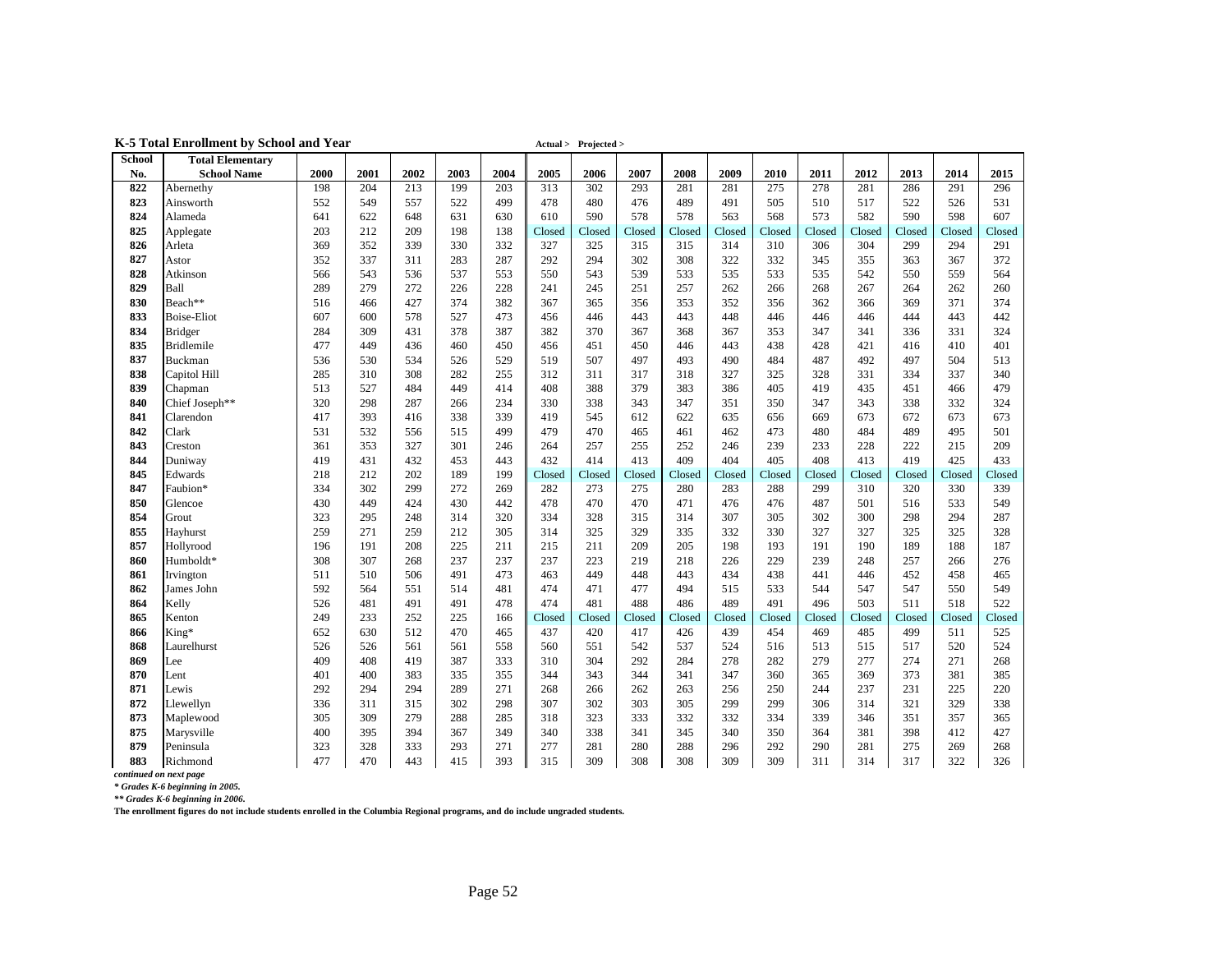| 2000<br>2001<br>2002<br>2003<br>2004<br>2005<br>2006<br>2007<br>2008<br>2009<br>2010<br>2011<br>2012<br>2013<br>2014<br>2015<br><b>School Name</b><br>No.<br>213<br>302<br>281<br>275<br>278<br>281<br>286<br>296<br>822<br>Abernethy<br>198<br>204<br>199<br>203<br>313<br>293<br>281<br>291<br>557<br>505<br>823<br>552<br>549<br>522<br>499<br>478<br>480<br>476<br>489<br>491<br>510<br>517<br>522<br>526<br>531<br>Ainsworth<br>598<br>824<br>641<br>648<br>631<br>610<br>590<br>578<br>578<br>568<br>573<br>582<br>590<br>607<br>Alameda<br>622<br>630<br>563<br>825<br>203<br>212<br>209<br>198<br>Closed<br>138<br>Closed<br>Closed<br>Closed<br>Closed<br>Closed<br>Closed<br>Closed<br>Closed<br>Applegate<br>Closed<br>Closed<br>826<br>369<br>352<br>339<br>330<br>332<br>327<br>325<br>315<br>315<br>314<br>310<br>306<br>304<br>299<br>294<br>291<br>Arleta<br>827<br>352<br>337<br>311<br>283<br>287<br>292<br>294<br>302<br>308<br>322<br>332<br>345<br>355<br>367<br>372<br>Astor<br>363<br>828<br>537<br>553<br>539<br>533<br>533<br>542<br>559<br>Atkinson<br>566<br>543<br>536<br>550<br>543<br>535<br>535<br>550<br>564<br>262<br>829<br>Ball<br>289<br>279<br>272<br>226<br>228<br>241<br>245<br>251<br>257<br>262<br>266<br>268<br>267<br>264<br>260<br>Beach**<br>371<br>830<br>516<br>427<br>374<br>382<br>367<br>365<br>356<br>353<br>352<br>356<br>362<br>366<br>369<br>374<br>466<br>833<br>607<br>578<br>527<br>473<br>443<br>448<br>446<br>446<br>446<br>444<br>443<br>442<br><b>Boise-Eliot</b><br>600<br>456<br>446<br>443<br>834<br>284<br>378<br>367<br>353<br>331<br>324<br><b>Bridger</b><br>309<br>431<br>387<br>382<br>370<br>368<br>367<br>347<br>341<br>336<br>835<br><b>Bridlemile</b><br>477<br>449<br>460<br>451<br>450<br>446<br>443<br>438<br>421<br>416<br>410<br>401<br>436<br>450<br>456<br>428<br>497<br>837<br>536<br>534<br>526<br>529<br>519<br>507<br>493<br>490<br>484<br>487<br>492<br>497<br>504<br>513<br>Buckman<br>530<br>838<br>285<br>310<br>282<br>312<br>317<br>325<br>331<br>337<br>340<br>Capitol Hill<br>308<br>255<br>311<br>318<br>327<br>328<br>334<br>839<br>513<br>449<br>414<br>408<br>388<br>379<br>405<br>419<br>435<br>451<br>466<br>479<br>527<br>484<br>383<br>386<br>Chapman<br>Chief Joseph**<br>320<br>298<br>287<br>266<br>234<br>330<br>338<br>343<br>347<br>350<br>347<br>343<br>338<br>332<br>324<br>840<br>351<br>841<br>417<br>393<br>338<br>339<br>419<br>612<br>622<br>635<br>656<br>669<br>673<br>673<br>673<br>Clarendon<br>416<br>545<br>672<br>842<br>Clark<br>531<br>532<br>499<br>479<br>465<br>462<br>473<br>480<br>495<br>501<br>515<br>470<br>461<br>484<br>489<br>556<br>843<br>301<br>255<br>252<br>246<br>239<br>233<br>228<br>222<br>215<br>209<br>Creston<br>361<br>353<br>327<br>246<br>264<br>257<br>413<br>405<br>425<br>844<br>419<br>431<br>432<br>453<br>443<br>432<br>414<br>409<br>404<br>408<br>413<br>419<br>433<br>Duniway<br>845<br>218<br>202<br>189<br>Edwards<br>212<br>199<br>Closed<br>Closed<br>Closed<br>Closed<br>Closed<br>Closed<br>Closed<br>Closed<br>Closed<br>Closed<br>Closed<br>847<br>Faubion*<br>334<br>299<br>272<br>273<br>275<br>283<br>288<br>320<br>330<br>339<br>302<br>269<br>282<br>280<br>299<br>310<br>850<br>430<br>449<br>430<br>442<br>478<br>470<br>470<br>471<br>476<br>476<br>487<br>501<br>516<br>533<br>549<br>424<br>Glencoe<br>854<br>323<br>248<br>314<br>320<br>334<br>328<br>315<br>307<br>305<br>302<br>300<br>298<br>294<br>287<br>Grout<br>295<br>314<br>855<br>259<br>212<br>325<br>329<br>335<br>332<br>330<br>327<br>327<br>325<br>325<br>328<br>271<br>259<br>305<br>314<br>Hayhurst<br>857<br>196<br>208<br>225<br>215<br>209<br>205<br>198<br>193<br>191<br>190<br>189<br>188<br>187<br>Hollyrood<br>191<br>211<br>211<br>237<br>219<br>229<br>266<br>860<br>Humboldt*<br>308<br>307<br>268<br>237<br>237<br>223<br>218<br>226<br>239<br>248<br>257<br>276<br>491<br>473<br>449<br>448<br>434<br>438<br>441<br>452<br>458<br>465<br>861<br>Irvington<br>511<br>510<br>506<br>463<br>443<br>446<br>592<br>514<br>474<br>477<br>533<br>550<br>549<br>862<br>James John<br>564<br>551<br>481<br>471<br>494<br>515<br>544<br>547<br>547<br>481<br>488<br>491<br>518<br>864<br>Kelly<br>526<br>491<br>478<br>474<br>486<br>489<br>496<br>503<br>511<br>522<br>481<br>491<br>865<br>Kenton<br>249<br>252<br>225<br>233<br>166<br>Closed<br>Closed<br>Closed<br>Closed<br>Closed<br>Closed<br>Closed<br>Closed<br>Closed<br>Closed<br>Closed<br>652<br>630<br>470<br>417<br>454<br>511<br>525<br>866<br>King*<br>512<br>465<br>437<br>420<br>426<br>439<br>469<br>485<br>499<br>868<br>526<br>558<br>542<br>537<br>520<br>524<br>Laurelhurst<br>526<br>561<br>561<br>560<br>551<br>524<br>516<br>513<br>515<br>517<br>869<br>409<br>408<br>387<br>292<br>284<br>278<br>282<br>279<br>277<br>271<br>268<br>Lee<br>419<br>333<br>310<br>304<br>274<br>870<br>401<br>335<br>355<br>344<br>360<br>369<br>381<br>Lent<br>400<br>383<br>344<br>343<br>341<br>347<br>365<br>373<br>385<br>871<br>292<br>289<br>262<br>250<br>231<br>225<br>220<br>Lewis<br>294<br>294<br>271<br>268<br>266<br>263<br>256<br>244<br>237<br>872<br>336<br>315<br>302<br>298<br>307<br>302<br>303<br>299<br>299<br>306<br>314<br>321<br>329<br>338<br>Llewellyn<br>311<br>305<br>305<br>279<br>288<br>318<br>333<br>334<br>357<br>873<br>Maplewood<br>309<br>285<br>323<br>332<br>332<br>339<br>346<br>351<br>365<br>349<br>341<br>381<br>398<br>412<br>427<br>875<br>Marysville<br>400<br>395<br>394<br>367<br>340<br>338<br>345<br>340<br>350<br>364<br>879<br>280<br>328<br>333<br>293<br>271<br>277<br>281<br>288<br>296<br>292<br>281<br>275<br>269<br>268<br>Peninsula<br>323<br>290 |               | к этош етотися бу всявої <b>ана т</b> еаг |     |     |     |     |     |     | $A$ and $\geq 1$ igual $\geq$ |     |     |     |     |     |     |     |     |     |
|-------------------------------------------------------------------------------------------------------------------------------------------------------------------------------------------------------------------------------------------------------------------------------------------------------------------------------------------------------------------------------------------------------------------------------------------------------------------------------------------------------------------------------------------------------------------------------------------------------------------------------------------------------------------------------------------------------------------------------------------------------------------------------------------------------------------------------------------------------------------------------------------------------------------------------------------------------------------------------------------------------------------------------------------------------------------------------------------------------------------------------------------------------------------------------------------------------------------------------------------------------------------------------------------------------------------------------------------------------------------------------------------------------------------------------------------------------------------------------------------------------------------------------------------------------------------------------------------------------------------------------------------------------------------------------------------------------------------------------------------------------------------------------------------------------------------------------------------------------------------------------------------------------------------------------------------------------------------------------------------------------------------------------------------------------------------------------------------------------------------------------------------------------------------------------------------------------------------------------------------------------------------------------------------------------------------------------------------------------------------------------------------------------------------------------------------------------------------------------------------------------------------------------------------------------------------------------------------------------------------------------------------------------------------------------------------------------------------------------------------------------------------------------------------------------------------------------------------------------------------------------------------------------------------------------------------------------------------------------------------------------------------------------------------------------------------------------------------------------------------------------------------------------------------------------------------------------------------------------------------------------------------------------------------------------------------------------------------------------------------------------------------------------------------------------------------------------------------------------------------------------------------------------------------------------------------------------------------------------------------------------------------------------------------------------------------------------------------------------------------------------------------------------------------------------------------------------------------------------------------------------------------------------------------------------------------------------------------------------------------------------------------------------------------------------------------------------------------------------------------------------------------------------------------------------------------------------------------------------------------------------------------------------------------------------------------------------------------------------------------------------------------------------------------------------------------------------------------------------------------------------------------------------------------------------------------------------------------------------------------------------------------------------------------------------------------------------------------------------------------------------------------------------------------------------------------------------------------------------------------------------------------------------------------------------------------------------------------------------------------------------------------------------------------------------------------------------------------------------------------------------------------------------------------------------------------------------------------------------------------------------------------------------------------------------------------------------------------------------------------------------------------------------------------------------------------------------------------------------------------------------------------------------------------------------------------------------------------------------------------------------------------------------------------------------------------------------------------------------|---------------|-------------------------------------------|-----|-----|-----|-----|-----|-----|-------------------------------|-----|-----|-----|-----|-----|-----|-----|-----|-----|
|                                                                                                                                                                                                                                                                                                                                                                                                                                                                                                                                                                                                                                                                                                                                                                                                                                                                                                                                                                                                                                                                                                                                                                                                                                                                                                                                                                                                                                                                                                                                                                                                                                                                                                                                                                                                                                                                                                                                                                                                                                                                                                                                                                                                                                                                                                                                                                                                                                                                                                                                                                                                                                                                                                                                                                                                                                                                                                                                                                                                                                                                                                                                                                                                                                                                                                                                                                                                                                                                                                                                                                                                                                                                                                                                                                                                                                                                                                                                                                                                                                                                                                                                                                                                                                                                                                                                                                                                                                                                                                                                                                                                                                                                                                                                                                                                                                                                                                                                                                                                                                                                                                                                                                                                                                                                                                                                                                                                                                                                                                                                                                                                                                                                                                                               | <b>School</b> | <b>Total Elementary</b>                   |     |     |     |     |     |     |                               |     |     |     |     |     |     |     |     |     |
|                                                                                                                                                                                                                                                                                                                                                                                                                                                                                                                                                                                                                                                                                                                                                                                                                                                                                                                                                                                                                                                                                                                                                                                                                                                                                                                                                                                                                                                                                                                                                                                                                                                                                                                                                                                                                                                                                                                                                                                                                                                                                                                                                                                                                                                                                                                                                                                                                                                                                                                                                                                                                                                                                                                                                                                                                                                                                                                                                                                                                                                                                                                                                                                                                                                                                                                                                                                                                                                                                                                                                                                                                                                                                                                                                                                                                                                                                                                                                                                                                                                                                                                                                                                                                                                                                                                                                                                                                                                                                                                                                                                                                                                                                                                                                                                                                                                                                                                                                                                                                                                                                                                                                                                                                                                                                                                                                                                                                                                                                                                                                                                                                                                                                                                               |               |                                           |     |     |     |     |     |     |                               |     |     |     |     |     |     |     |     |     |
|                                                                                                                                                                                                                                                                                                                                                                                                                                                                                                                                                                                                                                                                                                                                                                                                                                                                                                                                                                                                                                                                                                                                                                                                                                                                                                                                                                                                                                                                                                                                                                                                                                                                                                                                                                                                                                                                                                                                                                                                                                                                                                                                                                                                                                                                                                                                                                                                                                                                                                                                                                                                                                                                                                                                                                                                                                                                                                                                                                                                                                                                                                                                                                                                                                                                                                                                                                                                                                                                                                                                                                                                                                                                                                                                                                                                                                                                                                                                                                                                                                                                                                                                                                                                                                                                                                                                                                                                                                                                                                                                                                                                                                                                                                                                                                                                                                                                                                                                                                                                                                                                                                                                                                                                                                                                                                                                                                                                                                                                                                                                                                                                                                                                                                                               |               |                                           |     |     |     |     |     |     |                               |     |     |     |     |     |     |     |     |     |
|                                                                                                                                                                                                                                                                                                                                                                                                                                                                                                                                                                                                                                                                                                                                                                                                                                                                                                                                                                                                                                                                                                                                                                                                                                                                                                                                                                                                                                                                                                                                                                                                                                                                                                                                                                                                                                                                                                                                                                                                                                                                                                                                                                                                                                                                                                                                                                                                                                                                                                                                                                                                                                                                                                                                                                                                                                                                                                                                                                                                                                                                                                                                                                                                                                                                                                                                                                                                                                                                                                                                                                                                                                                                                                                                                                                                                                                                                                                                                                                                                                                                                                                                                                                                                                                                                                                                                                                                                                                                                                                                                                                                                                                                                                                                                                                                                                                                                                                                                                                                                                                                                                                                                                                                                                                                                                                                                                                                                                                                                                                                                                                                                                                                                                                               |               |                                           |     |     |     |     |     |     |                               |     |     |     |     |     |     |     |     |     |
|                                                                                                                                                                                                                                                                                                                                                                                                                                                                                                                                                                                                                                                                                                                                                                                                                                                                                                                                                                                                                                                                                                                                                                                                                                                                                                                                                                                                                                                                                                                                                                                                                                                                                                                                                                                                                                                                                                                                                                                                                                                                                                                                                                                                                                                                                                                                                                                                                                                                                                                                                                                                                                                                                                                                                                                                                                                                                                                                                                                                                                                                                                                                                                                                                                                                                                                                                                                                                                                                                                                                                                                                                                                                                                                                                                                                                                                                                                                                                                                                                                                                                                                                                                                                                                                                                                                                                                                                                                                                                                                                                                                                                                                                                                                                                                                                                                                                                                                                                                                                                                                                                                                                                                                                                                                                                                                                                                                                                                                                                                                                                                                                                                                                                                                               |               |                                           |     |     |     |     |     |     |                               |     |     |     |     |     |     |     |     |     |
|                                                                                                                                                                                                                                                                                                                                                                                                                                                                                                                                                                                                                                                                                                                                                                                                                                                                                                                                                                                                                                                                                                                                                                                                                                                                                                                                                                                                                                                                                                                                                                                                                                                                                                                                                                                                                                                                                                                                                                                                                                                                                                                                                                                                                                                                                                                                                                                                                                                                                                                                                                                                                                                                                                                                                                                                                                                                                                                                                                                                                                                                                                                                                                                                                                                                                                                                                                                                                                                                                                                                                                                                                                                                                                                                                                                                                                                                                                                                                                                                                                                                                                                                                                                                                                                                                                                                                                                                                                                                                                                                                                                                                                                                                                                                                                                                                                                                                                                                                                                                                                                                                                                                                                                                                                                                                                                                                                                                                                                                                                                                                                                                                                                                                                                               |               |                                           |     |     |     |     |     |     |                               |     |     |     |     |     |     |     |     |     |
|                                                                                                                                                                                                                                                                                                                                                                                                                                                                                                                                                                                                                                                                                                                                                                                                                                                                                                                                                                                                                                                                                                                                                                                                                                                                                                                                                                                                                                                                                                                                                                                                                                                                                                                                                                                                                                                                                                                                                                                                                                                                                                                                                                                                                                                                                                                                                                                                                                                                                                                                                                                                                                                                                                                                                                                                                                                                                                                                                                                                                                                                                                                                                                                                                                                                                                                                                                                                                                                                                                                                                                                                                                                                                                                                                                                                                                                                                                                                                                                                                                                                                                                                                                                                                                                                                                                                                                                                                                                                                                                                                                                                                                                                                                                                                                                                                                                                                                                                                                                                                                                                                                                                                                                                                                                                                                                                                                                                                                                                                                                                                                                                                                                                                                                               |               |                                           |     |     |     |     |     |     |                               |     |     |     |     |     |     |     |     |     |
|                                                                                                                                                                                                                                                                                                                                                                                                                                                                                                                                                                                                                                                                                                                                                                                                                                                                                                                                                                                                                                                                                                                                                                                                                                                                                                                                                                                                                                                                                                                                                                                                                                                                                                                                                                                                                                                                                                                                                                                                                                                                                                                                                                                                                                                                                                                                                                                                                                                                                                                                                                                                                                                                                                                                                                                                                                                                                                                                                                                                                                                                                                                                                                                                                                                                                                                                                                                                                                                                                                                                                                                                                                                                                                                                                                                                                                                                                                                                                                                                                                                                                                                                                                                                                                                                                                                                                                                                                                                                                                                                                                                                                                                                                                                                                                                                                                                                                                                                                                                                                                                                                                                                                                                                                                                                                                                                                                                                                                                                                                                                                                                                                                                                                                                               |               |                                           |     |     |     |     |     |     |                               |     |     |     |     |     |     |     |     |     |
|                                                                                                                                                                                                                                                                                                                                                                                                                                                                                                                                                                                                                                                                                                                                                                                                                                                                                                                                                                                                                                                                                                                                                                                                                                                                                                                                                                                                                                                                                                                                                                                                                                                                                                                                                                                                                                                                                                                                                                                                                                                                                                                                                                                                                                                                                                                                                                                                                                                                                                                                                                                                                                                                                                                                                                                                                                                                                                                                                                                                                                                                                                                                                                                                                                                                                                                                                                                                                                                                                                                                                                                                                                                                                                                                                                                                                                                                                                                                                                                                                                                                                                                                                                                                                                                                                                                                                                                                                                                                                                                                                                                                                                                                                                                                                                                                                                                                                                                                                                                                                                                                                                                                                                                                                                                                                                                                                                                                                                                                                                                                                                                                                                                                                                                               |               |                                           |     |     |     |     |     |     |                               |     |     |     |     |     |     |     |     |     |
|                                                                                                                                                                                                                                                                                                                                                                                                                                                                                                                                                                                                                                                                                                                                                                                                                                                                                                                                                                                                                                                                                                                                                                                                                                                                                                                                                                                                                                                                                                                                                                                                                                                                                                                                                                                                                                                                                                                                                                                                                                                                                                                                                                                                                                                                                                                                                                                                                                                                                                                                                                                                                                                                                                                                                                                                                                                                                                                                                                                                                                                                                                                                                                                                                                                                                                                                                                                                                                                                                                                                                                                                                                                                                                                                                                                                                                                                                                                                                                                                                                                                                                                                                                                                                                                                                                                                                                                                                                                                                                                                                                                                                                                                                                                                                                                                                                                                                                                                                                                                                                                                                                                                                                                                                                                                                                                                                                                                                                                                                                                                                                                                                                                                                                                               |               |                                           |     |     |     |     |     |     |                               |     |     |     |     |     |     |     |     |     |
|                                                                                                                                                                                                                                                                                                                                                                                                                                                                                                                                                                                                                                                                                                                                                                                                                                                                                                                                                                                                                                                                                                                                                                                                                                                                                                                                                                                                                                                                                                                                                                                                                                                                                                                                                                                                                                                                                                                                                                                                                                                                                                                                                                                                                                                                                                                                                                                                                                                                                                                                                                                                                                                                                                                                                                                                                                                                                                                                                                                                                                                                                                                                                                                                                                                                                                                                                                                                                                                                                                                                                                                                                                                                                                                                                                                                                                                                                                                                                                                                                                                                                                                                                                                                                                                                                                                                                                                                                                                                                                                                                                                                                                                                                                                                                                                                                                                                                                                                                                                                                                                                                                                                                                                                                                                                                                                                                                                                                                                                                                                                                                                                                                                                                                                               |               |                                           |     |     |     |     |     |     |                               |     |     |     |     |     |     |     |     |     |
|                                                                                                                                                                                                                                                                                                                                                                                                                                                                                                                                                                                                                                                                                                                                                                                                                                                                                                                                                                                                                                                                                                                                                                                                                                                                                                                                                                                                                                                                                                                                                                                                                                                                                                                                                                                                                                                                                                                                                                                                                                                                                                                                                                                                                                                                                                                                                                                                                                                                                                                                                                                                                                                                                                                                                                                                                                                                                                                                                                                                                                                                                                                                                                                                                                                                                                                                                                                                                                                                                                                                                                                                                                                                                                                                                                                                                                                                                                                                                                                                                                                                                                                                                                                                                                                                                                                                                                                                                                                                                                                                                                                                                                                                                                                                                                                                                                                                                                                                                                                                                                                                                                                                                                                                                                                                                                                                                                                                                                                                                                                                                                                                                                                                                                                               |               |                                           |     |     |     |     |     |     |                               |     |     |     |     |     |     |     |     |     |
|                                                                                                                                                                                                                                                                                                                                                                                                                                                                                                                                                                                                                                                                                                                                                                                                                                                                                                                                                                                                                                                                                                                                                                                                                                                                                                                                                                                                                                                                                                                                                                                                                                                                                                                                                                                                                                                                                                                                                                                                                                                                                                                                                                                                                                                                                                                                                                                                                                                                                                                                                                                                                                                                                                                                                                                                                                                                                                                                                                                                                                                                                                                                                                                                                                                                                                                                                                                                                                                                                                                                                                                                                                                                                                                                                                                                                                                                                                                                                                                                                                                                                                                                                                                                                                                                                                                                                                                                                                                                                                                                                                                                                                                                                                                                                                                                                                                                                                                                                                                                                                                                                                                                                                                                                                                                                                                                                                                                                                                                                                                                                                                                                                                                                                                               |               |                                           |     |     |     |     |     |     |                               |     |     |     |     |     |     |     |     |     |
|                                                                                                                                                                                                                                                                                                                                                                                                                                                                                                                                                                                                                                                                                                                                                                                                                                                                                                                                                                                                                                                                                                                                                                                                                                                                                                                                                                                                                                                                                                                                                                                                                                                                                                                                                                                                                                                                                                                                                                                                                                                                                                                                                                                                                                                                                                                                                                                                                                                                                                                                                                                                                                                                                                                                                                                                                                                                                                                                                                                                                                                                                                                                                                                                                                                                                                                                                                                                                                                                                                                                                                                                                                                                                                                                                                                                                                                                                                                                                                                                                                                                                                                                                                                                                                                                                                                                                                                                                                                                                                                                                                                                                                                                                                                                                                                                                                                                                                                                                                                                                                                                                                                                                                                                                                                                                                                                                                                                                                                                                                                                                                                                                                                                                                                               |               |                                           |     |     |     |     |     |     |                               |     |     |     |     |     |     |     |     |     |
|                                                                                                                                                                                                                                                                                                                                                                                                                                                                                                                                                                                                                                                                                                                                                                                                                                                                                                                                                                                                                                                                                                                                                                                                                                                                                                                                                                                                                                                                                                                                                                                                                                                                                                                                                                                                                                                                                                                                                                                                                                                                                                                                                                                                                                                                                                                                                                                                                                                                                                                                                                                                                                                                                                                                                                                                                                                                                                                                                                                                                                                                                                                                                                                                                                                                                                                                                                                                                                                                                                                                                                                                                                                                                                                                                                                                                                                                                                                                                                                                                                                                                                                                                                                                                                                                                                                                                                                                                                                                                                                                                                                                                                                                                                                                                                                                                                                                                                                                                                                                                                                                                                                                                                                                                                                                                                                                                                                                                                                                                                                                                                                                                                                                                                                               |               |                                           |     |     |     |     |     |     |                               |     |     |     |     |     |     |     |     |     |
|                                                                                                                                                                                                                                                                                                                                                                                                                                                                                                                                                                                                                                                                                                                                                                                                                                                                                                                                                                                                                                                                                                                                                                                                                                                                                                                                                                                                                                                                                                                                                                                                                                                                                                                                                                                                                                                                                                                                                                                                                                                                                                                                                                                                                                                                                                                                                                                                                                                                                                                                                                                                                                                                                                                                                                                                                                                                                                                                                                                                                                                                                                                                                                                                                                                                                                                                                                                                                                                                                                                                                                                                                                                                                                                                                                                                                                                                                                                                                                                                                                                                                                                                                                                                                                                                                                                                                                                                                                                                                                                                                                                                                                                                                                                                                                                                                                                                                                                                                                                                                                                                                                                                                                                                                                                                                                                                                                                                                                                                                                                                                                                                                                                                                                                               |               |                                           |     |     |     |     |     |     |                               |     |     |     |     |     |     |     |     |     |
|                                                                                                                                                                                                                                                                                                                                                                                                                                                                                                                                                                                                                                                                                                                                                                                                                                                                                                                                                                                                                                                                                                                                                                                                                                                                                                                                                                                                                                                                                                                                                                                                                                                                                                                                                                                                                                                                                                                                                                                                                                                                                                                                                                                                                                                                                                                                                                                                                                                                                                                                                                                                                                                                                                                                                                                                                                                                                                                                                                                                                                                                                                                                                                                                                                                                                                                                                                                                                                                                                                                                                                                                                                                                                                                                                                                                                                                                                                                                                                                                                                                                                                                                                                                                                                                                                                                                                                                                                                                                                                                                                                                                                                                                                                                                                                                                                                                                                                                                                                                                                                                                                                                                                                                                                                                                                                                                                                                                                                                                                                                                                                                                                                                                                                                               |               |                                           |     |     |     |     |     |     |                               |     |     |     |     |     |     |     |     |     |
|                                                                                                                                                                                                                                                                                                                                                                                                                                                                                                                                                                                                                                                                                                                                                                                                                                                                                                                                                                                                                                                                                                                                                                                                                                                                                                                                                                                                                                                                                                                                                                                                                                                                                                                                                                                                                                                                                                                                                                                                                                                                                                                                                                                                                                                                                                                                                                                                                                                                                                                                                                                                                                                                                                                                                                                                                                                                                                                                                                                                                                                                                                                                                                                                                                                                                                                                                                                                                                                                                                                                                                                                                                                                                                                                                                                                                                                                                                                                                                                                                                                                                                                                                                                                                                                                                                                                                                                                                                                                                                                                                                                                                                                                                                                                                                                                                                                                                                                                                                                                                                                                                                                                                                                                                                                                                                                                                                                                                                                                                                                                                                                                                                                                                                                               |               |                                           |     |     |     |     |     |     |                               |     |     |     |     |     |     |     |     |     |
|                                                                                                                                                                                                                                                                                                                                                                                                                                                                                                                                                                                                                                                                                                                                                                                                                                                                                                                                                                                                                                                                                                                                                                                                                                                                                                                                                                                                                                                                                                                                                                                                                                                                                                                                                                                                                                                                                                                                                                                                                                                                                                                                                                                                                                                                                                                                                                                                                                                                                                                                                                                                                                                                                                                                                                                                                                                                                                                                                                                                                                                                                                                                                                                                                                                                                                                                                                                                                                                                                                                                                                                                                                                                                                                                                                                                                                                                                                                                                                                                                                                                                                                                                                                                                                                                                                                                                                                                                                                                                                                                                                                                                                                                                                                                                                                                                                                                                                                                                                                                                                                                                                                                                                                                                                                                                                                                                                                                                                                                                                                                                                                                                                                                                                                               |               |                                           |     |     |     |     |     |     |                               |     |     |     |     |     |     |     |     |     |
|                                                                                                                                                                                                                                                                                                                                                                                                                                                                                                                                                                                                                                                                                                                                                                                                                                                                                                                                                                                                                                                                                                                                                                                                                                                                                                                                                                                                                                                                                                                                                                                                                                                                                                                                                                                                                                                                                                                                                                                                                                                                                                                                                                                                                                                                                                                                                                                                                                                                                                                                                                                                                                                                                                                                                                                                                                                                                                                                                                                                                                                                                                                                                                                                                                                                                                                                                                                                                                                                                                                                                                                                                                                                                                                                                                                                                                                                                                                                                                                                                                                                                                                                                                                                                                                                                                                                                                                                                                                                                                                                                                                                                                                                                                                                                                                                                                                                                                                                                                                                                                                                                                                                                                                                                                                                                                                                                                                                                                                                                                                                                                                                                                                                                                                               |               |                                           |     |     |     |     |     |     |                               |     |     |     |     |     |     |     |     |     |
|                                                                                                                                                                                                                                                                                                                                                                                                                                                                                                                                                                                                                                                                                                                                                                                                                                                                                                                                                                                                                                                                                                                                                                                                                                                                                                                                                                                                                                                                                                                                                                                                                                                                                                                                                                                                                                                                                                                                                                                                                                                                                                                                                                                                                                                                                                                                                                                                                                                                                                                                                                                                                                                                                                                                                                                                                                                                                                                                                                                                                                                                                                                                                                                                                                                                                                                                                                                                                                                                                                                                                                                                                                                                                                                                                                                                                                                                                                                                                                                                                                                                                                                                                                                                                                                                                                                                                                                                                                                                                                                                                                                                                                                                                                                                                                                                                                                                                                                                                                                                                                                                                                                                                                                                                                                                                                                                                                                                                                                                                                                                                                                                                                                                                                                               |               |                                           |     |     |     |     |     |     |                               |     |     |     |     |     |     |     |     |     |
|                                                                                                                                                                                                                                                                                                                                                                                                                                                                                                                                                                                                                                                                                                                                                                                                                                                                                                                                                                                                                                                                                                                                                                                                                                                                                                                                                                                                                                                                                                                                                                                                                                                                                                                                                                                                                                                                                                                                                                                                                                                                                                                                                                                                                                                                                                                                                                                                                                                                                                                                                                                                                                                                                                                                                                                                                                                                                                                                                                                                                                                                                                                                                                                                                                                                                                                                                                                                                                                                                                                                                                                                                                                                                                                                                                                                                                                                                                                                                                                                                                                                                                                                                                                                                                                                                                                                                                                                                                                                                                                                                                                                                                                                                                                                                                                                                                                                                                                                                                                                                                                                                                                                                                                                                                                                                                                                                                                                                                                                                                                                                                                                                                                                                                                               |               |                                           |     |     |     |     |     |     |                               |     |     |     |     |     |     |     |     |     |
|                                                                                                                                                                                                                                                                                                                                                                                                                                                                                                                                                                                                                                                                                                                                                                                                                                                                                                                                                                                                                                                                                                                                                                                                                                                                                                                                                                                                                                                                                                                                                                                                                                                                                                                                                                                                                                                                                                                                                                                                                                                                                                                                                                                                                                                                                                                                                                                                                                                                                                                                                                                                                                                                                                                                                                                                                                                                                                                                                                                                                                                                                                                                                                                                                                                                                                                                                                                                                                                                                                                                                                                                                                                                                                                                                                                                                                                                                                                                                                                                                                                                                                                                                                                                                                                                                                                                                                                                                                                                                                                                                                                                                                                                                                                                                                                                                                                                                                                                                                                                                                                                                                                                                                                                                                                                                                                                                                                                                                                                                                                                                                                                                                                                                                                               |               |                                           |     |     |     |     |     |     |                               |     |     |     |     |     |     |     |     |     |
|                                                                                                                                                                                                                                                                                                                                                                                                                                                                                                                                                                                                                                                                                                                                                                                                                                                                                                                                                                                                                                                                                                                                                                                                                                                                                                                                                                                                                                                                                                                                                                                                                                                                                                                                                                                                                                                                                                                                                                                                                                                                                                                                                                                                                                                                                                                                                                                                                                                                                                                                                                                                                                                                                                                                                                                                                                                                                                                                                                                                                                                                                                                                                                                                                                                                                                                                                                                                                                                                                                                                                                                                                                                                                                                                                                                                                                                                                                                                                                                                                                                                                                                                                                                                                                                                                                                                                                                                                                                                                                                                                                                                                                                                                                                                                                                                                                                                                                                                                                                                                                                                                                                                                                                                                                                                                                                                                                                                                                                                                                                                                                                                                                                                                                                               |               |                                           |     |     |     |     |     |     |                               |     |     |     |     |     |     |     |     |     |
|                                                                                                                                                                                                                                                                                                                                                                                                                                                                                                                                                                                                                                                                                                                                                                                                                                                                                                                                                                                                                                                                                                                                                                                                                                                                                                                                                                                                                                                                                                                                                                                                                                                                                                                                                                                                                                                                                                                                                                                                                                                                                                                                                                                                                                                                                                                                                                                                                                                                                                                                                                                                                                                                                                                                                                                                                                                                                                                                                                                                                                                                                                                                                                                                                                                                                                                                                                                                                                                                                                                                                                                                                                                                                                                                                                                                                                                                                                                                                                                                                                                                                                                                                                                                                                                                                                                                                                                                                                                                                                                                                                                                                                                                                                                                                                                                                                                                                                                                                                                                                                                                                                                                                                                                                                                                                                                                                                                                                                                                                                                                                                                                                                                                                                                               |               |                                           |     |     |     |     |     |     |                               |     |     |     |     |     |     |     |     |     |
|                                                                                                                                                                                                                                                                                                                                                                                                                                                                                                                                                                                                                                                                                                                                                                                                                                                                                                                                                                                                                                                                                                                                                                                                                                                                                                                                                                                                                                                                                                                                                                                                                                                                                                                                                                                                                                                                                                                                                                                                                                                                                                                                                                                                                                                                                                                                                                                                                                                                                                                                                                                                                                                                                                                                                                                                                                                                                                                                                                                                                                                                                                                                                                                                                                                                                                                                                                                                                                                                                                                                                                                                                                                                                                                                                                                                                                                                                                                                                                                                                                                                                                                                                                                                                                                                                                                                                                                                                                                                                                                                                                                                                                                                                                                                                                                                                                                                                                                                                                                                                                                                                                                                                                                                                                                                                                                                                                                                                                                                                                                                                                                                                                                                                                                               |               |                                           |     |     |     |     |     |     |                               |     |     |     |     |     |     |     |     |     |
|                                                                                                                                                                                                                                                                                                                                                                                                                                                                                                                                                                                                                                                                                                                                                                                                                                                                                                                                                                                                                                                                                                                                                                                                                                                                                                                                                                                                                                                                                                                                                                                                                                                                                                                                                                                                                                                                                                                                                                                                                                                                                                                                                                                                                                                                                                                                                                                                                                                                                                                                                                                                                                                                                                                                                                                                                                                                                                                                                                                                                                                                                                                                                                                                                                                                                                                                                                                                                                                                                                                                                                                                                                                                                                                                                                                                                                                                                                                                                                                                                                                                                                                                                                                                                                                                                                                                                                                                                                                                                                                                                                                                                                                                                                                                                                                                                                                                                                                                                                                                                                                                                                                                                                                                                                                                                                                                                                                                                                                                                                                                                                                                                                                                                                                               |               |                                           |     |     |     |     |     |     |                               |     |     |     |     |     |     |     |     |     |
|                                                                                                                                                                                                                                                                                                                                                                                                                                                                                                                                                                                                                                                                                                                                                                                                                                                                                                                                                                                                                                                                                                                                                                                                                                                                                                                                                                                                                                                                                                                                                                                                                                                                                                                                                                                                                                                                                                                                                                                                                                                                                                                                                                                                                                                                                                                                                                                                                                                                                                                                                                                                                                                                                                                                                                                                                                                                                                                                                                                                                                                                                                                                                                                                                                                                                                                                                                                                                                                                                                                                                                                                                                                                                                                                                                                                                                                                                                                                                                                                                                                                                                                                                                                                                                                                                                                                                                                                                                                                                                                                                                                                                                                                                                                                                                                                                                                                                                                                                                                                                                                                                                                                                                                                                                                                                                                                                                                                                                                                                                                                                                                                                                                                                                                               |               |                                           |     |     |     |     |     |     |                               |     |     |     |     |     |     |     |     |     |
|                                                                                                                                                                                                                                                                                                                                                                                                                                                                                                                                                                                                                                                                                                                                                                                                                                                                                                                                                                                                                                                                                                                                                                                                                                                                                                                                                                                                                                                                                                                                                                                                                                                                                                                                                                                                                                                                                                                                                                                                                                                                                                                                                                                                                                                                                                                                                                                                                                                                                                                                                                                                                                                                                                                                                                                                                                                                                                                                                                                                                                                                                                                                                                                                                                                                                                                                                                                                                                                                                                                                                                                                                                                                                                                                                                                                                                                                                                                                                                                                                                                                                                                                                                                                                                                                                                                                                                                                                                                                                                                                                                                                                                                                                                                                                                                                                                                                                                                                                                                                                                                                                                                                                                                                                                                                                                                                                                                                                                                                                                                                                                                                                                                                                                                               |               |                                           |     |     |     |     |     |     |                               |     |     |     |     |     |     |     |     |     |
|                                                                                                                                                                                                                                                                                                                                                                                                                                                                                                                                                                                                                                                                                                                                                                                                                                                                                                                                                                                                                                                                                                                                                                                                                                                                                                                                                                                                                                                                                                                                                                                                                                                                                                                                                                                                                                                                                                                                                                                                                                                                                                                                                                                                                                                                                                                                                                                                                                                                                                                                                                                                                                                                                                                                                                                                                                                                                                                                                                                                                                                                                                                                                                                                                                                                                                                                                                                                                                                                                                                                                                                                                                                                                                                                                                                                                                                                                                                                                                                                                                                                                                                                                                                                                                                                                                                                                                                                                                                                                                                                                                                                                                                                                                                                                                                                                                                                                                                                                                                                                                                                                                                                                                                                                                                                                                                                                                                                                                                                                                                                                                                                                                                                                                                               |               |                                           |     |     |     |     |     |     |                               |     |     |     |     |     |     |     |     |     |
|                                                                                                                                                                                                                                                                                                                                                                                                                                                                                                                                                                                                                                                                                                                                                                                                                                                                                                                                                                                                                                                                                                                                                                                                                                                                                                                                                                                                                                                                                                                                                                                                                                                                                                                                                                                                                                                                                                                                                                                                                                                                                                                                                                                                                                                                                                                                                                                                                                                                                                                                                                                                                                                                                                                                                                                                                                                                                                                                                                                                                                                                                                                                                                                                                                                                                                                                                                                                                                                                                                                                                                                                                                                                                                                                                                                                                                                                                                                                                                                                                                                                                                                                                                                                                                                                                                                                                                                                                                                                                                                                                                                                                                                                                                                                                                                                                                                                                                                                                                                                                                                                                                                                                                                                                                                                                                                                                                                                                                                                                                                                                                                                                                                                                                                               |               |                                           |     |     |     |     |     |     |                               |     |     |     |     |     |     |     |     |     |
|                                                                                                                                                                                                                                                                                                                                                                                                                                                                                                                                                                                                                                                                                                                                                                                                                                                                                                                                                                                                                                                                                                                                                                                                                                                                                                                                                                                                                                                                                                                                                                                                                                                                                                                                                                                                                                                                                                                                                                                                                                                                                                                                                                                                                                                                                                                                                                                                                                                                                                                                                                                                                                                                                                                                                                                                                                                                                                                                                                                                                                                                                                                                                                                                                                                                                                                                                                                                                                                                                                                                                                                                                                                                                                                                                                                                                                                                                                                                                                                                                                                                                                                                                                                                                                                                                                                                                                                                                                                                                                                                                                                                                                                                                                                                                                                                                                                                                                                                                                                                                                                                                                                                                                                                                                                                                                                                                                                                                                                                                                                                                                                                                                                                                                                               |               |                                           |     |     |     |     |     |     |                               |     |     |     |     |     |     |     |     |     |
|                                                                                                                                                                                                                                                                                                                                                                                                                                                                                                                                                                                                                                                                                                                                                                                                                                                                                                                                                                                                                                                                                                                                                                                                                                                                                                                                                                                                                                                                                                                                                                                                                                                                                                                                                                                                                                                                                                                                                                                                                                                                                                                                                                                                                                                                                                                                                                                                                                                                                                                                                                                                                                                                                                                                                                                                                                                                                                                                                                                                                                                                                                                                                                                                                                                                                                                                                                                                                                                                                                                                                                                                                                                                                                                                                                                                                                                                                                                                                                                                                                                                                                                                                                                                                                                                                                                                                                                                                                                                                                                                                                                                                                                                                                                                                                                                                                                                                                                                                                                                                                                                                                                                                                                                                                                                                                                                                                                                                                                                                                                                                                                                                                                                                                                               |               |                                           |     |     |     |     |     |     |                               |     |     |     |     |     |     |     |     |     |
|                                                                                                                                                                                                                                                                                                                                                                                                                                                                                                                                                                                                                                                                                                                                                                                                                                                                                                                                                                                                                                                                                                                                                                                                                                                                                                                                                                                                                                                                                                                                                                                                                                                                                                                                                                                                                                                                                                                                                                                                                                                                                                                                                                                                                                                                                                                                                                                                                                                                                                                                                                                                                                                                                                                                                                                                                                                                                                                                                                                                                                                                                                                                                                                                                                                                                                                                                                                                                                                                                                                                                                                                                                                                                                                                                                                                                                                                                                                                                                                                                                                                                                                                                                                                                                                                                                                                                                                                                                                                                                                                                                                                                                                                                                                                                                                                                                                                                                                                                                                                                                                                                                                                                                                                                                                                                                                                                                                                                                                                                                                                                                                                                                                                                                                               |               |                                           |     |     |     |     |     |     |                               |     |     |     |     |     |     |     |     |     |
|                                                                                                                                                                                                                                                                                                                                                                                                                                                                                                                                                                                                                                                                                                                                                                                                                                                                                                                                                                                                                                                                                                                                                                                                                                                                                                                                                                                                                                                                                                                                                                                                                                                                                                                                                                                                                                                                                                                                                                                                                                                                                                                                                                                                                                                                                                                                                                                                                                                                                                                                                                                                                                                                                                                                                                                                                                                                                                                                                                                                                                                                                                                                                                                                                                                                                                                                                                                                                                                                                                                                                                                                                                                                                                                                                                                                                                                                                                                                                                                                                                                                                                                                                                                                                                                                                                                                                                                                                                                                                                                                                                                                                                                                                                                                                                                                                                                                                                                                                                                                                                                                                                                                                                                                                                                                                                                                                                                                                                                                                                                                                                                                                                                                                                                               |               |                                           |     |     |     |     |     |     |                               |     |     |     |     |     |     |     |     |     |
|                                                                                                                                                                                                                                                                                                                                                                                                                                                                                                                                                                                                                                                                                                                                                                                                                                                                                                                                                                                                                                                                                                                                                                                                                                                                                                                                                                                                                                                                                                                                                                                                                                                                                                                                                                                                                                                                                                                                                                                                                                                                                                                                                                                                                                                                                                                                                                                                                                                                                                                                                                                                                                                                                                                                                                                                                                                                                                                                                                                                                                                                                                                                                                                                                                                                                                                                                                                                                                                                                                                                                                                                                                                                                                                                                                                                                                                                                                                                                                                                                                                                                                                                                                                                                                                                                                                                                                                                                                                                                                                                                                                                                                                                                                                                                                                                                                                                                                                                                                                                                                                                                                                                                                                                                                                                                                                                                                                                                                                                                                                                                                                                                                                                                                                               |               |                                           |     |     |     |     |     |     |                               |     |     |     |     |     |     |     |     |     |
|                                                                                                                                                                                                                                                                                                                                                                                                                                                                                                                                                                                                                                                                                                                                                                                                                                                                                                                                                                                                                                                                                                                                                                                                                                                                                                                                                                                                                                                                                                                                                                                                                                                                                                                                                                                                                                                                                                                                                                                                                                                                                                                                                                                                                                                                                                                                                                                                                                                                                                                                                                                                                                                                                                                                                                                                                                                                                                                                                                                                                                                                                                                                                                                                                                                                                                                                                                                                                                                                                                                                                                                                                                                                                                                                                                                                                                                                                                                                                                                                                                                                                                                                                                                                                                                                                                                                                                                                                                                                                                                                                                                                                                                                                                                                                                                                                                                                                                                                                                                                                                                                                                                                                                                                                                                                                                                                                                                                                                                                                                                                                                                                                                                                                                                               |               |                                           |     |     |     |     |     |     |                               |     |     |     |     |     |     |     |     |     |
|                                                                                                                                                                                                                                                                                                                                                                                                                                                                                                                                                                                                                                                                                                                                                                                                                                                                                                                                                                                                                                                                                                                                                                                                                                                                                                                                                                                                                                                                                                                                                                                                                                                                                                                                                                                                                                                                                                                                                                                                                                                                                                                                                                                                                                                                                                                                                                                                                                                                                                                                                                                                                                                                                                                                                                                                                                                                                                                                                                                                                                                                                                                                                                                                                                                                                                                                                                                                                                                                                                                                                                                                                                                                                                                                                                                                                                                                                                                                                                                                                                                                                                                                                                                                                                                                                                                                                                                                                                                                                                                                                                                                                                                                                                                                                                                                                                                                                                                                                                                                                                                                                                                                                                                                                                                                                                                                                                                                                                                                                                                                                                                                                                                                                                                               |               |                                           |     |     |     |     |     |     |                               |     |     |     |     |     |     |     |     |     |
|                                                                                                                                                                                                                                                                                                                                                                                                                                                                                                                                                                                                                                                                                                                                                                                                                                                                                                                                                                                                                                                                                                                                                                                                                                                                                                                                                                                                                                                                                                                                                                                                                                                                                                                                                                                                                                                                                                                                                                                                                                                                                                                                                                                                                                                                                                                                                                                                                                                                                                                                                                                                                                                                                                                                                                                                                                                                                                                                                                                                                                                                                                                                                                                                                                                                                                                                                                                                                                                                                                                                                                                                                                                                                                                                                                                                                                                                                                                                                                                                                                                                                                                                                                                                                                                                                                                                                                                                                                                                                                                                                                                                                                                                                                                                                                                                                                                                                                                                                                                                                                                                                                                                                                                                                                                                                                                                                                                                                                                                                                                                                                                                                                                                                                                               |               |                                           |     |     |     |     |     |     |                               |     |     |     |     |     |     |     |     |     |
|                                                                                                                                                                                                                                                                                                                                                                                                                                                                                                                                                                                                                                                                                                                                                                                                                                                                                                                                                                                                                                                                                                                                                                                                                                                                                                                                                                                                                                                                                                                                                                                                                                                                                                                                                                                                                                                                                                                                                                                                                                                                                                                                                                                                                                                                                                                                                                                                                                                                                                                                                                                                                                                                                                                                                                                                                                                                                                                                                                                                                                                                                                                                                                                                                                                                                                                                                                                                                                                                                                                                                                                                                                                                                                                                                                                                                                                                                                                                                                                                                                                                                                                                                                                                                                                                                                                                                                                                                                                                                                                                                                                                                                                                                                                                                                                                                                                                                                                                                                                                                                                                                                                                                                                                                                                                                                                                                                                                                                                                                                                                                                                                                                                                                                                               |               |                                           |     |     |     |     |     |     |                               |     |     |     |     |     |     |     |     |     |
|                                                                                                                                                                                                                                                                                                                                                                                                                                                                                                                                                                                                                                                                                                                                                                                                                                                                                                                                                                                                                                                                                                                                                                                                                                                                                                                                                                                                                                                                                                                                                                                                                                                                                                                                                                                                                                                                                                                                                                                                                                                                                                                                                                                                                                                                                                                                                                                                                                                                                                                                                                                                                                                                                                                                                                                                                                                                                                                                                                                                                                                                                                                                                                                                                                                                                                                                                                                                                                                                                                                                                                                                                                                                                                                                                                                                                                                                                                                                                                                                                                                                                                                                                                                                                                                                                                                                                                                                                                                                                                                                                                                                                                                                                                                                                                                                                                                                                                                                                                                                                                                                                                                                                                                                                                                                                                                                                                                                                                                                                                                                                                                                                                                                                                                               |               |                                           |     |     |     |     |     |     |                               |     |     |     |     |     |     |     |     |     |
|                                                                                                                                                                                                                                                                                                                                                                                                                                                                                                                                                                                                                                                                                                                                                                                                                                                                                                                                                                                                                                                                                                                                                                                                                                                                                                                                                                                                                                                                                                                                                                                                                                                                                                                                                                                                                                                                                                                                                                                                                                                                                                                                                                                                                                                                                                                                                                                                                                                                                                                                                                                                                                                                                                                                                                                                                                                                                                                                                                                                                                                                                                                                                                                                                                                                                                                                                                                                                                                                                                                                                                                                                                                                                                                                                                                                                                                                                                                                                                                                                                                                                                                                                                                                                                                                                                                                                                                                                                                                                                                                                                                                                                                                                                                                                                                                                                                                                                                                                                                                                                                                                                                                                                                                                                                                                                                                                                                                                                                                                                                                                                                                                                                                                                                               |               |                                           |     |     |     |     |     |     |                               |     |     |     |     |     |     |     |     |     |
|                                                                                                                                                                                                                                                                                                                                                                                                                                                                                                                                                                                                                                                                                                                                                                                                                                                                                                                                                                                                                                                                                                                                                                                                                                                                                                                                                                                                                                                                                                                                                                                                                                                                                                                                                                                                                                                                                                                                                                                                                                                                                                                                                                                                                                                                                                                                                                                                                                                                                                                                                                                                                                                                                                                                                                                                                                                                                                                                                                                                                                                                                                                                                                                                                                                                                                                                                                                                                                                                                                                                                                                                                                                                                                                                                                                                                                                                                                                                                                                                                                                                                                                                                                                                                                                                                                                                                                                                                                                                                                                                                                                                                                                                                                                                                                                                                                                                                                                                                                                                                                                                                                                                                                                                                                                                                                                                                                                                                                                                                                                                                                                                                                                                                                                               | 883           | Richmond                                  | 477 | 470 | 443 | 415 | 393 | 315 | 309                           | 308 | 308 | 309 | 309 | 311 | 314 | 317 | 322 | 326 |

#### **K-5 Total Enrollment by School and Year Actual > Projected >**

*continued on next page \* Grades K-6 beginning in 2005.*

*\*\* Grades K-6 beginning in 2006.*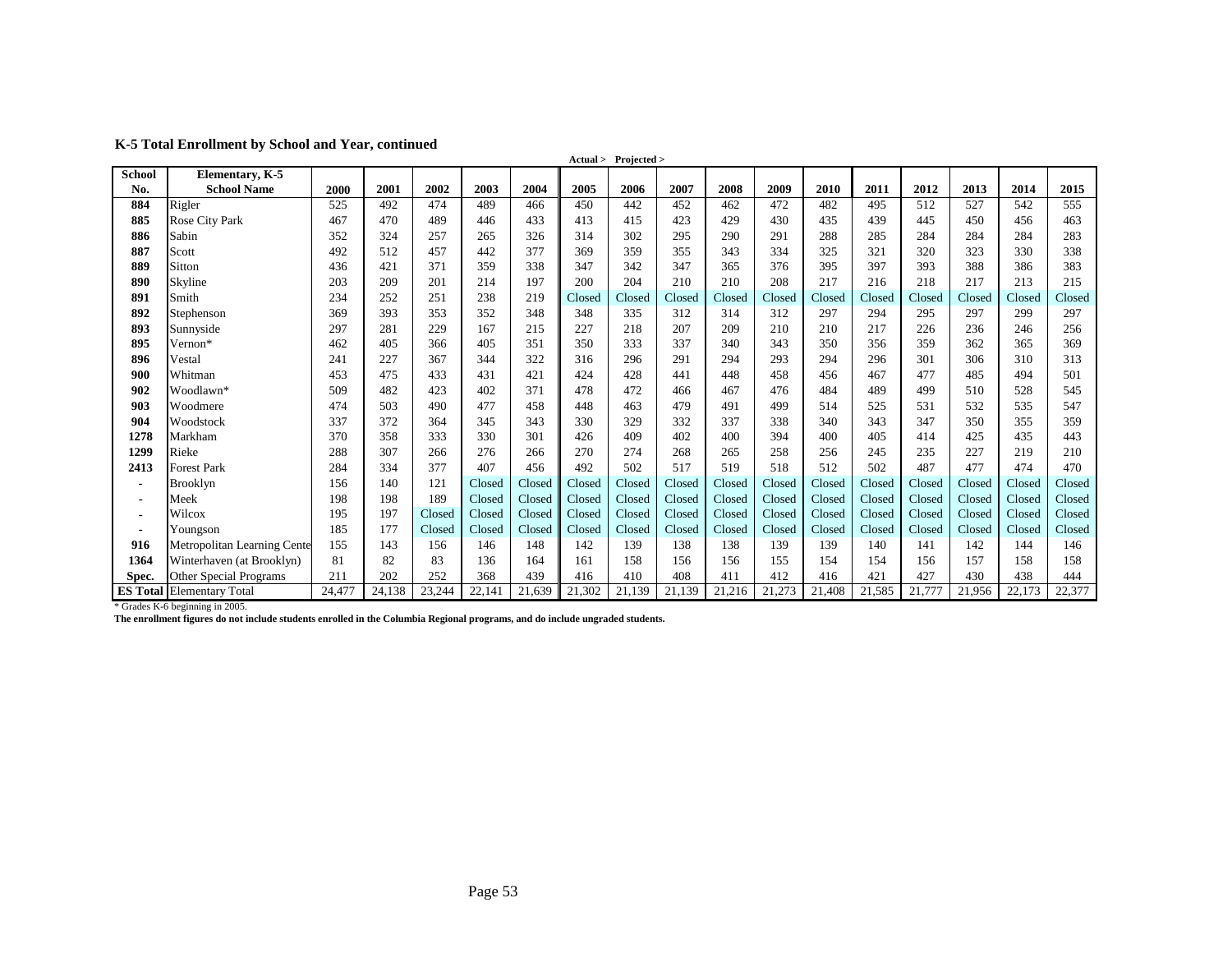| K-5 Total Enrollment by School and Year, continued |  |
|----------------------------------------------------|--|
|----------------------------------------------------|--|

|                |                                  |        |        |        |        |        |        | Actual > Projected > |        |        |        |        |        |        |        |        |        |
|----------------|----------------------------------|--------|--------|--------|--------|--------|--------|----------------------|--------|--------|--------|--------|--------|--------|--------|--------|--------|
| School         | Elementary, K-5                  |        |        |        |        |        |        |                      |        |        |        |        |        |        |        |        |        |
| No.            | <b>School Name</b>               | 2000   | 2001   | 2002   | 2003   | 2004   | 2005   | 2006                 | 2007   | 2008   | 2009   | 2010   | 2011   | 2012   | 2013   | 2014   | 2015   |
| 884            | Rigler                           | 525    | 492    | 474    | 489    | 466    | 450    | 442                  | 452    | 462    | 472    | 482    | 495    | 512    | 527    | 542    | 555    |
| 885            | Rose City Park                   | 467    | 470    | 489    | 446    | 433    | 413    | 415                  | 423    | 429    | 430    | 435    | 439    | 445    | 450    | 456    | 463    |
| 886            | Sabin                            | 352    | 324    | 257    | 265    | 326    | 314    | 302                  | 295    | 290    | 291    | 288    | 285    | 284    | 284    | 284    | 283    |
| 887            | Scott                            | 492    | 512    | 457    | 442    | 377    | 369    | 359                  | 355    | 343    | 334    | 325    | 321    | 320    | 323    | 330    | 338    |
| 889            | Sitton                           | 436    | 421    | 371    | 359    | 338    | 347    | 342                  | 347    | 365    | 376    | 395    | 397    | 393    | 388    | 386    | 383    |
| 890            | Skyline                          | 203    | 209    | 201    | 214    | 197    | 200    | 204                  | 210    | 210    | 208    | 217    | 216    | 218    | 217    | 213    | 215    |
| 891            | Smith                            | 234    | 252    | 251    | 238    | 219    | Closed | Closed               | Closed | Closed | Closed | Closed | Closed | Closed | Closed | Closed | Closed |
| 892            | Stephenson                       | 369    | 393    | 353    | 352    | 348    | 348    | 335                  | 312    | 314    | 312    | 297    | 294    | 295    | 297    | 299    | 297    |
| 893            | Sunnyside                        | 297    | 281    | 229    | 167    | 215    | 227    | 218                  | 207    | 209    | 210    | 210    | 217    | 226    | 236    | 246    | 256    |
| 895            | Vernon*                          | 462    | 405    | 366    | 405    | 351    | 350    | 333                  | 337    | 340    | 343    | 350    | 356    | 359    | 362    | 365    | 369    |
| 896            | Vestal                           | 241    | 227    | 367    | 344    | 322    | 316    | 296                  | 291    | 294    | 293    | 294    | 296    | 301    | 306    | 310    | 313    |
| 900            | Whitman                          | 453    | 475    | 433    | 431    | 421    | 424    | 428                  | 441    | 448    | 458    | 456    | 467    | 477    | 485    | 494    | 501    |
| 902            | Woodlawn*                        | 509    | 482    | 423    | 402    | 371    | 478    | 472                  | 466    | 467    | 476    | 484    | 489    | 499    | 510    | 528    | 545    |
| 903            | Woodmere                         | 474    | 503    | 490    | 477    | 458    | 448    | 463                  | 479    | 491    | 499    | 514    | 525    | 531    | 532    | 535    | 547    |
| 904            | Woodstock                        | 337    | 372    | 364    | 345    | 343    | 330    | 329                  | 332    | 337    | 338    | 340    | 343    | 347    | 350    | 355    | 359    |
| 1278           | Markham                          | 370    | 358    | 333    | 330    | 301    | 426    | 409                  | 402    | 400    | 394    | 400    | 405    | 414    | 425    | 435    | 443    |
| 1299           | Rieke                            | 288    | 307    | 266    | 276    | 266    | 270    | 274                  | 268    | 265    | 258    | 256    | 245    | 235    | 227    | 219    | 210    |
| 2413           | Forest Park                      | 284    | 334    | 377    | 407    | 456    | 492    | 502                  | 517    | 519    | 518    | 512    | 502    | 487    | 477    | 474    | 470    |
| $\blacksquare$ | Brooklyn                         | 156    | 140    | 121    | Closed | Closed | Closed | Closed               | Closed | Closed | Closed | Closed | Closed | Closed | Closed | Closed | Closed |
| $\blacksquare$ | Meek                             | 198    | 198    | 189    | Closed | Closed | Closed | Closed               | Closed | Closed | Closed | Closed | Closed | Closed | Closed | Closed | Closed |
| $\blacksquare$ | Wilcox                           | 195    | 197    | Closed | Closed | Closed | Closed | Closed               | Closed | Closed | Closed | Closed | Closed | Closed | Closed | Closed | Closed |
| $\blacksquare$ | Youngson                         | 185    | 177    | Closed | Closed | Closed | Closed | Closed               | Closed | Closed | Closed | Closed | Closed | Closed | Closed | Closed | Closed |
| 916            | Metropolitan Learning Cente      | 155    | 143    | 156    | 146    | 148    | 142    | 139                  | 138    | 138    | 139    | 139    | 140    | 141    | 142    | 144    | 146    |
| 1364           | Winterhaven (at Brooklyn)        | 81     | 82     | 83     | 136    | 164    | 161    | 158                  | 156    | 156    | 155    | 154    | 154    | 156    | 157    | 158    | 158    |
| Spec.          | Other Special Programs           | 211    | 202    | 252    | 368    | 439    | 416    | 410                  | 408    | 411    | 412    | 416    | 421    | 427    | 430    | 438    | 444    |
|                | <b>ES Total Elementary Total</b> | 24,477 | 24,138 | 23,244 | 22,141 | 21,639 | 21,302 | 21,139               | 21,139 | 21,216 | 21,273 | 21,408 | 21,585 | 21,777 | 21,956 | 22,173 | 22,377 |

\* Grades K-6 beginning in 2005.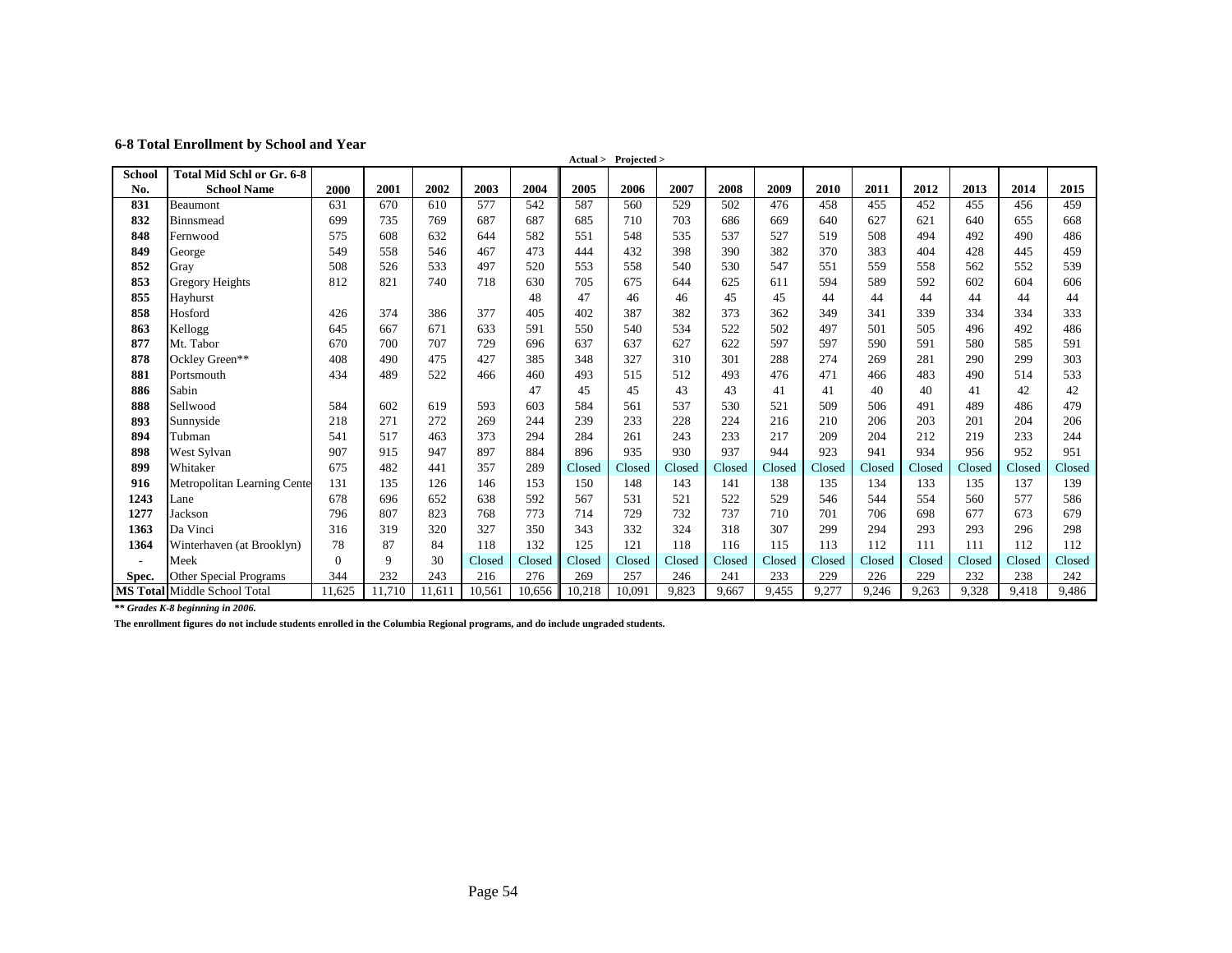#### **6-8 Total Enrollment by School and Year**

|        |                                     |          |        |        |        |        |        | Actual > Projected > |        |        |        |        |        |        |        |        |        |
|--------|-------------------------------------|----------|--------|--------|--------|--------|--------|----------------------|--------|--------|--------|--------|--------|--------|--------|--------|--------|
| School | Total Mid Schl or Gr. 6-8           |          |        |        |        |        |        |                      |        |        |        |        |        |        |        |        |        |
| No.    | <b>School Name</b>                  | 2000     | 2001   | 2002   | 2003   | 2004   | 2005   | 2006                 | 2007   | 2008   | 2009   | 2010   | 2011   | 2012   | 2013   | 2014   | 2015   |
| 831    | Beaumont                            | 631      | 670    | 610    | 577    | 542    | 587    | 560                  | 529    | 502    | 476    | 458    | 455    | 452    | 455    | 456    | 459    |
| 832    | Binnsmead                           | 699      | 735    | 769    | 687    | 687    | 685    | 710                  | 703    | 686    | 669    | 640    | 627    | 621    | 640    | 655    | 668    |
| 848    | Fernwood                            | 575      | 608    | 632    | 644    | 582    | 551    | 548                  | 535    | 537    | 527    | 519    | 508    | 494    | 492    | 490    | 486    |
| 849    | George                              | 549      | 558    | 546    | 467    | 473    | 444    | 432                  | 398    | 390    | 382    | 370    | 383    | 404    | 428    | 445    | 459    |
| 852    | Gray                                | 508      | 526    | 533    | 497    | 520    | 553    | 558                  | 540    | 530    | 547    | 551    | 559    | 558    | 562    | 552    | 539    |
| 853    | Gregory Heights                     | 812      | 821    | 740    | 718    | 630    | 705    | 675                  | 644    | 625    | 611    | 594    | 589    | 592    | 602    | 604    | 606    |
| 855    | Hayhurst                            |          |        |        |        | 48     | 47     | 46                   | 46     | 45     | 45     | 44     | 44     | 44     | 44     | 44     | 44     |
| 858    | Hosford                             | 426      | 374    | 386    | 377    | 405    | 402    | 387                  | 382    | 373    | 362    | 349    | 341    | 339    | 334    | 334    | 333    |
| 863    | Kellogg                             | 645      | 667    | 671    | 633    | 591    | 550    | 540                  | 534    | 522    | 502    | 497    | 501    | 505    | 496    | 492    | 486    |
| 877    | Mt. Tabor                           | 670      | 700    | 707    | 729    | 696    | 637    | 637                  | 627    | 622    | 597    | 597    | 590    | 591    | 580    | 585    | 591    |
| 878    | Ockley Green**                      | 408      | 490    | 475    | 427    | 385    | 348    | 327                  | 310    | 301    | 288    | 274    | 269    | 281    | 290    | 299    | 303    |
| 881    | Portsmouth                          | 434      | 489    | 522    | 466    | 460    | 493    | 515                  | 512    | 493    | 476    | 471    | 466    | 483    | 490    | 514    | 533    |
| 886    | Sabin                               |          |        |        |        | 47     | 45     | 45                   | 43     | 43     | 41     | 41     | 40     | 40     | 41     | 42     | 42     |
| 888    | Sellwood                            | 584      | 602    | 619    | 593    | 603    | 584    | 561                  | 537    | 530    | 521    | 509    | 506    | 491    | 489    | 486    | 479    |
| 893    | Sunnyside                           | 218      | 271    | 272    | 269    | 244    | 239    | 233                  | 228    | 224    | 216    | 210    | 206    | 203    | 201    | 204    | 206    |
| 894    | Tubman                              | 541      | 517    | 463    | 373    | 294    | 284    | 261                  | 243    | 233    | 217    | 209    | 204    | 212    | 219    | 233    | 244    |
| 898    | West Sylvan                         | 907      | 915    | 947    | 897    | 884    | 896    | 935                  | 930    | 937    | 944    | 923    | 941    | 934    | 956    | 952    | 951    |
| 899    | Whitaker                            | 675      | 482    | 441    | 357    | 289    | Closed | Closed               | Closed | Closed | Closed | Closed | Closed | Closed | Closed | Closed | Closed |
| 916    | <b>Metropolitan Learning Cente</b>  | 131      | 135    | 126    | 146    | 153    | 150    | 148                  | 143    | 141    | 138    | 135    | 134    | 133    | 135    | 137    | 139    |
| 1243   | Lane                                | 678      | 696    | 652    | 638    | 592    | 567    | 531                  | 521    | 522    | 529    | 546    | 544    | 554    | 560    | 577    | 586    |
| 1277   | Jackson                             | 796      | 807    | 823    | 768    | 773    | 714    | 729                  | 732    | 737    | 710    | 701    | 706    | 698    | 677    | 673    | 679    |
| 1363   | Da Vinci                            | 316      | 319    | 320    | 327    | 350    | 343    | 332                  | 324    | 318    | 307    | 299    | 294    | 293    | 293    | 296    | 298    |
| 1364   | Winterhaven (at Brooklyn)           | 78       | 87     | 84     | 118    | 132    | 125    | 121                  | 118    | 116    | 115    | 113    | 112    | 111    | 111    | 112    | 112    |
|        | Meek                                | $\Omega$ | 9      | 30     | Closed | Closed | Closed | Closed               | Closed | Closed | Closed | Closed | Closed | Closed | Closed | Closed | Closed |
| Spec.  | <b>Other Special Programs</b>       | 344      | 232    | 243    | 216    | 276    | 269    | 257                  | 246    | 241    | 233    | 229    | 226    | 229    | 232    | 238    | 242    |
|        | <b>MS Total Middle School Total</b> | 11.625   | 11.710 | 11,611 | 10,561 | 10,656 | 10,218 | 10.091               | 9,823  | 9,667  | 9,455  | 9,277  | 9,246  | 9,263  | 9,328  | 9,418  | 9,486  |

*\*\* Grades K-8 beginning in 2006.*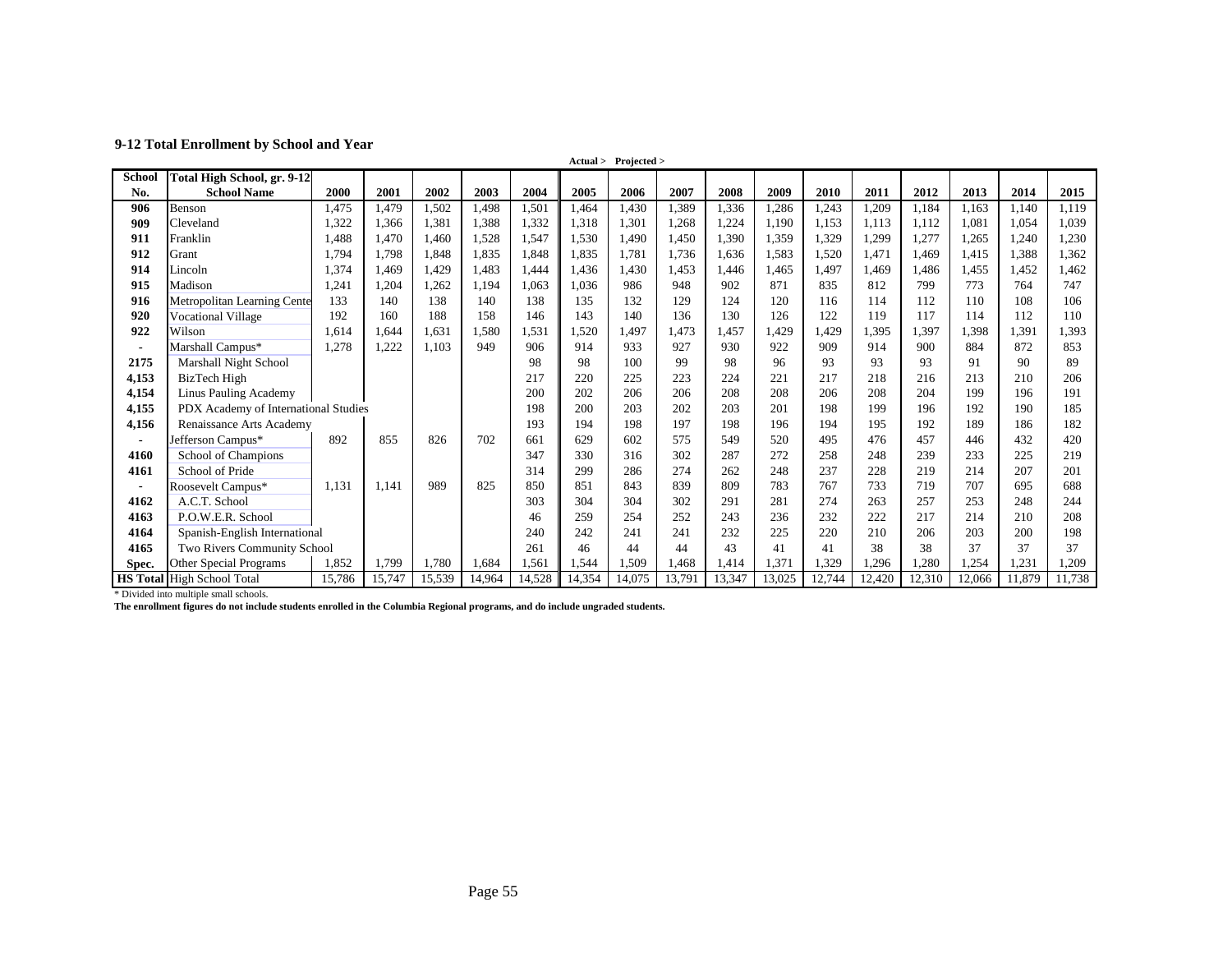#### **9-12 Total Enrollment by School and Year**

|                | Actual > Projected >                 |        |        |        |        |        |        |        |        |             |        |        |        |        |        |        |        |
|----------------|--------------------------------------|--------|--------|--------|--------|--------|--------|--------|--------|-------------|--------|--------|--------|--------|--------|--------|--------|
| <b>School</b>  | Total High School, gr. 9-12          |        |        |        |        |        |        |        |        |             |        |        |        |        |        |        |        |
| No.            | <b>School Name</b>                   | 2000   | 2001   | 2002   | 2003   | 2004   | 2005   | 2006   | 2007   | 2008        | 2009   | 2010   | 2011   | 2012   | 2013   | 2014   | 2015   |
| 906            | Benson                               | 1.475  | 1.479  | 1,502  | 1,498  | 1,501  | 1,464  | 1.430  | 1,389  | 1,336       | 1,286  | 1,243  | 1,209  | 1,184  | 1,163  | 1,140  | 1,119  |
| 909            | Cleveland                            | 1,322  | 1,366  | 1,381  | 1,388  | 1,332  | 1,318  | 1,301  | 1,268  | 1,224       | 1.190  | 1,153  | 1,113  | 1,112  | 1,081  | 1.054  | 1,039  |
| 911            | Franklin                             | .488   | 1.470  | 1.460  | 1,528  | 1,547  | 1,530  | 1.490  | 1,450  | 1,390       | 1,359  | 1,329  | 1,299  | 1,277  | 1,265  | 1,240  | 1,230  |
| 912            | Grant                                | 1.794  | 1.798  | 1.848  | 1,835  | 1.848  | 1,835  | 1.781  | 1.736  | 1.636       | 1.583  | 1,520  | 1.471  | 1.469  | 1.415  | 1.388  | 1,362  |
| 914            | Lincoln                              | 1,374  | 1,469  | 1,429  | 1,483  | 1,444  | 1,436  | 1,430  | 1,453  | 1,446       | 1,465  | 1,497  | 1,469  | 1,486  | 1,455  | 1,452  | 1,462  |
| 915            | Madison                              | 1,241  | 1,204  | 1,262  | 1,194  | 1,063  | 1,036  | 986    | 948    | 902         | 871    | 835    | 812    | 799    | 773    | 764    | 747    |
| 916            | Metropolitan Learning Cente          | 133    | 140    | 138    | 140    | 138    | 135    | 132    | 129    | 124         | 120    | 116    | 114    | 112    | 110    | 108    | 106    |
| 920            | <b>Vocational Village</b>            | 192    | 160    | 188    | 158    | 146    | 143    | 140    | 136    | 130         | 126    | 122    | 119    | 117    | 114    | 112    | 110    |
| 922            | Wilson                               | 1.614  | 1.644  | 1,631  | 1,580  | 1,531  | 1,520  | 1,497  | 1.473  | 1,457       | 1,429  | 1,429  | 1,395  | 1,397  | 1,398  | 1,391  | 1,393  |
| $\blacksquare$ | Marshall Campus*                     | 1,278  | 1,222  | 1,103  | 949    | 906    | 914    | 933    | 927    | 930         | 922    | 909    | 914    | 900    | 884    | 872    | 853    |
| 2175           | Marshall Night School                |        |        |        |        | 98     | 98     | 100    | 99     | 98          | 96     | 93     | 93     | 93     | 91     | 90     | 89     |
| 4,153          | BizTech High                         |        |        |        |        | 217    | 220    | 225    | 223    | 224         | 221    | 217    | 218    | 216    | 213    | 210    | 206    |
| 4,154          | Linus Pauling Academy                |        |        |        |        | 200    | 202    | 206    | 206    | 208         | 208    | 206    | 208    | 204    | 199    | 196    | 191    |
| 4,155          | PDX Academy of International Studies |        |        |        |        | 198    | 200    | 203    | 202    | 203         | 201    | 198    | 199    | 196    | 192    | 190    | 185    |
| 4,156          | Renaissance Arts Academy             |        |        |        |        | 193    | 194    | 198    | 197    | 198         | 196    | 194    | 195    | 192    | 189    | 186    | 182    |
| $\blacksquare$ | Jefferson Campus*                    | 892    | 855    | 826    | 702    | 661    | 629    | 602    | 575    | 549         | 520    | 495    | 476    | 457    | 446    | 432    | 420    |
| 4160           | School of Champions                  |        |        |        |        | 347    | 330    | 316    | 302    | 287         | 272    | 258    | 248    | 239    | 233    | 225    | 219    |
| 4161           | School of Pride                      |        |        |        |        | 314    | 299    | 286    | 274    | 262         | 248    | 237    | 228    | 219    | 214    | 207    | 201    |
| $\blacksquare$ | Roosevelt Campus*                    | 1,131  | 1.141  | 989    | 825    | 850    | 851    | 843    | 839    | 809         | 783    | 767    | 733    | 719    | 707    | 695    | 688    |
| 4162           | A.C.T. School                        |        |        |        |        | 303    | 304    | 304    | 302    | 291         | 281    | 274    | 263    | 257    | 253    | 248    | 244    |
| 4163           | P.O.W.E.R. School                    |        |        |        |        | 46     | 259    | 254    | 252    | 243         | 236    | 232    | 222    | 217    | 214    | 210    | 208    |
| 4164           | Spanish-English International        |        |        |        | 240    | 242    | 241    | 241    | 232    | 225         | 220    | 210    | 206    | 203    | 200    | 198    |        |
| 4165           | Two Rivers Community School          |        |        |        | 261    | 46     | 44     | 44     | 43     | 41          | 41     | 38     | 38     | 37     | 37     | 37     |        |
| Spec.          | Other Special Programs               | 1,852  | 1,799  | 1,780  | 1,684  | 1,561  | ,544   | 1,509  | ,468   | <b>414.</b> | 1,371  | 1,329  | 1,296  | 1,280  | 1,254  | ,231   | 1,209  |
|                | <b>HS Total High School Total</b>    | 15,786 | 15,747 | 15,539 | 14,964 | 14,528 | 14,354 | 14,075 | 13.791 | 13,347      | 13,025 | 12,744 | 12,420 | 12,310 | 12,066 | 11,879 | 11,738 |

\* Divided into multiple small schools.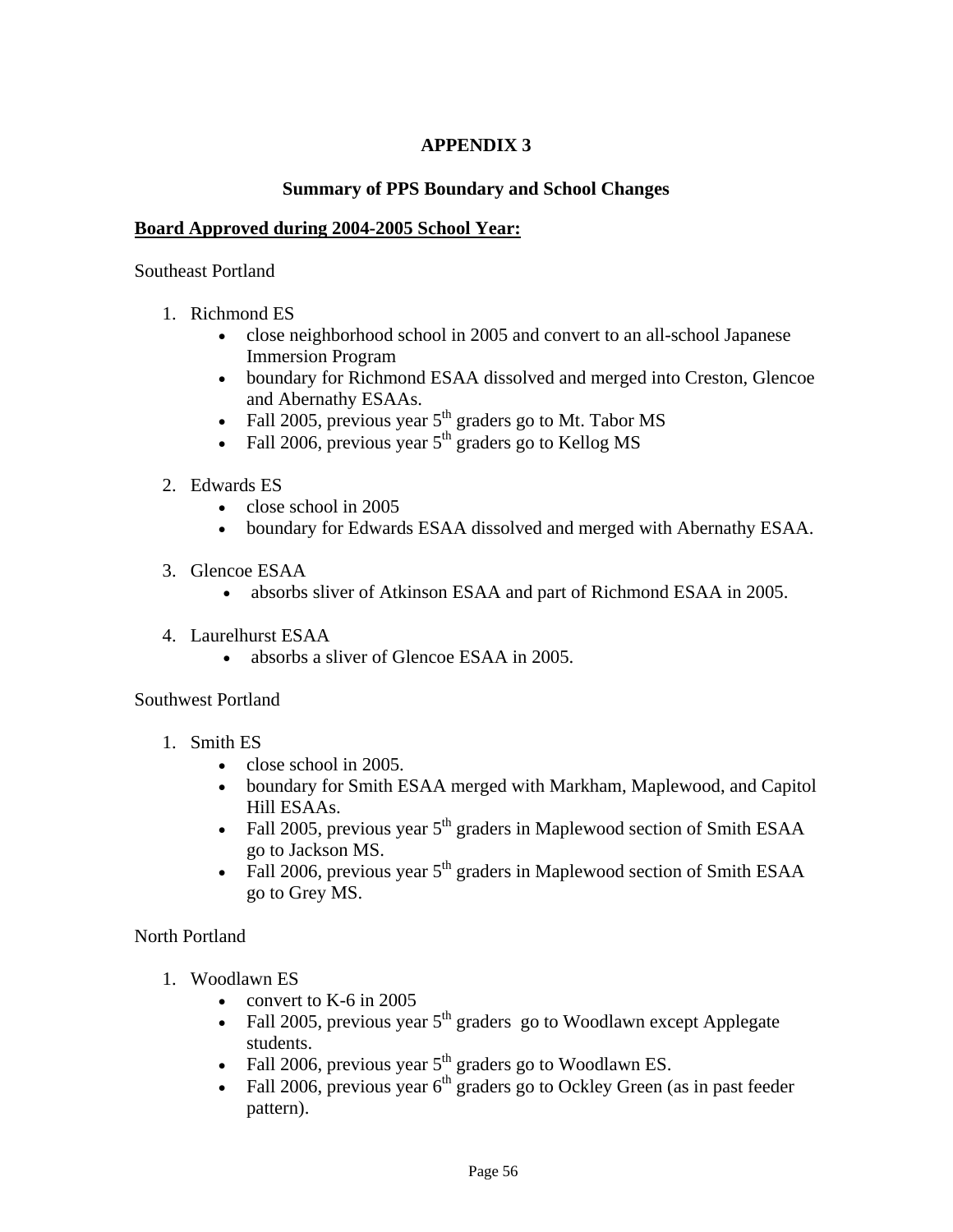# **APPENDIX 3**

#### **Summary of PPS Boundary and School Changes**

#### **Board Approved during 2004-2005 School Year:**

#### Southeast Portland

- 1. Richmond ES
	- close neighborhood school in 2005 and convert to an all-school Japanese Immersion Program
	- boundary for Richmond ESAA dissolved and merged into Creston, Glencoe and Abernathy ESAAs.
	- Fall 2005, previous year  $5<sup>th</sup>$  graders go to Mt. Tabor MS
	- Fall 2006, previous year  $5<sup>th</sup>$  graders go to Kellog MS
- 2. Edwards ES
	- close school in 2005
	- boundary for Edwards ESAA dissolved and merged with Abernathy ESAA.
- 3. Glencoe ESAA
	- absorbs sliver of Atkinson ESAA and part of Richmond ESAA in 2005.
- 4. Laurelhurst ESAA
	- absorbs a sliver of Glencoe ESAA in 2005.

#### Southwest Portland

- 1. Smith ES
	- $\bullet$  close school in 2005.
	- boundary for Smith ESAA merged with Markham, Maplewood, and Capitol Hill ESAAs.
	- Fall 2005, previous year  $5<sup>th</sup>$  graders in Maplewood section of Smith ESAA go to Jackson MS.
	- Fall 2006, previous year  $5<sup>th</sup>$  graders in Maplewood section of Smith ESAA go to Grey MS.

North Portland

- 1. Woodlawn ES
	- convert to K-6 in 2005
	- Fall 2005, previous year  $5<sup>th</sup>$  graders go to Woodlawn except Applegate students.
	- Fall 2006, previous year  $5<sup>th</sup>$  graders go to Woodlawn ES.
	- Fall 2006, previous year  $6<sup>th</sup>$  graders go to Ockley Green (as in past feeder pattern).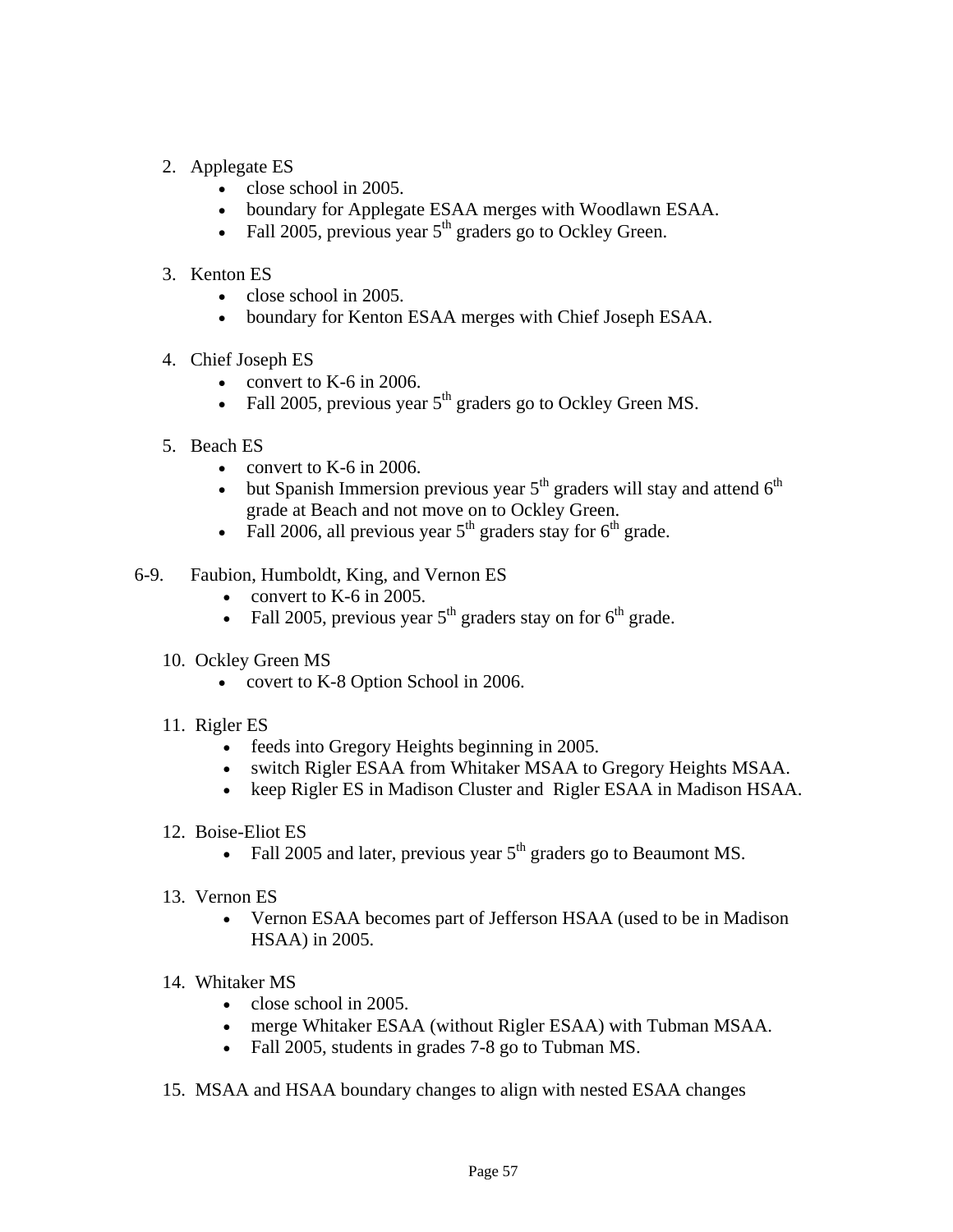- 2. Applegate ES
	- close school in 2005.
	- boundary for Applegate ESAA merges with Woodlawn ESAA.
	- Fall 2005, previous year  $5<sup>th</sup>$  graders go to Ockley Green.
- 3. Kenton ES
	- $\bullet$  close school in 2005.
	- boundary for Kenton ESAA merges with Chief Joseph ESAA.
- 4. Chief Joseph ES
	- convert to K-6 in 2006.
	- Fall 2005, previous year  $5<sup>th</sup>$  graders go to Ockley Green MS.
- 5. Beach ES
	- convert to  $K-6$  in 2006.
	- but Spanish Immersion previous year  $5<sup>th</sup>$  graders will stay and attend  $6<sup>th</sup>$ grade at Beach and not move on to Ockley Green.
	- Fall 2006, all previous year  $5<sup>th</sup>$  graders stay for  $6<sup>th</sup>$  grade.
- 6-9. Faubion, Humboldt, King, and Vernon ES
	- convert to K-6 in 2005.
	- Fall 2005, previous year  $5<sup>th</sup>$  graders stay on for  $6<sup>th</sup>$  grade.
	- 10. Ockley Green MS
		- covert to K-8 Option School in 2006.
	- 11. Rigler ES
		- feeds into Gregory Heights beginning in 2005.
		- switch Rigler ESAA from Whitaker MSAA to Gregory Heights MSAA.
		- keep Rigler ES in Madison Cluster and Rigler ESAA in Madison HSAA.
	- 12. Boise-Eliot ES
		- Fall 2005 and later, previous year  $5<sup>th</sup>$  graders go to Beaumont MS.
	- 13. Vernon ES
		- Vernon ESAA becomes part of Jefferson HSAA (used to be in Madison HSAA) in 2005.
	- 14. Whitaker MS
		- close school in 2005.
		- merge Whitaker ESAA (without Rigler ESAA) with Tubman MSAA.
		- Fall 2005, students in grades 7-8 go to Tubman MS.
	- 15. MSAA and HSAA boundary changes to align with nested ESAA changes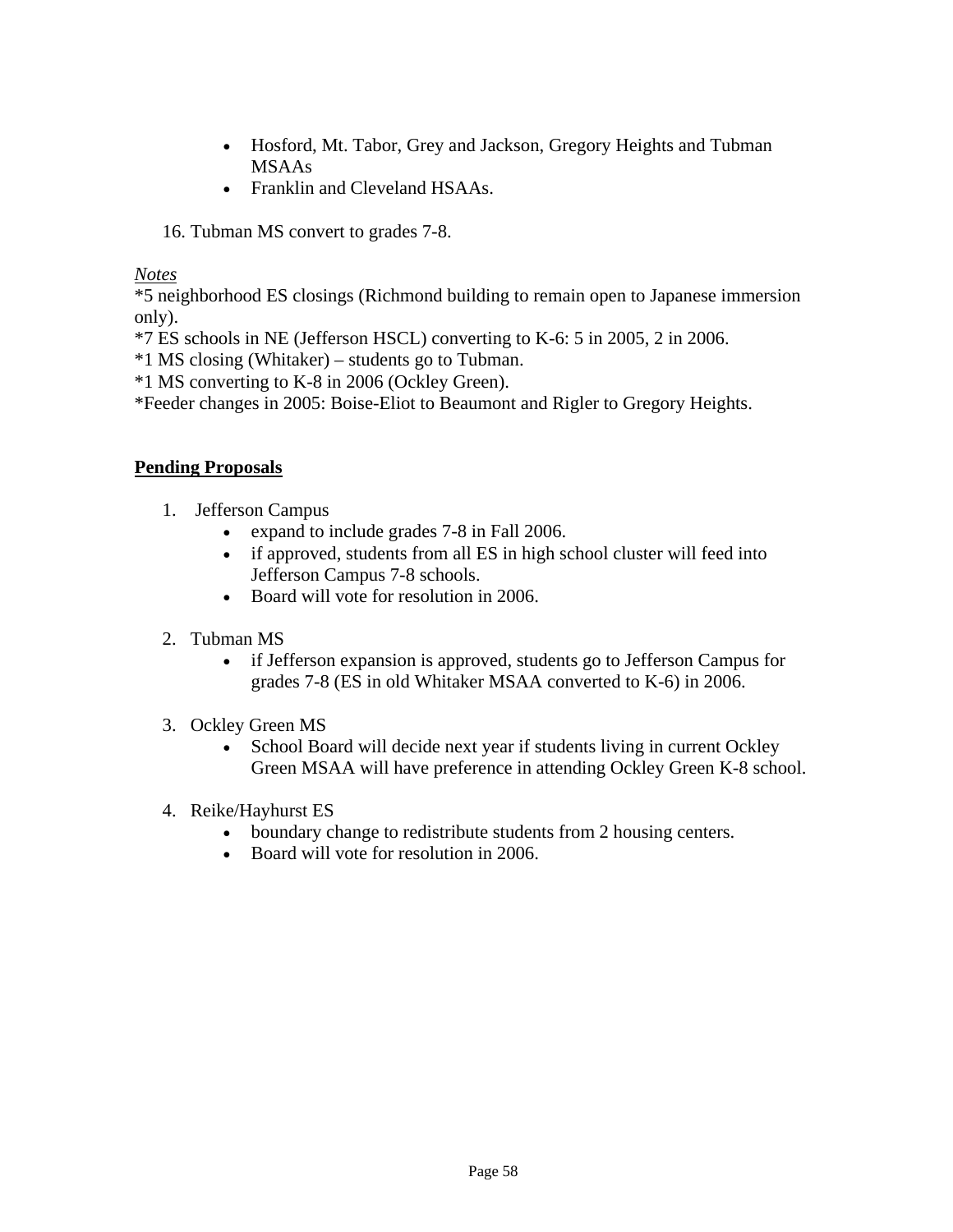- Hosford, Mt. Tabor, Grey and Jackson, Gregory Heights and Tubman MSAAs
- Franklin and Cleveland HSAAs.

16. Tubman MS convert to grades 7-8.

*Notes*

\*5 neighborhood ES closings (Richmond building to remain open to Japanese immersion only).

\*7 ES schools in NE (Jefferson HSCL) converting to K-6: 5 in 2005, 2 in 2006.

\*1 MS closing (Whitaker) – students go to Tubman.

\*1 MS converting to K-8 in 2006 (Ockley Green).

\*Feeder changes in 2005: Boise-Eliot to Beaumont and Rigler to Gregory Heights.

## **Pending Proposals**

- 1. Jefferson Campus
	- expand to include grades 7-8 in Fall 2006.
	- if approved, students from all ES in high school cluster will feed into Jefferson Campus 7-8 schools.
	- Board will vote for resolution in 2006.
- 2. Tubman MS
	- if Jefferson expansion is approved, students go to Jefferson Campus for grades 7-8 (ES in old Whitaker MSAA converted to K-6) in 2006.
- 3. Ockley Green MS
	- School Board will decide next year if students living in current Ockley Green MSAA will have preference in attending Ockley Green K-8 school.
- 4. Reike/Hayhurst ES
	- boundary change to redistribute students from 2 housing centers.
	- Board will vote for resolution in 2006.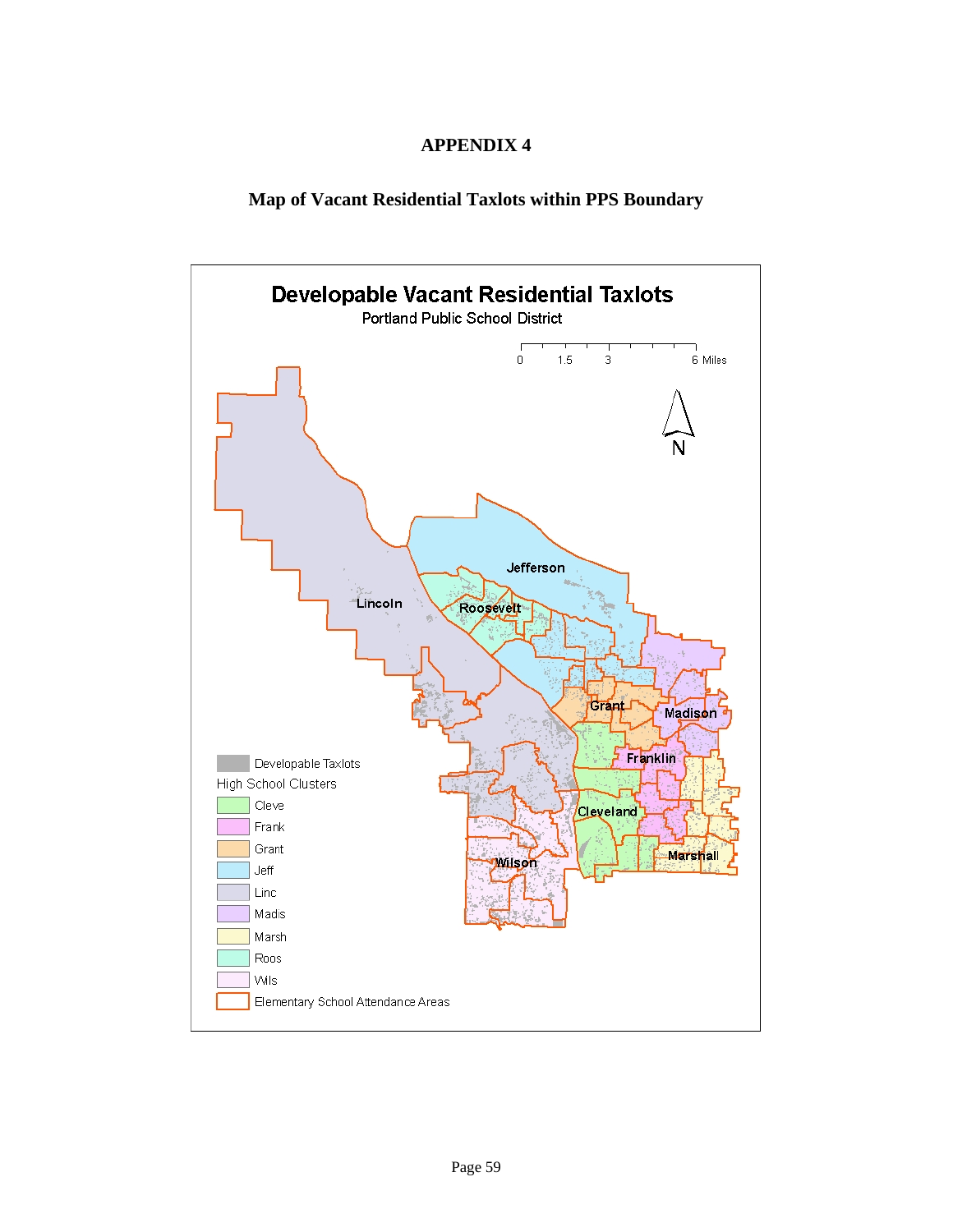### **APPENDIX 4**

## **Map of Vacant Residential Taxlots within PPS Boundary**

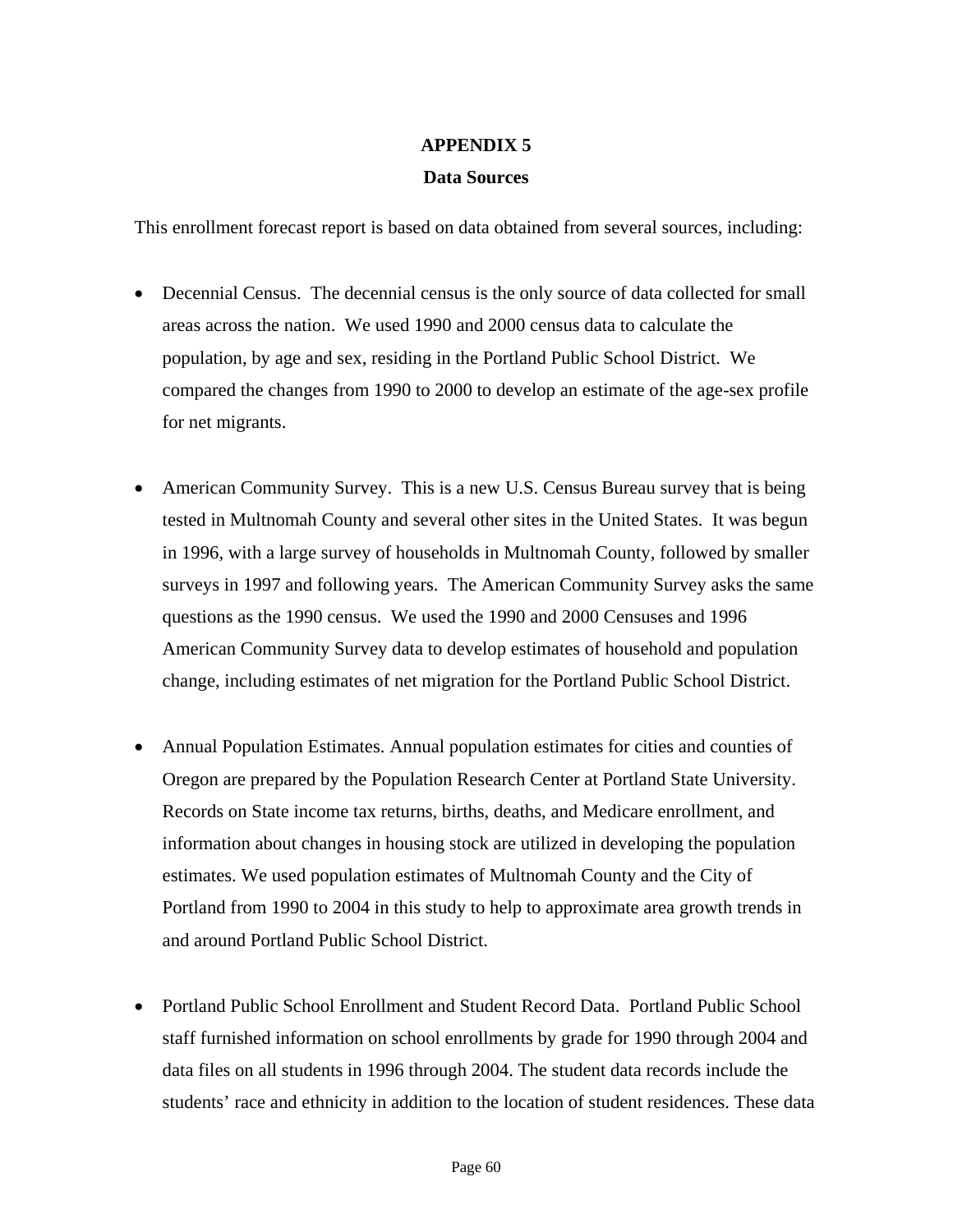#### **APPENDIX 5**

#### **Data Sources**

This enrollment forecast report is based on data obtained from several sources, including:

- Decennial Census. The decennial census is the only source of data collected for small areas across the nation. We used 1990 and 2000 census data to calculate the population, by age and sex, residing in the Portland Public School District. We compared the changes from 1990 to 2000 to develop an estimate of the age-sex profile for net migrants.
- American Community Survey. This is a new U.S. Census Bureau survey that is being tested in Multnomah County and several other sites in the United States. It was begun in 1996, with a large survey of households in Multnomah County, followed by smaller surveys in 1997 and following years. The American Community Survey asks the same questions as the 1990 census. We used the 1990 and 2000 Censuses and 1996 American Community Survey data to develop estimates of household and population change, including estimates of net migration for the Portland Public School District.
- Annual Population Estimates. Annual population estimates for cities and counties of Oregon are prepared by the Population Research Center at Portland State University. Records on State income tax returns, births, deaths, and Medicare enrollment, and information about changes in housing stock are utilized in developing the population estimates. We used population estimates of Multnomah County and the City of Portland from 1990 to 2004 in this study to help to approximate area growth trends in and around Portland Public School District.
- Portland Public School Enrollment and Student Record Data. Portland Public School staff furnished information on school enrollments by grade for 1990 through 2004 and data files on all students in 1996 through 2004. The student data records include the students' race and ethnicity in addition to the location of student residences. These data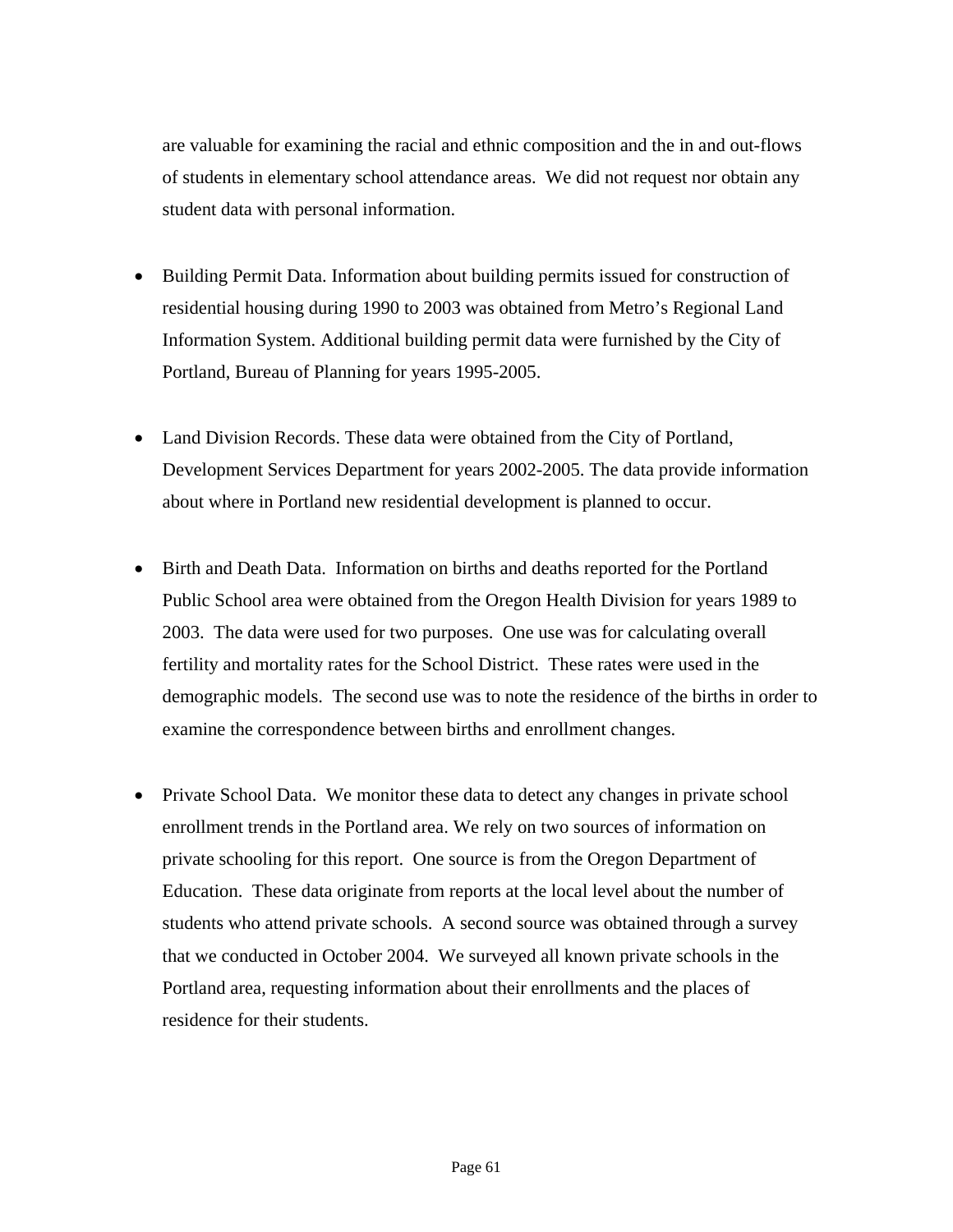are valuable for examining the racial and ethnic composition and the in and out-flows of students in elementary school attendance areas. We did not request nor obtain any student data with personal information.

- Building Permit Data. Information about building permits issued for construction of residential housing during 1990 to 2003 was obtained from Metro's Regional Land Information System. Additional building permit data were furnished by the City of Portland, Bureau of Planning for years 1995-2005.
- Land Division Records. These data were obtained from the City of Portland, Development Services Department for years 2002-2005. The data provide information about where in Portland new residential development is planned to occur.
- Birth and Death Data. Information on births and deaths reported for the Portland Public School area were obtained from the Oregon Health Division for years 1989 to 2003. The data were used for two purposes. One use was for calculating overall fertility and mortality rates for the School District. These rates were used in the demographic models. The second use was to note the residence of the births in order to examine the correspondence between births and enrollment changes.
- Private School Data. We monitor these data to detect any changes in private school enrollment trends in the Portland area. We rely on two sources of information on private schooling for this report. One source is from the Oregon Department of Education. These data originate from reports at the local level about the number of students who attend private schools. A second source was obtained through a survey that we conducted in October 2004. We surveyed all known private schools in the Portland area, requesting information about their enrollments and the places of residence for their students.